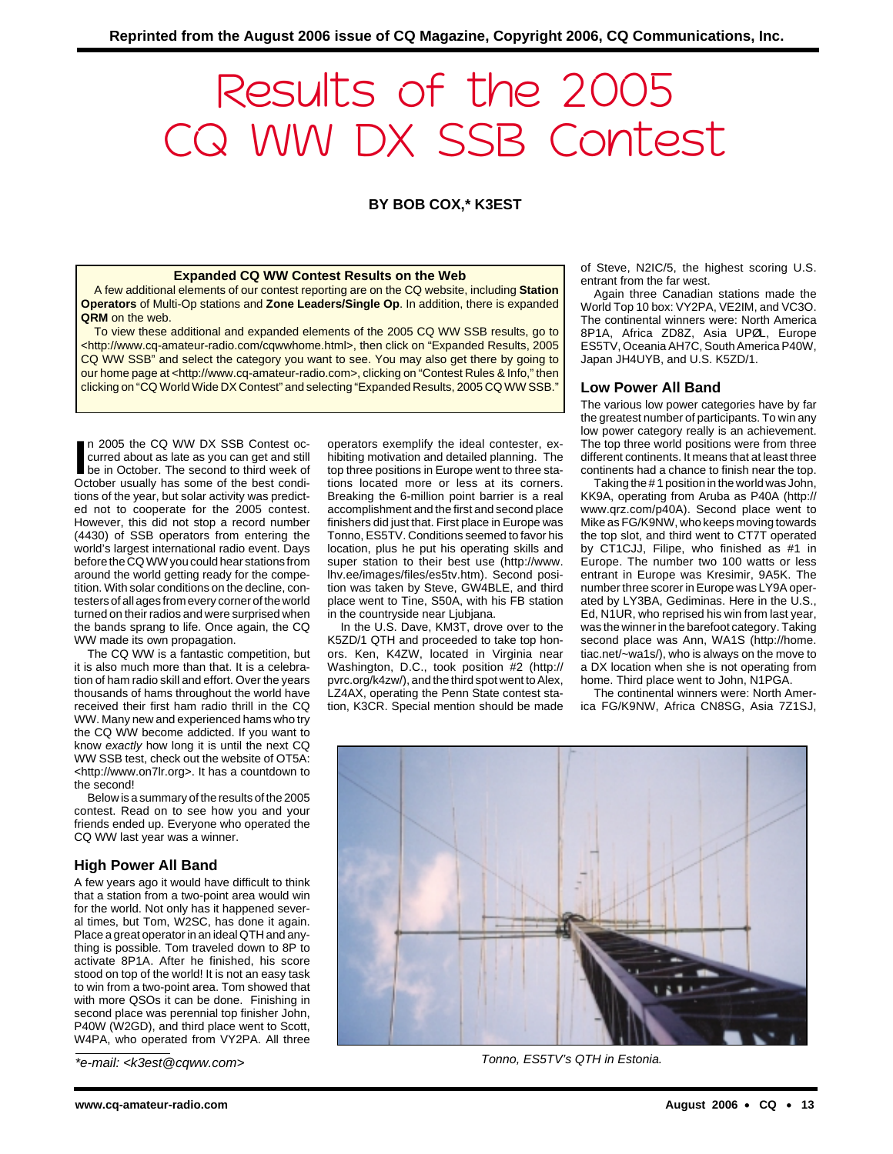# Results of the 2005 CQ WW DX SSB Contest

**BY BOB COX,\* K3EST**

#### **Expanded CQ WW Contest Results on the Web**

A few additional elements of our contest reporting are on the CQ website, including **Station Operators** of Multi-Op stations and **Zone Leaders/Single Op**. In addition, there is expanded **QRM** on the web.

To view these additional and expanded elements of the 2005 CQ WW SSB results, go to <http://www.cq-amateur-radio.com/cqwwhome.html>, then click on "Expanded Results, 2005 CQ WW SSB" and select the category you want to see. You may also get there by going to our home page at <http://www.cq-amateur-radio.com>, clicking on "Contest Rules & Info," then clicking on "CQ World Wide DX Contest" and selecting "Expanded Results, 2005 CQ WW SSB."

In 2005 the CQ WW DX SSB Contest occurred about as late as you can get and still be in October. The second to third week of October usually has some of the best condin 2005 the CQ WW DX SSB Contest occurred about as late as you can get and still be in October. The second to third week of tions of the year, but solar activity was predicted not to cooperate for the 2005 contest. However, this did not stop a record number (4430) of SSB operators from entering the world's largest international radio event. Days before the CQ WW you could hear stations from around the world getting ready for the competition. With solar conditions on the decline, contesters of all ages from every corner of the world turned on their radios and were surprised when the bands sprang to life. Once again, the CQ WW made its own propagation.

The CQ WW is a fantastic competition, but it is also much more than that. It is a celebration of ham radio skill and effort. Over the years thousands of hams throughout the world have received their first ham radio thrill in the CQ WW. Many new and experienced hams who try the CQ WW become addicted. If you want to know exactly how long it is until the next CQ WW SSB test, check out the website of OT5A: <http://www.on7lr.org>. It has a countdown to the second!

Below is a summary of the results of the 2005 contest. Read on to see how you and your friends ended up. Everyone who operated the CQ WW last year was a winner.

## **High Power All Band**

A few years ago it would have difficult to think that a station from a two-point area would win for the world. Not only has it happened several times, but Tom, W2SC, has done it again. Place a great operator in an ideal QTH and anything is possible. Tom traveled down to 8P to activate 8P1A. After he finished, his score stood on top of the world! It is not an easy task to win from a two-point area. Tom showed that with more QSOs it can be done. Finishing in second place was perennial top finisher John, P40W (W2GD), and third place went to Scott, W4PA, who operated from VY2PA. All three

\*e-mail: <k3est@cqww.com>

operators exemplify the ideal contester, exhibiting motivation and detailed planning. The top three positions in Europe went to three stations located more or less at its corners. Breaking the 6-million point barrier is a real accomplishment and the first and second place finishers did just that. First place in Europe was Tonno, ES5TV. Conditions seemed to favor his location, plus he put his operating skills and super station to their best use (http://www. lhv.ee/images/files/es5tv.htm). Second position was taken by Steve, GW4BLE, and third place went to Tine, S50A, with his FB station in the countryside near Ljubjana.

In the U.S. Dave, KM3T, drove over to the K5ZD/1 QTH and proceeded to take top honors. Ken, K4ZW, located in Virginia near Washington, D.C., took position #2 (http:// pvrc.org/k4zw/), and the third spot went to Alex, LZ4AX, operating the Penn State contest station, K3CR. Special mention should be made of Steve, N2IC/5, the highest scoring U.S. entrant from the far west.

Again three Canadian stations made the World Top 10 box: VY2PA, VE2IM, and VC3O. The continental winners were: North America 8P1A, Africa ZD8Z, Asia UPØL, Europe ES5TV, Oceania AH7C, South America P40W, Japan JH4UYB, and U.S. K5ZD/1.

## **Low Power All Band**

The various low power categories have by far the greatest number of participants. To win any low power category really is an achievement. The top three world positions were from three different continents. It means that at least three continents had a chance to finish near the top.

Taking the # 1 position in the world was John, KK9A, operating from Aruba as P40A (http:// www.qrz.com/p40A). Second place went to Mike as FG/K9NW, who keeps moving towards the top slot, and third went to CT7T operated by CT1CJJ, Filipe, who finished as #1 in Europe. The number two 100 watts or less entrant in Europe was Kresimir, 9A5K. The number three scorer in Europe was LY9A operated by LY3BA, Gediminas. Here in the U.S., Ed, N1UR, who reprised his win from last year, was the winner in the barefoot category. Taking second place was Ann, WA1S (http://home. tiac.net/~wa1s/), who is always on the move to a DX location when she is not operating from home. Third place went to John, N1PGA.

The continental winners were: North America FG/K9NW, Africa CN8SG, Asia 7Z1SJ,



Tonno, ES5TV's QTH in Estonia.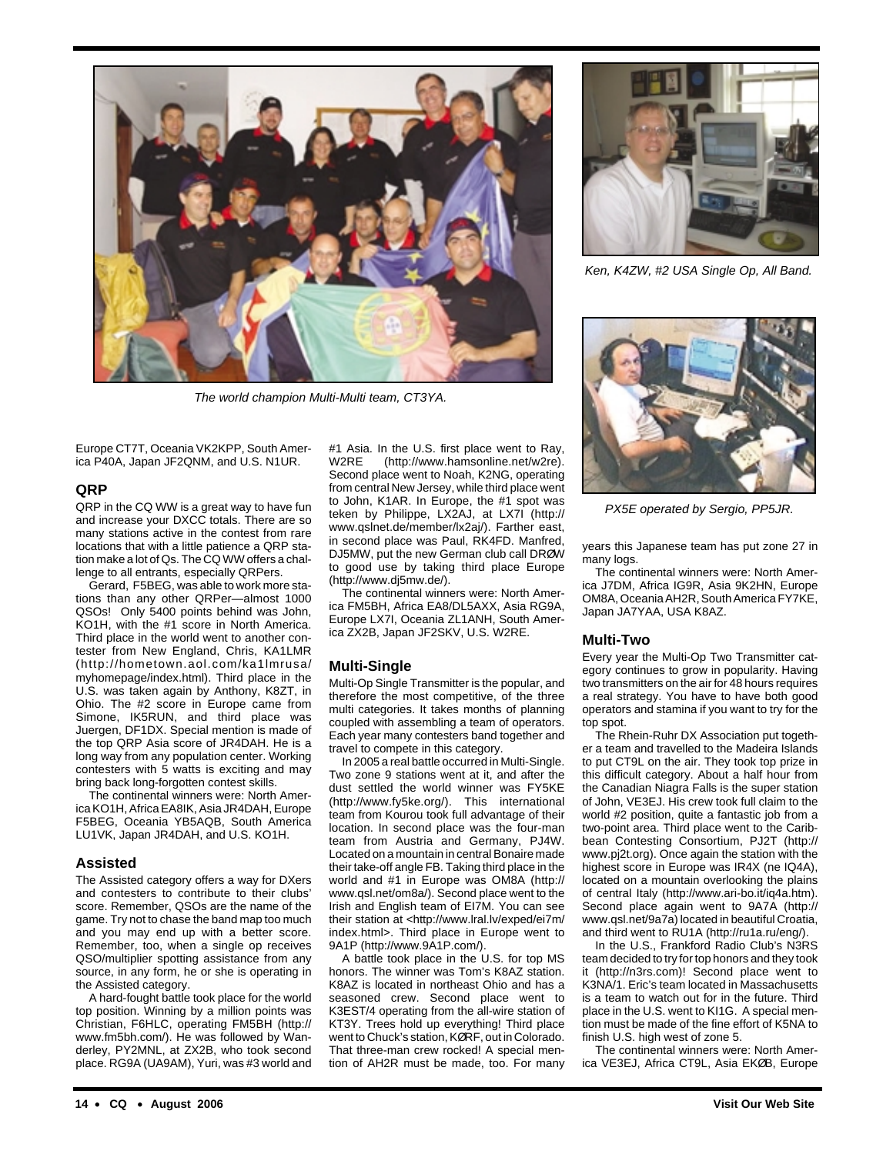

The world champion Multi-Multi team, CT3YA.

Europe CT7T, Oceania VK2KPP, South America P40A, Japan JF2QNM, and U.S. N1UR.

## **QRP**

QRP in the CQ WW is a great way to have fun and increase your DXCC totals. There are so many stations active in the contest from rare locations that with a little patience a QRP station make a lot of Qs. The CQ WW offers a challenge to all entrants, especially QRPers.

Gerard, F5BEG, was able to work more stations than any other QRPer—almost 1000 QSOs! Only 5400 points behind was John, KO1H, with the #1 score in North America. Third place in the world went to another contester from New England, Chris, KA1LMR (http://hometown.aol.com/ka1lmrusa/ myhomepage/index.html). Third place in the U.S. was taken again by Anthony, K8ZT, in Ohio. The #2 score in Europe came from Simone, IK5RUN, and third place was Juergen, DF1DX. Special mention is made of the top QRP Asia score of JR4DAH. He is a long way from any population center. Working contesters with 5 watts is exciting and may bring back long-forgotten contest skills.

The continental winners were: North America KO1H, Africa EA8IK, Asia JR4DAH, Europe F5BEG, Oceania YB5AQB, South America LU1VK, Japan JR4DAH, and U.S. KO1H.

## **Assisted**

The Assisted category offers a way for DXers and contesters to contribute to their clubs' score. Remember, QSOs are the name of the game. Try not to chase the band map too much and you may end up with a better score. Remember, too, when a single op receives QSO/multiplier spotting assistance from any source, in any form, he or she is operating in the Assisted category.

A hard-fought battle took place for the world top position. Winning by a million points was Christian, F6HLC, operating FM5BH (http:// www.fm5bh.com/). He was followed by Wanderley, PY2MNL, at ZX2B, who took second place. RG9A (UA9AM), Yuri, was #3 world and #1 Asia. In the U.S. first place went to Ray, W2RE (http://www.hamsonline.net/w2re). Second place went to Noah, K2NG, operating from central New Jersey, while third place went to John, K1AR. In Europe, the #1 spot was teken by Philippe, LX2AJ, at LX7I (http:// www.qslnet.de/member/lx2aj/). Farther east, in second place was Paul, RK4FD. Manfred, DJ5MW, put the new German club call DRØW to good use by taking third place Europe (http://www.dj5mw.de/).

The continental winners were: North America FM5BH, Africa EA8/DL5AXX, Asia RG9A, Europe LX7I, Oceania ZL1ANH, South America ZX2B, Japan JF2SKV, U.S. W2RE.

## **Multi-Single**

Multi-Op Single Transmitter is the popular, and therefore the most competitive, of the three multi categories. It takes months of planning coupled with assembling a team of operators. Each year many contesters band together and travel to compete in this category.

In 2005 a real battle occurred in Multi-Single. Two zone 9 stations went at it, and after the dust settled the world winner was FY5KE (http://www.fy5ke.org/). This international team from Kourou took full advantage of their location. In second place was the four-man team from Austria and Germany, PJ4W. Located on a mountain in central Bonaire made their take-off angle FB. Taking third place in the world and #1 in Europe was OM8A (http:// www.qsl.net/om8a/). Second place went to the Irish and English team of EI7M. You can see their station at <http://www.lral.lv/exped/ei7m/ index.html>. Third place in Europe went to 9A1P (http://www.9A1P.com/).

A battle took place in the U.S. for top MS honors. The winner was Tom's K8AZ station. K8AZ is located in northeast Ohio and has a seasoned crew. Second place went to K3EST/4 operating from the all-wire station of KT3Y. Trees hold up everything! Third place went to Chuck's station, KØRF, out in Colorado. That three-man crew rocked! A special mention of AH2R must be made, too. For many



Ken, K4ZW, #2 USA Single Op, All Band.



PX5E operated by Sergio, PP5JR.

years this Japanese team has put zone 27 in many logs.

The continental winners were: North America J7DM, Africa IG9R, Asia 9K2HN, Europe OM8A, Oceania AH2R, South America FY7KE, Japan JA7YAA, USA K8AZ.

## **Multi-Two**

Every year the Multi-Op Two Transmitter category continues to grow in popularity. Having two transmitters on the air for 48 hours requires a real strategy. You have to have both good operators and stamina if you want to try for the top spot.

The Rhein-Ruhr DX Association put together a team and travelled to the Madeira Islands to put CT9L on the air. They took top prize in this difficult category. About a half hour from the Canadian Niagra Falls is the super station of John, VE3EJ. His crew took full claim to the world #2 position, quite a fantastic job from a two-point area. Third place went to the Caribbean Contesting Consortium, PJ2T (http:// www.pj2t.org). Once again the station with the highest score in Europe was IR4X (ne IQ4A), located on a mountain overlooking the plains of central Italy (http://www.ari-bo.it/iq4a.htm). Second place again went to 9A7A (http:// www.qsl.net/9a7a) located in beautiful Croatia, and third went to RU1A (http://ru1a.ru/eng/).

In the U.S., Frankford Radio Club's N3RS team decided to try for top honors and they took it (http://n3rs.com)! Second place went to K3NA/1. Eric's team located in Massachusetts is a team to watch out for in the future. Third place in the U.S. went to KI1G. A special mention must be made of the fine effort of K5NA to finish U.S. high west of zone 5.

The continental winners were: North America VE3EJ, Africa CT9L, Asia EKØB, Europe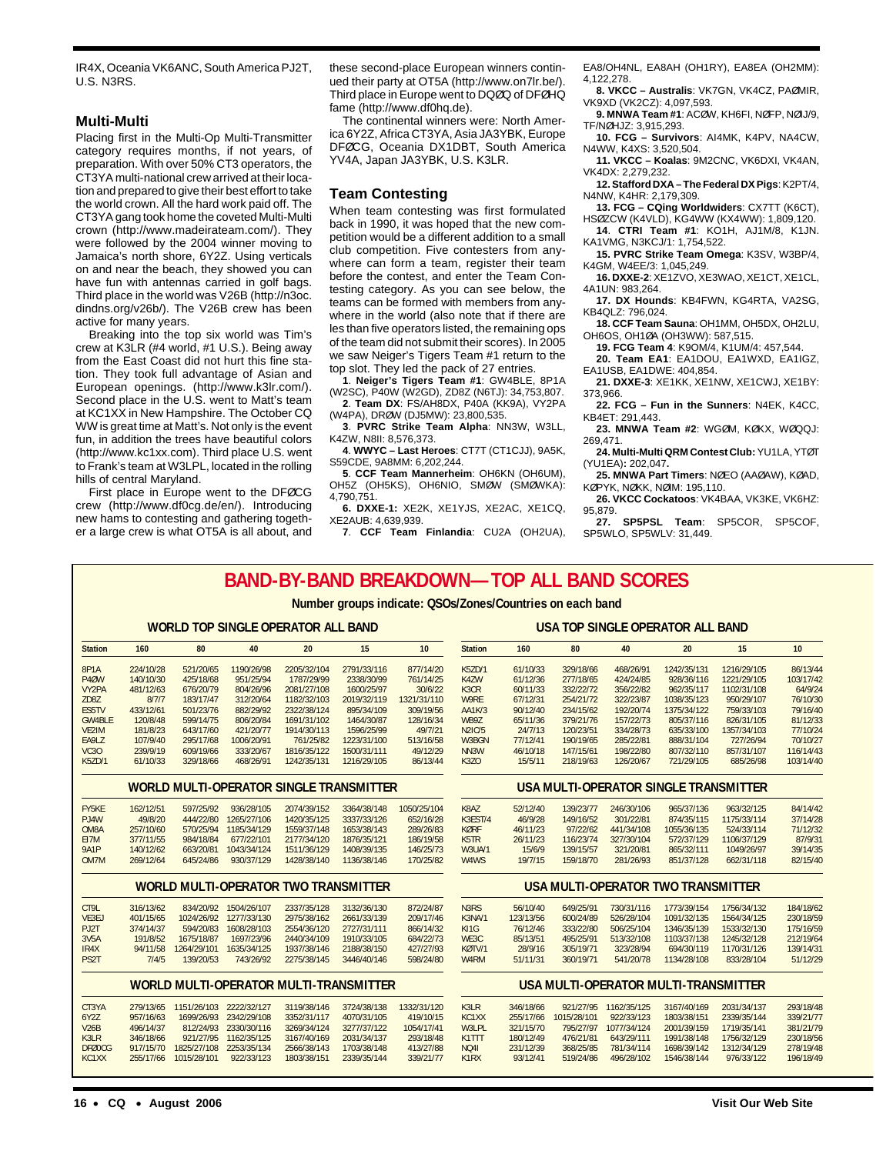IR4X, Oceania VK6ANC, South America PJ2T, U.S. N3RS.

## **Multi-Multi**

Placing first in the Multi-Op Multi-Transmitter category requires months, if not years, of preparation. With over 50% CT3 operators, the CT3YA multi-national crew arrived at their location and prepared to give their best effort to take the world crown. All the hard work paid off. The CT3YA gang took home the coveted Multi-Multi crown (http://www.madeirateam.com/). They were followed by the 2004 winner moving to Jamaica's north shore, 6Y2Z. Using verticals on and near the beach, they showed you can have fun with antennas carried in golf bags. Third place in the world was V26B (http://n3oc. dindns.org/v26b/). The V26B crew has been active for many years.

Breaking into the top six world was Tim's crew at K3LR (#4 world, #1 U.S.). Being away from the East Coast did not hurt this fine station. They took full advantage of Asian and European openings. (http://www.k3lr.com/). Second place in the U.S. went to Matt's team at KC1XX in New Hampshire. The October CQ WW is great time at Matt's. Not only is the event fun, in addition the trees have beautiful colors (http://www.kc1xx.com). Third place U.S. went to Frank's team at W3LPL, located in the rolling hills of central Maryland.

First place in Europe went to the DFØCG crew (http://www.df0cg.de/en/). Introducing new hams to contesting and gathering together a large crew is what OT5A is all about, and these second-place European winners continued their party at OT5A (http://www.on7lr.be/). Third place in Europe went to DQØQ of DFØHQ fame (http://www.df0hq.de).

The continental winners were: North America 6Y2Z, Africa CT3YA, Asia JA3YBK, Europe DFØCG, Oceania DX1DBT, South America YV4A, Japan JA3YBK, U.S. K3LR.

#### **Team Contesting**

When team contesting was first formulated back in 1990, it was hoped that the new competition would be a different addition to a small club competition. Five contesters from anywhere can form a team, register their team before the contest, and enter the Team Contesting category. As you can see below, the teams can be formed with members from anywhere in the world (also note that if there are les than five operators listed, the remaining ops of the team did not submit their scores). In 2005 we saw Neiger's Tigers Team #1 return to the top slot. They led the pack of 27 entries.

**1**. **Neiger's Tigers Team #1**: GW4BLE, 8P1A (W2SC), P40W (W2GD), ZD8Z (N6TJ): 34,753,807. **2**. **Team DX**: FS/AH8DX, P40A (KK9A), VY2PA

(W4PA), DRØW (DJ5MW): 23,800,535. **3**. **PVRC Strike Team Alpha**: NN3W, W3LL,

K4ZW, N8II: 8,576,373.

**4**. **WWYC – Last Heroes**: CT7T (CT1CJJ), 9A5K, S59CDE, 9A8MM: 6,202,244.

**5**. **CCF Team Mannerheim**: OH6KN (OH6UM), OH5Z (OH5KS), OH6NIO, SMØW (SMØWKA): 4,790,751.

**6. DXXE-1:** XE2K, XE1YJS, XE2AC, XE1CQ, XE2AUB: 4,639,939.

**7**. **CCF Team Finlandia**: CU2A (OH2UA),

EA8/OH4NL, EA8AH (OH1RY), EA8EA (OH2MM): 4,122,278.

**8. VKCC – Australis**: VK7GN, VK4CZ, PAØMIR, VK9XD (VK2CZ): 4,097,593.

- **9. MNWA Team #1**: ACØW, KH6FI, NØFP, NØIJ/9, TF/NØHJZ: 3,915,293.
- **10. FCG Survivors**: AI4MK, K4PV, NA4CW, N4WW, K4XS: 3,520,504.
- **11. VKCC Koalas**: 9M2CNC, VK6DXI, VK4AN, VK4DX: 2,279,232.
- **12. Stafford DXA The Federal DX Pigs**: K2PT/4, N4NW, K4HR: 2,179,309.
- **13. FCG CQing Worldwiders**: CX7TT (K6CT), HSØZCW (K4VLD), KG4WW (KX4WW): 1,809,120.
- **14**. **CTRI Team #1**: KO1H, AJ1M/8, K1JN. KA1VMG, N3KCJ/1: 1,754,522.
- **15. PVRC Strike Team Omega**: K3SV, W3BP/4, K4GM, W4EE/3: 1,045,249.
- **16. DXXE-2**: XE1ZVO, XE3WAO, XE1CT, XE1CL, 4A1UN: 983,264.
- **17. DX Hounds**: KB4FWN, KG4RTA, VA2SG, KB4QLZ: 796,024.
- **18. CCF Team Sauna**: OH1MM, OH5DX, OH2LU, OH6OS, OH1ØA (OH3WW): 587,515.
	- **19. FCG Team 4**: K9OM/4, K1UM/4: 457,544.
- **20. Team EA1**: EA1DOU, EA1WXD, EA1IGZ, EA1USB, EA1DWE: 404,854.
- **21. DXXE-3**: XE1KK, XE1NW, XE1CWJ, XE1BY: 373,966.
- **22. FCG Fun in the Sunners**: N4EK, K4CC, KB4ET: 291,443.
- **23. MNWA Team #2**: WGØM, KØKX, WØQQJ: 269,471.
- **24. Multi-Multi QRM Contest Club:** YU1LA, YTØT (YU1EA)**:** 202,047**.**

**25. MNWA Part Timers**: NØEO (AAØAW), KØAD, KØPYK, NØKK, NØIM: 195,110.

- **26. VKCC Cockatoos**: VK4BAA, VK3KE, VK6HZ: 95,879.
- **27. SP5PSL Team**: SP5COR, SP5COF, SP5WLO, SP5WLV: 31,449.

# **BAND-BY-BAND BREAKDOWN—TOP ALL BAND SCORES**

#### **Number groups indicate: QSOs/Zones/Countries on each band**

## **WORLD TOP SINGLE OPERATOR ALL BAND**

## **USA TOP SINGLE OPERATOR ALL BAND**

|                   |           |                                                                                                                                                                  | <b>JUVULL</b>          | <b><i>DI LIVATOR ALL DAIND</i></b>            |             |             |                               |                   |                        |             | <b>SINGLE OF ERATOR ALL DAND</b>      |             |           |
|-------------------|-----------|------------------------------------------------------------------------------------------------------------------------------------------------------------------|------------------------|-----------------------------------------------|-------------|-------------|-------------------------------|-------------------|------------------------|-------------|---------------------------------------|-------------|-----------|
| <b>Station</b>    | 160       | 80                                                                                                                                                               | 40                     | 20                                            | 15          | 10          | <b>Station</b>                | 160               | 80                     | 40          | 20                                    | 15          | 10        |
| 8P <sub>1</sub> A | 224/10/28 | 521/20/65                                                                                                                                                        | 1190/26/98             | 2205/32/104                                   | 2791/33/116 | 877/14/20   | K5ZD/1                        | 61/10/33          | 329/18/66              | 468/26/91   | 1242/35/131                           | 1216/29/105 | 86/13/44  |
| P4ØW              | 140/10/30 | 425/18/68                                                                                                                                                        | 951/25/94              | 1787/29/99                                    | 2338/30/99  | 761/14/25   | K4ZW                          | 61/12/36          | 277/18/65              | 424/24/85   | 928/36/116                            | 1221/29/105 | 103/17/42 |
| VY2PA             | 481/12/63 | 676/20/79                                                                                                                                                        | 804/26/96              | 2081/27/108                                   | 1600/25/97  | 30/6/22     | K3CR                          | 60/11/33          | 332/22/72              | 356/22/82   | 962/35/117                            | 1102/31/108 | 64/9/24   |
| ZD8Z              | 8/7/7     | 183/17/47                                                                                                                                                        | 312/20/64              | 1182/32/103                                   | 2019/32/119 | 1321/31/110 | W9RE                          | 67/12/31          | 254/21/72              | 322/23/87   | 1038/35/123                           | 950/29/107  | 76/10/30  |
| ES5TV             | 433/12/61 | 501/23/76                                                                                                                                                        | 882/29/92              | 2322/38/124                                   | 895/34/109  | 309/19/56   | <b>AA1K/3</b>                 | 90/12/40          | 234/15/62              | 192/20/74   | 1375/34/122                           | 759/33/103  | 79/16/40  |
| GW4BLE            | 120/8/48  | 599/14/75                                                                                                                                                        | 806/20/84              | 1691/31/102                                   | 1464/30/87  | 128/16/34   | WB9Z                          | 65/11/36          | 379/21/76              | 157/22/73   | 805/37/116                            | 826/31/105  | 81/12/33  |
| VE2IM             | 181/8/23  | 643/17/60                                                                                                                                                        | 421/20/77              | 1914/30/113                                   | 1596/25/99  | 49/7/21     | <b>N2IC/5</b>                 | 24/7/13           | 120/23/51              | 334/28/73   | 635/33/100                            | 1357/34/103 | 77/10/24  |
| EA9LZ             | 107/9/40  | 295/17/68                                                                                                                                                        | 1006/20/91             | 761/25/82                                     | 1223/31/100 | 513/16/58   | W3BGN                         | 77/12/41          | 190/19/65              | 285/22/81   | 888/31/104                            | 727/26/94   | 70/10/27  |
| <b>VC30</b>       | 239/9/19  | 609/19/66                                                                                                                                                        | 333/20/67              | 1816/35/122                                   | 1500/31/111 | 49/12/29    | NN3W                          | 46/10/18          | 147/15/61              | 198/22/80   | 807/32/110                            | 857/31/107  | 116/14/43 |
| <b>K5ZD/1</b>     |           |                                                                                                                                                                  | 468/26/91              | 1242/35/131                                   | 1216/29/105 | 86/13/44    | <b>K3ZO</b>                   | 15/5/11           | 218/19/63              | 126/20/67   | 721/29/105                            | 685/26/98   | 103/14/40 |
|                   |           | 61/10/33<br>329/18/66<br><b>WORLD MULTI-OPERATOR SINGLE TRANSMITTER</b><br>597/25/92<br>49/8/20<br>444/22/80<br>257/10/60<br>570/25/94<br>984/18/84<br>377/11/55 |                        |                                               |             |             |                               |                   |                        |             | USA MULTI-OPERATOR SINGLE TRANSMITTER |             |           |
| FY5KE             | 162/12/51 |                                                                                                                                                                  | 936/28/105             | 2074/39/152                                   | 3364/38/148 | 1050/25/104 | K8AZ                          | 52/12/40          | 139/23/77              | 246/30/106  | 965/37/136                            | 963/32/125  | 84/14/42  |
| PJ4W              |           |                                                                                                                                                                  | 1265/27/106            | 1420/35/125                                   | 3337/33/126 | 652/16/28   | K3EST/4                       | 46/9/28           | 149/16/52              | 301/22/81   | 874/35/115                            | 1175/33/114 | 37/14/28  |
| OM8A              |           |                                                                                                                                                                  | 1185/34/129            | 1559/37/148                                   | 1653/38/143 | 289/26/83   | <b>KØRF</b>                   | 46/11/23          | 97/22/62               | 441/34/108  | 1055/36/135                           | 524/33/114  | 71/12/32  |
| EI7M              |           |                                                                                                                                                                  | 677/22/101             | 2177/34/120                                   | 1876/35/121 | 186/19/58   | K <sub>5</sub> T <sub>R</sub> | 26/11/23          | 116/23/74              | 327/30/104  | 572/37/129                            | 1106/37/129 | 87/9/31   |
| <b>9A1P</b>       | 140/12/62 | 663/20/81                                                                                                                                                        | 1043/34/124            | 1511/36/129                                   | 1408/39/135 | 146/25/73   | <b>W3UA/1</b>                 | 15/6/9<br>19/7/15 | 139/15/57<br>159/18/70 | 321/20/81   | 865/32/111                            | 1049/26/97  | 39/14/35  |
| OM7M              | 269/12/64 | 645/24/86                                                                                                                                                        | 930/37/129             | 1428/38/140                                   | 1136/38/146 | 170/25/82   | W <sub>4</sub> W <sub>S</sub> |                   |                        | 281/26/93   | 851/37/128                            | 662/31/118  | 82/15/40  |
|                   |           |                                                                                                                                                                  |                        | <b>WORLD MULTI-OPERATOR TWO TRANSMITTER</b>   |             |             |                               |                   |                        |             | USA MULTI-OPERATOR TWO TRANSMITTER    |             |           |
| CT9L              | 316/13/62 |                                                                                                                                                                  | 834/20/92 1504/26/107  | 2337/35/128                                   | 3132/36/130 | 872/24/87   | N3RS                          | 56/10/40          | 649/25/91              | 730/31/116  | 1773/39/154                           | 1756/34/132 | 184/18/62 |
| VE3EJ             | 401/15/65 |                                                                                                                                                                  | 1024/26/92 1277/33/130 | 2975/38/162                                   | 2661/33/139 | 209/17/46   | K3NA/1                        | 123/13/56         | 600/24/89              | 526/28/104  | 1091/32/135                           | 1564/34/125 | 230/18/59 |
| PJ2T              | 374/14/37 | 594/20/83                                                                                                                                                        | 1608/28/103            | 2554/36/120                                   | 2727/31/111 | 866/14/32   | KI1G                          | 76/12/46          | 333/22/80              | 506/25/104  | 1346/35/139                           | 1533/32/130 | 175/16/59 |
| 3V5A              | 191/8/52  | 1675/18/87                                                                                                                                                       | 1697/23/96             | 2440/34/109                                   | 1910/33/105 | 684/22/73   | WE3C                          | 85/13/51          | 495/25/91              | 513/32/108  | 1103/37/138                           | 1245/32/128 | 212/19/64 |
| IR4X              | 94/11/58  | 1264/29/101                                                                                                                                                      | 1635/34/125            | 1937/38/146                                   | 2188/38/150 | 427/27/93   | KØTV/1                        | 28/9/16           | 305/19/71              | 323/28/94   | 694/30/119                            | 1170/31/126 | 139/14/31 |
| PS2T              | 7/4/5     | 139/20/53                                                                                                                                                        | 743/26/92              | 2275/38/145                                   | 3446/40/146 | 598/24/80   | W4RM                          | 51/11/31          | 360/19/71              | 541/20/78   | 1134/28/108                           | 833/28/104  | 51/12/29  |
|                   |           |                                                                                                                                                                  |                        | <b>WORLD MULTI-OPERATOR MULTI-TRANSMITTER</b> |             |             |                               |                   |                        |             | USA MULTI-OPERATOR MULTI-TRANSMITTER  |             |           |
| CT3YA             | 279/13/65 | 1151/26/103                                                                                                                                                      | 2222/32/127            | 3119/38/146                                   | 3724/38/138 | 1332/31/120 | K3LR                          | 346/18/66         | 921/27/95              | 1162/35/125 | 3167/40/169                           | 2031/34/137 | 293/18/48 |
| 6Y2Z              | 957/16/63 |                                                                                                                                                                  | 1699/26/93 2342/29/108 | 3352/31/117                                   | 4070/31/105 | 419/10/15   | KC1XX                         | 255/17/66         | 1015/28/101            | 922/33/123  | 1803/38/151                           | 2339/35/144 | 339/21/77 |
| <b>V26B</b>       | 496/14/37 | 812/24/93                                                                                                                                                        | 2330/30/116            | 3269/34/124                                   | 3277/37/122 | 1054/17/41  | W3LPL                         | 321/15/70         | 795/27/97              | 1077/34/124 | 2001/39/159                           | 1719/35/141 | 381/21/79 |
| K3LR              | 346/18/66 | 921/27/95                                                                                                                                                        | 1162/35/125            | 3167/40/169                                   | 2031/34/137 | 293/18/48   | K1TTT                         | 180/12/49         | 476/21/81              | 643/29/111  | 1991/38/148                           | 1756/32/129 | 230/18/56 |
| <b>DFØOCG</b>     | 917/15/70 | 1825/27/108                                                                                                                                                      | 2253/35/134            | 2566/38/143                                   | 1703/38/148 | 413/27/88   | <b>NQ41</b>                   | 231/12/39         | 368/25/85              | 781/34/114  | 1698/39/142                           | 1312/34/129 | 278/19/48 |
| KC1XX             | 255/17/66 | 1015/28/101                                                                                                                                                      | 922/33/123             | 1803/38/151                                   | 2339/35/144 | 339/21/77   | K <sub>1</sub> R <sub>X</sub> | 93/12/41          | 519/24/86              | 496/28/102  | 1546/38/144                           | 976/33/122  | 196/18/49 |
|                   |           |                                                                                                                                                                  |                        |                                               |             |             |                               |                   |                        |             |                                       |             |           |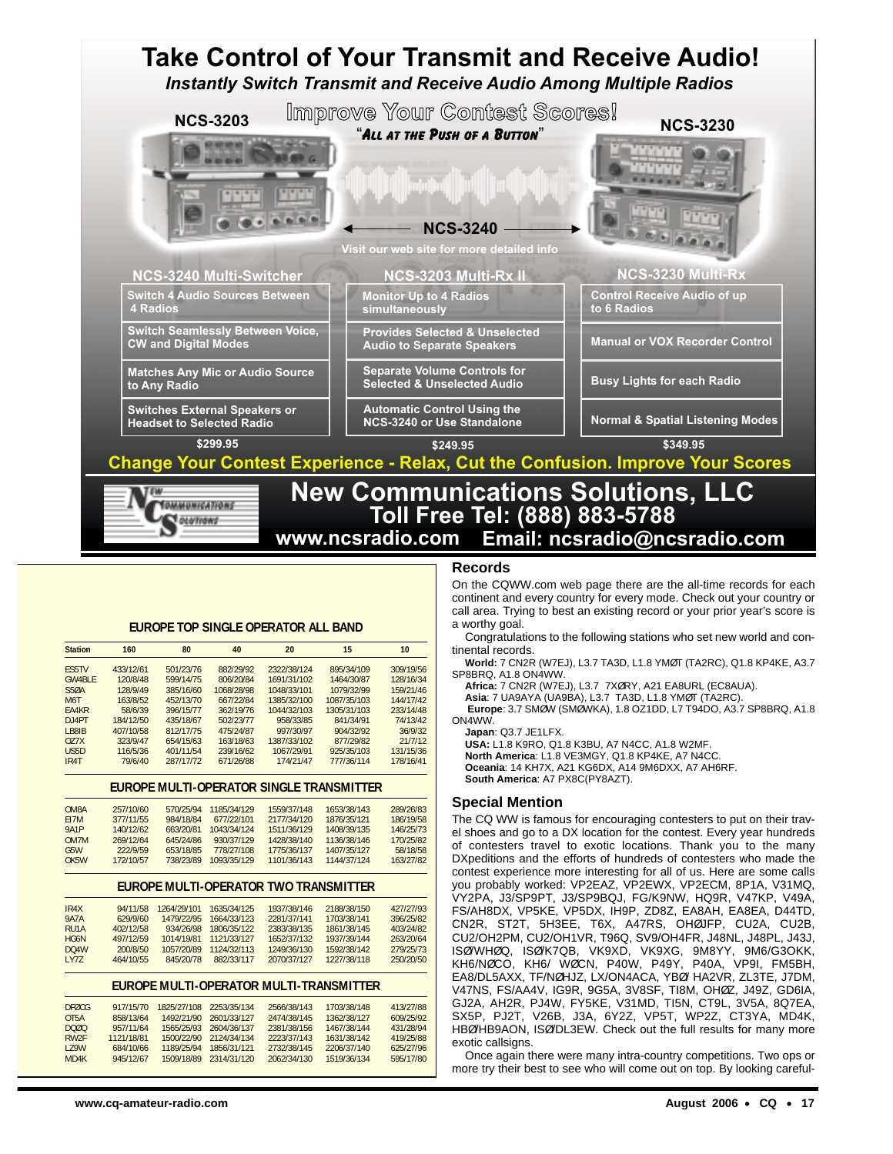

#### **EUROPE TOP SINGLE OPERATOR ALL BAND**

| <b>Station</b>    | 160       | 80        | 40         | 20          | 15          | 10        |
|-------------------|-----------|-----------|------------|-------------|-------------|-----------|
| <b>FS5TV</b>      | 433/12/61 | 501/23/76 | 882/29/92  | 2322/38/124 | 895/34/109  | 309/19/56 |
| <b>GW4BIF</b>     | 120/8/48  | 599/14/75 | 806/20/84  | 1691/31/102 | 1464/30/87  | 128/16/34 |
| <b>S50A</b>       | 128/9/49  | 385/16/60 | 1068/28/98 | 1048/33/101 | 1079/32/99  | 159/21/46 |
| M <sub>6</sub> T  | 163/8/52  | 452/13/70 | 667/22/84  | 1385/32/100 | 1087/35/103 | 144/17/42 |
| FA4KR             | 58/6/39   | 396/15/77 | 362/19/76  | 1044/32/103 | 1305/31/103 | 233/14/48 |
| $D$ . J $4PT$     | 184/12/50 | 435/18/67 | 502/23/77  | 958/33/85   | 841/34/91   | 74/13/42  |
| I B8IB            | 407/10/58 | 812/17/75 | 475/24/87  | 997/30/97   | 904/32/92   | 36/9/32   |
| 077X              | 323/9/47  | 654/15/63 | 163/18/63  | 1387/33/102 | 877/29/82   | 21/7/12   |
| USSD              | 116/5/36  | 401/11/54 | 239/16/62  | 1067/29/91  | 925/35/103  | 131/15/36 |
| IR <sub>4</sub> T | 79/6/40   | 287/17/72 | 671/26/88  | 174/21/47   | 777/36/114  | 178/16/41 |

#### **EUROPE MULTI-OPERATOR SINGLE TRANSMITTER**

| OM8A              | 257/10/60 | 570/25/94 | 1185/34/129 | 1559/37/148 | 1653/38/143 | 289/26/83 |
|-------------------|-----------|-----------|-------------|-------------|-------------|-----------|
| F17M              | 377/11/55 | 984/18/84 | 677/22/101  | 2177/34/120 | 1876/35/121 | 186/19/58 |
| <b>9A1P</b>       | 140/12/62 | 663/20/81 | 1043/34/124 | 1511/36/129 | 1408/39/135 | 146/25/73 |
| OM7M              | 269/12/64 | 645/24/86 | 930/37/129  | 1428/38/140 | 1136/38/146 | 170/25/82 |
| G5W               | 222/9/59  | 653/18/85 | 778/27/108  | 1775/36/137 | 1407/35/127 | 58/18/58  |
| OK <sub>5</sub> W | 172/10/57 | 738/23/89 | 1093/35/129 | 1101/36/143 | 1144/37/124 | 163/27/82 |

#### **EUROPE MULTI-OPERATOR TWO TRANSMITTER**

| 94/11/58  | 1264/29/101 | 1635/34/125 | 1937/38/146 | 2188/38/150 | 427/27/93 |
|-----------|-------------|-------------|-------------|-------------|-----------|
| 629/9/60  | 1479/22/95  | 1664/33/123 | 2281/37/141 | 1703/38/141 | 396/25/82 |
| 402/12/58 | 934/26/98   | 1806/35/122 | 2383/38/135 | 1861/38/145 | 403/24/82 |
| 497/12/59 | 1014/19/81  | 1121/33/127 | 1652/37/132 | 1937/39/144 | 263/20/64 |
| 200/8/50  | 1057/20/89  | 1124/32/113 | 1249/36/130 | 1592/38/142 | 279/25/73 |
| 464/10/55 | 845/20/78   | 882/33/117  | 2070/37/127 | 1227/38/118 | 250/20/50 |
|           |             |             |             |             |           |

#### **EUROPE MULTI-OPERATOR MULTI-TRANSMITTER**

| <b>DEØCG</b><br>OT <sub>5</sub> A<br>DOQO | 917/15/70<br>858/13/64<br>957/11/64 | 1825/27/108<br>1492/21/90<br>1565/25/93 | 2253/35/134<br>2601/33/127<br>2604/36/137 | 2566/38/143<br>2474/38/145<br>2381/38/156 | 1703/38/148<br>1362/38/127<br>1467/38/144 | 413/27/88<br>609/25/92<br>431/28/94 |
|-------------------------------------------|-------------------------------------|-----------------------------------------|-------------------------------------------|-------------------------------------------|-------------------------------------------|-------------------------------------|
| RW <sub>2F</sub>                          | 1121/18/81                          | 1500/22/90                              | 2124/34/134                               | 2223/37/143                               | 1631/38/142                               | 419/25/88                           |
| <b>179W</b>                               | 684/10/66                           | 1189/25/94                              | 1856/31/121                               | 2732/38/145                               | 2206/37/140                               | 625/27/96                           |
| MD4K                                      | 945/12/67                           | 1509/18/89                              | 2314/31/120                               | 2062/34/130                               | 1519/36/134                               | 595/17/80                           |

## **Records**

On the CQWW.com web page there are the all-time records for each continent and every country for every mode. Check out your country or call area. Trying to best an existing record or your prior year's score is a worthy goal.

Congratulations to the following stations who set new world and continental records.

**World:** 7 CN2R (W7EJ), L3.7 TA3D, L1.8 YMØT (TA2RC), Q1.8 KP4KE, A3.7 SP8BRQ, A1.8 ON4WW.

**Africa:** 7 CN2R (W7EJ), L3.7 7XØRY, A21 EA8URL (EC8AUA).

**Asia**: 7 UA9AYA (UA9BA), L3.7 TA3D, L1.8 YMØT (TA2RC).

**Europe**: 3.7 SMØW (SMØWKA), 1.8 OZ1DD, L7 T94DO, A3.7 SP8BRQ, A1.8 ON4WW.

**Japan**: Q3.7 JE1LFX.

**USA:** L1.8 K9RO, Q1.8 K3BU, A7 N4CC, A1.8 W2MF. **North America**: L1.8 VE3MGY, Q1.8 KP4KE, A7 N4CC. **Oceania**: 14 KH7X, A21 KG6DX, A14 9M6DXX, A7 AH6RF. **South America**: A7 PX8C(PY8AZT).

#### **Special Mention**

The CQ WW is famous for encouraging contesters to put on their travel shoes and go to a DX location for the contest. Every year hundreds of contesters travel to exotic locations. Thank you to the many DXpeditions and the efforts of hundreds of contesters who made the contest experience more interesting for all of us. Here are some calls you probably worked: VP2EAZ, VP2EWX, VP2ECM, 8P1A, V31MQ, VY2PA, J3/SP9PT, J3/SP9BQJ, FG/K9NW, HQ9R, V47KP, V49A, FS/AH8DX, VP5KE, VP5DX, IH9P, ZD8Z, EA8AH, EA8EA, D44TD, CN2R, ST2T, 5H3EE, T6X, A47RS, OHØJFP, CU2A, CU2B, CU2/OH2PM, CU2/OH1VR, T96Q, SV9/OH4FR, J48NL, J48PL, J43J, ISØ/WHØQ, ISØ/K7QB, VK9XD, VK9XG, 9M8YY, 9M6/G3OKK, KH6/NØCO, KH6/ WØCN, P40W, P49Y, P40A, VP9I, FM5BH, EA8/DL5AXX, TF/NØHJZ, LX/ON4ACA, YBØ/ HA2VR, ZL3TE, J7DM, V47NS, FS/AA4V, IG9R, 9G5A, 3V8SF, TI8M, OHØZ, J49Z, GD6IA, GJ2A, AH2R, PJ4W, FY5KE, V31MD, TI5N, CT9L, 3V5A, 8Q7EA, SX5P, PJ2T, V26B, J3A, 6Y2Z, VP5T, WP2Z, CT3YA, MD4K, HBØ/HB9AON, ISØ/DL3EW. Check out the full results for many more exotic callsigns.

Once again there were many intra-country competitions. Two ops or more try their best to see who will come out on top. By looking careful-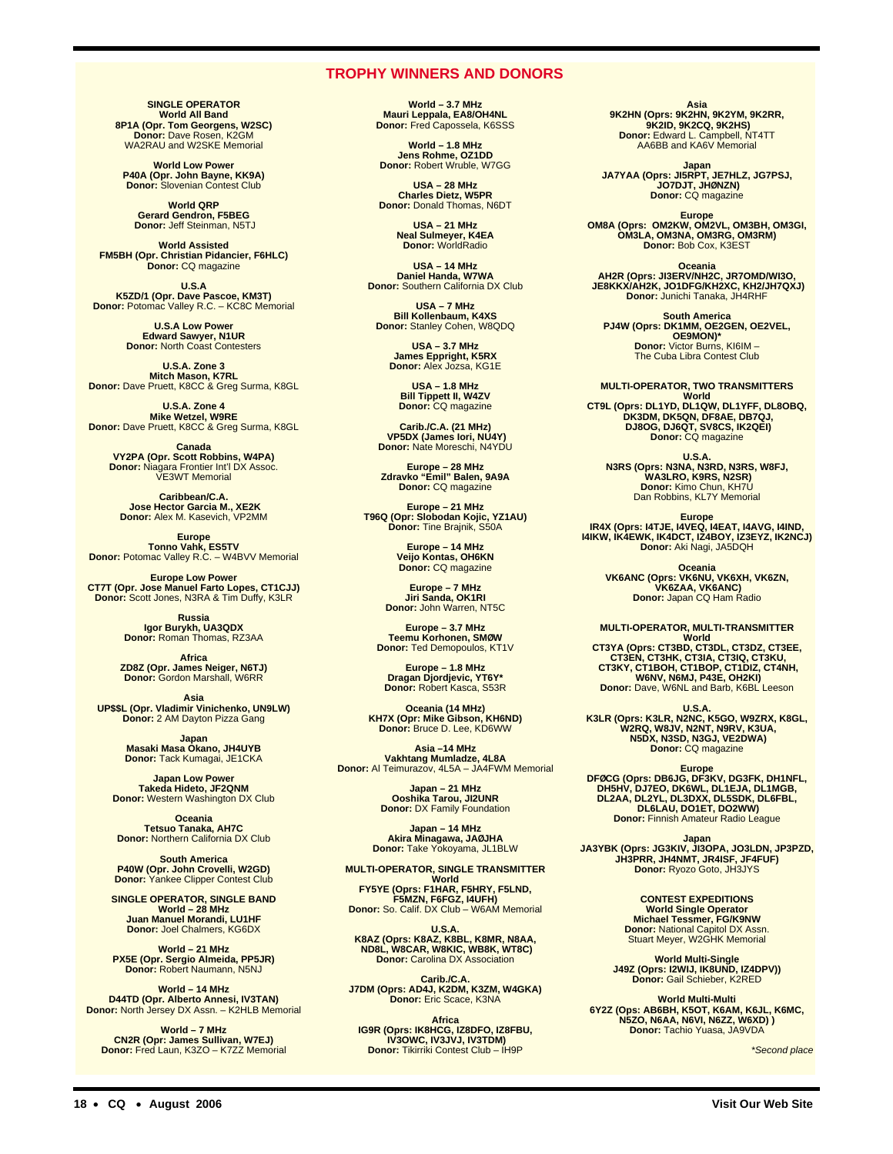## **TROPHY WINNERS AND DONORS**

**SINGLE OPERATOR World All Band 8P1A (Opr. Tom Georgens, W2SC) Donor:** Dave Rosen, K2GM WA2RAU and W2SKE Memorial

**World Low Power P40A (Opr. John Bayne, KK9A) Donor:** Slovenian Contest Club

**World QRP Gerard Gendron, F5BEG Donor:** Jeff Steinman, N5TJ

**World Assisted FM5BH (Opr. Christian Pidancier, F6HLC) Donor:** CQ magazine

**U.S.A<br><b>K5ZD/1 (Opr. Dave Pascoe, KM3T)**<br>Donor: Potomac Valley R.C. – KC8C Memorial

**U.S.A Low Power Edward Sawyer, N1UR Donor:** North Coast Contesters

**U.S.A. Zone 3 Mitch Mason, K7RL Donor:** Dave Pruett, K8CC & Greg Surma, K8GL

**U.S.A. Zone 4 Mike Wetzel, W9RE Donor:** Dave Pruett, K8CC & Greg Surma, K8GL

**Canada VY2PA (Opr. Scott Robbins, W4PA) Donor:** Niagara Frontier Int'l DX Assoc. VE3WT Memorial

**Caribbean/C.A. Jose Hector Garcia M., XE2K Donor:** Alex M. Kasevich, VP2MM

**Europe<br>
<b>Tonno Vahk, ES5TV**<br>
Donor: Potomac Valley R.C. – W4BVV Memorial

**Europe Low Power<br><b>CT7T (Opr. Jose Manuel Farto Lopes, CT1CJJ)**<br>Donor: Scott Jones, N3RA & Tim Duffy, K3LR

**Russia Igor Burykh, UA3QDX Donor:** Roman Thomas, RZ3AA

**Africa ZD8Z (Opr. James Neiger, N6TJ) Donor:** Gordon Marshall, W6RR

**Asia UP\$\$L (Opr. Vladimir Vinichenko, UN9LW) Donor:** 2 AM Dayton Pizza Gang

**Japan<br>Masaki Masa Okano, JH4UYB<br>Donor: Tack Kumagai, JE1CKA** 

**Japan Low Power Takeda Hideto, JF2QNM Donor:** Western Washington DX Club

**Oceania Tetsuo Tanaka, AH7C Donor:** Northern California DX Club

**South America P40W (Opr. John Crovelli, W2GD) Donor:** Yankee Clipper Contest Club

**SINGLE OPERATOR, SINGLE BAND World – 28 MHz Juan Manuel Morandi, LU1HF Donor:** Joel Chalmers, KG6DX

**World – 21 MHz PX5E (Opr. Sergio Almeida, PP5JR) Donor:** Robert Naumann, N5NJ

**World – 14 MHz D44TD (Opr. Alberto Annesi, IV3TAN) Donor:** North Jersey DX Assn. – K2HLB Memorial

**World – 7 MHz CN2R (Opr: James Sullivan, W7EJ) Donor:** Fred Laun, K3ZO – K7ZZ Memorial

**World – 3.7 MHz Mauri Leppala, EA8/OH4NL Donor:** Fred Capossela, K6SSS

**World – 1.8 MHz Jens Rohme, OZ1DD Donor:** Robert Wruble, W7GG

**USA – 28 MHz Charles Dietz, W5PR Donor:** Donald Thomas, N6DT

**USA – 21 MHz Neal Sulmeyer, K4EA Donor:** WorldRadio

**USA – 14 MHz Daniel Handa, W7WA Donor:** Southern California DX Club

**USA – 7 MHz Bill Kollenbaum, K4XS Donor:** Stanley Cohen, W8QDQ

> **USA – 3.7 MHz James Eppright, K5RX Donor:** Alex Jozsa, KG1E

**USA – 1.8 MHz Bill Tippett II, W4ZV Donor:** CQ magazine

**Carib./C.A. (21 MHz) VP5DX (James Iori, NU4Y) Donor:** Nate Moreschi, N4YDU

**Europe – 28 MHz Zdravko "Emil" Balen, 9A9A Donor:** CQ magazine

**Europe – 21 MHz T96Q (Opr: Slobodan Kojic, YZ1AU) Donor:** Tine Brajnik, S50A

**Europe – 14 MHz Veijo Kontas, OH6KN Donor:** CQ magazine

**Europe – 7 MHz Jiri Sanda, OK1RI Donor:** John Warren, NT5C

**Europe – 3.7 MHz Teemu Korhonen, SMØW Donor:** Ted Demopoulos, KT1V

**Europe – 1.8 MHz Dragan Djordjevic, YT6Y\* Donor:** Robert Kasca, S53R

**Oceania (14 MHz) KH7X (Opr: Mike Gibson, KH6ND) Donor:** Bruce D. Lee, KD6WW

**Asia –14 MHz<br>
<b>Vakhtang Mumladze, 4L8A**<br> **Donor:** Al Teimurazov, 4L5A – JA4FWM Memorial

**Japan – 21 MHz Ooshika Tarou, JI2UNR Donor:** DX Family Foundation

**Japan – 14 MHz Akira Minagawa, JAØJHA Donor:** Take Yokoyama, JL1BLW

**MULTI-OPERATOR, SINGLE TRANSMITTER** World<br>**FY5YE (Oprs: F1HAR, F5HRY, F5LND,<br><b>Donor:** So. Calif. DX Club – W6AM Memorial

U.S.A.<br>**K8AZ (Oprs: K8AZ, K8BL, K8MR, N8AA,<br>NDBL, W8CAR, W8KIC, WB8K, WT8C)<br>Donor: Carolina DX Association** 

**Carib./C.A. J7DM (Oprs: AD4J, K2DM, K3ZM, W4GKA) Donor:** Eric Scace, K3NA

**Africa IG9R (Oprs: IK8HCG, IZ8DFO, IZ8FBU, IV3OWC, IV3JVJ, IV3TDM) Donor:** Tikirriki Contest Club – IH9P

**Asia 9K2HN (Oprs: 9K2HN, 9K2YM, 9K2RR, 9K2ID, 9K2CQ, 9K2HS) Donor:** Edward L. Campbell, NT4TT AA6BB and KA6V Memorial

**Japan JA7YAA (Oprs: JI5RPT, JE7HLZ, JG7PSJ, JO7DJT, JHØNZN) Donor:** CQ magazine

**Europe OM8A (Oprs: OM2KW, OM2VL, OM3BH, OM3GI, OM3LA, OM3NA, OM3RG, OM3RM) Donor:** Bob Cox, K3EST

**Oceania AH2R (Oprs: JI3ERV/NH2C, JR7OMD/WI3O, JE8KKX/AH2K, JO1DFG/KH2XC, KH2/JH7QXJ) Donor:** Junichi Tanaka, JH4RHF

**South America PJ4W (Oprs: DK1MM, OE2GEN, OE2VEL, OE9MON)\* Donor:** Victor Burns, KI6IM – The Cuba Libra Contest Club

**MULTI-OPERATOR, TWO TRANSMITTERS World CT9L (Oprs: DL1YD, DL1QW, DL1YFF, DL8OBQ, DK3DM, DK5QN, DF8AE, DB7QJ, DJ8OG, DJ6QT, SV8CS, IK2QEI) Donor:** CQ magazine

**U.S.A. N3RS (Oprs: N3NA, N3RD, N3RS, W8FJ, WA3LRO, K9RS, N2SR) Donor:** Kimo Chun, KH7U Dan Robbins, KL7Y Memorial

**Europe IR4X (Oprs: I4TJE, I4VEQ, I4EAT, I4AVG, I4IND, I4IKW, IK4EWK, IK4DCT, IZ4BOY, IZ3EYZ, IK2NCJ) Donor:** Aki Nagi, JA5DQH

**Oceania VK6ANC (Oprs: VK6NU, VK6XH, VK6ZN, VK6ZAA, VK6ANC) Donor:** Japan CQ Ham Radio

**MULTI-OPERATOR, MULTI-TRANSMITTER**

World<br>CT3M (Oprs: CT3BD, CT3DL, CT3DZ, CT3EE,<br>CT3EN, CT3HK, CT3IA, CT3IQ, CT3KU,<br>CT3KY, CT1BOH, CT1BOP, CT1DIZ, CT4NH,<br>W6NV, N6MJ, P43E, OH2KI)<br>Donor: Dave, W6NL and Barb, K6BL Leeson

U.S.A.<br>**K3LR (Oprs: K3LR, N2NC, K5GO, W9ZRX, K8GL,<br>W2RQ, W8JV, N2NT, N9RV, K3UA,<br>Donor: CQ magazine<br>Donor: CQ magazine** 

Europe<br>DFØCG (Oprs: DB6JG, DF3KV, DG3FK, DH1NFL,<br>DH5HV, DJ7EO, DK6WL, DL1EJA, DL1MGB,<br>DL2AA, DL2YL, DL3DXX, DL5SDK, DL6FBL,<br>Donor: Finnish Amateur Radio League

Japan<br>JA3YBK (Oprs: JG3KIV, JI3OPA, JO3LDN, JP3PZD,<br>JH3PRR, JH4NMT, JR4ISF, JF4FUF) **Donor:** Ryozo Goto, JH3JYS

> **CONTEST EXPEDITIONS World Single Operator Michael Tessmer, FG/K9NW Donor:** National Capitol DX Assn. Stuart Meyer, W2GHK Memorial

**World Multi-Single J49Z (Oprs: I2WIJ, IK8UND, IZ4DPV)) Donor:** Gail Schieber, K2RED

World Multi-Multi<br>6Y2Z (Ops: AB6BH, K5OT, K6AM, K6JL, K6MC,<br>N5ZO, N6AA, N6VI, N6ZZ, W6XD) ) **Donor:** Tachio Yuasa, JA9VDA

\*Second place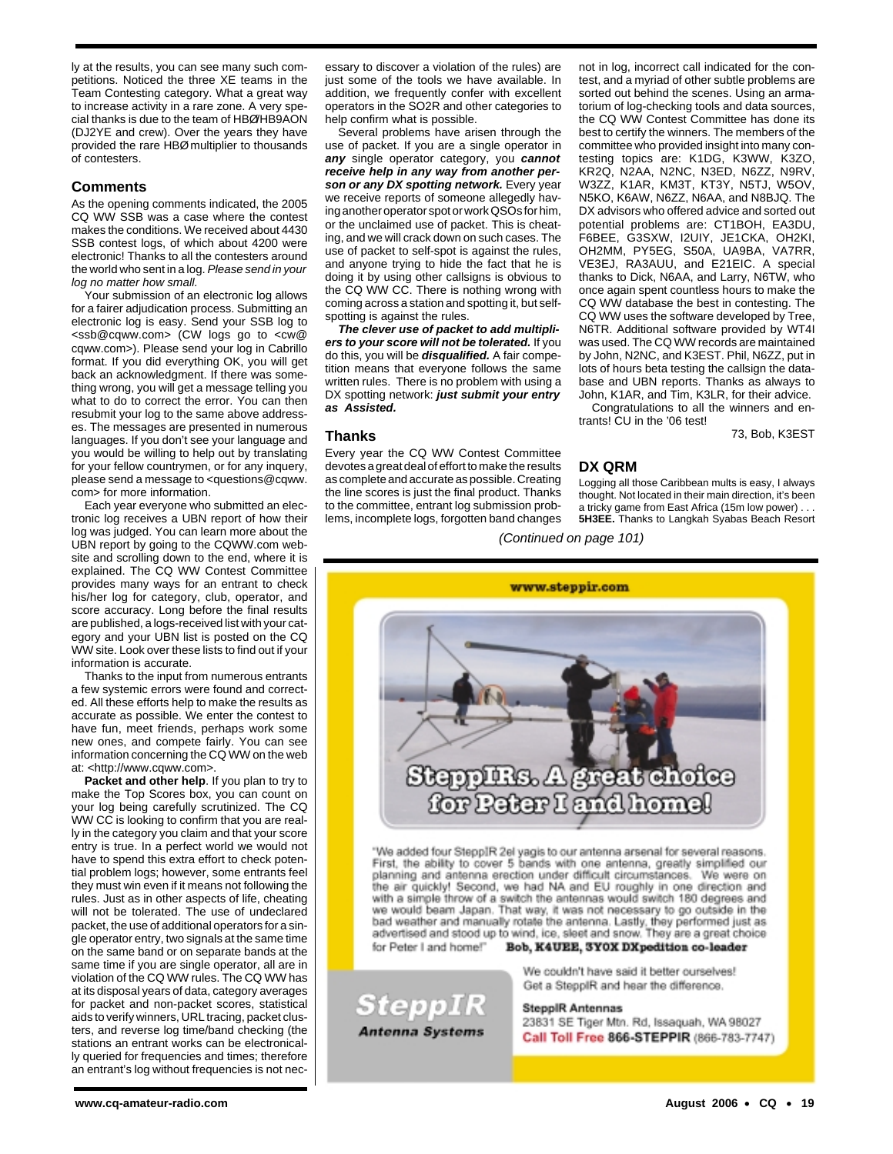ly at the results, you can see many such competitions. Noticed the three XE teams in the Team Contesting category. What a great way to increase activity in a rare zone. A very special thanks is due to the team of HBØ/HB9AON (DJ2YE and crew). Over the years they have provided the rare HBØ multiplier to thousands of contesters.

## **Comments**

As the opening comments indicated, the 2005 CQ WW SSB was a case where the contest makes the conditions. We received about 4430 SSB contest logs, of which about 4200 were electronic! Thanks to all the contesters around the world who sent in a log. Please send in your log no matter how small.

Your submission of an electronic log allows for a fairer adjudication process. Submitting an electronic log is easy. Send your SSB log to <ssb@cqww.com> (CW logs go to <cw@ cqww.com>). Please send your log in Cabrillo format. If you did everything OK, you will get back an acknowledgment. If there was something wrong, you will get a message telling you what to do to correct the error. You can then resubmit your log to the same above addresses. The messages are presented in numerous languages. If you don't see your language and you would be willing to help out by translating for your fellow countrymen, or for any inquery, please send a message to <questions@cqww. com> for more information.

Each year everyone who submitted an electronic log receives a UBN report of how their log was judged. You can learn more about the UBN report by going to the CQWW.com website and scrolling down to the end, where it is explained. The CQ WW Contest Committee provides many ways for an entrant to check his/her log for category, club, operator, and score accuracy. Long before the final results are published, a logs-received list with your category and your UBN list is posted on the CQ WW site. Look over these lists to find out if your information is accurate.

Thanks to the input from numerous entrants a few systemic errors were found and corrected. All these efforts help to make the results as accurate as possible. We enter the contest to have fun, meet friends, perhaps work some new ones, and compete fairly. You can see information concerning the CQ WW on the web at: <http://www.cqww.com>.

**Packet and other help**. If you plan to try to make the Top Scores box, you can count on your log being carefully scrutinized. The CQ WW CC is looking to confirm that you are really in the category you claim and that your score entry is true. In a perfect world we would not have to spend this extra effort to check potential problem logs; however, some entrants feel they must win even if it means not following the rules. Just as in other aspects of life, cheating will not be tolerated. The use of undeclared packet, the use of additional operators for a single operator entry, two signals at the same time on the same band or on separate bands at the same time if you are single operator, all are in violation of the CQ WW rules. The CQ WW has at its disposal years of data, category averages for packet and non-packet scores, statistical aids to verify winners, URL tracing, packet clusters, and reverse log time/band checking (the stations an entrant works can be electronically queried for frequencies and times; therefore an entrant's log without frequencies is not necessary to discover a violation of the rules) are just some of the tools we have available. In addition, we frequently confer with excellent operators in the SO2R and other categories to help confirm what is possible.

Several problems have arisen through the use of packet. If you are a single operator in **any** single operator category, you **cannot receive help in any way from another person or any DX spotting network.** Every year we receive reports of someone allegedly having another operator spot or work QSOs for him, or the unclaimed use of packet. This is cheating, and we will crack down on such cases. The use of packet to self-spot is against the rules, and anyone trying to hide the fact that he is doing it by using other callsigns is obvious to the CQ WW CC. There is nothing wrong with coming across a station and spotting it, but selfspotting is against the rules.

**The clever use of packet to add multipliers to your score will not be tolerated.** If you do this, you will be **disqualified.** A fair competition means that everyone follows the same written rules. There is no problem with using a DX spotting network: **just submit your entry as Assisted.**

#### **Thanks**

Every year the CQ WW Contest Committee devotes a great deal of effort to make the results as complete and accurate as possible. Creating the line scores is just the final product. Thanks to the committee, entrant log submission problems, incomplete logs, forgotten band changes

SteppIR

**Antenna Systems** 

not in log, incorrect call indicated for the contest, and a myriad of other subtle problems are sorted out behind the scenes. Using an armatorium of log-checking tools and data sources, the CQ WW Contest Committee has done its best to certify the winners. The members of the committee who provided insight into many contesting topics are: K1DG, K3WW, K3ZO, KR2Q, N2AA, N2NC, N3ED, N6ZZ, N9RV, W3ZZ, K1AR, KM3T, KT3Y, N5TJ, W5OV, N5KO, K6AW, N6ZZ, N6AA, and N8BJQ. The DX advisors who offered advice and sorted out potential problems are: CT1BOH, EA3DU, F6BEE, G3SXW, I2UIY, JE1CKA, OH2KI, OH2MM, PY5EG, S50A, UA9BA, VA7RR, VE3EJ, RA3AUU, and E21EIC. A special thanks to Dick, N6AA, and Larry, N6TW, who once again spent countless hours to make the CQ WW database the best in contesting. The CQ WW uses the software developed by Tree, N6TR. Additional software provided by WT4I was used. The CQ WW records are maintained by John, N2NC, and K3EST. Phil, N6ZZ, put in lots of hours beta testing the callsign the database and UBN reports. Thanks as always to John, K1AR, and Tim, K3LR, for their advice.

Congratulations to all the winners and entrants! CU in the '06 test!

73, Bob, K3EST

## **DX QRM**

Logging all those Caribbean mults is easy, I always thought. Not located in their main direction, it's been a tricky game from East Africa (15m low power) . . . **5H3EE.** Thanks to Langkah Syabas Beach Resort

(Continued on page 101)



"We added four SteppIR 2el yagis to our antenna arsenal for several reasons. First, the ability to cover 5 bands with one antenna, greatly simplified our planning and antenna erection under difficult circumstances. We were on the air quickly! Second, we had NA and EU roughly in one direction and with a simple throw of a switch the antennas would switch 180 degrees and we would beam Japan. That way, it was not necessary to go outside in the bad weather and manually rotate the antenna. Lastly, they performed just as advertised and stood up to wind, ice, sleet and snow. They are a great choice Bob, K4UEE, 3YOX DXpedition co-leader for Peter I and home!"

> We couldn't have said it better ourselves! Get a SteppIR and hear the difference.

**SteppIR Antennas** 23831 SE Tiger Mtn. Rd, Issaquah, WA 98027 Call Toll Free 866-STEPPIR (866-783-7747)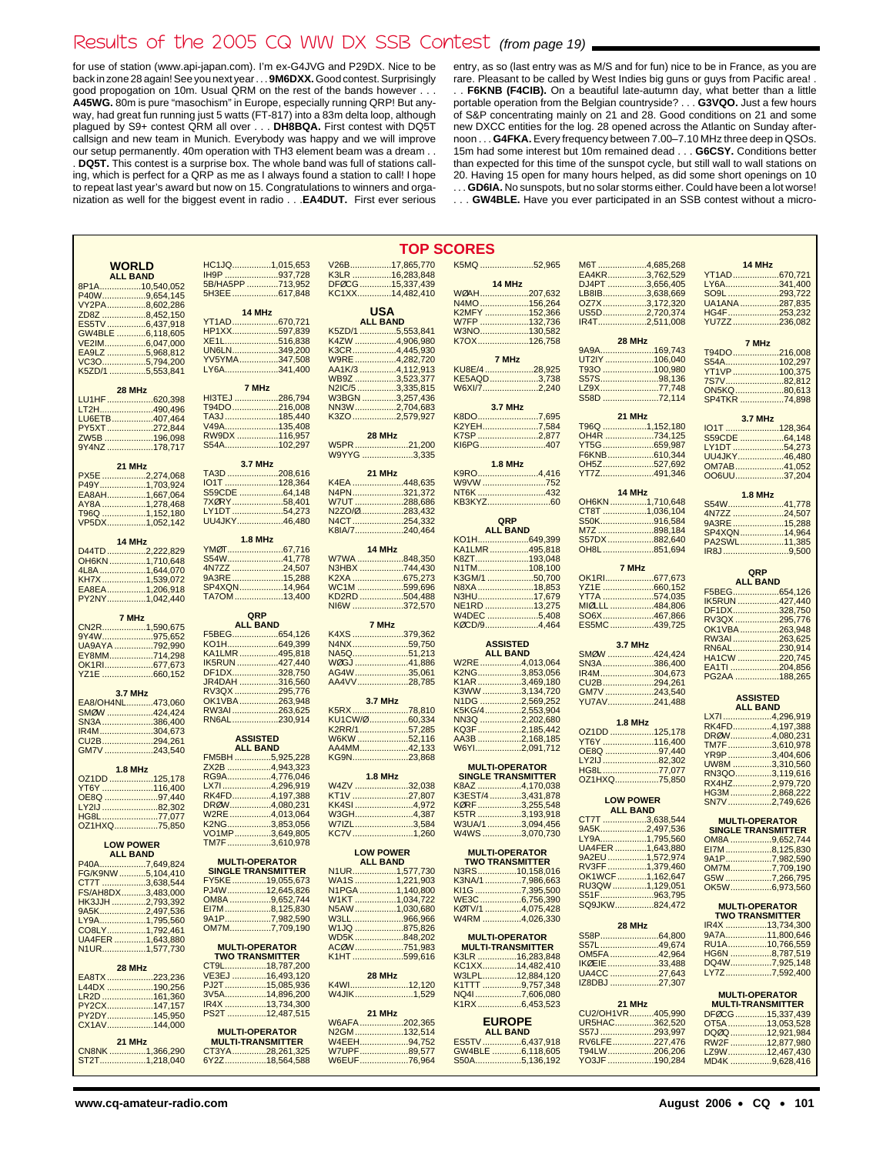## Results of the 2005 CQ WW DX SSB Contest (from page 19)

for use of station (www.api-japan.com). I'm ex-G4JVG and P29DX. Nice to be back in zone 28 again! See you next year . . . **9M6DXX.**Good contest. Surprisingly good propogation on 10m. Usual QRM on the rest of the bands however . . . **A45WG.** 80m is pure "masochism" in Europe, especially running QRP! But anyway, had great fun running just 5 watts (FT-817) into a 83m delta loop, although plagued by S9+ contest QRM all over . . . **DH8BQA.** First contest with DQ5T callsign and new team in Munich. Everybody was happy and we will improve our setup permanently. 40m operation with TH3 element beam was a dream . . . **DQ5T.** This contest is a surprise box. The whole band was full of stations calling, which is perfect for a QRP as me as I always found a station to call! I hope to repeat last year's award but now on 15. Congratulations to winners and organization as well for the biggest event in radio . . .**EA4DUT.** First ever serious

entry, as so (last entry was as M/S and for fun) nice to be in France, as you are rare. Pleasant to be called by West Indies big guns or guys from Pacific area!. . . **F6KNB (F4CIB).** On a beautiful late-autumn day, what better than a little portable operation from the Belgian countryside? . . . **G3VQO.** Just a few hours of S&P concentrating mainly on 21 and 28. Good conditions on 21 and some new DXCC entities for the log. 28 opened across the Atlantic on Sunday afternoon . . . **G4FKA.** Every frequency between 7.00–7.10 MHz three deep in QSOs. 15m had some interest but 10m remained dead . . . **G6CSY.** Conditions better than expected for this time of the sunspot cycle, but still wall to wall stations on 20. Having 15 open for many hours helped, as did some short openings on 10 . . . **GD6IA.** No sunspots, but no solar storms either. Could have been a lot worse! . . . **GW4BLE.** Have you ever participated in an SSB contest without a micro-

**WORLD ALL BAND** 8P1A.................10,540,052 P40W..................9,654,145 VY2PA................8,602,286 ZD8Z ..................8,452,150 ES5TV................6,437,918 GW4BLE .............6,118,605<br>VE2IM...................6,047,000 VE2IM.......................6,047,000 EA9LZ ................5,968,812 VC3O..................5,794,200 5 553 841 LU1HF...................620,398 Ago, 496<br>A07.464. PY5XT.....................272,844 ZW5B ....................196,098 .178.717 PX5E ..................2,274,068<br>P49Y...................1,703.924 P49Y......................1,703,924<br>EARAH 1667.064 EA8AH................1,667,064 AY8A ..................1,278,468 T96Q ..................1,152,180<br>VP5DX................1,052,142 1,052,142 D44TD................2,222,829 OH6KN...............1,710,648 4L8A......................1,644,070<br>KH7X 1.539.072 KH7X..................1,539,072<br>EA8EA................1.206.918 EA8EA..................1,206,918<br>PY2NY.................1.042.440  $.1,042,440$ CN2R..................1,590,675<br>9Y4W........................975.652 975,652<br>792.990 UA9AYA ................792,990 OK1RI....................677,673  $.660.152$ EA8/OH4NL...........473,060 SMØW ..................424,424<br>SN3A<br>400 SN3A........................386,400<br>IR4M.......................304.673 IR4M......................304,673 CU2B.......................294,261<br>GM7V......................243.540 243.540 OZ1DD ..................125,178 YT6Y .....................116,400 OE8Q ............................97,440<br>LY2LL 82.302 LY2IJ .......................82,302 77,077<br>75,850 **LOW POWER ALL BAND** P40A.........................7,649,824<br>FG/K9NW............5,104,410 CT<sub>7</sub>,638,544<br>  $-3,483,000$ HK3JJH ..............2,793,392<br>9A5K....................2,497,536<br>LY9A....................1,795,560 9A5K...................2,497,536 LY9A....................1,795,560<br>CO8LY 1792461 CO8LY................1,792,461 UA4FER .............1,643,880<br>N1LIR 1 577 730 1.577.730 EA8TX...................223,236 L44DX ...................190,256 LR2D ...........................161,360<br>PY2CX....................147.157 PY2CX...................147,157 PY2DY...................145,950 144,000 HC1JQ................1,015,653<br>IH9P.........................937.728 937,72<mark>8............</mark><br>713.952............ 5B/HA5PP .............713,952 5H3EE...................617,848 **14 MHz** YT1AD...................670,721 **HP1XX...**<br>XF1I XE1L............................516,838<br>UN6LN....................349,200 00.<br>347.508 YV5YMA<br>LY6A...... LY6A......................341,400 **7 MHz** HI3TEJ ..................286,794<br>T94DO .....................216,008 T94DO...................216,008 TA3J.......................185,440<br>V49A 135,408 135,408 RW9DX .................116,957<br>S54A.......................102.297 S54A......................102,297 **3.7 MHz** TA3D .....................208,616 .128,364<br>...64,148 S59CDE ..................64,148 7XØRY<br>LY1DT E<br>.46,480 UU4JK\ **1.8 MHz** YMØT.......................67,716 S54W.......................41,778  $.24.507$ 9A3RE.......................15,288<br>SP4XON 14.964 SP4XQN..................14,964<br>TA7OM.....................13,400 TA7OM. **QRP ALL BAND**<br> **F5BEG**.................... F5BEG.....................654,126<br>KO1H.......................649.399 E649,399.<br>495.818 KA1LMR................495,818<br>IK5RUN.................427.440 **IK5RUN** .................427,440 DF1DX........................328,750<br>JR4DAH.................316.560 JR4DAH ................316,560<br>RV3QX ..................295,776 RV3QX ..................295,776 OK1VBA................263,948 RW3AI...................263,625 RN6AL...................230,914 **ASSISTED ALL BAND** FM5BH ...............5,925,228 ZX2B ..................4,943,323 RG9A.......................4,776,046<br>LX7I......................4.296.919 LX7I......................4,296,919<br>RK4FD 4 197.388 RK4FD................4,197,388<br>DRØW................4,080,231 DRØW................4,080,231<br>W2RE 4 013 064 W2RE..................4,013,064<br>K2NG...................3,853,056 k2NG..................3,853,056<br>VO1MP...............3.649.805 VO1MP...............3,649,805 TM7F..................3,610,978 **MULTI-OPERATOR SINGLE TRANSMITTER**<br>**FY5KE** ..............19.055.67 FY5KE...............19,055,673<br>PJ4W.................12,645,826 PJ4W................12,645,826 OM8A ..................9,652,744<br>EI7M ......................8.125.830 EI7M...................8,125,830<br>9A1P...................7,982,590 9A1P...................7,982,590 OM7M.................7,709,190 **MULTI-OPERATOR TWO TRANSMITTER**<br>2,787,2...................18 CT9L..................18,787,200<br>VE3EJ 16,493,120 VE3EJ ..............16,493,120 PJ2T.................15,085,936 3V5A.................14,896,200 IR4X .................13,734,300 ..12.487.515 **MULTI-OPERATOR** V26B.................17,865,770<br>K3LR.................16.283.848 K3LR ................16,283,848<br>DFØCG ..............15.337.439 DFØCG.............15,337,439<br>KC1XX...............14.482.410  $.14.482.410$ **USA ALL BAND** K5ZD/1 ................5,553,841<br>K4ZW 4 906 980 K4ZW ................4,906,980<br>K3CR ..................4,445,930 K3CR.................4,445,930<br>W9RE 4 282 720 W9RE ................4,282,720<br>AA1K/3 ..............4.112.913 AA1K/3 ...............4,112,913 WB9Z ................3,523,377<br>N2IC/5 ................3,335,815 N2IC/5 ................3,335,815 W3BGN ..............3,257,436<br>NN3W .................2,704,683 NN3W.................2,704,683 K3ZO..................2,579,927 **28 MHz** W5PR.........................21,200<br>W9YYG......................3.335 .....3.335 **21 MHz** K4EA .....................448,635<br>N4PN .....................321,372 N4PN......................321,372<br>W7UT...................288.686 W7UT ....................288,686 N2ZO/Ø..................283,432 N4CT ......................254,332<br>K8IA/7 .....................240.464 K8IA/7....................240,464 **14 MHz** W7WA .........................848,350<br>N3HBX 744 430 N3HBX ..................744,430 675,273.<br>598 696 K2XA ...<br>WC1M .<br>KD2RD KD2RD ..................504,488 .372,570 **7 MHz** K4XS .....................379,362 N4NX.......................59,750 NA5Q.......................51,213 WØGJ .......................41,886<br>AG4W 35,061 AA4VV.....................28,785 **3.7 MHz** K5RX.......................78,810 KU1CW/Ø ................60,334 K2RR/1<br>W6KW. Eb. 152,116 AA4MM<br>KG9N... KG9N.......................23,868 **1.8 MHz** W4ZV .............................32,038<br>KT1V ...........................27,807 KT1V ..........................27,807<br>KK4SI ........................4,972 KK4SI ........................4,972 W3GH........................4,387 W7IZL<br>KC7V.  $.1,260$ **LOW POWER ALL BAND** N1UR....................1,577,730<br>WA1S.................1.221.903 WA1S .................1,221,903<br>N1PGA ...............1.140,800 N1PGA ...............1,140,800 W1KT ..................1,034,722<br>N5AW ..................1.030.680 N5AW .................1,030,680<br>W3LL ......................966,966 966,966 W1JQ<br>WD5K .848.202 ACØW....................751,983<br>K1HT 599.616 599.616 **28 MHz** K4WI........................12,120  $\dots$ 1,529 **21 MHz** W6AFA..................202,365<br>N2GM....................132.514 N2GM.....................132,514<br>W4FFH 94 752 K5MQ ......................52,965 **14 MHz** WØAH..............................207,632 N4MO....................156,264 K2MFY<br>W7FP. ...........................132,736<br>W3NO....................130.582 W3NO....................130,582 126,758 **7 MHz** KU8E/4....................28,925 KE5AQD....................3,738<br>W6XI/7.......................2.240 W6XI/7. **3.7 MHz** K8DO.........................7,695 K2YEH. K7SP .........................2,877<br>KI6PG ............................407 KI<sub>6</sub>PG **1.8 MHz** K9RO..............................4,416<br>W9VW 752 W9VW ... .......432<br>60......... KB3KYZ. **QRP ALL BAND** KO1H.....................649,399 KA1LMR................495,818 K8ZT......................193,048 N1TM.....................108,100 K3GM/1 ...................50,700<br>N8XA 18.853 N8XA...........................18,853<br>N3HU..........................17,679 N3HU.........................17,679<br>NE1RD....................13.275 NE1RD ....................13,275 W4DEC .....................5,408 KØCD/9. 4464 **ASSISTED ALL BAND** W2RE.................4,013,064  $.3.853.056$ K<sub>1</sub>AR...................3,469,180<br>K3WW.................3,134.720 K3WW ...............3,134,720<br>N1DG .................2,569,252 N1DG ................2,569,252<br>K5KG/4 2553,904 2.553,904 NN3Q .................2,202,680<br>KO3E 2 185 442 KQ3F ..................2,185,<mark>442</mark><br>AA3B ..................2.168.185 AA3B ....................2,168,185<br>W6YL......................2,091.712 .2,091,712 **MULTI-OPERATOR SINGLE TRANSMITTER**<br>K8AZ ..................4.170.03 K8AZ ..................4,170,038 K3EST/4.............3,431,878 KØRF..................3,255,548<br>K5TR 3 193 918 a, 193,918<br>3,094.456. W3UA/1........<br>W4WS..........  $.3,070,730$ **MULTI-OPERATOR TWO TRANSMITTER**<br>N3RS 10.158.0 N3RS................10,158,016<br>K3NA/1...............7,986.663 K3NA/1...............7,986,663 KI1G ...................7,395,500<br>WE3C .................6,756,390 WE3C.................6,756,390<br>KØTV/1...............4.075.428 KØTV/1 ..............4,075,428<br>W4RM ................4,026,330  $.4,026,330$ **MULTI-OPERATOR MULTI-TRANSMITTER**<br>K3LR 16.283.84 K3LR ................16,283,848<br>KC1XX...............14.482.410 KC1XX..............14,482,410<br>M3LPL 12,884,120 ....................12,884,120<br>K1TTT .................9.757.348 K1TTT ................9,757,348 NQ4I......................7,606,080<br>K1RX.....................6,453,523 .6,453,523 **EUROPE ALL BAND** ES5TV................6,437,918 M6T ....................4,685,268<br>EA4KR................3.762.529 EA4KR................3,762,529<br>DJ4PT ................3.656.405 DJ4PT ................3,656,405<br>LB8IB..................3,638,669 LB8IB.................3,638,669<br>OZZX 3.172.320 OZ7X..................3,172,320 US5D..................2,720,374<br>IR4T....................2,511,008 IR4T....................2,511,008 **28 MHz** 9A9A......................169,743 UT2IY ....................106,040 T93O .....................100,980 S57S........................98,136<br>LZ9X........................77.748 LZ9X........................77,748 **72 114 21 MHz** T96Q ..................1,152,180 OH4R .......................734,125<br>YT5G 659 987 YT5G ......................659,987<br>F6KNB ....................610.344 F6KNB....................610,344<br>OH5Z.......................527,692<br>YT7Z........................491,346 OH5Z.....................527,692 YT7Z......................491,346 **14 MHz** OH6KN................1,710,648<br>CT8T..................1.036.104 CT8T ..................1,036,104<br>S50K.........................916,584 S50K.............................916,584<br>M77 898 184 M7Z .........................898,184<br>S57DX ....................882.640 S57DX ....................882,640<br>OH8L ......................851,694 .851,694 **7 MHz** OK1RI....................677,673 YZ1E .....................660,152 YT7A .....................574,035 MIØLLL ..................484,806 SO6X...<br>ES5MC ES5MC..................439,725 **3.7 MHz** SMØW ..................424,424<br>SN3A 386.400 SN3A......................386,400<br>IR4M......................304.673 IR4M......................304,673 CU2B......................294,261<br>GM7V 243.540 GM7V ...........................243,540<br>YU7AV .......................241.488 .241,488 **1.8 MHz** OZ1DD ..................125,178 116,400<br>97.440 **YT6Y**<br>OE8Q<br>LY2IJ  $R2.302$ HG8L......................77,077<br>25 350 75  $OZ1HXO.$ **LOW POWER ALL BAND** CT7T .................3,638,544<br>9A5K...................2.497.536 9A5K....................2,497,536<br>LY9A...................1,795,560 LY9A...................1,795,560 UA4FER .............1,643,880 .<br>8A2EU ................1,572,974<br>RV3FF ................1.379.460 RV3FF ...............1,379,460<br>OK1WCF ............1.162.647 OK1WCF............1,162,647<br>RU3QW..............1,129,051 RU3QW..............1,129,051<br>S51E 963.795 S51F......................963,795 SQ9JKW................824,472 **28 MHz** S58P........................64,800 Sat.<br>.42,964 **OM5FA**<br>IKØFIF .33,488<br>.27,643 UA4CC .....................27,<mark>643</mark><br>IZ8DBJ ....................27.307 IZ8DBJ **21 MHz** CU2/OH1VR..........405,990 UR5HAC.<br>S57J....... S57J ............................293,997<br>RV6LEE 227 476 **14 MHz** YT1AD...................670,721 LY6A........................341,400<br>SO9L..........................293.722 SO9L .....................293,722 UA1ANA<br>HG4F.... HG4F......................253<mark>,232</mark><br><mark>YU7ZZ</mark>....................236,082 236,082 **7 MHz** T94DO....................216,008<br>S54A......................102,297 S54A......................102,297 100.375 7S7V........................82,812 ON5KQ....................80,613<br>SP4TKR..................74.898 SP<sub>4</sub>TKR **3.7 MHz** IO1T ......................128,364 S59CDE ..................64,148 LY1DT .....................54,273 UU4JKY...................46,480 OM7AB....................41,052<br>OO6UU  $.37.204$ **1.8 MHz** S54W.......................41,778 4N7ZZ .....................24,507 9A3RE.....................15,288 SP4XQN..................14,964<br>PA2SWL..................11.385 PA2SWL<br>IR8J....... ...9,500 **QRP ALL BAND** F5BEG...................654,126 IK5RUN<br>DF1DX...<br>RV3QX. DF1DX...................328,750 RV3QX ..................295,776 OK1VBA................263,948<br>RW3AI...................263,625 RW3AI.<br>RW3AI. RN6AL...................230,914<br>HA1CW................220.745 HA1CW .................220,745<br>EA1TL ......................204.856 Eat. 204, 856<br>188, 265 PG2AA .. **ASSISTED ALL BAND** LX7I.....................4,296,919<br>RK4FD................4,197,388<br>DRØW.................4,080,231 RK4FD................4,197,388 DRØW.................4,080,231 TM7F..................3,610,978 YR9P..................3,404,606 UW8M ................3,310,560<br>RN3QO...............3.119.616 RN3QO................3,119,616<br>RX4HZ 2.979.720 2.979,720 HG3M.................2,868,222 2 749 626 **MULTI-OPERATOR SINGLE TRANSMITTER**<br>OM8A ..................9.652.74 OM8A ..................9,652,744 B. 125,830 9A1P....................7,982,590<br>OM7M...................7,709.190 OM7M.................7,709,190 G5W ...................7,266,795 OK5W.................6,973,560 **MULTI-OPERATOR TWO TRANSMITTER** IR4X .................13,734,300 9A7A.................11,800,646 RU1A................10,766,559<br>HG6N.................8,787,519 HG6N .................8,787,519 DQ4W.................7,925,148 LY7Z...................7,592,400 **MULTI-OPERATOR MULTI-TRANSMITTER** DFØCG ............15,337,439<br>OT5A ................13,053,528 OT5A................13,053,528 DQØQ...............12,921,984 **TOP SCORES**

1,218,040

**MULTI-TRANSMITTER** CT3YA...............28,261,325<br>6Y2Z..................18,564,588

6Y2Z.................18,564,588

.94.752

..76,964

GW4BLE ............6,118,605<br>S50A....................5,136,192

S50A...................5,136,192

W7UPF....................89,577<br>W6EUF....................76,964

**28 MHz**

**21 MHz**

**14 MHz**

**7 MHz**

**3.7 MHz**

**1.8 MHz**

**28 MHz**

**21 MHz** CN8NK ...............1,366,290

EY8MM.<br>OK1PL

OZ1HXQ.

FG/K9NW

FS/AH8DX.<br>HK3JJH.....

LU6ETB.<br>PY5XT...

RW2F ...............12,877,980<br>LZ9W .................12.467.430 LZ9W...............12,467,430<br>MD4K..................9,628,416

.9,628,416

RV6LFE.................227,476

190,284

T94LW...................206,206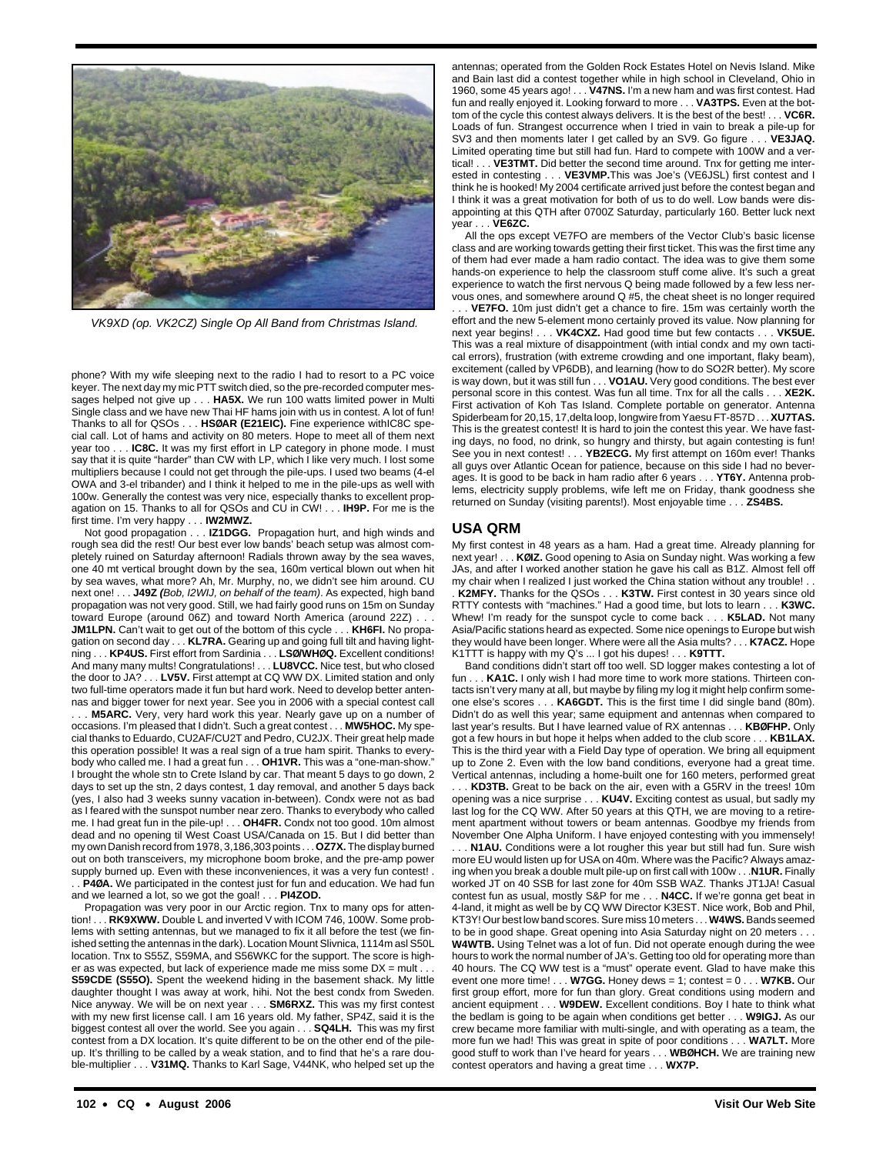

VK9XD (op. VK2CZ) Single Op All Band from Christmas Island.

phone? With my wife sleeping next to the radio I had to resort to a PC voice keyer. The next day my mic PTT switch died, so the pre-recorded computer messages helped not give up . . . **HA5X.** We run 100 watts limited power in Multi Single class and we have new Thai HF hams join with us in contest. A lot of fun! Thanks to all for QSOs . . . **HSØAR (E21EIC).** Fine experience withIC8C special call. Lot of hams and activity on 80 meters. Hope to meet all of them next year too . . . **IC8C.** It was my first effort in LP category in phone mode. I must say that it is quite "harder" than CW with LP, which I like very much. I lost some multipliers because I could not get through the pile-ups. I used two beams (4-el OWA and 3-el tribander) and I think it helped to me in the pile-ups as well with 100w. Generally the contest was very nice, especially thanks to excellent propagation on 15. Thanks to all for QSOs and CU in CW! . . . **IH9P.** For me is the first time. I'm very happy . . . **IW2MWZ.**

Not good propagation . . . **IZ1DGG.** Propagation hurt, and high winds and rough sea did the rest! Our best ever low bands' beach setup was almost completely ruined on Saturday afternoon! Radials thrown away by the sea waves, one 40 mt vertical brought down by the sea, 160m vertical blown out when hit by sea waves, what more? Ah, Mr. Murphy, no, we didn't see him around. CU next one! . . . **J49Z (**Bob, I2WIJ, on behalf of the team). As expected, high band propagation was not very good. Still, we had fairly good runs on 15m on Sunday toward Europe (around 06Z) and toward North America (around 22Z) . . . **JM1LPN.** Can't wait to get out of the bottom of this cycle . . . **KH6FI.** No propagation on second day . . . **KL7RA.** Gearing up and going full tilt and having lightning . . . **KP4US.** First effort from Sardinia . . . **LSØ/WHØQ.** Excellent conditions! And many many mults! Congratulations! . . . **LU8VCC.** Nice test, but who closed the door to JA? . . . **LV5V.** First attempt at CQ WW DX. Limited station and only two full-time operators made it fun but hard work. Need to develop better antennas and bigger tower for next year. See you in 2006 with a special contest call . . . **M5ARC.** Very, very hard work this year. Nearly gave up on a number of occasions. I'm pleased that I didn't. Such a great contest . . . **MW5HOC.** My special thanks to Eduardo, CU2AF/CU2T and Pedro, CU2JX. Their great help made this operation possible! It was a real sign of a true ham spirit. Thanks to everybody who called me. I had a great fun . . . **OH1VR.** This was a "one-man-show." I brought the whole stn to Crete Island by car. That meant 5 days to go down, 2 days to set up the stn, 2 days contest, 1 day removal, and another 5 days back (yes, I also had 3 weeks sunny vacation in-between). Condx were not as bad as I feared with the sunspot number near zero. Thanks to everybody who called me. I had great fun in the pile-up! . . . **OH4FR.** Condx not too good. 10m almost dead and no opening til West Coast USA/Canada on 15. But I did better than my own Danish record from 1978, 3,186,303 points . . .**OZ7X.** The display burned out on both transceivers, my microphone boom broke, and the pre-amp power supply burned up. Even with these inconveniences, it was a very fun contest! . . . **P4ØA.** We participated in the contest just for fun and education. We had fun and we learned a lot, so we got the goal! . . . **PI4ZOD.**

Propagation was very poor in our Arctic region. Tnx to many ops for attention! . . . **RK9XWW.** Double L and inverted V with ICOM 746, 100W. Some problems with setting antennas, but we managed to fix it all before the test (we finished setting the antennas in the dark). Location Mount Slivnica, 1114m asl S50L location. Tnx to S55Z, S59MA, and S56WKC for the support. The score is higher as was expected, but lack of experience made me miss some  $DX = mult$ . **S59CDE (S55O).** Spent the weekend hiding in the basement shack. My little daughter thought I was away at work, hihi. Not the best condx from Sweden. Nice anyway. We will be on next year . . . **SM6RXZ.** This was my first contest with my new first license call. I am 16 years old. My father, SP4Z, said it is the biggest contest all over the world. See you again . . . **SQ4LH.** This was my first contest from a DX location. It's quite different to be on the other end of the pileup. It's thrilling to be called by a weak station, and to find that he's a rare double-multiplier . . . **V31MQ.** Thanks to Karl Sage, V44NK, who helped set up the

antennas; operated from the Golden Rock Estates Hotel on Nevis Island. Mike and Bain last did a contest together while in high school in Cleveland, Ohio in 1960, some 45 years ago! . . . **V47NS.** I'm a new ham and was first contest. Had fun and really enjoyed it. Looking forward to more . . . **VA3TPS.** Even at the bottom of the cycle this contest always delivers. It is the best of the best! . . . **VC6R.** Loads of fun. Strangest occurrence when I tried in vain to break a pile-up for SV3 and then moments later I get called by an SV9. Go figure . . . **VE3JAQ.** Limited operating time but still had fun. Hard to compete with 100W and a vertical! . . . **VE3TMT.** Did better the second time around. Tnx for getting me interested in contesting . . . **VE3VMP.**This was Joe's (VE6JSL) first contest and I think he is hooked! My 2004 certificate arrived just before the contest began and I think it was a great motivation for both of us to do well. Low bands were disappointing at this QTH after 0700Z Saturday, particularly 160. Better luck next year . . . **VE6ZC.**

All the ops except VE7FO are members of the Vector Club's basic license class and are working towards getting their first ticket. This was the first time any of them had ever made a ham radio contact. The idea was to give them some hands-on experience to help the classroom stuff come alive. It's such a great experience to watch the first nervous Q being made followed by a few less nervous ones, and somewhere around Q #5, the cheat sheet is no longer required

. VE7FO. 10m just didn't get a chance to fire. 15m was certainly worth the effort and the new 5-element mono certainly proved its value. Now planning for next year begins! . . . **VK4CXZ.** Had good time but few contacts . . . **VK5UE.** This was a real mixture of disappointment (with intial condx and my own tactical errors), frustration (with extreme crowding and one important, flaky beam), excitement (called by VP6DB), and learning (how to do SO2R better). My score is way down, but it was still fun . . . **VO1AU.** Very good conditions. The best ever personal score in this contest. Was fun all time. Tnx for all the calls . . . **XE2K.** First activation of Koh Tas Island. Complete portable on generator. Antenna Spiderbeam for 20,15, 17,delta loop, longwire from Yaesu FT-857D . . . **XU7TAS.** This is the greatest contest! It is hard to join the contest this year. We have fasting days, no food, no drink, so hungry and thirsty, but again contesting is fun! See you in next contest! . . . **YB2ECG.** My first attempt on 160m ever! Thanks all guys over Atlantic Ocean for patience, because on this side I had no beverages. It is good to be back in ham radio after 6 years . . . **YT6Y.** Antenna problems, electricity supply problems, wife left me on Friday, thank goodness she returned on Sunday (visiting parents!). Most enjoyable time . . . **ZS4BS.**

#### **USA QRM**

My first contest in 48 years as a ham. Had a great time. Already planning for next year! . . . **KØIZ.** Good opening to Asia on Sunday night. Was working a few JAs, and after I worked another station he gave his call as B1Z. Almost fell off my chair when I realized I just worked the China station without any trouble! . . . **K2MFY.** Thanks for the QSOs . . . **K3TW.** First contest in 30 years since old RTTY contests with "machines." Had a good time, but lots to learn . . . **K3WC.** Whew! I'm ready for the sunspot cycle to come back . . . **K5LAD.** Not many Asia/Pacific stations heard as expected. Some nice openings to Europe but wish they would have been longer. Where were all the Asia mults? . . . **K7ACZ.** Hope K1TTT is happy with my Q's ... I got his dupes! . . . **K9TTT.**

Band conditions didn't start off too well. SD logger makes contesting a lot of fun . . . **KA1C.** I only wish I had more time to work more stations. Thirteen contacts isn't very many at all, but maybe by filing my log it might help confirm someone else's scores . . . **KA6GDT.** This is the first time I did single band (80m). Didn't do as well this year; same equipment and antennas when compared to last year's results. But I have learned value of RX antennas . . . **KBØFHP.** Only got a few hours in but hope it helps when added to the club score . . . **KB1LAX.** This is the third year with a Field Day type of operation. We bring all equipment up to Zone 2. Even with the low band conditions, everyone had a great time. Vertical antennas, including a home-built one for 160 meters, performed great

. . . **KD3TB.** Great to be back on the air, even with a G5RV in the trees! 10m opening was a nice surprise . . . **KU4V.** Exciting contest as usual, but sadly my last log for the CQ WW. After 50 years at this QTH, we are moving to a retirement apartment without towers or beam antennas. Goodbye my friends from November One Alpha Uniform. I have enjoyed contesting with you immensely!

. . . **N1AU.** Conditions were a lot rougher this year but still had fun. Sure wish more EU would listen up for USA on 40m. Where was the Pacific? Always amazing when you break a double mult pile-up on first call with 100w . . .**N1UR.** Finally worked JT on 40 SSB for last zone for 40m SSB WAZ. Thanks JT1JA! Casual contest fun as usual, mostly S&P for me . . . **N4CC.** If we're gonna get beat in 4-land, it might as well be by CQ WW Director K3EST. Nice work, Bob and Phil, KT3Y! Our best low band scores. Sure miss 10 meters . . . **W4WS.**Bands seemed to be in good shape. Great opening into Asia Saturday night on 20 meters . . . **W4WTB.** Using Telnet was a lot of fun. Did not operate enough during the wee hours to work the normal number of JA's. Getting too old for operating more than 40 hours. The CQ WW test is a "must" operate event. Glad to have make this event one more time! . . . **W7GG.** Honey dews = 1; contest = 0 . . . **W7KB.** Our first group effort, more for fun than glory. Great conditions using modern and ancient equipment . . . **W9DEW.** Excellent conditions. Boy I hate to think what the bedlam is going to be again when conditions get better . . . **W9IGJ.** As our crew became more familiar with multi-single, and with operating as a team, the more fun we had! This was great in spite of poor conditions . . . **WA7LT.** More good stuff to work than I've heard for years . . . **WBØHCH.** We are training new contest operators and having a great time . . . **WX7P.**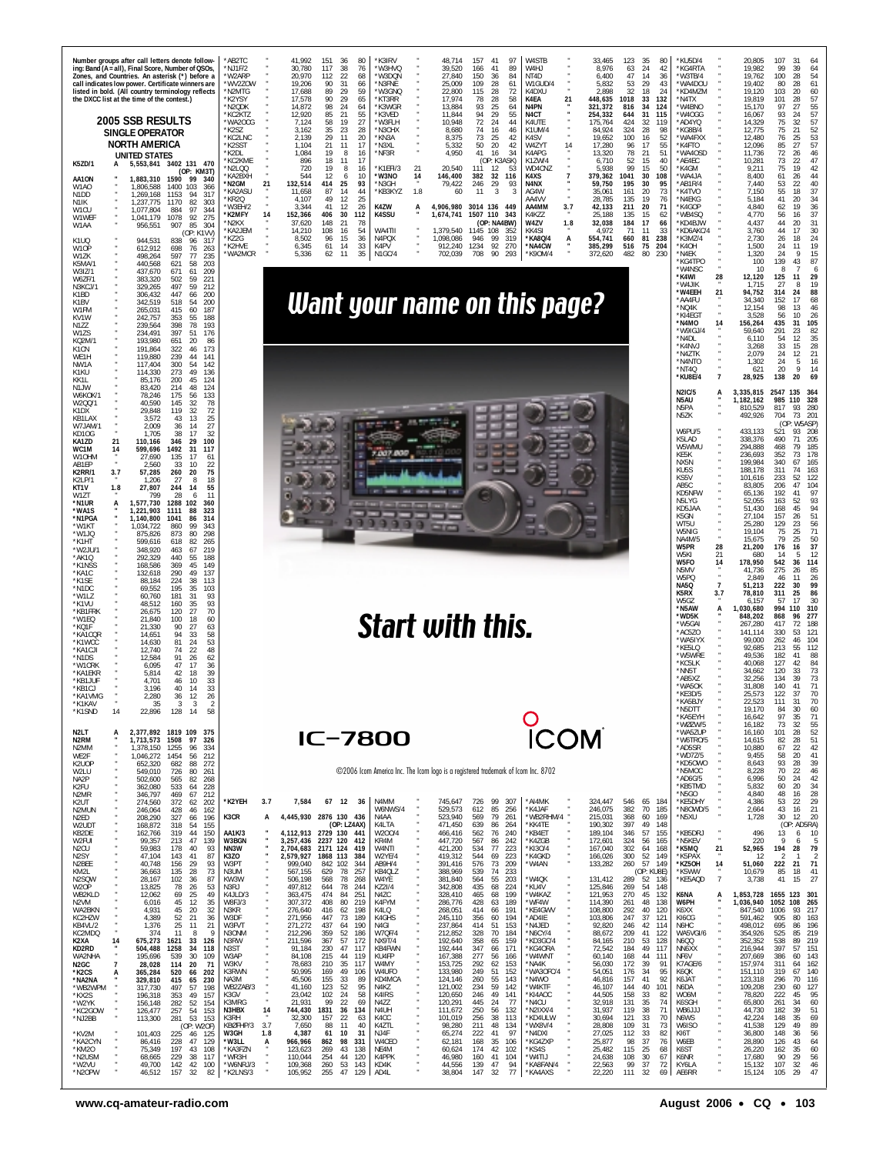| K5ZD/1<br>AA1ON<br>W1AO<br>N <sub>1</sub> D <sub>D</sub><br>N <sub>1</sub> K<br>W <sub>1</sub> CU<br>W1WEI<br>W1AA<br>K1UQ<br>W10P<br>W1ZK<br>K5MA/1<br>W3IZ/1<br>W6ZF/1<br>N3KCJ/1<br>K1BD<br>K1BV<br>W1FM<br>KV1W<br>N177<br>W1ZS<br>KO <sub>2M</sub><br>K <sub>1</sub> C <sub>N</sub><br>WE1H<br>NW1A<br>K1KU<br>KK1L<br>N1JW<br>W6KOK/1<br>W2QQ/1<br>K <sub>1</sub> D <sub>X</sub><br>KB1LAX             | Number groups after call letters denote follow-<br>ing: Band (A = all), Final Score, Number of QSOs,<br>Zones, and Countries. An asterisk (*) before a<br>call indicates low power. Certificate winners are<br>listed in bold. (All country terminology reflects<br>the DXCC list at the time of the contest.)<br>2005 SSB RESULTS<br>SINGLE OPERATOR<br><b>NORTH AMERICA</b><br><b>UNITED STATES</b><br>5,553,841 3402 131 470<br>А<br>(OP: KM3T)<br>1.883.310<br>1590<br>99<br>340<br>1400<br>103<br>366<br>1.806.588<br>1,269,168<br>1153<br>317<br>$Q_{\Delta}$<br>1,237,775<br>1170<br>303<br>82<br>1.077.804<br>884<br>97<br>344<br>1,041,179<br>1078<br>92<br>275<br>85<br>304<br>956,551<br>907<br>(OP: K1VV)<br>944,531<br>838<br>96<br>317<br>612,912<br>698<br>76<br>263<br>498,264<br>597<br>235<br>77<br>203<br>440,568<br>621<br>58<br>209<br>437,670<br>671<br>61<br>221<br>383,320<br>502<br>59<br>59<br>212<br>329,265<br>497<br>447<br>200<br>306,432<br>66<br>342,519<br>518<br>200<br>54<br>60<br>187<br>265.031<br>415<br>353<br>55<br>188<br>242.757<br>78<br>239.564<br>398<br>193<br>234,491<br>397<br>51<br>176<br>193,980<br>20<br>86<br>651<br>191,864<br>322<br>46<br>173<br>119.880<br>239<br>44<br>141<br>117,404<br>300<br>54<br>142<br>49<br>114,330<br>273<br>136<br>85,176<br>200<br>45<br>124<br>83.420<br>214<br>48<br>124<br>78,246<br>175<br>56<br>133<br>32<br>78<br>40,590<br>145<br>119<br>32<br>72<br>29,848<br>25<br>43<br>13<br>3.572 | AB2TC<br>NJ1F/2<br>*W2ARP<br>*WV2ZOW<br>*N2MTG<br>*K2YSY<br>*N2QDK<br>*KC2KTZ<br>*WA2OCG<br>*K2SZ<br>KC2LNC<br>*K2SST<br>*K2DL<br>'KC2KME<br>*N2LOO<br>KA2BXH<br>*N2GM<br>'KA2ASL<br>'KR20<br>'W3EH/2<br>*K2MFY<br>*N2KX<br>'KA2JEM<br>K72G<br>'K2HVE<br>WA2MCR | 41.992<br>151<br>36<br>80<br>K3IRV<br>48.714<br>157<br>41<br>97<br>W4STF<br>33.465<br>123<br>35<br>80<br>24<br>30,780<br>117<br>38<br>*W3HVQ<br>39,520<br>89<br>W <sub>4</sub> HJ<br>8,976<br>63<br>76<br>166<br>41<br>20,970<br>112<br>22<br>68<br>*W3DQN<br>27.840<br>150<br>36<br>84<br>NT4D<br>6.400<br>47<br>14<br>29<br>53<br>19.206<br>90<br>31<br>66<br>*N3FNE<br>25.009<br>109<br>28<br>61<br>W1GUD/4<br>5.832<br>17,688<br>89<br>29<br>59<br>*W3GNQ<br>22,800<br>115<br>28<br>72<br>K4DXU<br>2,898<br>32<br>18<br>$2\ell$<br>21<br>90<br>29<br>*KT3RR<br>28<br>58<br>448,635<br>1018<br>33<br>17,578<br>65<br>17.974<br>78<br>K4EA<br>132<br>98<br>*K3WGR<br>93<br>25<br>N <sub>4</sub> PN<br>321.372<br>34<br>14.872<br>24<br>13.884<br>64<br>816<br>124<br>64<br>12,920<br>85<br>21<br>55<br>*K3VED<br>11,844<br>94<br>29<br>55<br>N4CT<br>254,332<br>644<br>31<br>115<br>58<br>19<br>27<br>10.948<br>72<br>24<br>44<br>*W3FI H<br>K41JTF<br>424<br>32<br>7.124<br>175.764<br>11 <sub>9</sub><br>3,162<br>35<br>23<br>28<br>*N3CHX<br>8,680<br>74<br>16<br>46<br>K1UM/4<br>84,924<br>324<br>28<br>29<br>11<br>8,375<br>73<br>25<br>100<br>2.139<br>20<br>*KN3A<br>42<br>K <sub>4</sub> SV<br>16<br>19.652<br>21<br>11<br>17<br>*N3XL<br>50<br>20<br>42<br>W4ZYT<br>14<br>17,280<br>96<br>17<br>1.104<br>5.332<br>19<br>*NF3R<br>4,950<br>21<br>1,084<br>8<br>41<br>16<br>34<br>K4APG<br>13,320<br>78<br>51<br>16<br>18<br>52<br>896<br>11<br>17<br>(OP: K3ASK)<br>K1ZW/4<br>6,710<br>15<br>99<br>720<br>19<br>'K1EFI/3<br>21<br>20,540<br>111<br>5,938<br>8<br>16<br>12<br>-53<br>WD4CNZ<br>15<br>50<br>379,362<br>544<br>12<br>10<br>*W3NO<br>14<br>146,400<br>382<br>32<br>116<br>K4XS<br>$\overline{7}$<br>1041<br>30<br>108<br>6<br>21<br>132,514<br>93<br>N4NX<br>414<br>25<br>*N3GH<br>79,422<br>246<br>29<br>-93<br>59,750<br>195<br>30<br>KB3KYZ<br>1.8<br>11,658<br>87<br>14<br>44<br>60<br>11<br>3<br>AG4W<br>35,061<br>161<br>20<br>49<br>12<br>25<br>135<br>19<br>4,107<br>AA4VV<br>28.785<br>K4ZW<br>3,344<br>41<br>12<br>26<br>4,906,980<br>3014 136<br>AA4MM<br>3.7<br>42,133<br>211<br>20<br>A<br>-449<br>14<br><b>K4SSU</b><br>152,366<br>406<br>30<br>112<br>1,674,741<br>1507 110<br>- 343<br>K4KZZ<br>25,188<br>135<br>15<br>148<br>21<br>W4ZV<br>184<br>17<br>78<br>(OP: NA4BW)<br>1.8<br>32.038<br>37.620<br>108<br>16<br>WA4TII<br>1,379,540<br>KK4SI<br>11<br>14.210<br>54<br>1145<br>108<br>352<br>4.972<br>71<br>33<br>N4POX<br>1.098.086<br>319<br>*KA8Q/4<br>660<br>81<br>238<br>96<br>15<br>946<br>99<br>554.741<br>8.502<br>36<br>А<br>14<br>33<br>K4PV<br>912,240<br>1234<br>92<br>270<br>*NA4CW<br>385,299<br>516<br>75<br>204<br>6.345<br>61<br>35<br>N1GC/4<br>482<br>80<br>230<br>62<br>11<br>702,039<br>708<br>90<br>293<br>*K90M/4<br>372,620<br>5.336<br>Want your name on this page? | KU5D/4<br>42<br>*KG4RTA<br>36<br>*W3TB/4<br>43<br>*WA4DOU<br>*KD4MZM<br>*N4TX<br>*W4BNO<br>*W4OGG<br>*AD4YQ<br>98<br>KG8B/4<br>*WA4FXX<br>52<br>55<br>*K4FTO<br>*WA4OSD<br>40<br>AE4EC*<br>*K4GM<br>*WA4JA<br>95<br>*AB1R/4<br>73<br>*K4TVO<br>*N4EKG<br>76<br>71<br>*K4GOP<br>*WB4SQ<br>62<br>KD4BJW<br>66<br>KD6AKC/4<br>K3MZ/4<br>*K4OH<br>*N4EK<br>*KG4TPO<br>*W4NSC<br>*K4WI<br>28<br>*W4JIK<br>21<br>*W4EEH<br>*AA4FU<br>*NQ4K<br>*KI4EGT<br>*N4MO<br>14<br>*W9IGJ/4<br>*N4DL<br>*K4NVJ<br>*N47TK<br>*N4NTO<br>*NT4O<br>$\overline{7}$<br>*KU8E/4<br><b>N2IC/5</b><br>A<br>N5AU<br>N5PA<br>N5ZK | 20.805<br>107<br>31<br>64<br>QQ<br>39<br>19.982<br>64<br>19,762<br>100<br>28<br>54<br>61<br>19.402<br>80<br>28<br>60<br>19,120<br>103<br>20<br>57<br>101<br>19.819<br>28<br>97<br>27<br>55<br>15.170<br>57<br>93<br>16.067<br>24<br>$\frac{57}{52}$<br>75<br>32<br>14.329<br>12,775<br>75<br>21<br>$\frac{53}{57}$<br>12.480<br>76<br>25<br>12,096<br>85<br>27<br>11,736<br>72<br>46<br>26<br>73<br>47<br>10,281<br>22<br>42<br>19<br>75<br>9.211<br>8,400<br>61<br>26<br>44<br>40<br>53<br>7.440<br>22<br>55<br>18<br>37<br>7,150<br>34<br>41<br>20<br>5.184<br>36<br>4,840<br>62<br>19<br>37<br>4.770<br>56<br>16<br>44<br>20<br>31<br>4.437<br>30<br>3,760<br>44<br>17<br>2.730<br>26<br>24<br>18<br>1,500<br>24<br>11<br>19<br>15<br>1,320<br>24<br>-9<br>139<br>43<br>87<br>100<br>8<br>$\overline{7}$<br>10<br>-6<br>12,120<br>125<br>11<br>29<br>19<br>1,715<br>27<br>8<br>94,752<br>314<br>24<br>88<br>68<br>34.340<br>152<br>17<br>12,154<br>98<br>13<br>46<br>56<br>26<br>3,528<br>10<br>435<br>105<br>156,264<br>31<br>82<br>291<br>59,640<br>23<br>12<br>35<br>6,110<br>54<br>33<br>15<br>28<br>3.268<br>2.079<br>24<br>21<br>12<br>1,302<br>24<br>5<br>16<br>20<br>$\mathbf Q$<br>14<br>621<br>28,925<br>138<br>20<br>69<br>3,335,815<br>2547<br>135<br>-364<br>110<br>985<br>328<br>1,182,162<br>810,529<br>817<br>93<br>280<br>492,926<br>704<br>73<br>-201 |
|--------------------------------------------------------------------------------------------------------------------------------------------------------------------------------------------------------------------------------------------------------------------------------------------------------------------------------------------------------------------------------------------------------------|-----------------------------------------------------------------------------------------------------------------------------------------------------------------------------------------------------------------------------------------------------------------------------------------------------------------------------------------------------------------------------------------------------------------------------------------------------------------------------------------------------------------------------------------------------------------------------------------------------------------------------------------------------------------------------------------------------------------------------------------------------------------------------------------------------------------------------------------------------------------------------------------------------------------------------------------------------------------------------------------------------------------------------------------------------------------------------------------------------------------------------------------------------------------------------------------------------------------------------------------------------------------------------------------------------------------------------------------------------------------------------------------------------------------------------------------------------------------------------------|-----------------------------------------------------------------------------------------------------------------------------------------------------------------------------------------------------------------------------------------------------------------|-----------------------------------------------------------------------------------------------------------------------------------------------------------------------------------------------------------------------------------------------------------------------------------------------------------------------------------------------------------------------------------------------------------------------------------------------------------------------------------------------------------------------------------------------------------------------------------------------------------------------------------------------------------------------------------------------------------------------------------------------------------------------------------------------------------------------------------------------------------------------------------------------------------------------------------------------------------------------------------------------------------------------------------------------------------------------------------------------------------------------------------------------------------------------------------------------------------------------------------------------------------------------------------------------------------------------------------------------------------------------------------------------------------------------------------------------------------------------------------------------------------------------------------------------------------------------------------------------------------------------------------------------------------------------------------------------------------------------------------------------------------------------------------------------------------------------------------------------------------------------------------------------------------------------------------------------------------------------------------------------------------------------------------------------------------------------------------------------------------------------------------------------------------------------------------------------------------------------------------------------------------------------------------------------------------------------------------------------------------------------------------------------------------------------------------------------------------------------------------------------------------------------------------------------------------------------------------------------------------------------------------------------------------------------------------------------------------------------------------------------------------------------------------------------------------------------------------------|-------------------------------------------------------------------------------------------------------------------------------------------------------------------------------------------------------------------------------------------------------------------------------------------------------------------------------------------------------------------------------------------------------------------------------------------------------------------------------------------------------------------------------------------------------------------------------------------------------|----------------------------------------------------------------------------------------------------------------------------------------------------------------------------------------------------------------------------------------------------------------------------------------------------------------------------------------------------------------------------------------------------------------------------------------------------------------------------------------------------------------------------------------------------------------------------------------------------------------------------------------------------------------------------------------------------------------------------------------------------------------------------------------------------------------------------------------------------------------------------------------------------------------------------------------------------------------------------------------------------------------------------------------------------------------------------------------------------------------------------------------------------------------------------------------------------------------------------------------------------------------------------------------------------------------------------------------------------------------------------|
| W7JAM/1<br>KD10G<br>KA1ZD<br>WC1M<br>W10HM<br>AB1FP<br><b>K2RR/1</b><br>K2LP/1<br>KT1V<br>W1ZT<br>*N1UR<br>*WA1S<br>*N1PGA<br>*W1KT<br>*W1JQ<br>$*$ K1HT<br>*W2JU/<br>$*AK10$<br>*K1NSS<br>*KA1C<br>*K1SE<br>*N1DC<br>*W1LZ<br>*K1VU<br>*KB1FRK<br>*W1EQ<br>*KQ1F<br>*KA1CQR<br>*K1WCC<br>*KA1CJI<br>*N <sub>1</sub> D <sub>S</sub><br>*W1CRK<br>*KA1FKR<br>*KB1JUF<br>*KB1CJ<br>*KA1VMG<br>*K1KAV<br>*K1SND | 27<br>2,009<br>36<br>14<br>1,705<br>17<br>32<br>38<br>21<br>29<br>110,166<br>346<br>100<br>14<br>599,696<br>1492<br>31<br>117<br>17<br>27.690<br>135<br>61<br>2,560<br>33<br>10<br>22<br>3.7<br>260<br>75<br>57,285<br>-20<br>18<br>1.206<br>27<br>-8<br>55<br>1.8<br>27,807<br>244<br>14<br>799<br>28<br>11<br>6<br>A<br>102<br>1,577,730<br>1288<br>360<br>1,221,903<br>1111<br>88<br>323<br>1.140.800<br>1041<br>86<br>314<br>1.034.722<br>860<br>99<br>343<br>80<br>298<br>875.826<br>873<br>82<br>265<br>599.616<br>618<br>348,920<br>219<br>463<br>67<br>292.329<br>440<br>55<br>188<br>168,586<br>369<br>45<br>149<br>290<br>49<br>137<br>132.618<br>88,184<br>224<br>38<br>113<br>35<br>69.552<br>195<br>103<br>60,760<br>181<br>31<br>93<br>35<br>93<br>48,512<br>160<br>27<br>70<br>26,675<br>120<br>18<br>60<br>21.840<br>100<br>21,330<br>90<br>27<br>63<br>33<br>58<br>14,651<br>94<br>81<br>24<br>53<br>14,630<br>12,740<br>74<br>22<br>48<br>26<br>12.584<br>91<br>62<br>47<br>36<br>6.095<br>17<br>39<br>5.814<br>42<br>18<br>10<br>33<br>4.70<br>46<br>33<br>3,196<br>40<br>14<br>2,280<br>36<br>12<br>26<br>35<br>14<br>22,896<br>128<br>14<br>58                                                                                                                                                                                                                                                                                                               |                                                                                                                                                                                                                                                                 | Start with this.                                                                                                                                                                                                                                                                                                                                                                                                                                                                                                                                                                                                                                                                                                                                                                                                                                                                                                                                                                                                                                                                                                                                                                                                                                                                                                                                                                                                                                                                                                                                                                                                                                                                                                                                                                                                                                                                                                                                                                                                                                                                                                                                                                                                                                                                                                                                                                                                                                                                                                                                                                                                                                                                                                                                                                                                                        | W6PU/5<br>K5LAD<br>W5WMU<br>KF5K<br>NX5N<br>KU5S<br>KS5V<br>AB5C<br>KD5NFW<br>N5LYG<br>KD5JAA<br>K5GN<br>WT5U<br>W5NIG<br>NA4M/5<br>28<br>W5PR<br>W5KI<br>21<br>W5FO<br>14<br>N5MV<br>W5PQ<br><b>NA5Q</b><br>$\overline{7}$<br>K5RX<br>3.7<br><b>W5G7</b><br>*N5AW<br>A<br>*WD5K<br>*W5GA<br>*AC5ZO<br>*WA5IYX<br>*KE5LO<br>W5WRE<br>*KC5LK<br>*NN5T<br>*AB5XZ<br>*WA50K<br>*KE3D/5<br>*KA5BJY<br>*N5DTT<br>*KA5EYH                                                                                                                                                                                   | (OF<br>W5ASP)<br>433,133<br>521<br>93<br>-208<br>338,376<br>490<br>71<br>205<br>185<br>294,888<br>468<br>79<br>178<br>236,693<br>352<br>73<br>199,984<br>340<br>165<br>67<br>188.178<br>311<br>74<br>163<br>101,616<br>233<br>52<br>122<br>104<br>206<br>47<br>83.805<br>65,136<br>192<br>97<br>41<br>93<br>52.055<br>163<br>52<br>51,430<br>168<br>45<br>94<br>51<br>27,104<br>157<br>26<br>56<br>25,280<br>129<br>23<br>71<br>75<br>25<br>19.104<br>79<br>50<br>15,675<br>25<br>37<br>176<br>21,200<br>16<br>12<br>680<br>14<br>178,950<br>542<br>36<br>114<br>275<br>85<br>41.736<br>26<br>2,849<br>26<br>46<br>11<br>222<br>99<br>51,213<br>30<br>78,810<br>311<br>25<br>86<br>17<br>30<br>57<br>6.157<br>1,030,680<br>994<br>110<br>310<br>848,202<br>868<br>277<br>96<br>267,280<br>417<br>72<br>188<br>121<br>141.114<br>330<br>53<br>99,000<br>262<br>46<br>104<br>112<br>92,685<br>213<br>55<br>49.536<br>182<br>41<br>88<br>40,068<br>127<br>84<br>$\Delta$<br>34,662<br>120<br>33<br>73<br>39<br>73<br>32.256<br>134<br>140<br>71<br>31.808<br>41<br>25,573<br>122<br>70<br>37<br>70<br>22.523<br>111<br>31<br>19,170<br>84<br>30<br>60<br>97<br>$\frac{35}{32}$<br>$\begin{array}{c} 71 \\ 55 \end{array}$<br>16,642                                                                                                                                           |
| N <sub>2L</sub> T<br>N <sub>2</sub> RM<br>N2MM<br>WE2F<br>K2UOP<br>W2LU<br>NA2P                                                                                                                                                                                                                                                                                                                              | 2,377,892 1819 109 375<br>А<br>1,713,573 1508<br>97<br>326<br>96<br>1,378,150 1255<br>-334<br>1,046,272 1454<br>56<br>212<br>682<br>88<br>272<br>652,320<br>549,010<br>726<br>80<br>261<br>502,600<br>565<br>82<br>268                                                                                                                                                                                                                                                                                                                                                                                                                                                                                                                                                                                                                                                                                                                                                                                                                                                                                                                                                                                                                                                                                                                                                                                                                                                            |                                                                                                                                                                                                                                                                 | <b>IC-7800</b><br>©2006 Icom America Inc. The Icom logo is a registered trademark of Icom Inc. 8702                                                                                                                                                                                                                                                                                                                                                                                                                                                                                                                                                                                                                                                                                                                                                                                                                                                                                                                                                                                                                                                                                                                                                                                                                                                                                                                                                                                                                                                                                                                                                                                                                                                                                                                                                                                                                                                                                                                                                                                                                                                                                                                                                                                                                                                                                                                                                                                                                                                                                                                                                                                                                                                                                                                                     | *WØZW/5<br>*WA5ZUP<br>*W6TRO/5<br>*AD5SR<br>*WD7Z/5<br>*KD50W0<br>*N5MOC<br>*AD6G/5                                                                                                                                                                                                                                                                                                                                                                                                                                                                                                                   | 16,182<br>73<br>28<br>52<br>16,160<br>101<br>82<br>28<br>$\frac{51}{42}$<br>14,615<br>67<br>22<br>10,880<br>9,455<br>58<br>20<br>$\frac{41}{39}$<br>93<br>28<br>8,643<br>8,228<br>70<br>22<br>46<br>42<br>50<br>24<br>6,996                                                                                                                                                                                                                                                                                                                                                                                                                                                                                                                                                                                                                                                                                                                                                                                                                                                                                                                                                                                                                                                                                                                                                |
| K2FU<br>N <sub>2</sub> M <sub>R</sub><br>K2UT<br>N2MUN<br>N2ED<br>W2UDT<br>KB2DE<br>W2FUI<br>N <sub>2</sub> CU<br>N <sub>2</sub> SY<br>N2BEE<br>KM2L<br>N2SQW<br>W2OP<br>WB2KLD<br>N2VM<br>WA2BKN<br>KC2HZW<br>KB4VL/2<br>KC2MDQ<br>K2XA<br>KD2RD<br>WA2NHA<br>$\overline{7}$<br>N2GC<br>*K2CS<br>А<br>*NA2NA                                                                                                | 362,080<br>533<br>64<br>228<br>212<br>346,797<br>469<br>67<br>202<br>274,560<br>372<br>62<br>246,064<br>428<br>46<br>162<br>208,290<br>327<br>196<br>66<br>318<br>155<br>168,872<br>54<br>162,766<br>150<br>319<br>44<br>47<br>139<br>99,357<br>213<br>59,983<br>178<br>40<br>93<br>47,104<br>41<br>87<br>143<br>93<br>29<br>40,748<br>156<br>135<br>28<br>73<br>36,663<br>102<br>87<br>- 36<br>28,167<br>13,825<br>78<br>26<br>53<br>49<br>12,062<br>69<br>25<br>$\frac{35}{32}$<br>45<br>12<br>6,016<br>4,931<br>45<br>20<br>52<br>4,389<br>21<br>36<br>21<br>1,376<br>25<br>11<br>9<br>374<br>11<br>8<br>14<br>675,273<br>1621<br>33<br>126                                                                                                                                                                                                                                                                                                                                                                                                                                                                                                                                                                                                                                                                                                                                                                                                                                    | *K2YEH<br>K3CR<br>AA1K/3<br>W3BGN<br>NN3W<br>K3ZO<br>W3PT<br>N3UM<br>KW3W<br>N3RJ<br>K4JLD/3<br>W8FJ/3<br>N3KR<br>W3DF<br>W3FVT<br>N3ONM<br>N3RW                                                                                                                | 3.7<br>7,584<br>67 12 36<br>N4MM<br>745,647<br>726<br>99 307<br>*AI4MK<br>324,447<br>546<br>65<br>184<br>W6NWS/4<br>85<br>246,075<br>382<br>529,573<br>612<br>256<br>*K4JAF<br>70<br>185<br>4,445,930 2876 130 436<br>N4AA<br>523,940<br>569<br>79<br>*WB2RHM/4<br>215,031<br>368<br>A<br>261<br>60<br>169<br>(OP: LZ4AX)<br>K4LTA<br>471,450<br>639<br>86<br>264<br>*KK4TE<br>190,302<br>397<br>49<br>148<br>4,112,913 2729 130 441<br>W200/4<br>466,416<br>562<br>76<br>240<br>*KB4ET<br>189,104<br>346<br>57<br>155<br>3,257,436 2237 120 412<br>KR4M<br>447,720<br>567<br>86<br>242<br>*K4ZGB<br>172,601<br>324<br>56<br>165<br>2,704,683 2171 124<br>W4NTI<br>534<br>77<br>223<br>*KI3O/4<br>167,040<br>302<br>64<br>168<br>419<br>421,200<br>2,579,927 1868 113<br>384<br>W2YE/4<br>419,312<br>544<br>69<br>223<br>*K4GKD<br>166,026<br>300<br>52<br>149<br>57<br>576<br>842 102<br>391,416<br>73<br>*W4AN<br>133,282<br>260<br>149<br>999,040<br>344<br>AB9H/4<br>209<br>567,155<br>629<br>78<br>257<br>KB4QLZ<br>388,969<br>539<br>74<br>(OP: KU8E)<br>233<br>568<br>268<br>*W4QK<br>131,412<br>289<br>52<br>506,198<br>78<br>W4YE<br>381,840<br>564<br>55<br>203<br>136<br>497,812<br>644<br>78<br>244<br>KZ2I/4<br>342,808<br>435<br>224<br>*KU4V<br>125,846<br>269<br>54<br>148<br>68<br>132<br>474<br>84<br>251<br>465<br>199<br>*W4KAZ<br>270<br>45<br>363,475<br>N4ZC<br>328,410<br>68<br>121,953<br>307,372<br>408<br>80<br>219<br>K4FYM<br>286,776<br>428<br>*WF4W<br>114,390<br>48<br>138<br>63<br>189<br>261<br>62<br>*KE4GWV<br>276,640<br>416<br>198<br>K4LQ<br>268,051<br>414<br>191<br>108,800<br>292<br>40<br>120<br>66<br>73<br>271,956<br>447<br>189<br>K4GHS<br>245,110<br>356<br>60<br>194<br>*AD4IE<br>103,806<br>247<br>37<br>121<br>64<br>271,272<br>437<br>190<br>N4GI<br>237,864<br>414<br>51<br>153<br>*N4JED<br>92,820<br>246<br>42<br>114<br>212,296<br>359<br>52<br>186<br>W7QF/4<br>212,852<br>328<br>70<br>184<br>*N6CY/4<br>209<br>41<br>122<br>88,672<br>211,596<br>367<br>57<br>172<br>NX9T/4<br>192,640<br>358<br>65<br>159<br>*KD3GC/4<br>84,165<br>210<br>53<br>128                                                                                                                                                                                                                                                                                                                                                                                                                                                                                                                                                                                                                                                                                                                         | *KB5TMD<br>*N5GO<br>*KE5DHY<br>*N8OWD/5<br>*N5XU<br>*KB5DRJ<br>*N5KEV<br>*K5MQ<br>21<br>*K5PAX<br>*KZ5OH<br>14<br>*K5WW<br>$\overline{7}$<br>*KE5AQD<br>K6NA<br>А<br>W6PH<br>K6XX<br>KI6CG<br>N6HC<br>WA5VGI/6<br>N6QQ<br>117<br>NN6XX                                                                                                                                                                                                                                                                                                                                                                | 5,832<br>60<br>20<br>$\frac{34}{28}$<br>48<br>4,840<br>16<br>29<br>4,386<br>53<br>22<br>21<br>2,664<br>43<br>16<br>30<br>20<br>1,728<br>12<br>(OP: AD5RA)<br>496<br>13<br>10<br>6<br>220<br>9<br>-5<br>6<br>52,965<br>194<br>28<br>79<br>12<br>$\overline{2}$<br>-2<br>71<br>222<br>21<br>51,060<br>10,679<br>85<br>18<br>41<br>15<br>27<br>3,738<br>41<br>1655 123 301<br>1,853,728<br>1,036,940<br>1052 108<br>265<br>847,540<br>217<br>1006<br>93<br>591,462<br>905<br>80<br>163<br>498,012<br>695<br>86<br>196<br>354,926<br>525<br>85<br>219<br>219<br>352,352<br>538<br>89                                                                                                                                                                                                                                                                                                                                                                                                                                                                                                                                                                                                                                                                                                                                                                                           |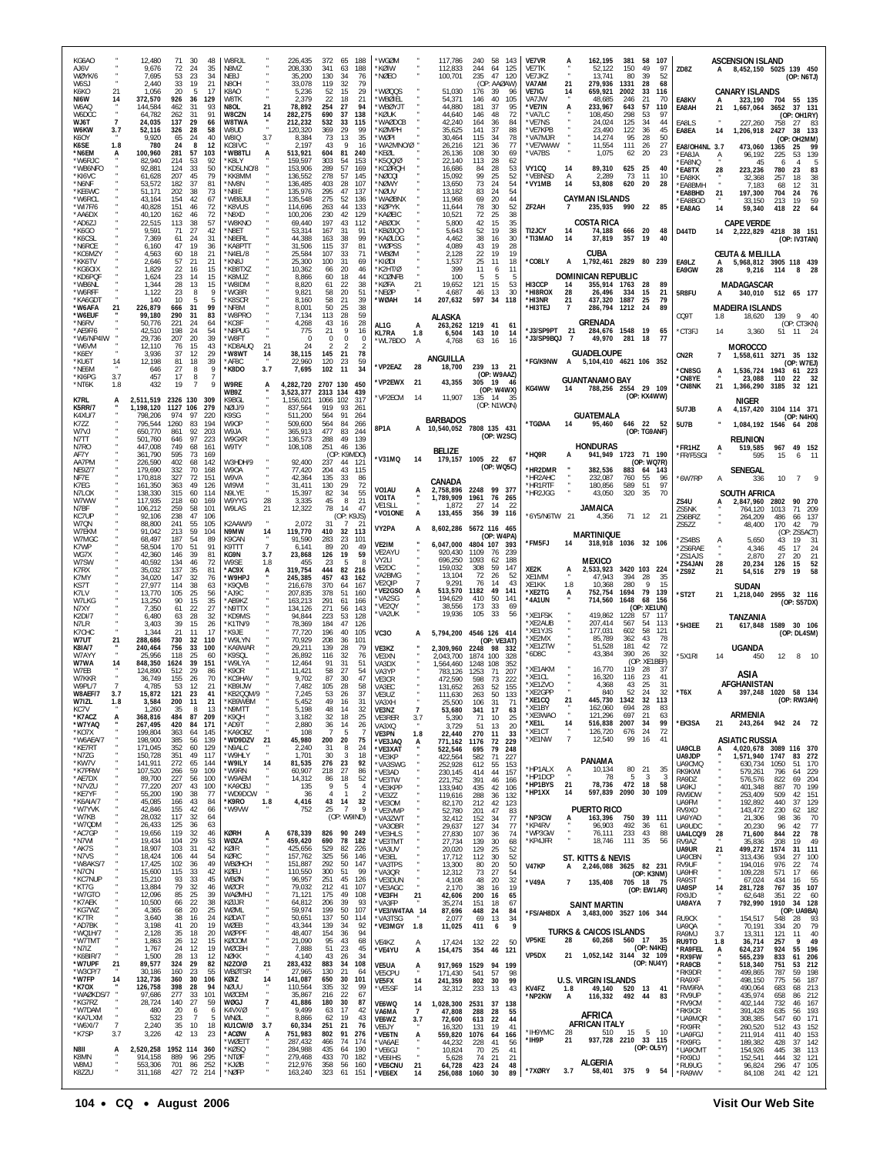| KG6AO<br>A J6V                                 | 12,480<br>9,676                            | 71<br>30<br>72<br>24                 | 48<br>35           | W8RJL<br>N8M7                      |                      | 226.435<br>208,330              | 372<br>341                   | 65<br>188<br>63<br>188                                      | *WGØM<br>*KØIW                        |                       | 117,786<br>112,833                           | 240<br>244         | 58<br>143<br>64<br>125                  | <b>VE7VR</b><br>VF7TK        |                | 162,195<br>52,122                                         | 381<br>150         | 58<br>107<br>49<br>97                 | ZD8Z                                     |                | <b>ASCENSION ISLAND</b><br>A 8,452,150 5025 139 450          |                     |                                        |
|------------------------------------------------|--------------------------------------------|--------------------------------------|--------------------|------------------------------------|----------------------|---------------------------------|------------------------------|-------------------------------------------------------------|---------------------------------------|-----------------------|----------------------------------------------|--------------------|-----------------------------------------|------------------------------|----------------|-----------------------------------------------------------|--------------------|---------------------------------------|------------------------------------------|----------------|--------------------------------------------------------------|---------------------|----------------------------------------|
| WØYK/6<br>W6S J<br>K6KO<br>21                  | 7,695<br>2,440<br>1,056                    | 53<br>23<br>33<br>19<br>20<br>5      | 34<br>21<br>17     | NE8J<br>N8O <sub>F</sub><br>K8AO   |                      | 35,200<br>33,078<br>5,236       | 130<br>119<br>52             | 34<br>76<br>32<br>79<br>15<br>29                            | *NØEO<br>*WØQQS                       |                       | 100,701<br>51,030                            | 235<br>176         | 47<br>120<br>(OP: AAØAW)<br>39<br>96    | VE7JKZ<br>VA7AM<br>VE7IG     | 21<br>14       | 13,741<br>279,936<br>659,921                              | 80<br>1331<br>2002 | 39<br>52<br>68<br>28<br>33<br>116     |                                          |                | <b>CANARY ISLANDS</b>                                        |                     | (OP: N6TJ)                             |
| NI6W<br>14<br>W6AQ<br>W6DCC                    | 372,570<br>144,584<br>64,782               | 926<br>36<br>462<br>31<br>262<br>-31 | 129<br>93<br>91    | <b>W8TK</b><br>N8OL<br>W8CZN       | 21<br>14             | 2,379<br>78,892<br>282,275      | 22<br>254<br>690             | 18<br>21<br>27<br>94<br>138<br>-37                          | *WBØIEL<br>*WBØYJT<br>*KØUK           |                       | 54,371<br>44,880<br>44,640                   | 146<br>181<br>146  | 40<br>105<br>37<br>95<br>48<br>72       | VA7JW<br>*VE7IN<br>*VA7LC    |                | 48,685<br>233,967<br>108,450                              | 246<br>643<br>298  | 21<br>-70<br>57<br>110<br>53<br>97    | EA8KV<br>EA8AH                           | 21             | 323,190<br>1,667,064                                         | 704<br>3652         | 55 135<br>37 131<br>(OP: OH1RY)        |
| WJ6T<br>W6KW<br>3.7<br>K6OY                    | 24,035<br>52,116<br>9,920                  | 137<br>29<br>326<br>28<br>24<br>65   | 66<br>58<br>40     | W8TWA<br>W8UD<br>W8IQ              | 3.7                  | 212,232<br>120,320<br>8,384     | 532<br>369<br>73             | 33<br>115<br>-29<br>-99<br>13<br>35                         | *WAØDCB<br>*KØMPH<br>*WØPI            |                       | 42,240<br>35,625<br>30,464                   | 164<br>141<br>115  | 36<br>84<br>37<br>88<br>34<br>78        | *VE7NS<br>'VE7KPB<br>*VA7MJR |                | 24,024<br>23,490<br>14,274                                | 125<br>122<br>95   | 34<br>44<br>36<br>45<br>28<br>50      | EA8LS<br>EA8EA                           | 14             | 227,260<br>1,206,918                                         | 758<br>2427<br>(OP: | 27 83<br>38 133<br>OH2MM)              |
| K6SE<br>1.8<br>*N6EM<br>А<br>*W6RJC            | 780<br>100,960<br>82,940                   | 24<br>8<br>281<br>57<br>214<br>53    | 12<br>103<br>92    | KC8IVC<br>*WB8TLI<br>*K8LY         | А                    | 2,197<br>513,921<br>159,597     | 43<br>604<br>303             | 9<br>16<br>81<br>240<br>54<br>153                           | *WA2MNO/Ø<br>*KEØL<br>*K5QQ/Ø         |                       | 26,216<br>26,136<br>22,140                   | 121<br>108<br>113  | 36<br>77<br>30<br>69<br>28<br>62        | *VE7WWW<br>'VA7BS            |                | 11,554<br>1,075                                           | 111<br>62          | 26<br>27<br>20<br>23                  | EA8/OH4NL 3.7<br>*EA8JA<br>EA8NO         |                | 473,060<br>96,192<br>45                                      | 1365<br>225<br>6    | 99<br>25<br>139<br>53<br>5<br>Δ        |
| *WB6NFO<br>*KI6VC<br>*N6NF                     | 92,881<br>61,628<br>53,572                 | 33<br>124<br>207<br>45<br>37<br>182  | 50<br>79<br>81     | KD5LNO/8<br>*KK8MM<br>'NV8N        |                      | 153,906<br>136,552<br>136,485   | 289<br>278<br>403            | 57<br>169<br>57<br>145<br>28<br>107                         | *KCØROH<br>*NØCQI<br>*NØWY            |                       | 16,686<br>15,092<br>13,650                   | 84<br>99<br>73     | 28<br>53<br>25<br>52<br>24<br>54        | VY1CQ<br>*VE8NSD<br>*VY1MB   | 14<br>A<br>14  | 89,310<br>2,289<br>53,808                                 | 625<br>73<br>620   | 25<br>40<br>11<br>10<br>28<br>20      | *EA8TX<br>*FA8KK<br>*EA8BMH              | 28             | 223,236<br>32,368<br>7.183                                   | 780<br>257<br>68    | 23<br>83<br>38<br>18<br>12<br>31       |
| *KE6WC<br>*W6RCL<br>*WI7F/6                    | 51,171<br>43.164<br>40,828                 | 202<br>38<br>154<br>42<br>151<br>46  | 73<br>67<br>72     | *N8IE<br>'WB8JU<br>*K8VUS          |                      | 135,976<br>135.548<br>114,696   | 295<br>275<br>263            | 47<br>137<br>-52<br>136<br>44<br>133                        | *NØUV<br>*WAØBNX<br>*KØPYK            |                       | 13,182<br>11,968<br>11,644                   | 83<br>69<br>78     | 24<br>54<br>20<br>44<br>30<br>52        | ZF2AH                        | 7              | <b>CAYMAN ISLANDS</b><br>235,935                          | 990 22             | 85                                    | <b>EA8BHD</b><br><b>EA8BGO</b><br>*EA8AG | 21<br>14       | 197,300<br>33,150<br>59,340                                  | 704<br>213<br>418   | 76<br>24<br>59<br>19<br>64<br>22       |
| *AA6DX<br>'AD6ZJ<br>*K6GO                      | 40,120<br>22,515<br>9.591                  | 46<br>162<br>113<br>38<br>27<br>71   | 72<br>57<br>42     | N8XD*<br>*W8KNO<br>*N8ET           |                      | 100,206<br>69,440<br>53,314     | 230<br>197<br>167            | 42<br>129<br>43<br>112<br>-31<br>91                         | *KAØEIC<br>*ABØOX<br>*KBØJQO          |                       | 10,521<br>5,800<br>5,643                     | 72<br>42<br>52     | 38<br>25<br>35<br>15<br>19<br>38        | TI2JCY                       | 14             | <b>COSTA RICA</b><br>74,188                               | 666                | 20<br>48                              | D44TD                                    |                | <b>CAPE VERDE</b><br>14 2.222.829 4218                       |                     | 38 151                                 |
| *K6CSL<br>*N6RCE<br>*KC6MZY                    | 7,369<br>6,160<br>4,563                    | 24<br>61<br>47<br>19<br>60<br>18     | 31<br>36<br>21     | *N8ERL<br>*KA8PTT<br>N4EL/8*       |                      | 44,388<br>31,506<br>25,584      | 163<br>115<br>107            | 38<br>99<br>37<br>81<br>33<br>71                            | *KAØLDG<br>*WØPSS<br>*WBØM            |                       | 4,462<br>4.089<br>2,128                      | 38<br>43<br>22     | 16<br>30<br>28<br>19<br>19<br>19        | <b>TI3MAO</b>                | 14             | 37,819<br>CUBA                                            | 357                | 19<br>40                              |                                          |                | <b>CEUTA &amp; MELILLA</b>                                   |                     | (OP: IV3TAN)                           |
| *KK6TV<br>*KG6OIX<br>*KD6PQF                   | 2,646<br>1,829<br>1,624                    | -57<br>21<br>22<br>16<br>23<br>14    | 21<br>15<br>15     | "KN8J<br>*KB8TXZ<br>*K8MJZ         |                      | 25,300<br>10,362<br>8,866       | 100<br>66<br>60              | -31<br>69<br>20<br>46<br>18<br>44                           | *KIØDI<br>*K2HT/Ø<br>*KCØNFB          |                       | 1,537<br>399<br>100                          | 25<br>11<br>5      | -11<br>18<br>11<br>6<br>5               | 'CO8LY                       | A              | 1,792,461 2829 80 239<br>DOMINICAN REPUBLIC               |                    |                                       | EA9LZ<br>EA9GW                           | A<br>28        | 5,968,812 3905 118 439<br>9,216                              | 114                 | 8                                      |
| *WB6NL<br>*W6RFF<br>*KA6GDT                    | 1,344<br>1,122<br>140                      | 28<br>13<br>23<br>8<br>10            | 15<br>9<br>5       | W8IDM*<br>*WG8R<br>*K8SCR          |                      | 8,820<br>9,821<br>8.160         | 61<br>58<br>58               | 38<br>22<br>20<br>51<br>21<br>39                            | *KØFA<br>*NEØP<br>*WØAH               | $^{21}$<br>14         | 19,652<br>4,687<br>207,632                   | 121<br>46<br>597   | 15<br>53<br>13<br>30<br>34<br>118       | HI3CCP<br>*HI8ROX<br>*HI3NR  | 14<br>28<br>21 | 355,914 1763<br>26,496<br>437,320                         | 334<br>1887        | -28<br>-89<br>15<br>21<br>25<br>79    | 5R8FU                                    | A              | MADAGASCAR<br>340,010 512 65 177                             |                     |                                        |
| *W6AFA<br>*W6FUF<br>*N6RV                      | 226,879<br>99,180<br>50.776                | 31<br>666<br>290<br>-31<br>221<br>24 | 99<br>83<br>64     | *NF8M<br>*W8PRO<br>*KC8F           |                      | 8,001<br>7.134<br>4,268         | 50<br>113<br>43              | 25<br>38<br>59<br>28<br>16<br>28                            |                                       |                       | <b>ALASKA</b>                                |                    |                                         | *HI3TEJ                      |                | 286,794<br><b>GRENADA</b>                                 | 1212               | 89<br>24                              | CQ9T                                     | 1.8            | <b>MADEIRA ISLANDS</b><br>18,620                             | 139                 | 9<br>-40<br>(OP: CT3KN)                |
| *AE9F/6<br>*W6/NP4IW<br>*W6VM                  | 42.510<br>29,736<br>12,110                 | 198<br>24<br>207<br>20<br>76<br>15   | 54<br>39<br>43     | *N8PUG<br>*W8FT<br>*KD8AUC         | 21                   | 775<br>$\mathsf{C}$<br>-24      | 21<br>$\Omega$               | 9<br>16<br>$\theta$<br>-2<br>-2                             | AL1G<br><b>KL7RA</b><br>*WL7BDO       | A<br>1.8<br>А         | 263,262<br>6,504<br>4,768                    | 1219<br>143<br>63  | 41<br>-61<br>-10<br>14<br>16<br>16      | *J3/SP9PT 21<br>J3/SP9BQJ    | $\overline{7}$ | 284,676 1548<br>49,970                                    | 281                | 19<br>65<br>18<br>77                  | *CT3FJ                                   | 14             | 3,360<br><b>MOROCCO</b>                                      |                     | 51 11 24                               |
| *K6EY<br>*KU6T<br>14<br>*NE6M                  | 3,936<br>12.198<br>646                     | 37<br>12<br>18<br>81<br>27<br>8      | 29<br>39<br>9      | *W8WT<br>*AF8C<br>*K8DO            | 14<br>3.7            | 38,115<br>22,960<br>7,695       | 145<br>120<br>102            | 21<br>78<br>23<br>59<br>11<br>34                            | *VP2EAZ                               | 28                    | ANGUILLA<br>18,700                           |                    | 239 13 21                               | 'FG/K9NW                     | A              | <b>GUADELOUPE</b><br>5,104,410 4621 106 352               |                    |                                       | CN <sub>2R</sub><br>*CN8SG               | 7              | 1,558,611 3271 35 132<br>1.536.724                           | 1943                | (OP: W7EJ)                             |
| 3.7<br>*KI6PG<br>*NT6K<br>1.8                  | 457<br>432                                 | 8<br>17<br>19<br>$\overline{7}$      | -7<br>9            | W9RE<br>WB9Z                       | A                    | 4.282.720<br>3,523,377          | 2707 130<br>2313 134         | 450<br>439                                                  | *VP2EWX                               | 21                    | 43,355                                       | 305 19             | (OP: W9AAZ)<br>- 46<br>(OP: W4WX)       | KG4WW                        | 14             | <b>GUANTANAMO BAY</b><br>788,256 2554 29 109              |                    |                                       | *CN8YE<br>*CN8NK                         | 21             | 23,088<br>1,366,290                                          | 110<br>3185         | 61 223<br>32<br>22<br>32 121           |
| <b>K7RL</b><br>A<br><b>K5RR/7</b><br>K4XU/7    | 2,511,519 2326 130<br>1,198,120<br>798,206 | 1127 106<br>974<br>97                | 309<br>279<br>220  | K9BGL<br>NØIJ/9<br>K9SG            |                      | 1,156,021<br>837,564<br>511,200 | 1066 102<br>919<br>564       | 317<br>261<br>93<br>91<br>264                               | *VP2ECM                               | 14                    | 11,907                                       | 135 14             | -35<br>(OP: N1WON)                      |                              |                | <b>GUATEMALA</b>                                          |                    | (OP: KX4WW)                           | 5U7JB                                    | A              | NIGER<br>4, 157, 420 3104 114 371                            |                     |                                        |
| K7ZZ<br>W7VJ<br>N7TT                           | 795,544<br>650.770<br>501,760              | 1260<br>83<br>92<br>861<br>97<br>646 | 194<br>203<br>223  | W9OP<br>W9.IA<br>W9GXR             |                      | 509,600<br>365.913<br>136,573   | 564<br>477<br>288            | 84<br>266<br>83<br>244<br>49<br>139                         | 8P1A                                  |                       | <b>BARBADOS</b><br>A 10,540,052 7808 135 431 |                    | (OP: W2SC)                              | <b>'TGØAA</b>                | 14             | 95,460                                                    |                    | 646 22 52<br>(OP: TG9ANF)             | <b>5U7B</b>                              |                | 1,084,192 1546                                               |                     | (OP: N4HX)<br>64 208                   |
| N7R <sub>0</sub><br>AF7Y                       | 447,008<br>361,790                         | 749<br>68<br>595<br>73               | 161<br>169<br>-142 | W9TY<br>W3HDH/9                    |                      | 108,108<br>92,400               | 251                          | 46 136<br>(OP: K9MDO)                                       | *V31MQ                                | 14                    | BELIZE<br>179,157 1005 22 67                 |                    |                                         | 'HQ9R                        | A              | <b>HONDURAS</b><br>941,949 1723 71 190                    |                    |                                       | *FR1HZ<br>*FR/F5SGI                      |                | <b>REUNION</b><br>519,585<br>595                             | 15                  | 967 49 152<br>6<br>- 11                |
| AA7PM<br><b>NE9Z/7</b><br>NF7E                 | 226,590<br>179,690<br>170.818              | 402<br>68<br>332<br>70<br>327<br>72  | 168<br>151         | W9OA<br>W9VA                       |                      | 77,420<br>42,364                | 237<br>204<br>135            | 44<br>-121<br>43<br>115<br>33<br>-86                        |                                       |                       | CANADA                                       |                    | (OP: WQ5C)                              | 'HR2DMR<br>'HR2AHC           |                | 382,536<br>232,087                                        | 760                | (OP: WQ7R)<br>883 64 143<br>55<br>96  | *6W7RP                                   | Α              | SENEGAL<br>336                                               | 10                  | $\overline{7}$                         |
| K7EG<br>N7LOX<br>W7WW                          | 161,350<br>138.330<br>117,935              | 363<br>49<br>60<br>315<br>218<br>60  | 126<br>114<br>169  | WI9WI<br>N9LYE<br>W9YYG            | 28                   | 31,411<br>15,397<br>3,335       | 130<br>82<br>45              | 29<br>72<br>-34<br>55<br>8<br>21                            | VO1AU<br>VO1TA<br>VE <sub>1</sub> SLI |                       | 2.758.896<br>1,789,909<br>1.872              | 1961<br>27         | 2248 99 377<br>76<br>265<br>-14<br>- 22 | `HR1RTF<br>'HR2JGG           |                | 180,856<br>43,050                                         | 589<br>320         | 51<br>97<br>35<br>70                  | ZS4U                                     |                | SOUTH AFRICA<br>2,847,960                                    | 2802                | 90 270                                 |
| N7BF<br>KC7UP<br>W7QN                          | 106,212<br>92.106<br>88,800                | 259<br>58<br>238<br>47<br>241<br>55  | 101<br>106<br>105  | W9LAS<br>K2AAW/9                   | 21                   | 12,322<br>2,072                 | 78<br>31                     | 14<br>47<br>(OP: K9JS)<br>7                                 | *VO1ONE<br>VY2PA                      | A<br>A                | 133,455<br>8,602,286 5672 116 465            |                    | 356 39 116                              | *6Y5/N6TW 21                 |                | <b>JAMAICA</b><br>4,356                                   |                    | 71 12 21                              | ZS5NK<br>ZS6BRZ<br><b>7S577</b>          |                | 764,120<br>264,209<br>48,400                                 | 1013<br>486<br>170  | 71<br>- 209<br>66<br>-137<br>-79<br>42 |
| W7FKM<br>W7MGC<br>K7WP                         | 91.042<br>68,497<br>58.504                 | 59<br>213<br>187<br>54<br>170<br>51  | 104<br>89<br>91    | N9MW<br>K9CAN<br>K9TTT             | 14<br>$\overline{7}$ | 119,770<br>91,590<br>6.141      | 410<br>283<br>89             | 32<br>113<br>23<br>101<br>20<br>49                          | VF2IM<br>VE2AYU                       |                       | 6,047,000<br>920.430                         | 1109               | (OP: W4PA)<br>4804 107 393<br>76<br>239 | *FM5FJ                       | 14             | <b>MARTINIQUE</b><br>318,918 1036 32 106                  |                    |                                       | *7S4BS<br>*ZS6RAE                        | Ą              | 5,650<br>4,346                                               | (OF<br>43<br>45     | ZS5ACT<br>31<br>19<br>17<br>24         |
| WG7X<br>W7SW<br>K7RX                           | 42,360<br>40,592<br>35,032                 | 39<br>146<br>134<br>46<br>137<br>35  | 81<br>72<br>81     | KG9N<br>W9SE<br>*AC9X              | 3.7<br>1.8<br>A      | 23,868<br>455<br>319,754        | 126<br>23<br>444             | 19<br>59<br>5<br>-8<br>82<br>216                            | VY2LI<br>VE2DC<br>VA2BMG              |                       | 696,250<br>159,032                           | 1093<br>308<br>72  | 188<br>62<br>59<br>147                  | XE2K                         | A              | <b>MEXICO</b><br>2,533,923                                |                    | 3420 103 224                          | *7S1AJS<br>*ZS4JAN<br>*ZS9Z              | 28<br>21       | 2,870<br>20,234<br>54,516                                    | 27<br>126<br>279    | 21<br>20<br>15<br>52<br>58<br>19       |
| K7MY<br>KS7T<br>K7LV                           | 34,020<br>27,977<br>13.770                 | 32<br>147<br>114<br>38<br>25<br>105  | 76<br>63<br>56     | *W9HP.<br>*K9QVB<br>*AJ9C          |                      | 245,385<br>216,678<br>207.835   | 457<br>370<br>378            | 43<br>162<br>167<br>64<br>51<br>160                         | VE2QIP<br>*VE2GSO                     |                       | 13,104<br>9,291<br>513,570                   | 76<br>1182         | -52<br>26<br>43<br>14<br>49<br>141      | XE1MM<br>XE1KK<br>*XE2TG     | 1.8<br>A       | 47,943<br>10.368<br>752,754                               | 394<br>280<br>1694 | 28<br>35<br>Q<br>15<br>79<br>139      | *ST2T                                    | 21             | SUDAN<br>1,218,040 2955 32 116                               |                     |                                        |
| W7LKG<br>N7XY<br>K2DI/7                        | 13,250<br>7,350<br>6,480                   | 90<br>15<br>61<br>22<br>63<br>28     | 35<br>27<br>32     | *AB9KZ<br>*N9TTX<br>*KD9MS         |                      | 163,213<br>134.126<br>94,844    | 291<br>271<br>223            | 61<br>166<br>56<br>143<br>53<br>128                         | *VA2SG<br>*VE2QY<br>*VA2UK            |                       | 194,629<br>38,556<br>19,936                  | 410<br>173<br>105  | 50<br>141<br>-33<br>-69<br>33<br>56     | '4A1UN<br>*XE1FSK            |                | 714,560<br>419,862                                        | 1648<br>1228       | 68<br>156<br>(OP: XE1UN)<br>57<br>117 |                                          |                | TANZANIA                                                     |                     | (OP: S57DX)                            |
| N7LR<br>K7CHC<br>W7UT<br>21                    | 3,403<br>1,344<br>288,686                  | 39<br>15<br>21<br>11<br>730<br>32    | 26<br>17<br>110    | *K1TN/9<br>*K9.IF<br>*W9LYN        |                      | 78,369<br>77,720<br>70,929      | 184<br>196<br>208            | 47<br>126<br>40<br>105<br>101<br>36                         | <b>VC30</b>                           |                       | 5,794,200                                    |                    | 4546 126 414<br>(OP: VE3AT)             | *XE2AUB<br>'XE1YJS<br>*XF2MX |                | 207,414<br>177,031<br>85,789                              | 567<br>602<br>362  | 54<br>113<br>58<br>121<br>43<br>78    | *5H3EE                                   | 21             | 617,848 1589                                                 |                     | 30 106<br>(OP: DL4SM)                  |
| <b>K81A/7</b><br>W7AYY<br>W7WA<br>14           | 240,464<br>25.956<br>848.350               | 756<br>33<br>118<br>25<br>39<br>1624 | 100<br>60<br>151   | <b>KA9WAR</b><br>*K9SQL<br>'W9I YA |                      | 29,211<br>26,892<br>12,464      | 139<br>116<br>91             | 28<br>79<br>32<br>76<br>31<br>-51                           | VE3KZ<br>VF3XN<br>VA3DX               |                       | 2,309,960<br>2,043,700<br>1,564,460          | 1874 100<br>1248   | 2248 98 332<br>328<br>108<br>352        | 'XE1ZTW<br>`6D8C             |                | 51,528<br>43,384                                          | 181<br>390         | 42<br>72<br>32<br>-26<br>(OP: XE1BEF) | *5X1RI                                   | 14             | <b>UGANDA</b><br>450                                         | 12                  | 8 10                                   |
| W7EB<br>W7KKR<br>W9PL/7                        | 124.890<br>36,749<br>4,785                 | 512<br>29<br>155<br>26<br>53<br>12   | 86<br>70<br>21     | *K9OR<br><b>KC9HAV</b><br>*KB9IJW  |                      | 11.421<br>9,702<br>7,482        | 58<br>87<br>105              | 27<br>54<br>30<br>47<br>28<br>58                            | VA3YP<br>VE3CR<br>VA3EC               |                       | 783.126<br>472.590<br>131,652                | 1253<br>598<br>263 | 71<br>207<br>73<br>222<br>52<br>155     | 'XF1AKM<br>'XE1CL<br>*XE1ZVO |                | 16,770<br>16,320<br>4,368                                 | 119<br>116<br>43   | -28<br>-37<br>23<br>41<br>25<br>-31   |                                          |                | ASIA<br><b>AFGHANISTAN</b>                                   |                     |                                        |
| 3.7<br>W8AEF/7<br>W7171<br>1.8<br>KC7V         | 15,872<br>3.584<br>1,260                   | 121<br>-23<br>200<br>11<br>35<br>8   | 41<br>21<br>-13    | *KB2QQM/9<br>*KR9WRM<br>*N9MTT     |                      | 7,245<br>5.452<br>5,198         | 53<br>49<br>48               | 26<br>37<br>16<br>31<br>14<br>32                            | VE3UZ<br><b>NA 3 X F</b><br>VE3NZ     | $\overline{7}$        | 111,630<br>53,680                            | 263<br>106<br>341  | 50<br>133<br>17<br>63                   | *XE2GPP<br>*XE1CQ<br>'XE1BY  | 21             | 840<br>445,730<br>162,060                                 | 52<br>1342<br>694  | 24<br>32<br>32 113<br>28<br>83        | $*$ T6X                                  |                | 397,248 1020 58 134                                          |                     | (OP: RW3AH)                            |
| *K7ACZ<br>A<br>*W7YAQ<br>*KO7X                 | 368,816<br>267,495<br>199,804              | 87<br>484<br>420<br>84<br>363<br>64  | 209<br>171<br>145  | *K9QH<br>*AD9T<br>*KA9OBZ          |                      | 3,182<br>2,880<br>108           | 32<br>36<br>-7               | 18<br>25<br>14<br>26<br>5<br>-7                             | VE3RER<br>VA3XQ<br><b>VE3PN</b>       | 3.7<br>1.8            | 5,390<br>3,729<br>22,440                     | 71<br>51<br>270    | 10<br>25<br>13<br>20<br>11<br>33        | *XE3WAO<br>*XE1L<br>*XE1CT   | 14             | 121,296<br>516,838<br>126,720                             | 697<br>2007<br>676 | 21<br>63<br>34<br>99<br>72<br>24      | *EK3SA                                   | 21             | ARMENIA<br>243,264                                           |                     | 942 24 72                              |
| *W6AEA/7<br>*KE7RT<br>*N7ZG                    | 198,900<br>171,045<br>150,728              | 385<br>56<br>352<br>60<br>351<br>49  | 139<br>129<br>117  | *WD9DZV<br>*N9ALC<br>*W9HLY        | 21                   | 45,980<br>2,240<br>1,701        | 200<br>-31<br>30             | 20<br>75<br>8<br>24<br>3<br>18                              | *VE3JAQ<br>*VE3XAT<br>*VE3KP          | A                     | 771,162 1176<br>522,546<br>422,564           | 695<br>582         | 72<br>229<br>79<br>248<br>71<br>227     | *XE1NW                       | $\overline{7}$ | 12,540                                                    | 99                 | 16<br>41                              | UA9CLB<br>UA9JDP                         |                | <b>ASIATIC RUSSIA</b><br>4,020,678 3089 116 370<br>1,571,940 | 1747                | 83 272                                 |
| *KW7V<br>*K7PRW<br>*AE7DX                      | 141,911<br>107,520<br>89,700               | 272<br>65<br>266<br>59<br>227<br>56  | 144<br>109<br>100  | *W9ILY<br>*W9RN<br>*W9AEM          | 14                   | 81,535<br>60,907<br>14,312      | 276<br>218<br>86             | 23<br>92<br>27<br>86<br>18<br>52                            | *VA3SWG<br>*VE3AD<br>*VE3TW           |                       | 252,928<br>230,145<br>221,752                | 612<br>414<br>391  | 55<br>153<br>44<br>157<br>46<br>166     | *HP1ALX<br>*HP1DCP           | $\frac{A}{4}$  | PANAMA<br>10,134<br>78                                    | 80<br>-5           | 21<br>35<br>$\mathbf{3}$<br>3         | UA9CMQ<br>RK9KWI<br>RA9DZ                |                | 630,734<br>579,261<br>576,576                                | 1050<br>796<br>822  | -51<br>170<br>229<br>64<br>69<br>204   |
| *N7VZU<br>*KE7YF<br>*K6AIA/7                   | 77,220<br>55,200<br>45,085                 | 207<br>43<br>190<br>38<br>166<br>43  | 100<br>77<br>84    | *KA9CBJ<br>*WD9DCW<br>*K9RO        | $\cdot$<br>1.8       | 135<br>36<br>4,416              | 9<br>$\overline{4}$<br>43 14 | 5<br>$\overline{4}$<br>$\mathbf{1}$<br>$\overline{2}$<br>32 | *VE3KPP<br>*VE3ZZ<br>*VE3OM           |                       | 133,940<br>119,616<br>82,170                 | 435<br>288<br>212  | 106<br>42<br>36<br>132<br>42<br>123     | *HP1BYS<br>*HP1XX            | 21<br>14       | 78,736<br>597,839 2090                                    | 472 18             | 58<br>30<br>109                       | LIA9K J<br>RW9DW<br><b>UA9FM</b>         |                | 401,348<br>253,409<br>192,892                                | 887<br>509<br>440   | 199<br>70<br>42<br>151<br>37<br>129    |
| *W7YVK<br>*W7KB<br>*W7QDM                      | 42,846<br>28,032<br>26,433                 | 42<br>155<br>117<br>32<br>125<br>36  | 66<br>64<br>63     | *W9VW                              |                      | 752                             | 25                           | -7<br>-9<br>(OP: W9IND)                                     | *VE3VMP<br>*VA3ZWT<br>*VA3OBR         |                       | 52,780<br>32,412<br>29,637                   | 201<br>152<br>127  | 47<br>83<br>77<br>-34<br>77<br>34       | *NP3CW<br>*KP4RV             | A              | <b>PUERTO RICO</b><br>163,396 750 39 111<br>96,903        | 492                | 36<br>61                              | RV9XO<br>UA9YAD<br>UA9UDC                |                | 143,472<br>21,306<br>20,230                                  | 230<br>98<br>96     | 182<br>62<br>70<br>36<br>77<br>42      |
| *AC7GP<br>*N7WI<br>*AK7S                       | 19,656<br>19,434<br>18,907                 | 119<br>32<br>29<br>104<br>103<br>-31 | 46<br>53<br>42     | KØRH<br>WØZA<br>KØIR               | Ā.                   | 678,339<br>459,420<br>425,656   | 690<br>529                   | 826 90 249<br>182<br>78<br>82<br>226                        | *VE3HLS<br>*VE3TMT<br>*VA3UV          |                       | 27,830<br>27,734<br>20,020                   | 107<br>139<br>129  | 74<br>36<br>30<br>68<br>25<br>52        | *WP3GW<br>*KP4JFR            |                | 76.111<br>18,746                                          | 233<br>111         | 43<br>88<br>35<br>56                  | UA4LCQ/9<br>RV9AZ<br>UA9UR               | 28<br>21       | 71,600<br>35,836<br>499,272                                  | 844<br>208<br>1574  | 78<br>22<br>49<br>19<br>31 111         |
| *N7VS<br>*W8AKS/7<br>*N7CN                     | 18,424<br>17,425<br>15,600                 | 106<br>44<br>102<br>36<br>115<br>33  | 54<br>49<br>42     | KØRC<br>WBØHCH<br>KØEU             |                      | 157,762<br>151,887<br>110,550   | 325<br>292<br>300            | 56<br>146<br>50<br>147<br>51<br>99                          | *VE3EL<br>*VA3TPS<br>*VA3QR           |                       | 17,712<br>13,300<br>12,312                   | 112<br>80<br>73    | 30<br>52<br>20<br>50<br>27<br>54        | <b>V47KP</b>                 | А              | ST. KITTS & NEVIS<br>2,246,088 3625 82 231                |                    |                                       | UA9CBN<br>RV9UF<br>UA9HR                 | ×              | 313,436<br>194,016<br>109,228                                | 934<br>976<br>571   | 27<br>100<br>74<br>22<br>17<br>66      |
| *KC7NUP<br>*KT7G<br>*W7GTO                     | 15,210<br>13,884<br>12,096                 | 93<br>33<br>79<br>32<br>85<br>25     | 45<br>46<br>39     | WBØN<br>WØOR<br><b>WAØMHJ</b>      |                      | 96,957<br>79,032<br>71,121      | 251<br>212<br>175            | 45<br>126<br>41<br>107<br>49<br>108                         | *VE3DUN<br>*VE3AGC<br>*VE3FH          | 21                    | 4,108<br>2,170<br>42,606                     | 48<br>38<br>200    | 20<br>32<br>19<br>16<br>16<br>65        | *V49A                        | $\overline{7}$ | 135,408 705 18 75                                         |                    | (OP: K3NM)<br>(OP: EW1AR)             | RA9ST<br>UA9SP<br>RX9JD                  | ×,<br>14       | 67,024<br>281,728<br>62,648                                  | 434<br>767<br>351   | 55<br>16<br>35 107<br>22<br>60         |
| *K7AEK<br>*KG7WZ<br>*K7TR                      | 10,500<br>4,365<br>3,640                   | 22<br>66<br>20<br>68<br>38<br>16     | 38<br>25<br>24     | KØJJR<br>WØML<br>KØDAT             |                      | 64,812<br>59,974<br>50,651      | 206<br>199<br>137            | 39<br>93<br>50<br>107<br>50<br>114                          | *VA3FP<br>*VE3/W4TAA 14               |                       | 35,274<br>87,696                             | 151<br>448         | 18<br>67<br>24<br>84                    |                              |                | <b>SAINT MARTIN</b><br>*FS/AH8DX A 3,483,000 3527 106 344 |                    |                                       | UA9AYA<br>RU9CK                          | $\overline{7}$ | 792,990<br>154,517                                           | 1910<br>548         | 34 128<br>(OP: UA9BA)<br>-28<br>-93    |
| *AD7BK<br>*WQ1H/7                              | 3,198<br>2,128                             | 41<br>-20<br>35<br>18                | 19<br>20           | WØEB<br>WØPPF                      |                      | 43,344<br>48,407                | 139<br>154                   | -34<br>92<br>36<br>94                                       | *VA3TSG<br>*VE3MGY                    | 1.8                   | 2,077<br>11,025                              | 69<br>411          | 13<br>34<br>6<br>9                      | VP5KE                        | 28             | <b>TURKS &amp; CAICOS ISLANDS</b><br>60,268 560 17        |                    | 35                                    | UA9QA<br>RA9MJ                           | ×<br>3.7       | 70,191<br>13,311                                             | 334<br>121          | 79<br>20<br>40<br>11                   |
| *W7TMT<br>*N7IZ<br>*K6BIR/7                    | 1,863<br>1,767<br>1,500                    | 26<br>12<br>24<br>12<br>28<br>13     | 15<br>19<br>12     | KØCOM<br>WØCBH<br>NØKK             |                      | 21,090<br>7,888<br>4,140        | 95<br>51<br>43               | 43<br>68<br>23<br>45<br>26<br>-34                           | VE4KZ<br>*VE4YU                       | A<br>A                | 17,424<br>154,475                            | 132 22<br>354      | 50<br>46 121                            | VP5DX                        | 21             | 1,052,142 3144 32 109                                     |                    | (OP: N4KE)<br>(OP: NU4Y)              | RU9TO<br>*RA9FEL<br>*RX9FW               | 1.8<br>А       | 36,714<br>624,237<br>565,239                                 | 257<br>924<br>833   | 9<br>49<br>55 196<br>206<br>61         |
| *W7UPF<br>21<br>*W3CP/7<br>*W7FP<br>14         | 89,577<br>30,186<br>132,736                | 324<br>29<br>160<br>23<br>30<br>360  | 82<br>55<br>106    | N2Z0/Ø<br><b>WBØTSR</b><br>KØIZ    | 21<br>14             | 283,432<br>27,965<br>141,087    | 883<br>130<br>650            | 34<br>108<br>21<br>64<br>30<br>101                          | VE5UA<br>VF5CPU<br>VE5FX              | A<br>14               | 917,969 1529<br>171.430<br>241,359           | 541<br>802         | 199<br>94<br>57<br>98<br>30<br>99       |                              |                | <b>U.S. VIRGIN ISLANDS</b>                                |                    |                                       | *RA9CB<br>*RK9DR<br>*RA9XF               |                | 518,340<br>499,865<br>498,150                                | 751<br>787<br>775   | 212<br>53<br>59<br>198<br>56 187       |
| *K70X<br>*WAØKDS/7<br>*KG7RZ                   | 126,758<br>97,686<br>28,724                | 398<br>28<br>277<br>33<br>140<br>27  | 94<br>101<br>59    | NØUU<br>WØCFM<br>WØGJ              | ×<br>$\overline{1}$  | 110,564<br>35,867<br>41,886     | 335<br>216<br>180            | 32<br>99<br>22<br>67<br>30<br>87                            | *VE5SF<br>VE6WQ                       | 14<br>14              | 32,312<br>1,028,300 2531 37                  | 233                | 43<br>13<br>138                         | KV4FZ<br>*NP2KW              | 1.8<br>А       | 49,140<br>116,332 492 44                                  | 520 13             | -41<br>83                             | *RW9RA<br>*RV9UP<br>*RV9CM               |                | 490,064<br>435,974<br>402,144                                | 683<br>658<br>732   | 68 213<br>212<br>86<br>46 167          |
| *W7DAM<br>*KA7LXM<br>$\overline{7}$<br>*W6XI/7 | 480<br>532<br>2,240                        | 20<br>6<br>23<br>-7<br>35<br>10      | 6<br>5<br>18       | K4VX/Ø<br>WNØL<br>KU1CW/Ø          | 3.7                  | 9,499<br>8,866<br>60,334        | 63<br>62<br>251              | 17<br>42<br>19<br>43<br>76<br>21                            | VA6MA<br>VE6WZ<br>VE6JY               | $\overline{7}$<br>3.7 | 47,808<br>72,600<br>16,320                   | 288<br>613<br>131  | 28<br>55<br>44<br>22<br>19<br>41        |                              |                | AFRICA<br><b>AFRICAN ITALY</b>                            |                    |                                       | *RK9CR<br>*UA9MQR<br>*RX9FR              |                | 391,428<br>308,385<br>260,520                                | 635<br>547<br>512   | 193<br>56<br>171<br>60<br>43<br>152    |
| *K7SP<br>3.7<br>N8II<br>A                      | 3,226<br>2,520,258 1952 114                | 42<br>- 13                           | 23<br>360          | *ACØW<br>*WØETT<br>*KØSQ           | Ą                    | 751,983<br>287,432<br>284,988   | 802<br>466<br>435            | 91<br>276<br>74<br>174<br>190<br>64                         | *VE6TN<br>*VA6AE<br>*VE6GJ            | A                     | 559,820<br>44,232<br>10,824                  | 1076<br>228<br>70  | 64<br>166<br>41<br>56<br>41<br>-25      | *IH9YMC<br>*IH9P             | 28<br>21       | 510<br>937,728 2210 33 115                                |                    | 15 5 10<br>(OP: OL5Y)                 | *UA9FGJ<br>*RX9FG<br>*UA90MT             |                | 211,914<br>189,382<br>154,926                                | 411<br>428<br>445   | 153<br>40<br>37<br>142<br>38 113       |
| K8MN<br>W8MJ<br>K8ZZU                          | 914,158<br>553,306<br>311,168              | 889<br>96<br>701<br>86<br>72<br>427  | 295<br>252<br>214  | *NTØF<br>*KJØB<br>*NØFP            |                      | 279,468<br>212,976<br>163,240   | 433<br>358<br>323            | 70<br>182<br>56<br>160<br>61<br>151                         | *VE6IHS<br>*VE6CNU<br>*VE6EX          | 21<br>14              | 5,628<br>64,728<br>256,088                   | 74<br>423<br>1060  | 21<br>21<br>-24<br>48<br>30<br>89       | *7XØRY                       | 3.7            | ALGERIA<br>58,401                                         |                    | 375 9 54                              | *RX9DJ<br>*RU9UG<br>*RA9WV               |                | 152,541<br>96,824<br>84,108                                  | 444<br>296<br>241   | 32<br>121<br>47 105<br>42 121          |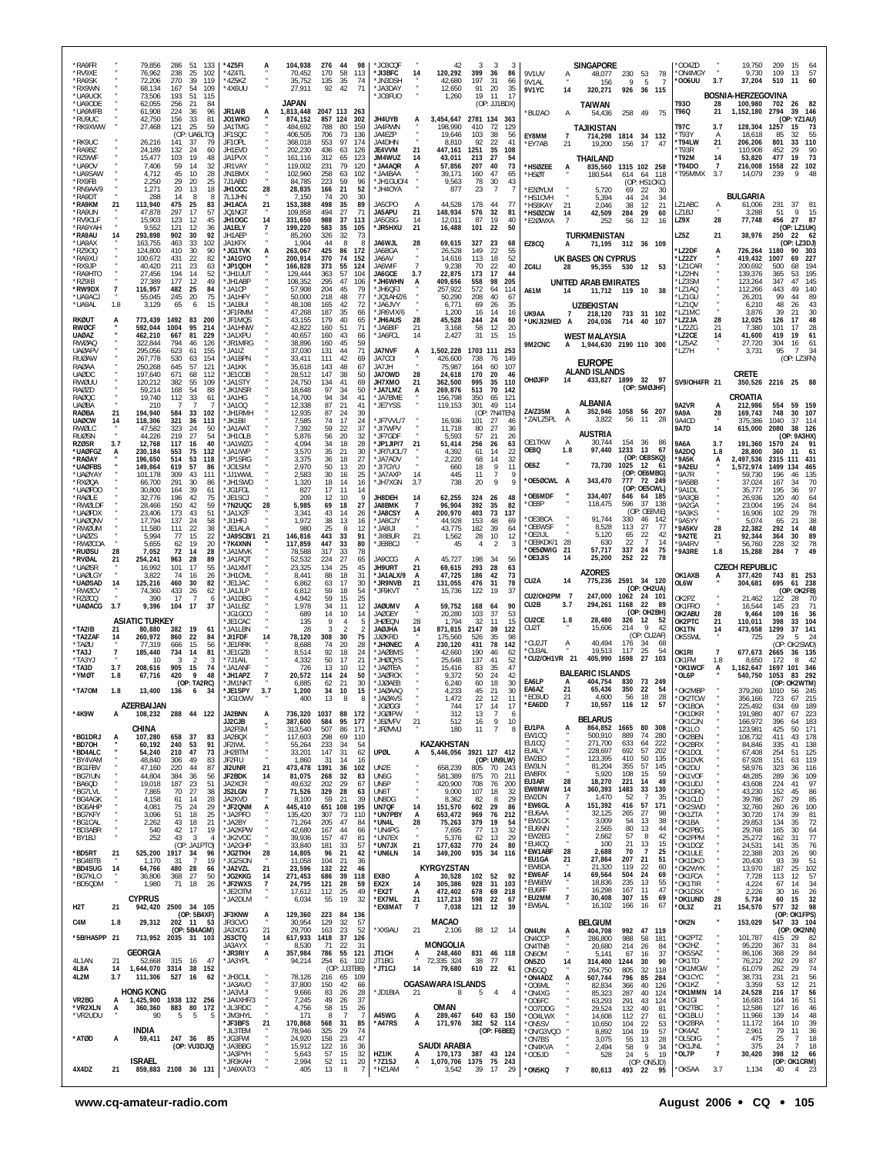| <b>RA9FR</b><br>*RV9XE<br>*RA9SK<br>*RX9WN |                 | 79,856<br>76,962<br>72,206<br>68,134       | 286<br>238<br>270<br>167 | 51<br>133<br>25<br>102<br>39<br>119<br>-54<br>109          | *4Z5FI<br>*4Z4TL<br>*475K7<br>*4X6UU |                     | 104,938<br>70,452<br>35,752<br>27,911 | 276 44<br>170<br>135<br>92 | 98<br>58<br>113<br>35<br>74<br>42<br>71 | $*$ JO3COF<br>*JI3BFC<br>*JN3DSH<br>* JA3DAY | 14             | 42<br>120,292<br>42,680<br>12,650 | 3<br>399<br>197<br>91 | 3<br>36<br>86<br>31<br>66<br>20<br>35       | -3<br>9V1UV<br>9V1AL<br><b>9V1YC</b>    | 14                               | <b>SINGAPORE</b><br>48,077<br>156<br>320,271 | 230 53<br>Q<br>926 | 78<br>-5<br>-7<br>36 115                 | 0047D<br>*ON4MGY<br>'006UU    | 3.7                  | 19,750<br>9,730<br>37,204                         | 209<br>109<br>510   | 15<br>57<br>13<br>11<br>60                      |
|--------------------------------------------|-----------------|--------------------------------------------|--------------------------|------------------------------------------------------------|--------------------------------------|---------------------|---------------------------------------|----------------------------|-----------------------------------------|----------------------------------------------|----------------|-----------------------------------|-----------------------|---------------------------------------------|-----------------------------------------|----------------------------------|----------------------------------------------|--------------------|------------------------------------------|-------------------------------|----------------------|---------------------------------------------------|---------------------|-------------------------------------------------|
| *UA9UCK<br>*UA9ODE<br>*UA9MFB              |                 | 73,506<br>62,055<br>61,908                 | 193<br>256<br>224        | 51<br>115<br>21<br>84<br>36<br>96                          | JR1AIB                               | A                   | JAPAN<br>1,813,448                    |                            | 2047 113 263                            | *JO3FUO                                      |                | 1,260                             | 19                    | 11<br>17<br>(OP: JJ1BDX)                    | BU2A0*                                  | A                                | <b>TAIWAN</b><br>54,436                      | 258 49             | 75                                       | T930<br>T96Q                  | 28<br>21             | <b>BOSNIA-HERZEGOVINA</b><br>100,980<br>1,152,180 | 702<br>2794         | 26<br>82<br>39<br>146                           |
| *RU9UC<br>*RK9XWW                          |                 | 42,750<br>27,468                           | 156<br>121               | 33<br>81<br>25<br>59                                       | J01WKO<br>JA1TMG                     |                     | 874,152<br>484,692                    | 857 124<br>788             | 302<br>-80<br>159                       | <b>JH4UYB</b><br>JA4RWN                      |                | 3,454,647 2781 134 363<br>198.990 | 410                   | 72<br>129                                   |                                         |                                  | TAJIKISTAN                                   |                    |                                          | <b>T97C</b>                   | 3.7                  | 128,304                                           | 1257                | (OP: YZ1AU)<br>15<br>73                         |
| *RK9UC<br>*RA9BZ                           |                 | 26,216<br>24,189                           | 141<br>132               | (OP: UA6LTO)<br>-37<br>79<br>24<br>60                      | JF1SQC<br>JF10PL<br>JH1EVD           |                     | 406,505<br>368,018<br>202,230         | 706<br>553<br>436          | 73<br>136<br>97<br>174<br>63<br>126     | JA4EZP<br>JA4DHN<br>JE4VVM                   | 21             | 19,646<br>8.810<br>447,161        | 103<br>92<br>1251     | 38<br>56<br>22<br>41<br>35<br>108           | EY8MM<br>"EY7AB                         | 7<br>21                          | 714.298<br>19,200                            | 156                | 1814 34 132<br>17<br>-47                 | *T93Y<br>*T94LW<br>*T93R      | Α<br>21              | 18.618<br>206,206<br>110,908                      | 85<br>801<br>452    | 32<br>55<br>110<br>33<br>90<br>29               |
| *RZ9WF<br>*UA9OV                           |                 | 15,477<br>7.406                            | 103<br>59                | 19<br>48<br>32<br>14                                       | JA1PVX<br>JR1VAY                     |                     | 161.116<br>119,002                    | 312<br>231                 | 123<br>65<br>79<br>120                  | JM4WUZ<br>*JA4AQR                            | 14<br>A        | 43,011<br>57,856                  | 213<br>207            | 54<br>27<br>40<br>73                        | <b>HSØZEE</b>                           | A                                | THAILAND<br>835,560                          |                    | 1315 102 258                             | *T92M<br>*T94DO               | 14<br>$\overline{7}$ | 53,820<br>216,008                                 | 477<br>1558         | 73<br>19<br>22<br>102                           |
| *UA9SAW<br>*RX9FB<br>*RN9AA/9              |                 | 4,712<br>2,250<br>1.271                    | 45<br>29<br>20           | 10<br>28<br>20<br>25<br>-13<br>18                          | JN1BMX<br>7J1ABD<br>JH10CC           | 28                  | 102,960<br>84,785<br>28,835           | 258<br>223<br>166          | 63<br>102<br>59<br>-21<br>52            | * JA4BAA<br>96<br>*JH1GUO/4<br>*JH4OYA       |                | 39.171<br>9,563<br>877            | 160<br>78<br>23       | 47<br>65<br>30<br>43<br>-7                  | 'HSØT<br>E20YLM                         |                                  | 180,544<br>5,720                             | 614<br>69          | 64 118<br>(OP: HS1CKC)<br>22<br>-30      | *T95MMX                       | 3.7                  | 14,079                                            | 239                 | 48<br>9                                         |
| *RA9DT<br>*RA9KM                           | 21              | 288<br>113,940                             | 14<br>475                | 8<br>-8<br>25<br>83                                        | 7L1JHN<br><b>JH1ACA</b>              | 21                  | 7,150<br>153,388                      | 74<br>498                  | 20<br>30<br>35                          | JA5CPO<br>89                                 |                | 44,528                            | 178                   | -44<br>-77                                  | 'HS1OVH<br>'HS8KAY                      | 21                               | 5,394<br>2,046                               | 44<br>38           | 24<br>-34<br>12<br>21                    | LZ1ABC                        | Α                    | BULGARIA<br>61,006                                | 231                 | -37<br>81                                       |
| *RA9UN<br>*RV9CLF<br>*RA9YAH               |                 | 47,878<br>15,903<br>9,552                  | 297<br>123<br>121        | 17<br>57<br>-12<br>45<br>12<br>36                          | JQ1NGT<br>JH10GC<br>JA1ELY           | 14                  | 109,858<br>331,650<br>199,220         | 494<br>988<br>583          | 27<br>71<br>37<br>113<br>35<br>105      | JA5APU<br>JA5GSG<br>*JR5HXU                  | 21<br>14<br>21 | 148,934<br>12,011<br>16,488       | 576<br>87<br>101      | 32<br>81<br>19<br>40<br>22<br>50            | *HSØZCW<br>*E2ØWXA                      | -14                              | 42,509<br>252                                | 284<br>56          | 29<br>60<br>12<br>16                     | LZ1BJ<br>LZ9X                 | 28                   | 3,288<br>77,748                                   | 51<br>456           | 9<br>15<br>- 27<br>87<br>(OP: LZ1UK)            |
| *RA9AU<br>*UA9AX                           | 14              | 293,898<br>163,755                         | 902<br>463               | 30<br>92<br>33<br>102                                      | JH1AEP<br>JA1KFX                     |                     | 85,260<br>1,904                       | 326<br>44                  | 32<br>73<br>8                           | JA6WJL<br>-8                                 | 28             | 69,615                            | 327                   | 23<br>68                                    | EZ8CQ                                   | A                                | <b>TURKMENISTAN</b><br>71,195                |                    | 312 36 109                               | LZ5Z                          | 21                   | 38,976                                            | 250                 | 22<br>62<br>(OP: LZ3DJ)                         |
| *RZ900<br>*RA9XU                           |                 | 124,800<br>100,672                         | 410<br>431               | 30<br>90<br>22<br>82                                       | *JG1TVK<br>*JA1GYO                   |                     | 263,067<br>200,914                    | 425<br>370                 | 86<br>172<br>74<br>152                  | JA6BGA<br>JA6AV                              | $\overline{7}$ | 26.528<br>14,616                  | 149<br>113            | 22<br>55<br>18<br>52                        |                                         |                                  | UK BASES ON CYPRUS                           |                    |                                          | *LZ2DF<br>'LZ2ZY              |                      | 726,264<br>419,432                                | 1180<br>1007        | 303<br>90<br>227<br>69                          |
| *RX9JP<br><b>*RA9HTO</b><br>*RZ9IB         |                 | 40.420<br>27,456<br>27,389                 | 211<br>194<br>177        | 23<br>63<br>14<br>52<br>12<br>49                           | *JP1QDH<br>*JH1UUT<br>*JH1ABP        |                     | 166,828<br>129,444<br>108,352         | 373<br>363<br>295          | 55<br>124<br>57<br>104<br>47<br>106     | JA6WIF<br>JA6GCF<br>*JH6WHN                  | 3.7<br>A       | 9.238<br>22,875<br>409,656        | 70<br>173<br>558      | 22<br>40<br>17<br>44<br>98<br>205           | ZC4LI                                   | 28                               | UNITED ARAB EMIRATES                         |                    | 95,355 530 12 53                         | *LZ1CAR<br>'I 72HN<br>*LZ3SM  |                      | 200,692<br>139,376<br>123,264                     | 500<br>365<br>347   | 194<br>68<br>53<br>195<br>47<br>145             |
| *RW9DX<br>*UA9ACJ                          | $\overline{7}$  | 116,957<br>55,045                          | 482<br>245               | 25<br>84<br>20<br>75                                       | *JA1CP<br>* JA1HFY                   |                     | 57,908<br>50,000                      | 204<br>218                 | 45<br>79<br>48                          | *JH6QFJ<br>77<br>JQ1AHZ/6                    |                | 257,922<br>50,290                 | 572<br>208            | 64<br>114<br>40<br>67                       | A61M                                    | 14                               |                                              |                    | 11,712 119 10 38                         | *LZ1AQ<br>'LZ1GU              |                      | 112,266<br>26,201                                 | 443<br>99           | 140<br>49<br>44<br>89                           |
| *UA9AL<br><b>RKØUT</b>                     | 1.8             | 3,129<br>773,439                           | 65<br>1492               | 15<br>6<br>83<br>- 200                                     | *JA1BUI<br>*JF1RMM<br>*JF1MQS        |                     | 48,108<br>47,268<br>43,155            | 165<br>187<br>179          | 42<br>72<br>35<br>66<br>40<br>65        | *JA6JVY<br>*JR6VIX/6<br>*JH6AUS              | 28             | 6,771<br>1,200<br>45,528          | 69<br>16<br>244       | 26<br>35<br>14<br>16<br>-24<br>60           | UK9AA                                   | *UK/JI2MED                       | <b>UZBEKISTAN</b><br>218,120<br>204,036      | 714                | 733 31 102<br>40<br>107                  | *LZ1QV<br>*LZ1MC<br>*LZ2JA    | 28                   | 6,210<br>3,876<br>12,025                          | 48<br>39<br>126     | 43<br>26<br>30<br>21<br>48<br>17                |
| <b>RWØCF</b><br><b>UAØAZ</b>               |                 | 592,044<br>462,210                         | 1004<br>667              | 95<br>214<br>81<br>229                                     | JA1HNW<br>*JA1XPU                    |                     | 42,822<br>40,657                      | 160<br>160                 | 51<br>71<br>43<br>66                    | *JA6BIF<br>* JA6FCL                          | 21<br>14       | 3,168<br>2,427                    | 58<br>31              | 12<br>20<br>15<br>15                        |                                         |                                  | <b>WEST MALAYSIA</b>                         |                    |                                          | 'LZ2ZG<br>*LZ2CE              | 21<br>14             | 7,380<br>41,600                                   | 101<br>419          | 28<br>17<br>19<br>61                            |
| <b>RWØAO</b><br>UAØAPV<br><b>RUØAW</b>     |                 | 322,844<br>295,056<br>267.778              | 794<br>623<br>530        | 46<br>126<br>155<br>61<br>154<br>63                        | *JR1MRG<br>*JA1IZ<br>*JA1BPN         |                     | 38,896<br>37,030<br>33,411            | 160<br>131<br>111          | 45<br>59<br>44<br>71<br>42<br>69        | JA7NVF<br>JA7COI                             | А              | 1,502,228<br>426,600              | 1703 111<br>738       | 253<br>149<br>- 76                          | 9M2CNC                                  | A                                | 1,944,630 2190 110 300                       |                    |                                          | *LZ5AZ<br>`LZ7H               |                      | 27,720<br>3,731                                   | 304<br>95           | 16<br>61<br>$\overline{7}$<br>34<br>(OP: LZ3FN) |
| RAØAA<br><b>UAØDC</b>                      |                 | 250.268<br>197,640                         | 645<br>671               | 57<br>121<br>68<br>112                                     | *JA1KK<br>*JF1COB                    |                     | 35,618<br>28,512                      | 143<br>147                 | 48<br>67<br>38<br>50                    | JA7JH<br>JA70WD                              | 28             | 75,987<br>24.618                  | 164<br>170            | 60<br>107<br>20<br>46                       |                                         |                                  | <b>EUROPE</b><br><b>ALAND ISLANDS</b>        |                    |                                          |                               |                      | <b>CRETE</b>                                      |                     |                                                 |
| RWØUU<br>RAØZD<br><b>RAØQC</b>             |                 | 120,212<br>59.214<br>19,740                | 382<br>168<br>112        | 55<br>109<br>54<br>88<br>33<br>61                          | *JA1STY<br>* JK1NSR<br>*JA1HG        |                     | 24,750<br>18,648<br>14,700            | 134<br>97<br>94            | 41<br>69<br>50<br>-34<br>34<br>41       | JH7XMO<br>*JA7LMZ<br>*JA7BME                 | 21<br>A        | 362,500<br>269,876<br>156,798     | 995<br>513<br>350     | 35<br>110<br>70<br>142<br>65<br>121         | OHØJFP                                  | 14                               | 433,827 1899 32 97                           |                    | (OP: SMØJHF)                             | SV9/OH4FR 21                  |                      | 350,526 2216 25<br>CROATIA                        |                     | 88                                              |
| <b>UAØBA</b><br>RAØBA                      | 21              | 210<br>194,940                             | - 7<br>584               | -7<br>-7<br>33<br>102                                      | *JA100<br>*JH1RMH                    |                     | 12,338<br>12,935                      | 87<br>87                   | 21<br>41<br>24<br>39                    | *JE7YSS                                      |                | 119,153                           | 301                   | 49<br>114<br>(OP: 7N4TEN)                   | ZA/Z35M                                 | A                                | ALBANIA<br>352,946                           |                    | 1058 56 207                              | 9A2VR<br>9A9A                 | А<br>28              | 212,986<br>169,743                                | 554<br>748          | 59<br>- 159<br>30<br>107                        |
| <b>UAØCW</b><br>RWØLC<br><b>RUØSN</b>      | 14              | 118,306<br>47,582<br>44,226                | 321<br>323<br>219        | 36<br>113<br>24<br>50<br>27<br>54                          | *JK1BII<br><b>JA1AAT</b><br>*JH1OLB  |                     | 7,585<br>7,392<br>5,876               | 74<br>59<br>56             | 17<br>37<br>22<br>20                    | *JF7VVL/7<br>24<br>*JI7WPV<br>32<br>*JF7GDF  |                | 16,936<br>11,718<br>5,593         | 101<br>80<br>57       | 27<br>46<br>27<br>36<br>21<br>26            |                                         | ZA/LZ5PL<br>$\mathsf{A}$         | 3,822<br><b>AUSTRIA</b>                      | 56                 | 11<br>-28                                | 9A4CD<br>9A7D                 | 14                   | 375,386<br>615,000                                | 1040<br>2080        | 37<br>114<br>38<br>126<br>(OP: 9A3HX)           |
| <b>RZØSR</b><br>*UAØFGZ                    | 3.7             | 12,768<br>230,184                          | 117<br>553               | 16<br>40<br>132<br>75                                      | *JA1WZG<br>*JA1IWP                   |                     | 4,094<br>3,570                        | 34<br>35                   | 18<br>-21<br>30                         | 28<br>*JP1JIP/7<br>*JR7UOL/7                 | 21             | 51,414<br>4,392                   | 256<br>61             | 26<br>63<br>22<br>14                        | OE1TKW<br>OE8Q                          | $\overline{A}$<br>1.8            | 30.744<br>97,440                             | 154 36<br>1233     | -86<br>13<br>67<br>(OP: OE8SKQ)          | 9A6A<br>9A2DQ                 | 3.7<br>1.8           | 191,360<br>28,800                                 | 1570<br>360         | 24<br>91<br>-61<br>-11                          |
| *RAØAY<br>*UAØFBS<br>*UAØYAY               |                 | 196,650<br>149,864<br>101.178              | 514<br>619<br>309        | 53<br>118<br>57<br>86<br>43<br>111                         | *JP1SRG<br>*J01SIM<br>*JJ1WWL        |                     | 3,375<br>2,970<br>2.583               | 36<br>50<br>30             | 27<br>18<br>13<br>25<br>16              | *JA7ADV<br>20<br>*JI7GYU<br>* JA7AXP         | 14             | 2,220<br>660<br>445               | 68<br>18<br>11        | 32<br>14<br>9<br>11<br>$\overline{7}$       | OE6Z                                    |                                  | 73,730                                       | 1025               | 12<br>-61<br>(OP: OE6MBG)                | *9A5K<br>*9A2EU<br>'9A7R      | А                    | 2,497,536<br>1,572,974<br>59.730                  | 2315<br>1499<br>196 | 431<br>111<br>465<br>134<br>135<br>46           |
| *RXØQA<br>*UAØFOO                          |                 | 66.700<br>30,800                           | 291<br>164               | 30<br>86<br>39<br>61                                       | *JH1SWD<br>* JG1FGI                  |                     | 1,320<br>827                          | 18<br>17                   | 14<br>16<br>11<br>14                    | *JH7XGN                                      | 3.7            | 738                               | 20                    | 9                                           | Q<br><b>OE6MDF</b>                      | OE50CWL A                        | 343,470<br>334,407                           | 777<br>646         | 72 249<br>(OP: OE5CWL)<br>64 185         | '9A5BB<br>'9A1DL              |                      | 37,024<br>35,777                                  | 167<br>195          | 70<br>34<br>97<br>36                            |
| *RAØLE<br>*RWØLDF<br>*UAØFDX               |                 | 32,776<br>28.466<br>23,406                 | 196<br>150<br>173        | 42<br>75<br>42<br>59<br>43<br>51                           | *JE1SCJ<br>*7N2UQC<br>*JA1XZF        | 28                  | 209<br>5,985<br>3,341                 | 12<br>69<br>43             | 10<br>18<br>27<br>14<br>26              | g<br>JH8DEH<br><b>JA8BMK</b><br>*JA8CSY      | 14<br>7<br>А   | 62,255<br>96,904<br>200,970       | 324<br>392<br>403     | 26<br>48<br>35<br>-82<br>73<br>137          | 'OE8P                                   |                                  | 118,475                                      | 596                | 37 138<br>(OP: OE8VIE)                   | *9A3QB<br>'9A2GA<br>'9A3KS    |                      | 26.936<br>23.004<br>16,906                        | 120<br>195<br>102   | 40<br>64<br>84<br>24<br>78<br>29                |
| *UAØQNV<br>*RWØUM                          |                 | 17,794<br>11,580                           | 137<br>111               | 58<br>-24<br>22<br>38                                      | *JI1HFJ<br>*JE1ALA                   |                     | 1,972<br>980                          | 38<br>25                   | 13<br>16<br>8                           | *JA8CJY<br>12<br>ILI8AL*                     |                | 44,928<br>43,775                  | 153<br>182            | 48<br>69<br>39<br>64                        | OE3BCA<br>*OE6WSF<br>OE2IJL*            |                                  | 91,744<br>8,528<br>5.120                     | 330<br>113<br>65   | 46<br>-142<br>27<br>-77<br>22<br>42      | '9A5YY<br>'9A5KV              | 28                   | 5,074<br>22,382                                   | 65<br>292           | 38<br>21<br>48<br>14                            |
| *UAØZS<br>*RWØCOA<br>*ruøsu                | 28              | 5.994<br>5,655<br>7,052                    | 77<br>62<br>72           | 22<br>15<br>19<br>20<br>28<br>14                           | *JA9SCB/1 21<br>*7K4XNN<br>*JA1MVK   |                     | 146,816<br>117,859<br>78,588          | 443<br>447<br>317          | 33<br>91<br>33<br>33<br>78              | *JI8BUR<br>80<br>*JE8BCJ                     | 21             | 1,562<br>45                       | 28<br>4               | 10<br>12<br>$\overline{2}$                  |                                         | 28<br>OF8KDK/1<br>OE5ØWIG*<br>21 | 630<br>57,717                                | 22<br>337          | $\overline{7}$<br>14<br>24<br>75         | *9A2TE<br>*9A4RV<br>*9A3RE    | 21<br>1.8            | 92.344<br>56,760<br>15,288                        | 364<br>228<br>284   | 89<br>30<br>78<br>32<br>49<br>$\overline{7}$    |
| *RVØAL<br>*UAØSR<br>*UAØLGY                | 21              | 254,241<br>16,992<br>3,822                 | 963<br>101<br>74         | 28<br>89<br>55<br>17<br>16<br>26                           | *JA1RQT<br>*JA1XMT<br>*JH1CML        |                     | 52,532<br>23,325<br>8,441             | 224<br>134<br>88           | 27<br>25<br>45<br>18<br>31              | 65<br>JA9CCG<br>JH9URT<br>*JA1ALX/9          | A<br>21<br>A   | 45,727<br>69,615<br>47,725        | 198<br>293<br>186     | 34<br>56<br>28<br>63<br>42<br>73            | *OF3JIS                                 | 14                               | 25,200<br><b>AZORES</b>                      | 252                | 78<br>22                                 | OK1AXB                        |                      | <b>CZECH REPUBLIC</b><br>377,420                  | 743                 | 81 253                                          |
| *UAØSAD<br>*RWØCV                          | 14              | 125,216<br>74.360                          | 460<br>433               | 30<br>82<br>26<br>62                                       | *JE1JAC<br>*JA1JLP                   |                     | 6,862<br>6,812                        | 63<br>59                   | 17<br>18<br>54                          | 30<br>*JR9NVB<br>*JF9KVT                     | 21             | 131,055<br>15,736                 | 476<br>122            | 31<br>78<br>19<br>37                        | CU <sub>2</sub> A                       | 14                               | 775,236                                      |                    | 2591 34 120<br>(OP: OH2UA)               | OL6W                          | А                    | 304,681                                           | 695                 | 61 238<br>(OP: OK2FB)                           |
| *RZØCQ<br>*UAØACG                          | 3.7             | 390<br>9,396                               | 17<br>104                | $\overline{7}$<br>6<br>37<br>17                            | *JA1DBG<br>$*$ JA11 B7<br>*JG1GCO    |                     | 4,942<br>1.978                        | 59<br>34<br>14             | 15<br>25<br>11<br>12<br>10<br>14        | <b>JAØUMV</b><br><b>JAØGEY</b>               | A              | 59,752<br>20,280                  | 168<br>103            | 90<br>-64<br>37<br>53                       | CU2B                                    | CU2/OH2PM 7<br>3.7               | 247,000<br>294,261                           | 1168               | 1062 24 101<br>-22<br>-89<br>(OP: OH2BH) | OK2PZ<br>OK1FRO<br>OK2ABU     | 28                   | 21,462<br>16,544<br>9,464                         | 122<br>145<br>109   | 28<br>-70<br>71<br>23<br>36<br>16               |
| *TA2IB                                     | 21              | <b>ASIATIC TURKEY</b><br>80,880            | 382                      | 19<br>61                                                   | *JE1CAC<br>*JA1LBN                   |                     | 689<br>135<br>28                      | 9<br>3                     | 4                                       | <b>JHØEON</b><br>5<br>AHLØAL                 | 28<br>14       | 1.794<br>871,815                  | 32<br>2147            | 15<br>11<br>39<br>122                       | CU <sub>2</sub> CE<br>CU <sub>2</sub> T | 1.8                              | 28,480<br>15.606                             | 326<br>214         | 12<br>52<br>9<br>-42                     | OK2PTC<br>OK1TN               | 21<br>14             | 110,011<br>473,658                                | 398<br>1299         | 104<br>33<br>37<br>141                          |
| *TA2ZAF<br>*TAØU<br>*TA3J                  | 14              | 260,972<br>77,319                          | 860<br>666               | 22<br>84<br>15<br>56<br>81                                 | *JI1FDF<br>*JE1RRK<br>*JE1GZB        | 14                  | 78,120<br>8,688<br>8,514              | 308<br>74<br>92            | 30<br>75<br>20<br>24                    | <b>JJØKRD</b><br>28<br>*JHØNEC<br>*JAØBMS    | A              | 175,560<br>230,120                | 526<br>431<br>190     | 98<br>35<br>78<br>142                       | CU2JT<br>*CU3AL                         | $\ddot{A}$                       | 40.494<br>19,513                             | 176<br>117         | (OP: CU2AF)<br>-34<br>68<br>25<br>54     | OK5SWL<br>OK1RI               | 7                    | 725<br>677,673                                    | -29<br>(OP:         | -5<br>-24<br>OK2SWD)<br>36<br>- 135             |
| *TA3YJ<br>*TA3D                            | 7<br>3.7        | 185,440<br>10<br>208,616                   | 734<br>3<br>905          | 14<br>2<br>3<br>15<br>74                                   | *7J1AIL<br>*JA1ANF                   |                     | 4,332<br>726                          | 50<br>13                   | 18<br>17<br>21<br>10<br>12              | "JHØQYS<br>* JAØTEA                          |                | 42,660<br>25,648<br>15.416        | 137<br>83             | 46<br>62<br>41<br>52<br>35<br>47            |                                         | *CU2/OH1VR 21                    | 405,990 1698                                 |                    | 27<br>103                                | OK1FM<br>*OK1WCF              | 1.8<br>А             | 8.650<br>1,162,647                                | 2665<br>172<br>1697 | 42<br>8<br>346<br>101                           |
| *YMØT<br>*TA70M                            | 1.8<br>1.8      | 67,716<br>13,400                           | 420<br>136               | 9<br>48<br>(OP: TA2RC)<br>- 6<br>34                        | *JH1APZ<br>*JM1NK1<br>*JE1SPY        | 3.7                 | 20,572<br>6,885<br>1,200              | 114<br>62<br>34            | 24<br>21<br>30<br>10                    | 50<br>* JAØRCK<br>*JJØAEB<br>15<br>JAØAAQ    |                | 9,372<br>6,240<br>4,233           | 50<br>60<br>45        | 24<br>42<br>18<br>30<br>21<br>30            | EA6LP<br>EA6AZ                          | A<br>21                          | <b>BALEARIC ISLANDS</b><br>404,754<br>65,436 | 830<br>350         | 73<br>- 249<br>22<br>-54                 | 'OL6P<br>*OK2MBP              |                      | 540,750<br>379,260                                | 1053<br>1010        | 83<br>292<br>(OP: OK2WTM)<br>56<br>-245         |
|                                            |                 | <b>A7FRRAIJAN</b>                          |                          |                                                            | *JG10WV                              |                     | 400                                   | 13                         | 8                                       | *JAØAVS<br>8<br>IGØGGI                       |                | 1,472<br>744                      | 22<br>17              | 12<br>11                                    | *EC6UD<br>*EA6DD                        | 21<br>7                          | 4,600<br>10,557                              | 56<br>116          | 18<br>28<br>12<br>57                     | *OK2TCW<br>OK1ROA             |                      | 356,166<br>225 492                                | 723<br>634          | 67<br>215<br>189                                |
| *4K9W                                      | A               | 108,232<br>CHINA                           |                          | 288 44 122                                                 | JA2BNN<br>JJ2CJB<br>JA2FSM           | А                   | 736,320<br>387,600<br>313,540         | 1037<br>584<br>507         | 88<br>172<br>95<br>177<br>86<br>171     | *JGØIPW<br>*JEØVFV<br>*JFØVMJ                | $^{21}$        | 312<br>512<br>180                 | 13<br>16<br>11        | $\overline{7}$<br>9<br>10<br>$\overline{7}$ | 6<br>EU1PA<br>8                         |                                  | <b>BELARUS</b><br>864,852                    | 1665               | 80<br>308                                | *OK1DKR<br>*OK1CJN<br>*OK1LO  |                      | 191,980<br>166,972<br>123,981                     | 407<br>396<br>425   | 223<br>67<br>183<br>64<br>50<br>171             |
| *BG1DRJ<br>*BD70H                          | A               | 107,280<br>60,192                          | 658 37<br>240            | 83<br>53<br>91                                             | JA2BQX<br>JF2IWL                     |                     | 117,603<br>55,264                     | 298<br>233                 | 69<br>110<br>34<br>-54                  |                                              |                | KAZAKHSTAN                        |                       |                                             | EW1CO<br>EU1CQ                          |                                  | 500,910<br>271,700                           | 889<br>633         | 74<br>280<br>222<br>64                   | *OK2BEN<br>*OK2BRX            |                      | 108,732<br>84,846                                 | 411<br>335          | 178<br>43<br>41<br>138                          |
| *BD4ALC<br>*BY4VAM<br>*BG1FBV              |                 | 54,240<br>48,840<br>47,160                 | 210<br>306<br>220        | 47<br>73<br>49<br>83<br>44<br>87                           | JH2BTM<br>JF2FIU<br>JI2UNR           | 21                  | 33,201<br>1,860<br>473,478            | 147<br>31<br>1391          | 31<br>14<br>36<br>102                   | <b>UPØL</b><br>62<br>16<br>UN2E              | А              | 5,446,056 3921 127 412<br>658,239 | 805                   | (OP: UN9LW)<br>70<br>243                    | EU4LY<br>EW2EO<br>EW3LN                 |                                  | 228,697<br>123,395<br>81,204                 | 692<br>410<br>355  | 57<br>202<br>50<br>135<br>57<br>145      | *OK1DOL<br>*OK1DVK<br>*OK2DU  |                      | 67,408<br>67,928<br>58,976                        | 254<br>151<br>323   | 125<br>51<br>119<br>63<br>116<br>36             |
| *BG7IUN<br>*BA6QD                          |                 | 44,804<br>19,018                           | 384<br>187               | 36<br>56<br>51<br>-23                                      | JF2BDK<br>JA2XCR                     | 14                  | 81,075<br>49,632                      | 268<br>202                 | 32<br>83<br>29<br>67                    | UN6G<br>UN6P                                 |                | 581,389<br>420,900                | 875<br>708            | 70<br>211<br>76<br>200                      | <b>FW8RX</b><br>EU3AR                   | 28                               | 5,920<br>18,270                              | 108<br>221         | 15<br>59<br>49<br>14                     | *OK1VOF<br>*OK1UDJ            |                      | 48,285<br>43,608                                  | 289<br>224          | 36<br>109<br>97<br>41                           |
| *BG7LVL<br>*BG4AGK<br>*BG6AHP              |                 | 7,865<br>4,158<br>4,081                    | 70<br>61<br>75           | 27<br>38<br>-14<br>28<br>24<br>29                          | <b>JS2LGN</b><br>JA2KVD<br>*JF2QNM   | $\overline{7}$<br>А | 71,526<br>8,100<br>445,410            | 329<br>-59<br>651 108      | 28<br>63<br>21<br>39<br>195             | UN6T<br>UN8DG<br>UN7QF                       | 14             | 9,000<br>8,362<br>151,570         | 107<br>-82<br>602     | 18<br>32<br>29<br>8<br>29<br>86             | EW8MW<br>EW2DN<br>*EW6GL                | 14<br>А                          | 360,393<br>1,470<br>151,392                  | 1483<br>52<br>416  | 33<br>130<br>-7<br>35<br>171<br>57       | *OK1DRQ<br>*OK1CLD<br>*OK2SWD |                      | 43,230<br>39,786<br>32,760                        | 152<br>267<br>260   | 45<br>86<br>29<br>85<br>100<br>26               |
| *BG7KFY<br>*BG1CAL                         |                 | 3,096<br>2,262                             | 51<br>43                 | 18<br>25<br>21<br>18                                       | *JA2PFO<br>*JA2BY                    |                     | 135,420<br>71,264                     | 307<br>205                 | 73<br>110<br>47<br>84                   | *UN7PBY<br>*UN4L                             | А<br>28        | 653,472<br>75,263                 | 969<br>379            | 76<br>212<br>19<br>54                       | *EU6AA<br>*EW1CK                        |                                  | 32,125<br>3,009                              | 265<br>54          | 27<br>98<br>13<br>38                     | *OK1ZTA<br>*OK1BA             |                      | 30,720<br>29,853                                  | 174<br>134          | 39<br>81<br>72<br>35                            |
| *BD3ABR<br>*BY1BJ                          |                 | 540<br>252                                 | 42<br>43                 | 17<br>19<br>$\mathbf{3}$<br>$\overline{4}$<br>(OP: JA1PTO) | *JA2KPW<br>*JK2VOC                   |                     | 42,680<br>39,936                      | 167<br>157                 | 44<br>47<br>81                          | 66<br>*UN4PG<br>*UN7FX                       | $\bullet$      | 7,695<br>5.376                    | 77<br>-62             | 13<br>32<br>29<br>13                        | *EU6NN<br>*EW2EG<br>*EU4CQ              |                                  | 2,565<br>2,662<br>100                        | 80<br>57<br>21     | 13<br>44<br>8<br>42<br>13<br>15          | *OK2PBG<br>*OK2PPM            |                      | 29,768<br>25,272                                  | 165<br>162          | 30<br>64<br>77<br>31                            |
| *BD5RT<br>*BG4BTB                          | 21              | 525,200<br>1,170                           | 1917 34<br>-31           | 96<br>$\overline{7}$<br>19                                 | *JA2GHP<br>*JG2TKH<br>*JG2SON        | 28                  | 33,840<br>14,805<br>11,058            | 181<br>96<br>104           | 33<br>57<br>21<br>21<br>36              | *UN7JX<br>*UN6LN<br>42                       | 21<br>14       | 177,632<br>349,200                | 770                   | 24<br>80<br>935 34 116                      | *EW1ABF<br>*EU1GA                       | 28<br>21                         | 2,688<br>27,864                              | 70<br>207          | $\overline{7}$<br>25<br>21<br>51         | *OK1DOZ<br>*OK1ULE<br>*OK1DKO |                      | 24,531<br>22,388<br>20,430                        | 141<br>203<br>93    | 35<br>76<br>90<br>-26<br>39<br>51               |
| *BD4SUG<br>*BG7KLO                         | 14<br>٠         | 64,766<br>36,806                           | 480<br>368               | 28<br>66<br>27<br>50                                       | * JA2VZL<br>*JG2KKG                  | 21<br>14            | 23,596<br>271,453                     | 132<br>686                 | 22<br>46<br>39<br>118                   | <b>EX80</b>                                  | A              | KYRGYZSTAN<br>30,528              | 102                   | 52<br>92                                    | *EW8DA<br>*EW6AF<br>*EW6EW              | 14                               | 21,320<br>69,564<br>18,836                   | 119<br>504<br>235  | 22<br>60<br>69<br>24<br>13<br>55         | *OK2WYK<br>*OK1FCA            |                      | 13,970<br>7,728                                   | 187<br>113          | 102<br>25<br>12<br>57                           |
| *BD5QDM                                    |                 | 1,980<br><b>CYPRUS</b>                     | 71                       | 26<br>18                                                   | *JF2WXS<br>*JE2OTM<br>*JA2DLM        | 7                   | 24,795<br>17,612<br>6,034             | 121<br>112<br>55           | 28<br>59<br>25<br>19                    | EX2X<br>49<br>*EX2T<br>*EX7ML<br>32          | 14<br>А<br>21  | 305,386<br>472,402<br>117,213     | 928<br>678<br>598     | 31<br>103<br>69<br>218<br>22<br>67          | *EU6FF<br>*EU2MM                        | $\blacksquare$<br>$\overline{7}$ | 16,298<br>30,408                             | 167<br>307         | 11<br>47<br>15<br>69                     | *OK1TIR<br>*OK1DSX<br>*OK1UND | 28                   | 4,224<br>2,226<br>5,734                           | 67<br>30<br>60      | 34<br>14<br>26<br>16<br>32<br>15                |
| H2T<br>C4M                                 | 21<br>1.8       | 29,312                                     |                          | 942,420 2500 34 105<br>(OP: 5B4XF)<br>202 11 53            | JF3KNW<br>JR3CVO                     | A                   | 129,360<br>30,954                     | 223 84<br>129              | 136<br>32<br>57                         | *EX8MAT                                      | $\overline{7}$ | 7,038<br><b>MACAO</b>             | 121                   | 12<br>39                                    | *EW6AL                                  |                                  | 16,102                                       | 166                | 16<br>67                                 | *OL3Z<br>'OK2N                | 21                   | 154,570<br>153,029                                | 577                 | 98<br>32<br>(OP: OK1FPS)<br>547 33 104          |
| *5B/HA5PP 21                               |                 |                                            |                          | (OP: 5B4AGM)<br>713,952 2035 31 103                        | JA3XOG<br>JS3CTQ                     | 21<br>14            | 29,700<br>617,933                     | 163<br>1418                | 23<br>52<br>37<br>126                   | *XX9AU                                       | 21             | 2,106                             |                       | 88 12 14                                    | ON4UN<br>ON4CCP                         | A                                | <b>BELGIUM</b><br>404,708<br>286,800         | 992<br>988         | 47 119<br>58<br>181                      | *OK2PTZ                       |                      | 101,787                                           | 415                 | (OP: OK2NN)<br>- 29<br>-82                      |
|                                            |                 | GEORGIA                                    |                          |                                                            | JA3AYX<br>*JR3RIY                    | А                   | 8,530<br>357,984                      | 71<br>786                  | -22<br>-31<br>55<br>121                 | JT1CH                                        | A              | MONGOLIA<br>248,460               |                       | 831 46 118                                  | ON4TNB<br>ON6OM                         |                                  | 20,680<br>5,141                              | 214<br>67          | 26<br>84<br>16<br>37                     | *OK2HZ<br>*OK5SAZ             |                      | 95,220<br>86,106                                  | 367<br>368          | 31<br>84<br>84<br>29                            |
| 4L1AN<br>4L8A<br>4L2M                      | 21<br>14<br>3.7 | 52,668<br>1,644,070 3314 38 152<br>111,306 | 315<br>527               | 16<br>47<br>16<br>62                                       | *JA3YPL<br>*JH3CUL                   |                     | 94,214<br>78,126                      | 254                        | 61<br>102<br>(OP: JJ3TBB)<br>216 65 109 | JT1BG<br>*JT1CJ                              | 14             | 72,335 324<br>79,680              | 38<br>610             | 77<br>22<br>61                              | ON5ZO<br>ON5GO<br>*ON4ADZ               | 14<br>A                          | 314,400<br>264,750<br>507,744                | 1244<br>805<br>796 | 30<br>90<br>32<br>118<br>85<br>284       | *OK1TD<br>*OK1MGW<br>*OK1CYC  |                      | 76,212<br>61,079<br>38,731                        | 292<br>262<br>231   | 87<br>29<br>29<br>74<br>56<br>21                |
|                                            |                 | <b>HONG KONG</b>                           |                          |                                                            | *JA3AVO<br>*JA3VUI                   |                     | 37,800<br>9,666                       | 150<br>83<br>49            | 42<br>66<br>26<br>-37                   | *JD1BIA<br>28                                | 21             | OGASAWARA ISLANDS<br>8            | -5                    | $\overline{4}$                              | OO6ML*<br>$\overline{4}$<br>*ON4XG      |                                  | 82,834<br>85,323                             | 366<br>287         | 40<br>126<br>40<br>124                   | *OK1KZ<br>*OK1MMN             | 14                   | 3,359<br>24,528                                   | -53<br>216          | 21<br>12<br>17<br>56<br>51                      |
| VR2BG<br>*VR2XLN<br>*VR2UDU                | А<br>А          | 1,425,900 1938 132 256<br>360,360<br>90    | -5                       | 883 80 172<br>-5<br>-5                                     | *JA4XHF/3<br>*JL3RDC<br>*JM3HYL      |                     | 7,245<br>4,756<br>171                 | 58<br>8                    | 26<br>15<br>-7                          | 26<br>A45WG<br>-7                            |                | OMAN<br>289,467                   |                       | 640 63 150                                  | OO6FC*<br>OO7DDG*<br>*OO4LWX            |                                  | 63,293<br>29,524<br>14,608                   | 291<br>132<br>112  | 43<br>124<br>40<br>81<br>27<br>61        | *OK1GI<br>*OK2TBC<br>*OK1BLU  |                      | 16,683<br>12,586<br>11,966                        | 164<br>127<br>139   | 16<br>16<br>46<br>48<br>14                      |
| *ATØD                                      |                 | INDIA<br>59,411                            | 247 36                   | 85                                                         | *JF3BFS<br>*JL3TEM<br>*JG3FWI        | 21                  | 170,868<br>78,946<br>24,920           | 568<br>325<br>158          | 31<br>29<br>74<br>23<br>47              | 85<br>*A47RS                                 | А              | 171,976                           |                       | 382 52 114<br>(OP: F6BEE)                   | *ON5SV                                  | ON/G3VQO*                        | 10,650<br>8,892                              | 104<br>104         | 22<br>53<br>57<br>19                     | 'OK2BRA<br>*OK4AZ<br>*OL5DIG  |                      | 11,172<br>2,961<br>475                            | 164<br>79<br>25     | 39<br>10<br>36<br>11<br>18<br>$\overline{7}$    |
|                                            | А               |                                            |                          | (OP: VU3DJQ)                                               | *JA3BBG<br>* JA3PYH                  |                     | 15,912<br>5,643                       | 122<br>57                  | 16<br>15                                | 36<br>HZ1IK<br>32                            | A              | SAUDI ARABIA<br>170,173           |                       | 387 43 124                                  | ON7BS*<br>*ON4KVA<br>*005JD             |                                  | 3,075<br>2,494<br>528                        | 55<br>58<br>24     | 13<br>28<br>9<br>34<br>-5<br>-19         | *OK1JNL<br>*OL7P              | $\overline{7}$       | 375<br>30,420                                     | 24<br>398           | $\overline{7}$<br>18<br>12<br>66                |
| 4X4DZ                                      | 21              | ISRAEL<br>859,883 2108 36 131              |                          |                                                            | *JR3KAH<br>*JA9XAT/3                 |                     | 2,994<br>405                          | 52<br>13                   | 11<br>8                                 | 20<br>*7Z1SJ<br>*HZ1AM<br>$\overline{7}$     | A              | 1,070,706 1375<br>3,542           | 39                    | 75 243<br>17<br>-29                         | *ON5KQ                                  | $\overline{7}$                   | 80,613 493 22                                |                    | (OP: ON5JD)<br>- 95                      | *OK5AA                        | 3.7                  | 1,134                                             | 40                  | (OP: OK1CRM)<br>$4 \quad 23$                    |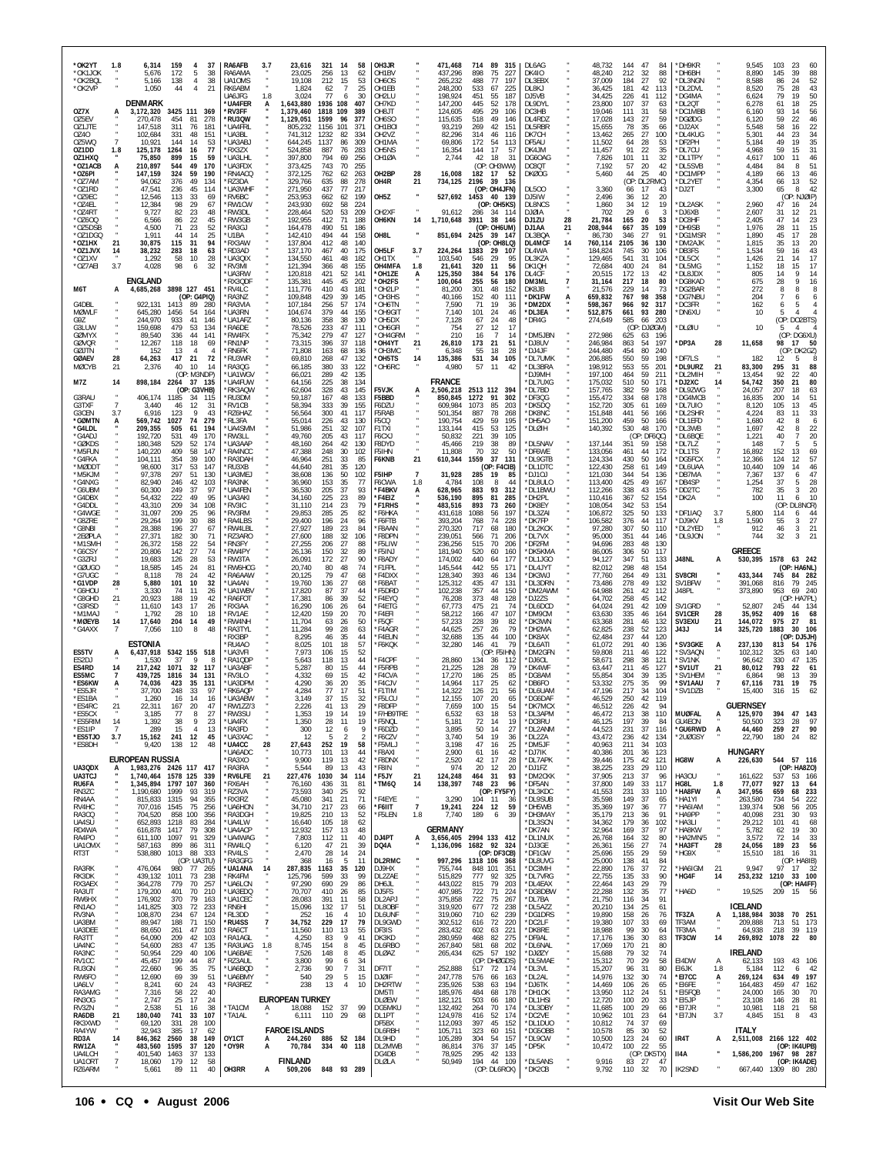| *OK2YT<br>*OK1JOK<br>*OK2BOL<br>*OK2VP         | 1.8                         | 6,314<br>159<br>4<br>37<br>5,676<br>172<br>5<br>38<br>38<br>138<br>$\overline{4}$<br>5.166<br>1,050<br>44<br>4<br>21                      | <b>RA6AFB</b><br>RA6AMA<br>UA10MS<br>RK6ABM        | 23,616<br>3.7<br>23,025<br>19,108<br>1,824          | 256<br>212<br>62               | 321 14<br>13<br>15<br>$\overline{7}$ | 58<br>62<br>53<br>25                          | OH3JR<br>OH1BV<br>OH6OS<br>OH1EB                                        | 471,468<br>437,296<br>265,232<br>248,200         | 714<br>89<br>898<br>75<br>488<br>77<br>533<br>67                     | 315<br>227<br>197<br>225       | DL6AG<br><b>DK410</b><br>DL3EBX<br>DL8KJ          |          | 48,732<br>48,240<br>37,009<br>36,425           | 144<br>47<br>212<br>32<br>27<br>184<br>181<br>42              | 84<br>88<br>92<br>113           | *DH9KR<br>*DH6BH<br>*DL3NGN<br>*DL2DVL        |                                  | 9,545<br>8,890<br>8.588<br>8,520         | 103<br>23<br>60<br>145<br>39<br>88<br>52<br>24<br>86<br>75<br>43<br>28                     |
|------------------------------------------------|-----------------------------|-------------------------------------------------------------------------------------------------------------------------------------------|----------------------------------------------------|-----------------------------------------------------|--------------------------------|--------------------------------------|-----------------------------------------------|-------------------------------------------------------------------------|--------------------------------------------------|----------------------------------------------------------------------|--------------------------------|---------------------------------------------------|----------|------------------------------------------------|---------------------------------------------------------------|---------------------------------|-----------------------------------------------|----------------------------------|------------------------------------------|--------------------------------------------------------------------------------------------|
| OZ7X<br>OZ5EV                                  | A                           | <b>DENMARK</b><br>3,172,320<br>3425 111 369<br>270,478<br>454<br>81<br>278                                                                | UA6JFG<br>'UA4FER<br><b>RV3FF</b><br>'RU3QW        | 1.8<br>3,024<br>1,643,880<br>1,379,460<br>1,129,051 | 77<br>1936 108<br>1818<br>1599 | -6<br>109<br>96                      | 30<br>407<br>389<br>377                       | OH2LU<br>OH7KD<br>TL8HO<br>OH6SO                                        | 198,924<br>147,200<br>124,605<br>115,635         | 451<br>55<br>445<br>52<br>495<br>29<br>518<br>49                     | 187<br>178<br>106<br>146       | DJ5VB<br>DL9DYL<br>DC3HB<br>DL4RDZ                |          | 34,425<br>23,800<br>19,046<br>17,028           | 226<br>41<br>107<br>37<br>31<br>111<br>27<br>143              | 112<br>63<br>58<br>59           | *DG4MA<br>*DL2QT<br>*DC1MBB<br>*DGØDG         |                                  | 6,624<br>6,278<br>6,160<br>6,120         | 79<br>50<br>19<br>25<br>61<br>18<br>56<br>93<br>14<br>59<br>22<br>46                       |
| OZ1JTE<br>OZ40<br>OZ5WQ<br>OZ1DD               | $\overline{7}$<br>1.8       | 311<br>76<br>147,518<br>181<br>102,684<br>331<br>48<br>151<br>53<br>10,921<br>144<br>14<br>77<br>125,178<br>1264<br>16                    | `UA4FRL<br>UA3BL<br>'UA3ABJ<br>RX3ZX               | 805.232<br>741,312<br>644,245<br>524,858            | 1156<br>1232<br>1137<br>887    | 101<br>82<br>86<br>76                | 37 <sup>′</sup><br>334<br>309<br>283          | OH <sub>1</sub> BOI<br>OH <sub>2</sub> V <sub>Z</sub><br>OH1MA<br>OH5NS | 93,219<br>82,296<br>69,806<br>16,354             | 269<br>42<br>314<br>46<br>54<br>172<br>17<br>144                     | 151<br>116<br>113<br>57        | DL5RBR<br>DK7CH<br>DF5AU<br>DK4JM                 |          | 15,655<br>13,462<br>11,502<br>11,457           | 78<br>35<br>27<br>265<br>28<br>64<br>91<br>22                 | 66<br>100<br>53<br>35           | *DJ2AX<br>*DL4KUG<br>*DF2PH<br>*DL7CU         |                                  | 5,548<br>5,301<br>5,184<br>4,968         | 22<br>58<br>16<br>44<br>34<br>23<br>35<br>49<br>19<br>59<br>31<br>15                       |
| OZ1HXQ<br>*OZ1ACB<br>*OZ6PI<br>$*077$ AM       | A                           | 899<br>15<br>59<br>75,850<br>210,897<br>544<br>49<br>170<br>147,159<br>324<br>59<br>190<br>376<br>49<br>94.062<br>134                     | *UA3LHL<br>'UA3FDX<br>'RN4ACQ<br>'RZ3DA            | 397,800<br>373,425<br>372,125<br>329,766            | 794<br>743<br>762<br>635       | 69<br>70<br>62<br>88                 | 256<br>255<br>263<br>278                      | OH1ØA<br>OH2BP<br>28<br>OH4R<br>21                                      | 2,744<br>16,008<br>734,125                       | 42<br>18<br>(OP: OH3WW)<br>182<br>17<br>2196<br>39                   | 31<br>52<br>- 136              | DG6OAG<br>DC8QT<br><b>DKØOG</b>                   |          | 7,826<br>7,192<br>5,460                        | 11<br>101<br>20<br>57<br>44<br>25<br>(OP: DL2RMC)             | 32<br>42<br>40                  | *DL1TPY<br>*DL5SVB<br>*DC1MPP<br>*DL2YET      |                                  | 4,617<br>4,484<br>4,189<br>4,354         | 100<br>46<br>11<br>84<br>8<br>51<br>66<br>13<br>46<br>52<br>13<br>66                       |
| *OZ1RD<br>*OZ9EC<br>*OZ4EL<br>*OZ4RT           |                             | 47,541<br>236<br>45<br>114<br>12,546<br>113<br>33<br>69<br>12,384<br>98<br>29<br>67<br>82<br>23<br>48<br>9,727                            | <b>UA3WHF</b><br>'RV6BC<br>'RW1CW<br>*RW3DL        | 271,950<br>253,953<br>243,930<br>228,464            | 437<br>662<br>692<br>520       | 77<br>62<br>58<br>53                 | 217<br>OH <sub>5</sub> Z<br>199<br>224<br>209 | OH <sub>2</sub> XF                                                      | 91,612                                           | (OP: OH4JFN)<br>527,692 1453 40 139<br>(OP: OH5KS)<br>286<br>34 114  |                                | <b>DL500</b><br>DJ5IW<br>DL8NCS<br><b>DJØIA</b>   |          | 3,360<br>2,496<br>1,860<br>702                 | 17<br>66<br>36<br>12<br>34<br>12<br>29<br>6                   | 20<br>19<br>3                   | *DJ2T<br>*DL2ASK<br>*DJ6XB                    |                                  | 3,300<br>2,960<br>2,607                  | 65<br>8<br>42<br>NJØIP)<br>(OP)<br>47<br>24<br>16<br>21<br>31<br>12                        |
| *0Z600<br>*OZ5DSB<br>*OZ1DGQ<br>*OZ1HX         | 21                          | 6,566<br>86<br>22<br>45<br>23<br>4,500<br>71<br>52<br>1,911<br>44<br>14<br>25<br>94<br>-31                                                | *RW3GB<br><b>RA3GJ</b><br>*U1BA                    | 192,955<br>164,478<br>142,410                       | 412<br>490<br>494<br>412       | 71<br>51<br>44<br>48                 | 188<br>186<br>OH8L<br>158<br>140              | OH6KN<br>14                                                             | 1,710,648<br>851,694                             | 3911<br>38<br>(OP: OH6UM)<br>2425<br>- 39                            | 146<br>- 147                   | DJ1ZU<br>DJ1AA<br>DL3BQA                          | 28<br>21 | 21,784<br>208,944<br>86,730<br>760,114         | 165<br>20<br>35<br>667<br>346<br>27<br>2105                   | 53<br>109<br>$\mathsf{Q}^*$     | *DC8HF<br>*DH9SB<br>*DG1MSR                   |                                  | 2,405<br>1,976<br>1,890<br>1.815         | 23<br>47<br>14<br>28<br>15<br>11<br>45<br>17<br>28<br>20<br>13                             |
| *OZ1JVX<br>*OZ1XV<br>*OZ7AEI                   | 14<br>3.7                   | 30,875<br>115<br>38,232<br>283<br>18<br>63<br>58<br>28<br>1,292<br>10<br>4,028<br>98<br>6<br>32                                           | 'RX3AW<br>RD3AD<br>`UA3QIX<br>'RV3MI               | 137,804<br>137,170<br>134,550<br>121,394            | 467<br>461<br>366              | 40<br>48<br>48                       | 175<br>182<br>155<br>141                      | OH5LF<br>3.7<br>OH1TX<br>OH4MFA<br>1.8                                  | 224,264<br>103,540<br>21,641                     | (OP: OH8LQ)<br>1383<br>29<br>29<br>546<br>320<br>11                  | 107<br>95<br>56                | DL4MCF<br>DL4WA<br>DL3KZA<br>DK1QH                | 14       | 184,824<br>129,465<br>72,684<br>20,515         | 36<br>745<br>30<br>31<br>541<br>400<br>24<br>13               | 130<br>106<br>104<br>84<br>42   | *DM2AJK<br>*DB3FS<br>*DL5CX<br>*DL5MG         |                                  | 1,534<br>1,426<br>1,152                  | 35<br>59<br>16<br>43<br>21<br>17<br>14<br>18<br>15<br>17<br>9<br>14                        |
| M6T                                            | А                           | <b>ENGLAND</b><br>3898 127 451<br>4,685,268<br>(OP: G4PIQ)                                                                                | 'UA3RW<br>RX3QDF<br>'RV4LC<br>RA3NZ                | 120,818<br>135,381<br>111,776<br>109,848            | 421<br>445<br>410<br>429       | 52<br>45<br>43<br>39                 | 202<br>181<br>145                             | *OH1ZE<br>A<br>'OH2FS<br>*OH2LP<br>OH3HS                                | 125,350<br>100,064<br>81,200<br>40,166           | 384<br>54<br>255<br>56<br>301<br>48<br>152<br>40                     | 176<br>180<br>152<br>111       | DL4CF<br>DM3ML<br>DK8JB<br>*DK1FW                 | 7<br>А   | 31,164<br>21,576<br>659,832                    | 172<br>217<br>18<br>229<br>14<br>767<br>98                    | 80<br>73<br>358                 | *DL8JDX<br>*DG8KAD<br>*DG2BAR<br>*DG7NBU      |                                  | 805<br>675<br>272<br>204                 | 14<br>28<br>9<br>16<br>8<br>8<br>8<br>-7<br>6<br>6                                         |
| G4DBL<br><b>MØWLF</b><br>G9Z<br>G3LUW          |                             | 922,131<br>1413<br>89<br>280<br>645,280<br>1456<br>54<br>164<br>244,970<br>933<br>41<br>146<br>479<br>159.698<br>53<br>134                | <b>RA3VIA</b><br>'UA3RN<br>'UA1AFZ<br><b>RA6DF</b> | 107,184<br>104,674<br>80,136<br>78,526              | 256<br>379<br>358<br>233       | 57<br>44<br>38<br>47                 | 174<br>155<br>130<br>111                      | *OH6TN<br>OH9GIT<br>*OH5DX<br>OH6GFI                                    | 7,590<br>7,140<br>7,128<br>754                   | 71<br>19<br>101<br>24<br>67<br>24<br>27<br>12                        | 36<br>46<br>48<br>17           | *DM2DX<br>*DL3EA<br>*DR4G                         |          | 598,367<br>512,875<br>274,649                  | 966<br>92<br>93<br>661<br>585<br>66<br>(OP: DJØGM)            | 317<br>280<br>203               | *DC3FR<br>*DN6XU<br>*DLØIU                    |                                  | 162<br>10<br>10                          | 5<br>6<br>5<br>(OP: DO2BTS)<br>-5<br>Δ                                                     |
| <b>GØMYX</b><br>GØVQR<br>GØJTN<br><b>GØAEV</b> | 28                          | 89,540<br>44<br>141<br>336<br>118<br>12,267<br>18<br>69<br>13<br>152<br>$\overline{4}$<br>417<br>64,263<br>21<br>72                       | 'RW4FX<br>*RN1NP<br>'RN6FK<br>'RU3WR               | 75,342<br>73,315<br>71,808<br>69,810                | 279<br>396<br>163<br>268       | 47<br>37<br>68<br>47                 | 127<br>118<br>136<br>132                      | OH4GRM<br>21<br>'OH4YT<br>OH3MC<br>*OH5TS<br>14                         | 210<br>26,810<br>6,348<br>135,386                | 16<br>-7<br>173<br>21<br>55<br>18<br>531<br>34                       | 14<br>51<br>28<br>105          | *DM5JBN<br>*DJ8UV<br>*DJ4JF<br>*DL7UMK            |          | 272,986<br>246,984<br>244,480<br>206,885       | 625<br>63<br>54<br>863<br>454<br>80<br>550<br>59              | 196<br>197<br>240<br>198        | *DP3A<br>*DF7LS                               | 28                               | 11,658<br>182                            | (OP: DG6XU)<br>98<br>17<br>50<br>(OP: DK2GZ)<br>12<br>5                                    |
| <b>MØCYB</b><br>M7Z                            | 21<br>14                    | 40<br>10<br>2,376<br>14<br>(OP: M3NDP)<br>898,184<br>2264 37 135<br>(OP: G3VHB)                                                           | RA3QG<br>'UA1WGV<br>'UA4FUW<br>'RK3AQW             | 66,185<br>66,021<br>64,156<br>62,604                | 380<br>289<br>225<br>328       | 33<br>42<br>38<br>43                 | 122<br>135<br>134<br>145                      | 'OH6RC<br>F5VJK<br>А                                                    | 4,980<br><b>FRANCE</b><br>,506,218               | 57<br>11<br>2513 112 394                                             | 42                             | *DL3BRA<br>*DJ9MH<br>*DL7UXG<br>*DL7BD            |          | 198,912<br>197,100<br>175,032<br>157,765       | 553<br>55<br>59<br>464<br>510<br>50<br>382<br>59              | 201<br>211<br>171<br>168        | *DL9URZ<br>*DL2MIH<br>*DJ2XC<br>*DL9ZWG       | 21<br>14                         | 83,300<br>13,454<br>54,742<br>24,057     | 295<br>31<br>88<br>92<br>40<br>22<br>80<br>350<br>21<br>207<br>63<br>18                    |
| G3RAU<br>G3TXF<br>G3CEN<br>*GØMTN              | $\overline{7}$<br>3.7<br>А  | 406,174<br>1185<br>34<br>115<br>3,440<br>46<br>12<br>31<br>6,916<br>123<br>9<br>43<br>74<br>279<br>569,742<br>1027                        | 'RU3DM<br>'RV1CB<br>RZ6HAZ<br>'RL3FA               | 59,187<br>58,394<br>56,564<br>55,014                | 167<br>333<br>300<br>226       | 48<br>39<br>41<br>43                 | 133<br>155<br>117<br>F5CQ<br>130              | F5BBD<br>F6DZU<br>F5RAB                                                 | 850,845<br>609,984<br>501,354<br>190,754         | 1272<br>91<br>1073<br>85<br>78<br>887<br>429<br>59                   | 302<br>203<br>268<br>195       | *DF3QG<br>*DK5DQ<br>*DK8NC<br>*DH5AO              |          | 155,472<br>152,720<br>151,848<br>151,200       | 334<br>68<br>305<br>61<br>441<br>56<br>459<br>50              | 178<br>169<br>166<br>166        | *DG4MCB<br>*DL7UIO<br>*DL2SHR<br>*DL1EFD      |                                  | 16,835<br>8,120<br>4.224<br>1,680        | 200<br>14<br>51<br>105<br>13<br>45<br>33<br>83<br>11<br>42<br>8<br>6                       |
| *G4LDL<br>*G4ADJ<br>*GØKDS<br>*M5FUN           |                             | 209,355<br>505<br>61<br>194<br>192,720<br>531<br>49<br>170<br>529<br>180,348<br>52<br>174<br>140,220<br>409<br>58<br>147                  | 'UA4SMM<br>'RW3LL<br><b>UA3AAP</b><br>RA4NCC       | 51,986<br>49,760<br>48,160<br>47,388                | 251<br>205<br>264<br>248       | 32<br>43<br>42<br>30                 | F1TXI<br>107<br>F6CXJ<br>117<br>130<br>102    | F8DYD<br>F5IHN                                                          | 133,144<br>50,832<br>45,466<br>11,808            | 53<br>415<br>221<br>39<br>38<br>219<br>70<br>32                      | 125<br>105<br>89<br>50         | *DLØIH<br>*DL5NAV<br>*DF6WE                       |          | 140,392<br>137,144<br>133,056                  | 530<br>48<br>(OP: DF6QC)<br>351<br>59<br>461<br>44            | 170<br>158<br>172               | *DL3WB<br>*DL6BQE<br>*DL7LZ<br>*DL1TS         |                                  | 1,697<br>1,221<br>148<br>16,892          | 42<br>22<br>8<br>40<br>$\overline{7}$<br>20<br>5<br>$\overline{7}$<br>5<br>152<br>13<br>69 |
| *G4FKA<br>*MØDDT<br>*M5KJM<br>*G4NXG           |                             | 354<br>39<br>104,111<br>100<br>98,600<br>317<br>53<br>147<br>297<br>51<br>130<br>97,378<br>82,940<br>246<br>42<br>103                     | 'RA3DAH<br>'RU3XB<br>'UA3MEJ<br>RA3NK              | 46,964<br>44,640<br>38,608<br>36,960                | 251<br>281<br>136<br>153       | 33<br>35<br>50<br>35                 | 85<br>120<br>102<br>77                        | F6KNB<br>21<br>F5IHP<br>7<br>F6CWA<br>1.8                               | 610,344<br>31,928<br>4,784                       | 1559<br>37<br>(OP: F4CIB)<br>285<br>-19<br>108<br>8                  | 131<br>85<br>44                | *DL9GTB<br>*DL1DTC<br>*DJ1OJ<br>*DL8ULO           |          | 124,334<br>122,430<br>121,030<br>113,400       | 50<br>430<br>258<br>61<br>344<br>54<br>425<br>49              | 164<br>149<br>136<br>167        | *DG5FCX<br>*DL6UAA<br>*DB7MA<br>*DB4SP        |                                  | 12.366<br>10,440<br>7,367<br>1,254       | 124<br>57<br>12<br>109<br>14<br>46<br>47<br>137<br>6<br>37<br>5<br>28                      |
| *G6UBM<br>*G4DBX<br>*G4DDL<br>*G4WGE           |                             | 97<br>60,300<br>249<br>37<br>95<br>54,432<br>222<br>49<br>43,310<br>34<br>108<br>209<br>209<br>31,097<br>25<br>96                         | 'UA4FEN<br>'UA3AKI<br>'RV3IC<br>'RV3RM             | 36,530<br>34,160<br>31,110<br>29,853                | 205<br>225<br>214<br>285       | 37<br>23<br>23<br>25                 | 93<br>89<br>79<br>82                          | *F4BKV<br>А<br>*F4EIZ<br>*F1RHS<br><b>'F6HKA</b>                        | 628,965<br>536,190<br>483,516<br>431,618         | 883<br>93<br>895<br>81<br>893<br>73<br>1088<br>56                    | 312<br>285<br>260<br>197       | *DL1BWU<br>*DH2PL<br>*DK8EY<br>*DL3ZAI            |          | 112,266<br>110,416<br>108,054<br>106,872       | 338<br>43<br>367<br>52<br>342<br>53<br>325<br>50              | 155<br>154<br>154<br>133        | *DD2TC<br>*DK2A<br>*DF1IAQ                    | 3.7                              | 782<br>100<br>5,800                      | 35<br>20<br>3<br>11<br>10<br>6<br>(OP)<br>DL8NCR)<br>114<br>6                              |
| *G8ZRE<br>*G8NBI<br>*2EØPLA<br>*M1SMH          |                             | 29,264<br>199<br>30<br>88<br>27<br>28,388<br>196<br>67<br>27,371<br>182<br>30<br>71<br>158<br>22<br>54<br>26,372                          | <b>RA4LBS</b><br>RW4LBL<br>RZ3ARO<br>'RN3FY        | 29,400<br>27,927<br>27,600<br>27,255                | 196<br>189<br>188<br>206       | 24<br>23<br>32<br>27                 | 96<br>84<br>106<br>88                         | *F6FTB<br>'F8AAN<br>*F8DPN<br>F5LIW                                     | 393,204<br>270,320<br>239,051<br>236,256         | 768<br>74<br>717<br>68<br>566<br>71<br>70<br>515                     | 228<br>180<br>206<br>206       | *DK7FP<br>*DL2KCK<br>*DL7VX<br>*DF2FM             |          | 106,582<br>97,280<br>95,000<br>94,696          | 376<br>44<br>307<br>50<br>351<br>44<br>283<br>48              | 117<br>110<br>146<br>130        | *DJ9KV<br>*DL2YED<br>*DL9JON                  | 1.8                              | 1,590<br>912<br>744<br><b>GREECE</b>     | 27<br>55<br>3<br>46<br>21<br>3<br>32<br>3<br>21                                            |
| *G6CSY<br>*G3ZRJ<br>*GØUGO<br>*G7UGC           |                             | 27<br>74<br>20,806<br>142<br>28<br>19,683<br>126<br>53<br>18,585<br>145<br>24<br>81<br>78<br>42<br>8,118<br>24                            | 'RW4PY<br>'RW3TA<br>'RW6HCG<br>'RA6AAW             | 26,136<br>26,091<br>20,740<br>20,125                | 150<br>172<br>80<br>79         | 32<br>27<br>48<br>47                 | 89<br>90<br>74<br>68                          | *F5INJ<br>*F8ADY<br>*F1FPL<br>*F4DXX                                    | 181,940<br>174,002<br>145,544<br>128,340         | 520<br>60<br>440<br>64<br>442<br>55<br>393<br>46                     | 160<br>177<br>171<br>134       | *DK5KMA<br>*DL1JGO<br>*DL4JYT<br>*DK3WJ           |          | 86,005<br>94,127<br>82,012<br>77,760           | 306<br>50<br>347<br>51<br>298<br>48<br>49<br>264              | 117<br>133<br>154<br>131        | J48NL<br>SV8CRI                               | A                                | 530,395<br>433,344                       | 1578<br>63 242<br>(OP: HA6NL)<br>745<br>84 282                                             |
| *G1VDP<br>'G6HOU<br>*G8GHD<br>*G3RSD<br>M1MAJ  | 28<br>21                    | 101<br>32<br>5,880<br>10<br>26<br>3,330<br>74<br>-11<br>20,923<br>188<br>19<br>42<br>143<br>17<br>26<br>11,610<br>1,792<br>28<br>10<br>18 | 'UA4AN<br>'UA1WBV<br>RA6FOT<br>'RX3AA<br>'RV1AE    | 19,760<br>17,820<br>17,381<br>16,290<br>12,420      | 136<br>87<br>86<br>106<br>159  | 27<br>37<br>39<br>26<br>20           | 68<br>44<br>52<br>64<br>70                    | <b>F6BAT</b><br>'F5DRD<br>'F4EYQ<br>'F4ETG<br>'F4EFI                    | 125,312<br>102,238<br>76,208<br>67,773<br>58,212 | 435<br>47<br>357<br>44<br>373<br>48<br>475<br>21<br>47<br>166        | 131<br>150<br>128<br>74<br>107 | *DL3DRN<br>*DM2AWM<br>*DJ2ZS<br>*DL6DCD<br>*DM9CM |          | 73,486<br>64,988<br>64,702<br>64,024<br>63,630 | 49<br>278<br>42<br>261<br>258<br>45<br>291<br>42<br>46<br>335 | 132<br>112<br>142<br>109<br>164 | SV1BFW<br>J48PL<br>SV1GRD<br>SV1CER           | 28                               | 391,068<br>373,890<br>52,807<br>35,952   | 79<br>816<br>245<br>240<br>953<br>69<br>(OP: HA7PL)<br>134<br>245<br>44<br>409<br>16<br>68 |
| *MØEYB<br>*G4AXX                               | 14                          | 17,640<br>204<br>14<br>49<br>7,056<br>110<br>8<br>48<br>ESTONIA                                                                           | 'RW4NH<br><b>RA3TYL</b><br>*RX3BP<br>RU4A0         | 11,704<br>11,284<br>8,295<br>8,025                  | 63<br>99<br>46<br>101          | 26<br>28<br>35<br>18                 | 50<br>63<br>44<br>57                          | *F5QF<br>*F4AGR<br>*F4EUN<br>*F6KQK                                     | 57,233<br>44,625<br>32,688<br>32,280             | 39<br>228<br>257<br>26<br>135<br>44<br>146<br>41                     | 82<br>79<br>100<br>79          | *DK3WN<br>*DH2MA<br>*DK8AX<br>*DL6ATI             |          | 63,368<br>62,825<br>62,484<br>61,072           | 281<br>46<br>238<br>52<br>237<br>44<br>291<br>40              | 132<br>123<br>120<br>136        | SV3EXU<br>J43J<br>*SV3GKE                     | 21<br>14<br>A                    | 144,072<br>325,720<br>237,130            | 975<br>27<br>81<br>1883<br>30<br>106<br>(OP: DJ5JH)<br>813<br>176<br>54                    |
| ES5TV<br>ES2DJ<br>ES4RD<br>ES5MC               | А<br>14<br>7                | 6,437,918<br>5342 155 518<br>9<br>37<br>1.530<br>8<br>217,242<br>1071<br>32<br>117<br>1816<br>131<br>439.725<br>-34                       | <b>UA3VFI</b><br>RA1QDP<br>'UA3ABF<br>RV3LO        | 7,973<br>5,643<br>5,287<br>4,332                    | 106<br>118<br>80<br>69         | 15<br>13<br>15<br>15                 | 52<br>44<br>44<br>42                          | <b>F4CPF</b><br>*F5RPB<br><b>F4CVA</b>                                  | 28,860<br>21,225<br>17,270                       | (OP: F5IHN)<br>134<br>-36<br>128<br>28<br>186<br>25                  | -112<br>79<br>85               | *DM2GFN<br>*DJ6OL<br>*DK4WF<br>*DG8AM             |          | 59,808<br>58,671<br>63.447<br>55,854           | 211<br>46<br>298<br>38<br>211<br>45<br>39<br>304              | 122<br>121<br>127<br>135        | *SV3AQN<br>*SV1NK<br>*SV1UT<br>'SV1HFM        | 21                               | 102,312<br>96,642<br>80,012<br>6.864     | 63<br>140<br>325<br>135<br>330<br>47<br>793<br>22<br>61<br>98<br>39<br>13                  |
| *ES6KW<br>*ES5JR<br>*ES1BA<br>*ES4RC           | А<br>21                     | 423<br>35<br>131<br>74.036<br>248<br>97<br>37.700<br>-33<br>1,260<br>16<br>14<br>16<br>22,311<br>167<br>20<br>47                          | 'UA3DPM<br>*RK6AQP<br>*UA3ABW<br>*RW1ZZ/3          | 4,290<br>4,284<br>3,149<br>2,226                    | 36<br>77<br>37<br>41           | 20<br>17<br>15<br>13                 | 35<br>51<br>32<br>29                          | *F4CJV<br>*F1TIM<br>*F5LCU<br>*F8DFP                                    | 14,964<br>14,322<br>12,155<br>7,659              | 117<br>25<br>126<br>21<br>107<br>20<br>100<br>15                     | 62<br>56<br>65<br>54           | *DB6FO<br>*DL6UAM<br>*DG6DAF<br>*DK7MCX           |          | 53,332<br>47,196<br>46,529<br>46,512           | 275<br>35<br>217<br>34<br>250<br>42<br>226<br>42              | 99<br>104<br>119<br>94          | *SV1AAU<br>*SV1DZB                            |                                  | 67,116<br>15.400<br><b>GUERNSEY</b>      | 731<br>19<br>75<br>316<br>15                                                               |
| *ES5CX<br>*ES5RIM<br>*ES1IP<br>*ES5TJO         | 14<br>$\overline{7}$<br>3.7 | 3,185<br>77<br>8<br>27<br>38<br>9<br>23<br>1,392<br>15<br>289<br>$\overline{4}$<br>13<br>12<br>15,162<br>241<br>45                        | 'RW3SU<br>*UA4FX<br>*RA3FD<br>*UA3XAC              | 1,353<br>1,350<br>300                               | 19<br>28<br>12<br>12<br>5      | 14<br>11<br>6<br>2                   | 19<br>19<br>9<br>2                            | F/HB9TRE<br>*F5NQL<br>*F6DZD<br>*F6CZV                                  | 6.532<br>5,181<br>3,895<br>3,740                 | 63<br>18<br>72<br>14<br>50<br>14<br>54<br>19                         | 53<br>19<br>27<br>36           | *DL3APM<br>*DC8RU<br>*DL2ANM<br>*DL2ZA            |          | 46,472<br>46,125<br>44,523<br>43,472           | 213<br>38<br>197<br>39<br>37<br>231<br>42<br>236              | 110<br>84<br>116<br>134         | <b>MUØFAL</b><br>GU4EON<br>*GU6RWD<br>*2UØGSY | A<br>А                           | 125,970<br>50,500<br>44,460<br>22,790    | 394<br>47<br>143<br>323<br>97<br>28<br>259<br>27<br>90<br>82<br>180<br>24                  |
| *ES8DH<br>UA3QDX                               |                             | 9,420<br>138<br>12<br>48<br><b>EUROPEAN RUSSIA</b><br>1,983,276 2426 117 417                                                              | *UA4CC<br>'UA6ADC<br>`RA3XO<br>*RA3RA              | 28<br>27,643<br>10,773<br>9,900<br>5,544            | 252<br>101<br>119<br>89        | 19<br>13<br>13<br>13                 | 58<br>44<br>42<br>43                          | *F5MLJ<br>*F8AXI<br>*F8DNX<br>*F8IN                                     | 3,198<br>2,900<br>2,520<br>974                   | 47<br>16<br>61<br>16<br>17<br>42<br>20<br>12                         | 25<br>42<br>28<br>20           | *DM5JF<br>*DJ7IK<br>*DL7APK<br>*DJ1FZ             |          | 40,963<br>40,386<br>39,446<br>38,225           | 34<br>211<br>201<br>36<br>175<br>42<br>233<br>29              | 103<br>123<br>121<br>110        | HG8W                                          | А                                | <b>HUNGARY</b><br>226,630                | 544 57 116<br>(OP: HA8ZO)                                                                  |
| UA3TCJ<br>RU6FA<br>RN3ZC<br>RN4AA              |                             | 1,740,464 1578 125<br>339<br>1,345,894<br>1797 107<br>360<br>1,190,680<br>1999<br>-93<br>319<br>815,833<br>1315<br>94<br>355              | *RV6LFE<br>'RX6AH<br>'RZ3VA<br>RX3RZ               | 227,476<br>21<br>76,160<br>73,593<br>45,080         | 1030<br>436<br>340<br>341      | -34<br>31<br>25<br>21                | 114<br>81<br>92<br>71                         | 21<br>*F5JY<br>*TM6Q<br>14<br>*F4EYE                                    | 124,248<br>138,397<br>3,290                      | 464<br>31<br>748<br>23<br>(OP: FY5FY)<br>104<br>- 11                 | 93<br>96<br>36                 | *DM2CKK<br>*DF5AN<br>*DL3KDC<br>*DL9SUB           |          | 37,905<br>37,800<br>41,553<br>35,598           | 213<br>37<br>149<br>33<br>231<br>33<br>149<br>37              | 96<br>117<br>110<br>-65         | HA3OU<br>HG8L<br>*HA8FW<br>*HA1YI             | 1.8<br>A                         | 161,622<br>77,077<br>347,956<br>263,580  | 53 166<br>537<br>927<br>13<br>-64<br>233<br>659<br>68<br>734<br>222<br>-54                 |
| RV4HC<br>RA3CQ<br>UA4SU<br>RD4WA               |                             | 256<br>707,016 1545<br>75<br>704,520<br>858<br>100<br>356<br>652,893<br>1218<br>83<br>284<br>616,878<br>1417<br>79<br>308                 | *UA6HON<br><b>RA3DGH</b><br>*UA4LW<br>*UA4ACP      | 34,710<br>19,825<br>16,640<br>12,932                | 217<br>210<br>105<br>157       | 23<br>13<br>18<br>13                 | 66<br>52<br>62<br>48                          | *F6IIT<br>$\overline{7}$<br>*F5LEN<br>1.8                               | 19,241<br>7,740<br>GERMANY                       | 224 12<br>189<br>6                                                   | 59<br>39                       | *DH5WB<br>*DH3MAY<br>*DL3SCN<br>*DK7AN            |          | 35,369<br>35,179<br>34,362<br>32,964           | 197<br>36<br>213<br>36<br>179<br>36<br>169<br>37              | 77<br>91<br>102<br>97           | *HA6IAM<br>*HA9PP<br>*HA3LI<br>*HA8KW         |                                  | 139,374<br>40,098<br>29,212<br>5,782     | 508<br>205<br>56<br>93<br>231<br>30<br>68<br>101<br>41<br>62<br>19<br>30                   |
| RA4PO<br>UA10MX<br>RT3T                        |                             | 329<br>611,100<br>1097<br>-91<br>587,163<br>899<br>86<br>311<br>1013<br>88<br>538,880<br>333<br>(OP: UA3TU)                               | *UA4WAG<br>'RW4LQ<br>*RV4LS<br>*RA3GFG             | 7,803<br>6,120<br>2,470<br>368                      | 112<br>47<br>28<br>16          | 11<br>21<br>14<br>-5                 | 40<br>39<br>24<br>11                          | DJ4PT<br>А<br>DQ4A<br>DL2RMC                                            | 1,136,096<br>997,296                             | 3,656,405 2994 133 412<br>1682 92 324<br>(OP: DF3CB)<br>1318 106 368 |                                | *DL1NUX<br>*DJ3GE<br>*DF1GW<br>*DL8UVG            |          | 26,768<br>26,361<br>25,696<br>25,000           | 32<br>164<br>27<br>156<br>155<br>-29<br>138<br>41             | 80<br>74<br>59<br>84            | *HA2MN/5<br>*HA3FT<br>*HG9X                   | 28                               | 3,572<br>24,056<br>15,510                | 33<br>72<br>14<br>189<br>23<br>56<br>181<br>16<br>-31<br>(OP: HA8IB)                       |
| RA3RK<br>RK3DK<br>RX3AEX<br>RA3UT              |                             | 476,064<br>980<br>77 265<br>439,132<br>1011<br>238<br>73<br>364,278<br>779<br>70<br>257<br>70<br>210<br>179,200<br>401                    | *UA1ANA<br><b>RK4FM</b><br>*UA6LCN<br>*UA3EDQ      | 14<br>287,835<br>125,796<br>97,290<br>70,707        | 1163<br>599<br>690<br>410      | 35<br>-33<br>29<br>26                | 120<br>99<br>86<br>85                         | DJ9HX<br>DL2ZAE<br>DH6JL<br>DJ5FS                                       | 755,744<br>515,829<br>443,022<br>407,985         | 848 101<br>777<br>92<br>79<br>815<br>71<br>722                       | 351<br>325<br>203<br>224       | *DC3MH<br>*DL7VRG<br>*DL4EAX<br>*DG8DBW           |          | 22,890<br>22,755<br>22,464<br>22,288           | 176<br>37<br>33<br>135<br>143<br>29<br>132<br>35              | 72<br>90<br>79<br>77            | *HA6IGM<br>*HG4F<br>*HA6D                     | 21<br>14                         | 9,947<br>253,232<br>19,525               | 97 17 32<br>1210 33 100<br>(OP: HA4FF)<br>209<br>15<br>56                                  |
| RW6HX<br>RN1AO<br>RV3NA<br>UA3BM               |                             | 176,902<br>370<br>79<br>163<br>141,825<br>303<br>233<br>72<br>108,870<br>234<br>67<br>124<br>188<br>89,947<br>71<br>150                   | *UA1CEC<br>*RN6HI<br>RL3DD<br>*RU4SS               | 28,083<br>15,096<br>252<br>$\overline{7}$<br>34,752 | 391<br>132<br>16<br>229        | -11<br>17<br>$\overline{4}$<br>17    | 58<br>51<br>10<br>79                          | DL2APJ<br>DL8OBF<br>DL6UNF<br>DL9GWD                                    | 375,858<br>319,920<br>319,060<br>302,512         | 722<br>75<br>677<br>72<br>710<br>62<br>72<br>616                     | 267<br>238<br>239<br>220       | *DL7BA<br>*DI 5A77<br>*DG1DRS<br>*DC2LF           |          | 21,750<br>20,210<br>19,890<br>19,380           | 116<br>34<br>25<br>134<br>158<br>26<br>107<br>33              | 91<br>61<br>76<br>-69           | TF3ZA<br>TF3AM                                | А                                | <b>ICELAND</b><br>1,188,984<br>209,888   | 3038<br>70 251<br>51<br>- 173<br>713                                                       |
| UA3DEE<br>RA3TT<br>UA4NC<br>RA3NC              |                             | 88,650<br>261<br>47<br>103<br>64,090<br>209<br>42<br>103<br>135<br>54,600<br>283<br>47<br>229<br>40<br>50,954<br>106                      | <b>RA6CT</b><br>*RA1AGL<br>RA3UAG<br>*UA6BAE       | 11,560<br>٠<br>4,250<br>1.8<br>8,745<br>7,526       | 110<br>83<br>154<br>148        | 13<br>9<br>8<br>8                    | 55<br>41<br>45<br>45                          | DF3IS<br>DK3KD<br>DL6RBO<br>DLØAZ                                       | 283,432<br>280,959<br>267,840<br>265,434         | 602<br>63<br>82<br>468<br>581<br>68<br>57<br>625                     | 221<br>275<br>202<br>192       | *DK8RE<br>*DF9AL<br>*DL6NAL<br>*DJØZY             |          | 18,988<br>17,176<br>17,069<br>15,688           | 99<br>30<br>30<br>136<br>21<br>170<br>79<br>32                | 64<br>83<br>80<br>74            | TF3MA<br>TF3CW                                | 14                               | 64,938<br>269,892 1078<br><b>IRELAND</b> | 218<br>39<br>119<br>22<br>- 80                                                             |
| RV1CC<br>RU3GN<br>RW6FO<br>UA6LV               |                             | 45,457<br>199<br>44<br>87<br>75<br>22,660<br>96<br>35<br>39<br>51<br>12,690<br>69<br>8,241<br>60<br>24<br>43                              | RZ3AUL*<br>*UA6BQD<br>'UA6BMY<br>RA3REZ            | 3,800<br>2,736<br>540<br>238                        | 99<br>90<br>29<br>13           | 6<br>7<br>5<br>$\overline{4}$        | 34<br>31<br>15<br><b>DJØIF</b><br>10          | DF7IT<br>DH2RTW                                                         | 252,888<br>247,778<br>235,926                    | (OP: DHØGDS)<br>517<br>72<br>576<br>66<br>538<br>63                  | 174<br>163<br>194              | *DL5MAE<br>*DL3VL<br>*DL2AL<br>*DJ6TK             |          | 15,312<br>15,207<br>14,976<br>14,469           | 29<br>70<br>96<br>31<br>132<br>30<br>106<br>26                | 58<br>80<br>74<br>65            | EI4DW<br>EI6JK<br>*EI7CC<br>*EI6FE            | A<br>1.8<br>А                    | 62,133<br>5,184<br>269,124<br>164,483    | 193<br>43 106<br>112<br>6<br>-42<br>634<br>49<br>197<br>459<br>47<br>162                   |
| RA3AMG<br>RN3OG<br><b>RV37N</b><br>RA6DB       | 21                          | 7,316<br>22<br>40<br>58<br>2,747<br>25<br>17<br>24<br>51<br>38<br>2.538<br>16<br>180,040<br>741<br>33<br>107                              | *TA1CM<br>`TA1AL                                   | <b>EUROPEAN TURKEY</b><br>18,088<br>A<br>6,111      | 152<br>110                     | 37<br>29                             | 99<br>68                                      | DM5TI<br>DLØEW<br>DG5MKU<br>DL1PT                                       | 185,976<br>182,121<br>132,492<br>124,978         | 484<br>68<br>503<br>66<br>70<br>264<br>416<br>52                     | 178<br>180<br>174<br>174       | *DH1OK<br>*DL1HSI<br>*DL3DBY<br>*DC2VE            |          | 13,950<br>12,720<br>11.685<br>10,962           | 112<br>24<br>100<br>20<br>29<br>100<br>23<br>101              | -51<br>33<br>66<br>64           | *EI5FQB<br>*EI5JP<br>*EI7JR<br>*EI7JN         | ×<br>$\cdot$<br>$\bullet$<br>3.7 | 24.000<br>23,108<br>10.981<br>4,845      | 70<br>165<br>30<br>146<br>28<br>81<br>58<br>118<br>21<br>151<br>8<br>43                    |
| RK3XWD<br>RA4YW<br>RD3A<br>RW1ZA               | 14                          | 331<br>28<br>69,120<br>100<br>32,943<br>385<br>17<br>-62<br>2560<br>38<br>149<br>846,362<br>483,560<br>1595<br>37<br>120                  | OY1CT<br>*OY9R                                     | <b>FAROE ISLANDS</b><br>244.260<br>А<br>A<br>70,784 |                                | 886 52 184<br>334 40 118             |                                               | DF5BX<br>DL6RBH<br>DL9HD<br>DL2MWB                                      | 112,093<br>105,711<br>105,289<br>86,814          | 45<br>397<br>323<br>60<br>304<br>-54<br>37<br>376                    | 152<br>151<br>- 157<br>145     | *DL1DUO<br>*DG5OBB<br>*DL9CW<br>*DP5K             |          | 10,812<br>10,578<br>10,500<br>10,472           | 37<br>74<br>85<br>30<br>123<br>24<br>100<br>22                | -69<br>52<br>60<br>55           | IR4T                                          | А                                | <b>ITALY</b>                             | 2,511,008 2166 122 402<br>(OP: IK4UPB)                                                     |
| UA4LCH<br>UA10RT<br>RZ6ARM                     | 7                           | 401,540<br>1463<br>-37<br>133<br>18,060<br>179<br>12<br>58<br>40<br>5,661<br>89<br>11                                                     | OH3RR                                              | <b>FINLAND</b><br>A<br>509,206                      |                                | 848 93 289                           |                                               | DG4DB<br>DLØLA                                                          | 78,925<br>50,949                                 | 295<br>42<br>194<br>44 109<br>(OP: DL6RCK)                           | 133                            | *DL5ANS<br>*DK2CB                                 |          | 9,916<br>9,792                                 | (OP: DK5TX)<br>83<br>27<br>110 32                             | 47<br>70                        | II4A<br>IK2SND                                |                                  | 1,586,200                                | 1967 98 287<br>(OP: IK4ADE)<br>667,440 1309 80 280                                         |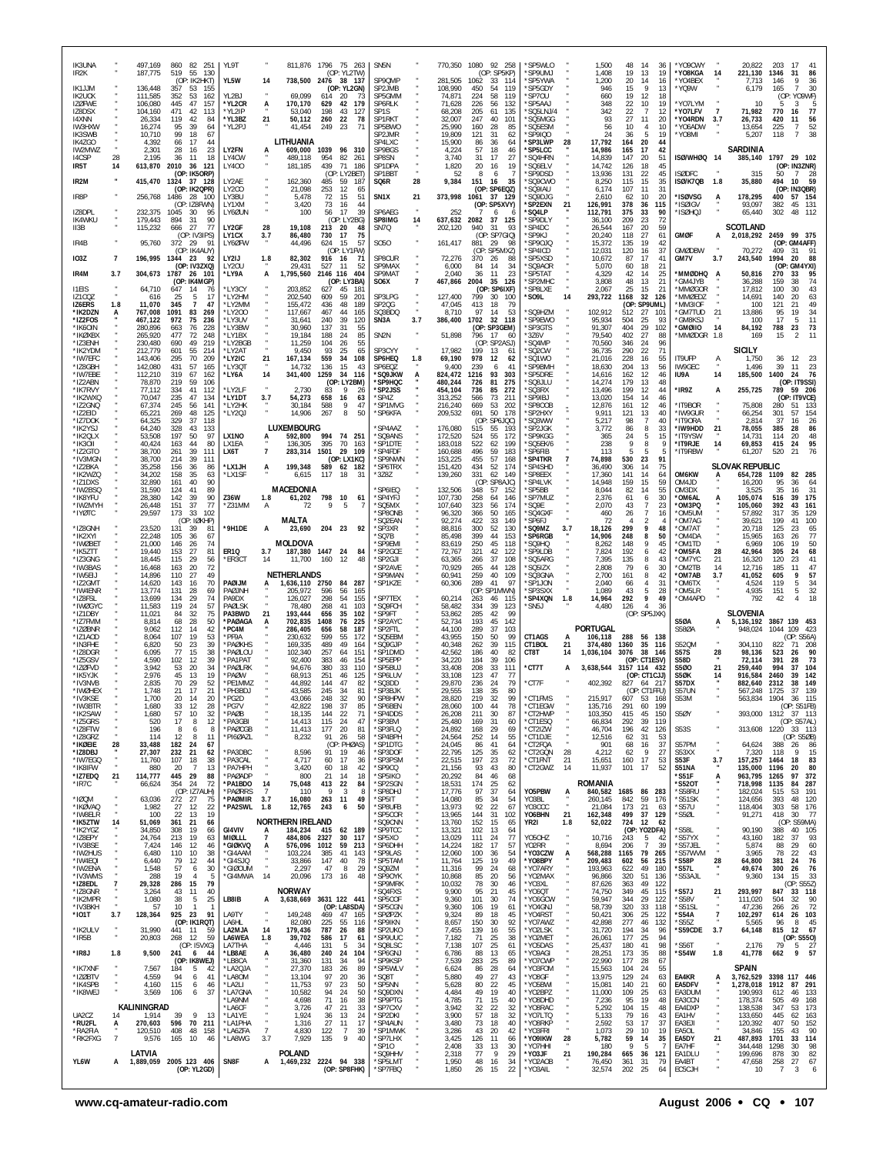| IK3UNA<br>IR <sub>2</sub> K    |                | 497,169<br>860 82 251<br>187,775<br>519<br>55<br>130                       | YL9T                    | 811,876 1796 75 263<br>(OP: YL2TW)                                           | SN <sub>5</sub> N                         |                |                            | 770,350 1080 92 258<br>(OP: SP5KP)             | *SP5WLO<br>*SP9UMJ            |                | 1,500<br>1,408     | 48<br>19             | 14<br>36<br>13<br>19                                     | 'Y09CWY<br>*YO8KGA         | 14                          | 20.822<br>221,130                 | 203<br>17<br>1346<br>31                        | 41<br>86        |
|--------------------------------|----------------|----------------------------------------------------------------------------|-------------------------|------------------------------------------------------------------------------|-------------------------------------------|----------------|----------------------------|------------------------------------------------|-------------------------------|----------------|--------------------|----------------------|----------------------------------------------------------|----------------------------|-----------------------------|-----------------------------------|------------------------------------------------|-----------------|
| IK1JJM                         |                | (OP: IK2HKT)<br>136,448<br>357<br>53<br>155                                | YL5W                    | 738.500 2476 38 137<br>14<br>(OP: YL2GN)                                     | SP90MP<br>SP2JMB                          |                | 281.505<br>108,990         | 1062<br>33<br>114<br>119<br>450<br>54          | *SP5YWA<br>*SP5GDY            |                | 1,200<br>946       | 20<br>15             | 14<br>16<br>-9<br>13                                     | 'Y04BFX<br>'YQ9W           |                             | 7.713<br>6,179                    | 9<br>146<br>165<br>$\overline{7}$              | -36<br>30       |
| <b>IK2UCK</b><br><b>IZØFWE</b> |                | 111,585<br>53<br>352<br>162<br>106,080<br>445<br>47<br>157                 | YL2BJ<br>*YL2CR         | 69.099<br>614<br>-20<br>170,170<br>629<br>42                                 | SP5GMM<br>-73<br>179<br>SP6RLK            |                | 74,871<br>71,628           | 224<br>58<br>119<br>226<br>56<br>132           | 'SP70U<br>*SP5AAJ             |                | 660<br>348         | 19<br>22             | 12<br>18<br>10<br>19                                     | *YO7LYM                    |                             | 10                                | (OP: YO9WF)<br>3                               | 5               |
| IZ8DSX<br>14XNN                |                | 471<br>104,160<br>42<br>113<br>26,334<br>119<br>42<br>84                   | *YL2IP<br>*YL3BZ        | Ą<br>198<br>53.040<br>43<br>21<br>50,112<br>260<br>22                        | SP1S<br>127<br>78<br>SP1RKT               |                | 68,208<br>32,007           | 205<br>135<br>61<br>247<br>40<br>101           | *SQ5LNJ/4<br>*SQ5MGG          |                | 342<br>93          | 22<br>27             | $\overline{7}$<br>12<br>11<br>20                         | *YO7LFV<br>*YO4RDN         | $\overline{7}$<br>3.7       | 71,982<br>26,733                  | 770<br>-16<br>420<br>11                        | 77<br>56        |
| IW3HXW<br>IK3SWB               |                | 16,274<br>95<br>-39<br>64<br>99<br>10,710<br>18<br>67                      | *YL2PJ                  | 249<br>41.454<br>- 23                                                        | SP5BWO<br>-71<br>SP2JMR                   |                | 25,990<br>19,809           | 160<br>28<br>85<br>121<br>31<br>62             | 'SQ5ESM<br>'SP9IQO            |                | 56<br>24           | 10<br>36             | $\overline{4}$<br>10<br>5<br>19                          | *Y06ADW<br>'YO8MI          |                             | 13,654<br>5,207                   | 225<br>$\overline{7}$<br>118<br>$\overline{7}$ | 52<br>38        |
| IK4ZGO<br>IW2MWZ               |                | 4,392<br>66<br>17<br>44<br>2,301<br>28<br>16<br>23                         | LY2FN                   | LITHUANIA<br>609,000<br>1039<br>96 310                                       | SP4LXC<br>SP9BGS                          |                | 15,900<br>4,224            | 86<br>36<br>64<br>57<br>18<br>46               | 'SP3LWP<br>*SP5LCC            | 28             | 17,792<br>14,986   | 164<br>165           | 20<br>44<br>17<br>42                                     |                            |                             | SARDINIA                          |                                                |                 |
| 14CSP<br>IR5T                  | 28<br>14       | 2,195<br>36<br>-11<br>18<br>2010<br>613,870<br>36<br>121                   | LY4CW<br>LY400          | 489.118<br>954<br>82<br>439<br>71<br>181,185                                 | 261<br>SP8SN<br>SP1DPA<br>186             |                | 3,740<br>1,820             | 27<br>31<br>17<br>20<br>16<br>19               | "SQ4HRN<br>'SQ6ELV            |                | 14,839<br>14,742   | 147<br>126           | 20<br>51<br>18<br>45                                     | ISØ/WHØQ 14                |                             | 385,140                           | 29<br>1797<br>(OP: IN3ZNR)                     | 102             |
| IR2M                           |                | (OP: IK5ORP)<br>415,470<br>37 128<br>1324                                  | LY2AE                   | (OP: LY2BET)<br>162,360<br>485<br>59                                         | SP1BBT<br>SQ6R<br>187                     | 28             | 52<br>9,384                | 8<br>6<br>-7<br>151<br>16<br>35                | *SP9DSD<br>*SQ9CWO            |                | 13,936<br>8,250    | 131<br>115           | 22<br>45<br>15<br>35                                     | <b>ISØDFC</b><br>ISØ/K7QB  | 1.8                         | 315<br>35,880                     | 50<br>7<br>494<br>10                           | 28<br>59        |
| IR8P                           |                | (OP: IK2QPR)<br>256,768<br>1486<br>- 28<br>- 100                           | LY2CO<br>LY3BU          | 21,098<br>253<br>12<br>5,478<br>72<br>15                                     | 65<br>SN <sub>1</sub> X<br>51             | 21             | 373,998                    | (OP: SP6EQZ)<br>1061 37 129                    | *SQ9IAU<br>'SQ9DJG            |                | 6,174<br>2.610     | 107<br>62            | 11<br>31<br>10<br>20                                     | *ISØVSG                    | A                           | 178,295                           | (OP: IN3QBR)<br>400                            | 57 154          |
| IZ8DPL                         |                | (OP: IZ8FWN)<br>232,375<br>1045<br>-30<br>95                               | LY1XM<br>LY60UN         | 3,420<br>73<br>16<br>17<br>100<br>56                                         | 44<br>SP6AEG<br>39                        |                | 252                        | (OP:<br>SP5XVY)<br>6<br>f.                     | *SP2EXN<br>'SO4LP             | 21             | 126,991<br>112,791 | 378<br>375           | 36<br>115<br>33<br>90                                    | 'ISØIGV<br>'ISØHQJ         |                             | 93,097<br>65,440                  | 382<br>45<br>48<br>302                         | 131<br>112      |
| <b>IK4WKU</b><br>II3B          |                | 179,443<br>894<br>31<br>90<br>115,232<br>77<br>666<br>27                   | LY2GF                   | (OP: LY2BG)<br>19,108<br>28<br>213 20                                        | SP8IMG<br>48<br>SN7Q                      | 14             | 637,632<br>202,120         | 2082<br>37<br>125<br>940<br>31<br>93           | *SP9DLY<br>'SP4DC             |                | 36,100<br>26,544   | 209<br>167           | 23<br>72<br>20<br>59                                     |                            |                             | <b>SCOTLAND</b>                   |                                                |                 |
| IR4B                           |                | (OP: IV3IPS)<br>372<br>95,760<br>- 29<br>-91                               | LY1CX<br>LY6ØFW         | 3.7<br>86,480<br>730<br>17<br>15<br>44,496<br>624                            | 75<br><b>SO50</b><br>57                   |                | 161,417                    | (OP)<br>SP7GIQ)<br>881<br>29<br>-98            | <b>SP9KJ</b><br>'SP90JQ       |                | 20,240<br>15,372   | 118<br>135           | 27<br>61<br>19<br>42                                     | <b>GMØF</b>                | А                           | 2,018,292 2459                    | 99<br>(OP: GM4AFF)                             | 375             |
| <b>IO3Z</b>                    | 7              | (OP: IK4AUY)<br>196,995 1344<br>- 23<br>92                                 | LY2IJ                   | (OP: LY1FW)<br>82,302<br>1.8<br>916<br>16                                    | SP8CUR<br>71                              |                | 72,276                     | (OP: SP5MXZ)<br>370<br>26<br>-88               | *SP4ICD<br>*SP5XSD            |                | 12,031<br>10,672   | 120<br>87            | 37<br>16<br>17<br>41                                     | <b>GMØDBW</b><br>GM7V      | 3.7                         | 70,272<br>243,540                 | 409<br>31<br>1994<br>-20                       | 91<br>88        |
| IR4M                           | 3.7            | (OP: IV3ZXQ)<br>304,673 1787<br>26 101                                     | LY20U<br>*LY9A          | 29,431<br>527<br>11<br>1,795,560<br>2146 116<br>A                            | SP9MAX<br>52<br>404<br>SP9MAT             |                | 6,000<br>2,040             | 84<br>14<br>34<br>23<br>36<br>11               | 'SQ9AOR<br>"SP5TAT            |                | 5,070<br>4,329     | 60<br>42             | 18<br>21<br>25<br>14                                     | MMØDHQ*                    | A                           | 50,816                            | (OP)<br>270<br>33                              | GM4YXI)<br>95   |
| <b>I1EIS</b>                   |                | (OP: IK4MGP)<br>64,710<br>647<br>14<br>76                                  | *LY3CY                  | (OP: LY3BA)<br>203,852<br>627<br>45                                          | SO <sub>6</sub> X<br>$18^{\circ}$         | $\overline{7}$ | 467,866                    | 2004<br>35<br>126<br>(OP: SP6IXF)              | *SP2MHC<br>*SP8LXE            |                | 3,808<br>2,067     | 48<br>25             | 13<br>21<br>15<br>21                                     | 'GM4JYB<br>'MMØGOR         |                             | 36,288<br>17,812                  | 159<br>38<br>100<br>30                         | 74<br>43        |
| IZ1COZ<br>IZ6ERS               | 1.8            | 5<br>17<br>616<br>25<br>11,070<br>345<br>$\overline{7}$<br>47              | *LY2HM<br>*LY2MM        | 202,540<br>609<br>59<br>155,472<br>436<br>48                                 | SP3LPG<br>201<br>189<br>SP2QG             |                | 127.400<br>47,045          | 799<br>30<br>100<br>413<br>18<br>79            | 'SO9L                         | 14             | 293,722            | 1168<br>(OP:         | 32<br>126<br>SP9UML)                                     | <b>MMØEDZ</b><br>MM3IOF    |                             | 14,691<br>100                     | 140<br>20<br>121<br>21                         | 63<br>49        |
| *IK2DZN<br>*IZ2FOS             | A              | 767,008<br>1091<br>83<br>269<br>467,122<br>972<br>75<br>236                | *LY200<br>*LY3UV        | 117,667<br>467<br>44<br>240<br>39<br>31.641                                  | 165<br>S03BDO<br>120<br>SN3A              | $\sim$<br>3.7  | 8,710<br>386,400           | 97<br>53<br>14<br>1702<br>32 118               | *SQ9HZM<br>*SP9EWO            |                | 102.912<br>95,934  | 512<br>504           | 27<br>-101<br>25<br>93                                   | 'GM7TUD<br><b>'GM8KSJ</b>  | 21                          | 13,886<br>100                     | 95<br>19<br>17<br>5                            | 34<br>11        |
| *IK60IN<br>*IKØXBX             |                | 76<br>228<br>280.896<br>663<br>265,920<br>477<br>72<br>248                 | *I Y3BW<br>*LY1BX       | 30,960<br>137<br>31<br>19,184<br>188<br>24                                   | 55<br>SN <sub>2N</sub><br>85              |                | 51,898                     | (OP: SP3GEM)<br>796<br>17<br>-60               | SP3GTS<br>*3Z6V               |                | 91,307<br>79,540   | 404<br>402           | 29<br>102<br>27<br>88                                    | <b>GMØIIO</b><br>'MMØDGR   | 14<br>1.8                   | 84,192<br>169                     | 788<br>23<br>15<br>$\overline{2}$              | 73<br>11        |
| *IZ3ENH<br>*IK2YDM             |                | 49<br>230,480<br>690<br>219<br>212,779<br>601<br>55<br>214                 | *LY2BGB<br>*LY2AT       | 11,259<br>104<br>-26<br>9,450<br>93<br>25                                    | 55<br>SP3CYY<br>65                        |                | 17,982                     | (OP: SP2ASJ)<br>199<br>13<br>-61               | 'SQ4MP<br>'SQ2CW              |                | 70,560<br>36,735   | 346<br>290           | 24<br>96<br>22<br>71                                     |                            |                             | SICILY                            |                                                |                 |
| *IW7EFC<br>*IZ8GBH             |                | 70<br>295<br>209<br>143,406<br>57<br>142,080<br>431<br>165                 | *LY2IC<br>*LY3QT        | 21<br>167,134<br>559<br>34<br>14,732<br>136<br>15                            | SP6HEQ<br>108<br>43<br>SP6EQZ             | 1.8            | 69,190<br>9,400            | 978<br>12<br>62<br>239<br>41<br>6              | 'SQ1WO<br><b>SP9BMH</b>       |                | 21,016<br>18,630   | 228<br>204           | 55<br>16<br>56<br>13                                     | IT9UFP<br>IW9GEC           | A                           | 1.750<br>1,496                    | 36<br>12<br>39<br>11                           | 23              |
| *IW7EBE<br>*IZ2ABN             |                | 112,210<br>319<br>67<br>162<br>219<br>78,870<br>59<br>106                  | *LY6A                   | 1259<br>34<br>14<br>341,400<br>(OP: LY2BM)                                   | 116<br>*SQ9JKW<br>*SP9HQC                 | A              | 824,472<br>480,244         | 93<br>303<br>1216<br>726<br>81<br>275          | *SP5DRE<br>*SQ8JLU            |                | 14,616<br>14,274   | 162<br>179           | 12<br>46<br>13<br>48                                     | IU9A                       | 14                          | 185,500                           | 1400<br>24<br>(OP: IT9SSI)                     | $\frac{23}{76}$ |
| *IK7RVY<br>*IK2WXQ             |                | 41<br>77.112<br>334<br>112<br>235<br>70,047<br>47<br>134                   | *LY2LF<br>*LY1DT        | 2,730<br>83<br>-9<br>3.7<br>54,273<br>658<br>16                              | *SP2JSS<br>26<br>63<br>'SP4Z              |                | 454,104<br>313,252         | 736<br>85<br>-272<br>566<br>73<br>211          | *SQ3RX<br>'SP9IBJ             |                | 13.496<br>13,020   | 199<br>154           | 12<br>44<br>14<br>46                                     | *IR9Z                      | А                           | 255,725                           | 789<br>(OP: IT9VCE)                            | 59 206          |
| *IZ2GNQ<br>*IZ2EID             |                | 67,374<br>245<br>56<br>141<br>269<br>125<br>65,221<br>48                   | *LY2HK<br>*LY2QJ        | 30,184<br>588<br>9<br>267<br>14,906<br>8                                     | 47<br>*SP1MVG<br>*SP6KFA<br>50            |                | 216,240<br>209,532         | 669<br>53<br>202<br>691<br>50<br>178           | SP800B<br>*SP2HXY             |                | 12,876<br>9.911    | 161<br>121           | 12<br>46<br>13<br>40                                     | 'IT9BOR<br>'IW9GUR         |                             | 75,808<br>66,254                  | 280<br>51<br>301<br>57                         | 133<br>154      |
| *IZ7DOK<br>*IK2YSJ             |                | 64,325<br>329<br>37<br>118<br>328<br>64,240<br>43<br>133                   |                         | LUXEMBOURG                                                                   | SP4AAZ                                    |                | 176,080                    | (OP)<br>SP6JQC)<br>515<br>55<br>193            | 'SQ3WW<br>'SP2JGK             |                | 5,217<br>3,772     | 98<br>86             | $\overline{7}$<br>40<br>33<br>8                          | *IT9ORA<br>*IW9HDD         | 21                          | 2,814<br>78,055                   | 37<br>16<br>385<br>28                          | 26<br>86        |
| *IK2QLX<br>*IK3OII             |                | 53,508<br>197<br>50<br>97<br>40,424<br>163<br>44<br>80                     | LX1NO<br>LX1EA          | 592,800<br>994<br>74<br>А<br>395<br>70<br>136,305                            | 251<br>*SQ9ANS<br>*SP1DTE<br>163          |                | 172,520<br>183,018         | 524<br>55<br>172<br>522<br>199<br>62           | *SP9KGG<br>*SQ5EK/6           |                | 365<br>238         | 24<br>9              | 5<br>15<br>8<br>9                                        | *IT9YSW<br>*IT9RJE         | 14                          | 14.731<br>69,853                  | 114<br>20<br>415<br>24                         | 48<br>95        |
| *IZ2GTO<br>*IV3MGN             |                | 38,700<br>261<br>39<br>111<br>38,700<br>214<br>39<br>111                   | LX6T                    | $\overline{7}$<br>1501<br>29 109<br>283,314<br>(OP: LX1KC)                   | *SP4FDF<br>*SP9NWN                        |                | 160,688<br>153,225         | 496<br>59<br>183<br>455<br>57<br>168           | *SP6FIB<br><b>SP4TKR</b>      | $\overline{7}$ | 113<br>74,898      | 5<br>530             | 5<br>23<br>91                                            | *IT9RBW                    |                             | 61.207                            | 520<br>21                                      | 76              |
| *IZ2BKA<br>*IK2WZQ             |                | 35,258<br>156<br>36<br>86<br>158<br>34,202<br>-35<br>63                    | *LX1JH<br>*LX1SF        | 199,348<br>589 62 182<br>A<br>117<br>6.615<br>18                             | *SP6TRX<br>$*3Z8Z$<br>-31                 |                | 151,420<br>139,260         | 434<br>52<br>174<br>331<br>149<br>62           | 'SP4SHD<br>*SP8EEX            |                | 36,490<br>17,360   | 306<br>141           | 14<br>75<br>14<br>64                                     | OM6KW                      |                             | <b>SLOVAK REPUBLIC</b><br>654,728 | 1109<br>82                                     | 285             |
| *IZ1DXS<br>*IW2BSQ             |                | 32,890<br>161<br>40<br>90<br>31,590<br>89<br>124<br>41                     |                         | MACEDONIA                                                                    | SP6IEQ                                    |                | 132,506                    | (OP: SP8AJC)<br>348<br>57<br>152               | *SP4LVK<br>'SP5BB             |                | 14,948<br>8,044    | 159<br>82            | 15<br>59<br>55<br>14                                     | OM4JD<br>OM3DX             |                             | 16,200<br>3.525                   | 95<br>36<br>35<br>16                           | 64<br>31        |
| *IK8YFU<br>*IW2MYH             |                | 142<br>90<br>28,380<br>39<br>77<br>151<br>37<br>26,448                     | Z36W<br>*Z31MM          | 798<br>1.8<br>61,202<br>10<br>Α<br>72<br>-9<br>5                             | *SP4YFJ<br>61<br>*SQ5MX                   |                | 107,730<br>107,640         | 258<br>64<br>146<br>323<br>56<br>174           | 'SP7MUZ<br>*SQ9E              |                | 2,376<br>2,070     | 61<br>43             | 6<br>30<br>7<br>23                                       | 'OM6AL<br>*OM3PQ           | А                           | 105,074<br>105,060                | 516<br>39<br>392<br>43                         | 175<br>161      |
| *IYØTC                         |                | 29,597<br>173<br>33<br>102<br>(OP: IØKHP)                                  |                         | <b>MALTA</b>                                                                 | 'SP8ONB<br>SQ2EAN                         |                | 96,320<br>92,274           | 366<br>50<br>165<br>422<br>33<br>149           | *SQ4GXF<br>*SP6FJ             |                | 460<br>72          | 26<br>$\overline{4}$ | $\overline{7}$<br>16<br>$\overline{2}$<br>$\overline{4}$ | *OM5UM<br>'OM7AG           |                             | 57,892<br>39,621                  | 317<br>35<br>199<br>41                         | 129<br>100      |
| *IZ8GNH<br>*IK2XYI             |                | 23,520<br>131<br>-39<br>81<br>22,248<br>105<br>36<br>67                    | *9H1DE                  | 204 23<br>23,690<br>A                                                        | *SP3XR<br>92<br>SQ7B                      |                | 88.816<br>85,498           | 300<br>52<br>130<br>399<br>44<br>153           | 'SQ9MZ<br><b>SP6RGB</b>       | 3.7            | 18,126<br>14,906   | 299<br>248           | 9<br>48<br>8<br>50                                       | 'OM7AT<br>'OM4DA           |                             | 20.718<br>15,965                  | 125<br>23<br>163<br>26                         | 65<br>77        |
| *IWØBET<br>*IK5ZTT             |                | 21,000<br>146<br>74<br>-26<br>19,440<br>153<br>27<br>81                    | ER10                    | MOLDOVA<br>3.7<br>187,380<br>1447 24                                         | SP9EMI<br>*SP2GCE<br>-84                  |                | 83,619<br>72,767           | 250<br>45<br>118<br>321<br>42<br>122           | 'SO9HO<br>*SP9LDB             |                | 8.262<br>7,824     | 148<br>192           | 9<br>45<br>42<br>6                                       | OM1TD<br>'OM5FA            | 28                          | 6.969<br>42,964                   | 106<br>19<br>305<br>24                         | 50<br>68        |
| *IZ3GNG<br>*IW3BAS             |                | 18,445<br>29<br>115<br>56<br>16,468<br>163<br>20<br>72                     | *ER3CT                  | 14<br>11,700<br>160<br>-12                                                   | 'SP2GJI<br>48<br>SP2AVE*                  |                | 63.365<br>70,929           | 37<br>266<br>108<br>265<br>44<br>128           | 'SQ5ARG<br>'SQ5IZX            |                | 7,395<br>2,808     | 135<br>79            | 8<br>43<br>30<br>6                                       | OM7YC<br>'OM2TB            | 21<br>14                    | 16,320<br>12.716                  | 120<br>23<br>185<br>11                         | 41<br>47        |
| *IW5EIJ<br>*IZ2GMT             |                | 110<br>27<br>49<br>14,896<br>14,620<br>143<br>16<br>70                     | PAØIJM                  | <b>NETHERLANDS</b><br>1,636,110 2750 84 287<br>А                             | <b>SP9MAN</b><br>*SP1KZE                  |                | 60.941<br>60,306           | 259<br>40<br>109<br>289<br>41<br>97            | *SQ3GNA<br>*SP1JON            |                | 2,700<br>2,040     | 161<br>66            | 8<br>42<br>4<br>31                                       | 'OM7AB<br>'OM6TX           | 3.7                         | 41,052<br>4,524                   | 605<br>9<br>119<br>5                           | 57<br>34        |
| *IW4ENR<br>*IZ8FSL             |                | 13.774<br>131<br>-28<br>69<br>13,699<br>134<br>29<br>74                    | PAØJNH<br>PA9DX         | 205.972<br>596<br>56<br>126,027<br>298<br>54                                 | 165<br>'SP7TEX<br>155                     |                | 60,214                     | (OP: SP1MWN)<br>263<br>46<br>115               | *SP3SXX<br><b>SP4XON</b>      | 1.8            | 1,089<br>14,964    | 43<br>292            | 5<br>28<br>9<br>49                                       | 'OM5LR<br>'OM4APD          |                             | 4,935<br>792                      | 151<br>5<br>42                                 | 32<br>18        |
| *IWØGYC<br>*IZ1DBY             |                | 11,583<br>119<br>24<br>57<br>11,021<br>84<br>32<br>75                      | PAØLSK<br>PA3BWD        | 268<br>78.480<br>41<br>21<br>193,444<br>656<br>35                            | 'SQ9FCH<br>103<br>102<br>'SP9FT           |                | 58,482<br>53,862           | 39<br>123<br>334<br>285<br>42<br>99            | 'SN5J                         |                | 4,480              | 126                  | $\overline{4}$<br>36<br>(OP: SP5JXK)                     |                            |                             | <b>SLOVENIA</b>                   |                                                |                 |
| *IZ7FMM<br>*IZØBNR             |                | 68<br>28<br>50<br>8,814<br>42<br>9,062<br>112<br>14                        | *PAØAGA<br>*PC4M        | 1408<br>А<br>702,835<br>76<br>286,405<br>656<br>58                           | 'SP2AYC<br>225<br>187<br>SP2FTL           |                | 52,734<br>44,100           | 193<br>142<br>45<br>289<br>37<br>103           |                               |                | <b>PORTUGAL</b>    |                      |                                                          | <b>S50A</b><br>S580A       |                             | 5,136,192<br>948,024              | 3867 139 453<br>1044<br>109                    | 423             |
| *IZ1AOD<br>*IN3FHE             |                | 8,064<br>107<br>19<br>53<br>23<br>39<br>6,820<br>50                        | *PF9A<br>*PAØKHS        | 230,632<br>599<br>55<br>489<br>49<br>169,335                                 | 172<br>'SQ5EBM<br>*SQ9GJP<br>164          |                | 43,955<br>40,348           | 150<br>50<br>99<br>262<br>39<br>115            | CT1AGS<br>CT1BOL              | 21             | 106,118<br>374,480 | 288<br>1360          | 56<br>138<br>35 116                                      | S520M                      |                             | 304.110                           | (OP: S56A)<br>822                              | 71 208          |
| *IZ8DGR<br>*175GSV             |                | 6,095<br>77<br>15<br>38<br>4.590<br>39<br>102<br>-12                       | *PAØLOU<br>*PA1PAT      | 102,340<br>257<br>64<br>92,400<br>383<br>46                                  | 151<br>'SP1DMD<br><b>SP5EPP</b><br>154    |                | 42,562<br>34,220           | 186<br>40<br>-82<br>184<br>39<br>106           | CT8T                          | 14             | 1,036,104          | 3076                 | 38<br>146<br>(OP: CT1ESV)                                | <b>S57S</b><br><b>S58D</b> | 28                          | 98,136<br>72,114                  | 523<br>26<br>391<br>28                         | 90<br>73        |
| *IZØFVD<br>*IK5Y.JK            |                | 3,942<br>53<br>20<br>34<br>2.976<br>19<br>45<br>13                         | *PAØLRK<br>*PAØW        | 94,676<br>380<br>33<br>68.913<br>251<br>46                                   | 110<br>'SP5BUJ<br>'SP6LUV<br>125          |                | 33,408<br>33.108           | 208<br>33<br>111<br>123<br>47<br>-77           | *CT7T                         | A              | 3,638,544          | 3157 114 432         | (OP: CT1CJJ)                                             | S500<br>S5ØK               | 21<br>14                    | 259,440<br>916,584                | 994<br>37<br>2460<br>39                        | 104<br>142      |
| *IV3NVB<br>*IWØHEX             |                | 2,835<br>70<br>29<br>52<br>1.748<br>21<br>17<br>21                         | *PE1MMZ<br>*PH3BDJ      | 44,892<br>144<br>47<br>43,585<br>245<br>34                                   | 'SQ3DD<br>82<br>*SP3BJK<br>81             |                | 29,870<br>29,555           | 236<br>79<br>24<br>138<br>35<br>80             | *CT7F                         |                | 402,392            | 827                  | 64<br>217<br>(OP: CT1FFU)                                | S57DX<br>S57UN             |                             | 882,640<br>567,248                | 2312<br>38<br>37<br>1725                       | 149<br>139      |
| *IV3KSE<br>IW3BTR              |                | 1,700<br>20<br>14<br>20<br>1.680<br>33                                     | *PG2D                   | 43,066<br>248<br>32<br>198                                                   | *SP8HPW<br>90<br>SP6BEN                   |                | 28,820<br>28,060           | 219<br>32<br>99<br>100<br>78                   | *CT1FMS<br>'CT1EGW            |                | 215,917            | 607 53<br>291        | 168<br>100                                               | S53M                       |                             | 563,834                           | 1904<br>36                                     | 115<br>S51FB)   |
| *IK2SAW<br>*IZ5GRS             |                | 57<br>1,680<br>10<br>32<br>17<br>520<br>-8<br>12                           | 'PAØB<br>*PA3GBI        | 18,135<br>144<br>22<br>115<br>14,413<br>24                                   | 71<br>'SP4DDS<br>*SP3BVI<br>47            |                | 26,208<br>25,480           | 211<br>30<br>87<br>169<br>31<br>60             | *CT2HWP<br>*CT1ESQ            |                | 103,350<br>66,834  | 415<br>292           | 45<br>150<br>119<br>-39                                  | <b>S50Y</b>                |                             |                                   | 393,000 1312 37 113<br>(OP: S57AL)             |                 |
| *IZ8FTW<br>*IZ8GRZ             |                | 8<br>196<br>6<br>8<br>114<br>12<br>8<br>11                                 | *PAØCGB<br>*PI6ØAZL     | 177<br>20<br>11,413<br>8,232<br>91<br>26                                     | *SP3FLQ<br>81<br>*SP4BPH<br>58<br>*SP1DTG |                | 24,892<br>24,564           | 29<br>168<br>69<br>252<br>55<br>14             | *CT2IZW<br>*CT1DJE            |                | 46,704<br>12,516   | 196<br>62            | 42<br>126<br>31<br>53                                    | <b>S53S</b><br>S57PM       |                             | 313,608                           | 1220 33 113<br>(OP: S5ØB)                      |                 |
| *IKØEIE<br>*IZ8DBJ<br>*IW7EGQ  | 28             | 33,488<br>182<br>24<br>67<br>27,307<br>232<br>21<br>62<br>38               | *PA3DBC<br>*PA3CAL      | (OP: PHØAS)<br>8,596<br>91<br>19<br>4,717<br>60<br>17                        | *SP3DOF<br>46<br>*SP3PSM                  |                | 24,045<br>22,795           | 86<br>41<br>64<br>125<br>35<br>62<br>197<br>23 | *CT2FQA<br>*CT2GQN<br>*CT1FNT | 28             | 901<br>4,212       | 68<br>62             | 16<br>37<br>9<br>27<br>17                                | S53XX<br>S53F              |                             | 64,624<br>7,320                   | 388<br>26<br>118<br>9                          | 86<br>15<br>83  |
| *IK8IFW<br>*IZ7EDQ             | 21             | 107<br>18<br>11,760<br>13<br>880<br>20<br>-7<br>114,777<br>29<br>445<br>88 | *PA7HPH<br>*PAØADP      | 3,420<br>60<br>18<br>21<br>14<br>800                                         | 36<br>42<br>*SP9CQ<br>*SP5IKO<br>18       |                | 22,515<br>21,156<br>20,292 | 72<br>93<br>43<br>80<br>84<br>46<br>68         | *CT2GWZ                       | 21<br>14       | 15,651<br>11,937   | 160<br>101           | 53<br>17<br>52                                           | S51NA<br>*S51F             | 3.7                         | 157,257<br>135,000<br>963,795     | 1464<br>18<br>1196<br>20<br>97<br>1265         | 80<br>372       |
| *IR7C                          |                | 354<br>24<br>72<br>66,624<br>(OP: IZ7AUH)                                  | *PA1BDO<br>*PAGRRS      | 14<br>75,048<br>413<br>22<br>$\overline{7}$<br>110<br>9<br>3                 | 84<br>*SP2SGN<br>*SP8DHJ<br>-8            |                | 18,531<br>17,776           | 174<br>25<br>62<br>97<br>37<br>64              | Y05PBW                        |                | ROMANIA<br>840,582 | 1685                 | 86<br>283                                                | *S520T<br>*S58RU           | Ą                           | 718,998<br>182,024                | 84<br>1135<br>515<br>-53                       | 287<br>191      |
| *IØQM<br>*IKØVAQ               |                | 63,036<br>272<br>27<br>75<br>1,982<br>27<br>12<br>22                       | *PAØMIR<br>*PA2SWL 1.8  | 3.7<br>16,080<br>263<br>11<br>12,765<br>243<br>6                             | 49<br>*SP5IT<br>50<br>*SP8UFB             |                | 14,080<br>13,973           | 85<br>34<br>54<br>22<br>92<br>67               | Y03BL<br>Y03CCC               | Ą<br>$\cdot$   | 260.145<br>21.084  | 842<br>173           | 59<br>176<br>21<br>-63                                   | *S51SK<br>*S57U            | ×                           | 124,656<br>118,404                | 393<br>48<br>303<br>58                         | 120<br>176      |
| *IW8ELR<br>*IK5ZTW             | 14             | 100<br>22<br>13<br>19<br>51,069<br>361<br>-21<br>66                        |                         | <b>NORTHERN IRELAND</b>                                                      | *SP5COR<br>'SQ9CNN                        |                | 13,965<br>13,760           | 144<br>31<br>102<br>152<br>15<br>65            | YO6BHN<br>YR2I                | 21<br>1.8      | 162,348<br>52,022  | 499<br>724           | 37<br>129<br>12<br>62                                    | *S5ØL                      |                             | 91,271                            | 418<br>30<br>(OP: S59MA)                       | - 77            |
| *IK2YGZ<br>*IZ8EPY             |                | 34,850<br>308<br>19<br>66<br>19<br>24,764<br>213<br>63                     | GI4VIV<br>MIØLLL        | 184,234<br>415<br>62 189<br>A<br>-7<br>484,806<br>2327<br>30                 | *SP9TCC<br>*SP5XO<br>117                  |                | 13,321<br>13,029           | 102<br>13<br>64<br>77<br>111<br>24             | Y050HZ                        |                | 10,716             | 243                  | (OP: YO2DFA)<br>-5<br>42                                 | S58L<br>*S57YX             |                             | 90,190<br>43,160                  | 388<br>40<br>182<br>-37                        | 105<br>93       |
| *IV3BSE<br>*IW2HUS             |                | 7,424<br>146<br>12<br>46<br>6,480<br>110<br>- 10<br>38                     | *GIØKVQ<br>*GI4AAM      | 576,096<br>1012<br>59<br>A<br>103,224<br>385<br>41                           | *SP6DHH<br>213<br>*SP9LAS<br>143          |                | 14,224<br>12,060           | 182<br>17<br>57<br>54<br>100<br>36             | Y02RR<br>*YO3CZW              | А              | 8,694<br>568,288   | 206<br>1165          | $\overline{7}$<br>39<br>79<br>265                        | *S57JEL<br>*S57WVM         | ×<br>×                      | 5,874<br>3,965                    | 88<br>29<br>78<br>-22                          | 60<br>43        |
| *IW4EQI<br>*IW2ENA             |                | 6,440<br>79<br>12<br>44<br>1,548<br>57<br>30<br>6                          | *GI4SJQ<br>*GIØOUM      | 147<br>33,866<br>40<br>2,297<br>47<br>8                                      | 78<br>*SP5TAM<br>29<br>*SQ9ZM             |                | 11,764<br>11,316           | 49<br>125<br>19<br>99<br>24<br>68              | *Y08BPY<br>*Y07ARY            |                | 209,483<br>193,963 | 602<br>622           | 56<br>215<br>49<br>180                                   | *S58P<br>'S57L             | 28                          | 64,800<br>49,674                  | 381<br>24<br>300<br>26                         | 76<br>76        |
| *IV3WMS<br>*IZ8EDL             |                | 19<br>288<br>- 5<br>-4<br>29,328<br>286<br>15<br>79                        | *GI4MWA                 | 14<br>173<br>20,096<br>16                                                    | *SP90YK<br>48<br>*SP9MRK                  |                | 10,868<br>10,032           | 85<br>20<br>56<br>78<br>30<br>46               | *YO2MAX<br>*YO3XL             |                | 96,866<br>87,626   | 320<br>363           | -51<br>136<br>49<br>122                                  | *S53AJL                    | ٠                           | 9,360                             | 134<br>- 15<br>(OP: S55Z)                      | 33              |
| *IZ8GNR<br>*IK2MPR             |                | 43<br>40<br>3.264<br>11<br>1,080<br>38<br>5<br>25                          | LB8IB                   | <b>NORWAY</b><br>3,638,669<br>3631 122 441<br>А                              | <i><b>SQ4FXS</b></i><br>*SP5COF           |                | 9,900<br>9,360             | 95<br>21<br>45<br>101<br>30<br>74              | *Y06QT<br>*Y06GCW             |                | 74.750<br>59,947   | 349<br>344           | 45<br>115<br>29<br>122                                   | *S57J<br>*S58V             | 21                          | 293,997<br>111,020                | 847<br>33<br>504<br>32                         | 118<br>90       |
| *IV3BKH<br>*101T               | ٠<br>3.7       | 10<br>-57<br>-1<br>-1<br>128,364<br>925 23<br>91                           | LA9TY                   | (OP: LA8SDA)<br>149,248<br>47 165<br>469                                     | *SP5CGN<br>*SPØPZK                        |                | 9,360<br>9,324             | 106<br>19<br>61<br>89<br>18<br>45              | *Y04GNJ<br>*Y04RST            |                | 58,739<br>50,421   | 320<br>306           | 33<br>118<br>25<br>122                                   | *S51SL<br>*S54A            | $\bullet$<br>$\overline{1}$ | 47,236<br>102,297                 | 266<br>-26<br>614                              | 72<br>26 103    |
| *IK2ULV                        |                | (OP: IK1RQT)<br>31,990<br>441 11<br>59                                     | I A6HI<br>LA2MJA        | 82,080<br>225<br>55 116<br>14<br>179,436<br>787<br>26                        | *SP9IKN<br>'SP2UKO<br>88                  |                | 8,657<br>7,455             | 92<br>150<br>30<br>139<br>16<br>55             | *Y07AWZ<br>*YO2LSK            |                | 42,898<br>31,720   | 277<br>194           | 46<br>132<br>34<br>96                                    | *S557<br>*S59CDE           | 3.7                         | 5.565<br>64,148                   | 96<br>-8<br>815<br>12                          | 45<br>67        |
| *IR5B                          |                | 20,803<br>268<br>-12<br>-59<br>(OP: I5VXG)                                 | <b>LA6WEA</b><br>LA7THA | 1.8<br>39,702<br>586<br>17<br>4,446<br>131<br>5                              | *SP9UUC<br>61<br>34<br>*SQ8LSC            |                | 7,182<br>7,138             | 25<br>71<br>38<br>107<br>25<br>61              | *YO2MET<br>*Y05DAS            |                | 26,061<br>25,437   | 177<br>180           | -25<br>94<br>41<br>98                                    | *S56T                      |                             | 2,176                             | (OP: S550)<br>79<br>5                          | 27              |
| *IR8J                          | 1.8            | 9,500<br>241<br>-6<br>44<br>(OP: IK8WEJ)                                   | *LB8AE<br>*LB8CA        | A<br>36,480<br>240<br>24<br>31,360<br>131<br>34                              | 104<br>*SP6GNJ<br>'SP9KSP<br>94           |                | 6,786<br>7,539             | 88<br>13<br>65<br>283<br>25<br>89              | *YO9AGI<br>*YO7CWP            |                | 28,251<br>22,990   | 173<br>177           | 35<br>88<br>28<br>67                                     | *S54W                      | 1.8                         | 41,778                            | 9<br>662                                       | 57              |
| *IK7XNF<br>*IZØBTV             |                | 7,567<br>184<br>5<br>42<br>4,559<br>94<br>41<br>6                          | *LA2QJA<br>*LA8OM       | 27,370<br>183<br>26<br>13,104<br>97<br>20                                    | *SP5WLV<br>89<br>36<br>*SQ8T              |                | 6,624<br>5,880             | 28<br>86<br>64<br>49<br>27<br>43               | *YO3FOM<br>*Y08GF             |                | 15,563<br>13,975   | 104<br>129           | 55<br>24<br>24<br>63                                     | EA4KR                      | А                           | <b>SPAIN</b><br>3,762,529         | 3398 117 446                                   |                 |
| *IK4SPB<br>*IK8WEJ             |                | 4,160<br>115<br>6<br>46<br>6<br>37<br>3,569<br>106                         | *LA2LI<br>*LA7GNA       | 11,753<br>97<br>23<br>10,582<br>94<br>24                                     | 50<br>*SP5NN<br>50<br>*SQ9DXN             |                | 5,628<br>4,484             | 80<br>22<br>45<br>49<br>40<br>19               | *Y05BWI<br>*Y02BPZ            |                | 15,081<br>11,000   | 140<br>109           | 21<br>60<br>25<br>63                                     | EA5DFV<br>EA3DUM           |                             | 1,278,018<br>190,993              | 1912<br>87<br>46<br>612                        | 291<br>133      |
|                                |                | KALININGRAD                                                                | *LA9NM<br>*I A6CF       | 4,698<br>71<br>16<br>47<br>3,726<br>21                                       | 38<br>*SP9PTG<br>*SP7CXV<br>33            |                | 4,785<br>3,942             | 71<br>15<br>40<br>32<br>22<br>32               | *Y08DHD<br>*Y08RAC            |                | 7,236<br>5,292     | 95<br>104            | 19<br>48<br>15<br>48                                     | EA3CCN<br>EA4DXP           |                             | 178,374<br>138,538                | 505<br>49<br>347<br>53                         | 168<br>173      |
| UA2CZ<br>*RU2FL                | 14<br>А        | 9<br>1,914<br>39<br>13<br>70<br>270,603<br>596<br>211                      | *LA1YE<br>*I A1PHA      | 1,924<br>36<br>13<br>27<br>1,316<br>11                                       | 24<br>*SP2DKI<br>17<br>*SP4AUN            |                | 3,900<br>3,480             | 57<br>18<br>32<br>40<br>73<br>18               | *YO7LTQ<br>*Y08RKP            |                | 5,133<br>2,592     | 79<br>53             | 43<br>16<br>17<br>37                                     | EA1HV<br>EA3EJI            |                             | 133,650<br>120,392                | 445<br>62<br>407<br>50                         | 163<br>152      |
| *RA2FIA<br>*RK2FXG             | $\overline{7}$ | 120,510<br>408<br>48<br>158<br>165<br>10<br>9,576<br>46                    | *LA6ZFA<br>*LA8WG       | $\overline{7}$<br>4,830<br>122<br>$\overline{7}$<br>3.7<br>9<br>7,929<br>135 | 39<br>*SP1MWK<br>*SP7LHX<br>40            |                | 3,286<br>3,425             | 43<br>20<br>42<br>126<br>11<br>66              | *Y03FRI<br>*YO9IKW            | 28             | 1,073<br>5,782     | 29<br>59             | 10<br>19<br>35<br>14                                     | EA5OL<br>EA5DY             | 21                          | 34,846<br>487,893                 | 155<br>43<br>1701<br>33                        | 90<br>114       |
|                                |                | LATVIA                                                                     |                         | <b>POLAND</b>                                                                | 'SP10<br>*SQ9HHV                          |                | 2,408<br>2,318             | 33<br>13<br>30<br>29<br>77<br>-9               | *YO7HHI<br>*YO3JF             | 21             | 180<br>190,284     | 9<br>665             | 5<br>-7<br>- 36<br>121                                   | EA7HF<br>EA1DLU            | ٠                           | 344,448<br>199,696                | 1298<br>30<br>878<br>30                        | 98<br>82        |
| YL6W                           | A              | 1,889,059 2005 123 406<br>(OP: YL2GD)                                      | SN8F                    | 1,469,232 2224 94 338<br>А<br>(OP: SP8FHK)                                   | *SP5LMT<br>*SP7FBQ                        |                | 1,950<br>1,850             | 34<br>48<br>16<br>22<br>26<br>15               | *Y02AOB<br>*Y03AIL            |                | 76,450<br>32,574   | 361<br>202           | 31<br>79<br>25<br>64                                     | EA4BT<br>EC5CJH            |                             | 47,658<br>10                      | 258<br>27<br>7<br>3                            | 67<br>6         |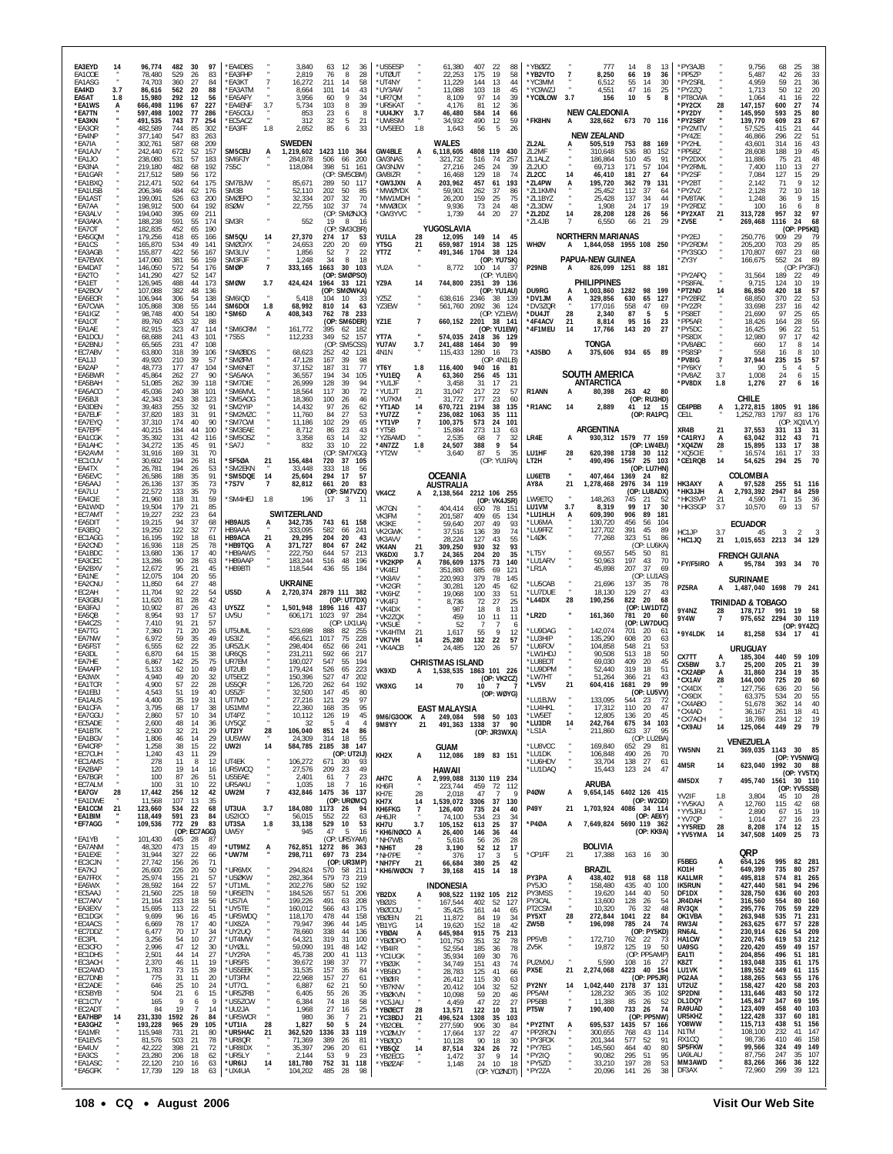| EA3EYD<br>EA1COE<br>EA1ASG<br>EA4KD                 | 14<br>3.7 | 96,774<br>78,480<br>74,703<br>86,616                | 482<br>529<br>360<br>562          | 30<br>-26<br>27<br>20          | 97<br>83<br>84<br>88            | *EA4DBS<br><b>FA3FHP</b><br><b>EA3KT</b><br><b>EA3ATM</b>      |                 | 3,840<br>2,819<br>16,272<br>8,664                  | 63<br>12<br>36<br>8<br>28<br>76<br>211<br>14<br>58<br>101<br>14<br>43<br>60<br>34                 | *US5ESP<br>*UTØUT<br>*UT4NY<br>*UY3AW              |                            | 61,380<br>22,253<br>11,229<br>11.088                    | 407<br>175<br>144<br>103<br>97    | 22<br>88<br>19<br>58<br>13<br>44<br>18<br>45                              | *YBØZZ<br>*YB2VTO<br>'YC3MM<br>'YC9WZJ                        | -7<br>3.7           | 777<br>8,250<br>6,512<br>4,551                                             | 14<br>66<br>55<br>47           | 8<br>19<br>14<br>16                         | -13<br>36<br>30<br>25         | *PY3AJB<br>*PP5ZP<br>*PY2SRL<br>*PY2ZQ                 |                              | 9,756<br>5,487<br>4,959<br>1,713                        | 68<br>42<br>59<br>50<br>41      | 25<br>33<br>26<br>36<br>21<br>20<br>12                                |
|-----------------------------------------------------|-----------|-----------------------------------------------------|-----------------------------------|--------------------------------|---------------------------------|----------------------------------------------------------------|-----------------|----------------------------------------------------|---------------------------------------------------------------------------------------------------|----------------------------------------------------|----------------------------|---------------------------------------------------------|-----------------------------------|---------------------------------------------------------------------------|---------------------------------------------------------------|---------------------|----------------------------------------------------------------------------|--------------------------------|---------------------------------------------|-------------------------------|--------------------------------------------------------|------------------------------|---------------------------------------------------------|---------------------------------|-----------------------------------------------------------------------|
| EA5AT<br>*EA1WS<br>*EA7TN<br>*EA3KN<br>*EA3OR       | 1.8       | 15,980<br>666,498<br>597,498<br>491,535<br>482,589  | 292<br>1196<br>1002<br>743<br>744 | 12<br>67<br>77<br>77<br>85     | 56<br>227<br>286<br>254<br>302  | 'EA5AFY<br>*EA4ENF<br><b>EA5CGU</b><br>*EC5ACZ<br>'EA3FF       | 3.7<br>1.8      | 3,956<br>5,734<br>853<br>312<br>2,652              | 39<br>103<br>8<br>23<br>6<br>32<br>5<br>21<br>85<br>6<br>33                                       | *UR7QM<br>*UR5KAT<br>*UU4JKY<br>*UW8SM<br>*UV5EEO  | 3.7<br>1.8                 | 8,109<br>4.176<br>46,480<br>34,932<br>1,643             | 81<br>584<br>490<br>56            | 14<br>39<br>12<br>36<br>14<br>66<br>12<br>-59<br>5<br>26                  | *YCØLOW<br>*FK8HN                                             |                     | 156<br><b>NEW CALEDONIA</b><br>328,662 673 70 116<br><b>NEW ZEALAND</b>    | 10                             | 5                                           |                               | *PT8CWA<br>*PY2CX<br>*PY2DY<br>*PY2SBY<br>'PY2MTV      | 28                           | 1,064<br>147,157<br>145,950<br>139,770<br>57,525        | 600<br>593<br>609<br>415        | $\frac{22}{74}$<br>16<br>27<br>80<br>25<br>67<br>23<br>21<br>44<br>51 |
| *EA4NP<br>*FA7IA<br>*EA1AJV<br>*FA1J0<br>*EA3NA     |           | 377,140<br>302,761<br>242,440<br>238,080<br>219,180 | 547<br>587<br>672<br>531<br>482   | 83<br>68<br>52<br>57<br>68     | 263<br>209<br>157<br>183<br>192 | SM5CEU<br>SM6FJY<br>7S5C                                       | A               | <b>SWEDEN</b><br>1,219,602<br>284.878<br>118,084   | 1423 110 364<br>506<br>200<br>-66<br>398<br>51<br>161                                             | <b>GW4BLE</b><br>GW3NAS<br>GW3NJW                  | А                          | WALES<br>6,118,605<br>321,732<br>27.216                 | 4808 119<br>516<br>245            | 430<br>74<br>257<br>24<br>39                                              | ZL2AL<br>ZL2MF<br>ZL1ALZ<br>ZL2U0                             |                     | 505.519<br>310,648<br>186.864<br>69,713                                    | 753<br>536<br>510<br>171       | 88<br>80<br>45<br>57                        | - 169<br>152<br>91<br>104     | *PY4ZE<br>*PY2HL<br>*PP5BZ<br>*PY2DXX<br>*PY2RML       |                              | 46,866<br>43,601<br>28,608<br>11,886<br>7,400           | 296<br>314<br>188<br>75<br>110  | 22<br>43<br>16<br>45<br>19<br>21<br>48<br>27<br>13                    |
| *EA1GAR<br>*EA1BXQ<br>*EA1USB<br>*EA1AS1<br>*EA7AA  |           | 217,512<br>212,471<br>206,346<br>199,091<br>198,912 | 589<br>502<br>484<br>526<br>500   | -56<br>64<br>62<br>63<br>64    | 172<br>175<br>176<br>200<br>192 | SM7BJW<br>SM3B<br><b>SMØEPO</b><br>8SØW                        |                 | 85,671<br>52,110<br>32,334<br>22,755               | (OP: SM5CBM)<br>289<br>50<br>117<br>202<br>50<br>-85<br>207<br>32<br>70<br>102<br>-37<br>74       | GW8IZR<br>*GW3JXN<br>*MWØYDX<br>*MW1MDH<br>*mwøidx |                            | 16.468<br>203,962<br>59.901<br>26,200<br>9,936          | 129<br>457<br>262<br>159<br>73    | 18<br>74<br>61<br>193<br>-37<br>-86<br>25<br>75<br>48<br>24               | ZL <sub>2</sub> CC<br>*ZL4PW<br>*7I 1KMN<br>*ZL1BYZ<br>*ZL3DW | 14                  | 46,410<br>195,720<br>25.452<br>25,428<br>1.908                             | 181<br>362<br>112<br>137<br>24 | 27<br>79<br>37<br>34<br>17                  | 64<br>131<br>-64<br>44<br>-19 | *PY2SF<br>*PY2BT<br>PY2VZ<br>'PV8TAK<br>*PY2RDZ        |                              | 7,084<br>2,142<br>2.128<br>1,248<br>100                 | 127<br>71<br>72<br>36<br>16     | 29<br>15<br>12<br>9<br>18<br>10<br>15<br>8<br>6                       |
| *EA3ALV<br>*EA3AKA<br>*EA7OT<br>*EA5GQM<br>*EA1CS   |           | 194,040<br>188,238<br>182,835<br>179,256<br>165,870 | 395<br>591<br>452<br>418<br>534   | 69<br>55<br>65<br>65<br>49     | 211<br>174<br>190<br>166<br>141 | SM3R<br>SM5QU<br><b>SMØGYX</b>                                 |                 | 552<br>27,370<br>24,653                            | (OP: SMØNJO)<br>19<br>8<br>16<br>(OP: SM3CBR)<br>274<br>-17<br>53<br>220<br>20<br>69              | *GW3YVC<br>YU1LA<br>YT5G                           | 28<br>21                   | 1,739<br>YUGOSLAVIA<br>12,095<br>659,987                | 44<br>149<br>1914                 | 27<br>20<br>14 45<br>38<br>125                                            | *ZL2DZ<br>*ZL4JB<br><b>WHØV</b>                               | 14                  | 28,208<br>6.550<br><b>NORTHERN MARIANAS</b><br>1,844,058 1955 108 250      | 128<br>66                      | 26<br>21                                    | 56<br>- 29                    | *PY2XAT<br>*ZV5E<br>'PY2EJ<br>*PY2RDM                  | 21                           | 313,728<br>269,468<br>250,776<br>205,200                | 957<br>1116<br>909<br>703       | 97<br>32<br>24<br>68<br>(OP: PP5KE)<br>29<br>79<br>85<br>29           |
| *EA3AGB<br>*EA7EWX<br>*EA4DAT<br>*EA2TO             |           | 155,877<br>147,060<br>146,050<br>141,290            | 422<br>381<br>572<br>427          | 56<br>56<br>54<br>52           | 167<br>159<br>176<br>147        | SM3LIV<br>SM3FJF<br>SMØP                                       | $\overline{7}$  | 1,856<br>1,248<br>333,165                          | 52<br>22<br>34<br>8<br>18<br>1663<br>30<br>103<br>(OP: SMØPSO)                                    | YT7Z<br>YU2A                                       |                            | 491,346<br>8,772                                        | 1704<br>100                       | 38<br>124<br>(OP: YU7SK)<br>-37<br>(OP: YU1BX)                            | P29NB                                                         |                     | <b>PAPUA-NEW GUINEA</b><br>826,099 1251 88 181                             |                                |                                             |                               | *PY3SGO<br>'ZY3Y<br>PY2APQ                             |                              | 170,807<br>166,675<br>31,564                            | 697<br>552<br>189               | 23<br>68<br>89<br>24<br>(OP: PY3FJ)<br>49<br>22                       |
| *EA1ET<br>*EA2BOV<br>*EA5EOR<br>*EA7CWA<br>*EA1IGZ  |           | 126,945<br>107,088<br>106,944<br>105,868<br>98,748  | 488<br>382<br>306<br>308<br>400   | 44<br>48<br>54<br>55<br>54     | 173<br>136<br>138<br>144<br>180 | SMØW<br>SM6IQD<br>SM6DOI<br>'SM6D                              | 3.7<br>1.8<br>A | 424,424<br>5,418<br>68,992<br>408,343              | 1964<br>33 121<br>(OP: SMØWKA)<br>10<br>104<br>810<br>63<br>-14<br>762<br>78<br>233               | YZ9A<br>YZ5Z<br>YZ3EW                              | 14                         | 744,800<br>638,616<br>561,760                           | 2351<br>2346<br>2092              | 39 136<br>(OP: YU1AU)<br>38<br>- 139<br>-36<br>- 124<br>(OP: YZ1EW)       | DU9RG<br>*DV1JM<br>*DV3ZQR<br>*DU4JT                          | 28                  | <b>PHILIPPINES</b><br>1,003,860 1282 98 199<br>329,856<br>177,016<br>2,340 | 630<br>558<br>87               | 65<br>47<br>5                               | 127<br>69                     | *PS8FAL<br>*PT2ND<br>*PY2BRZ<br>*PY2ZR<br>*PS8ET       | 14                           | 9,715<br>86,850<br>68,850<br>33,698<br>21,690           | 124<br>420<br>370<br>237<br>97  | 19<br>10<br>57<br>18<br>22<br>53<br>42<br>16<br>65<br>25              |
| *EA1OT<br>*EA1AE<br>*EA1DOU<br>*EA2BNU<br>*EC7ABV   |           | 89.760<br>82,915<br>68,688<br>65,565<br>63,800      | 453<br>323<br>241<br>231<br>318   | 32<br>47<br>43<br>47<br>39     | 88<br>114<br>101<br>108<br>106  | <b>SM6CRM</b><br>'7S5S<br>'SMØBDS                              |                 | 161,772<br>112,233<br>68,623                       | : SM6DER)<br>(OP<br>395<br>62 182<br>349<br>52<br>157<br>(OP)<br>SM5CSS)<br>252<br>42<br>$12^{r}$ | YZ1E<br>YT7A<br>YU7AV<br>4N1N                      | -7<br>3.7                  | 574,035 2418<br>241,488<br>115,433                      | 1464<br>1280                      | 660,152 2201 38 141<br>(OP: YU1EW)<br>36<br>- 129<br>99<br>30<br>73<br>16 | *4F4ACV<br>*4F1MEU<br>*A35BO                                  | 21<br>14<br>A       | 8,814<br>17,766<br>TONGA<br>375,606                                        | 95<br>143<br>934 65            | 16<br>20                                    | 23<br>27<br>89                | *PP5AR<br>*PY5DC<br>'PS8DX<br>*PV8ABC<br>*PS8SP        |                              | 18,426<br>16,425<br>12.980<br>660<br>558                | 164<br>96<br>97<br>17<br>16     | 55<br>28<br>51<br>22<br>42<br>14<br>8<br>10<br>8                      |
| *EA1JJ<br>*EA2AP<br>*EA5BWR<br>*EA5BAH              |           | 49,920<br>48,773<br>45,864<br>51,085                | 210<br>177<br>262<br>262          | 39<br>47<br>27<br>39           | 57<br>104<br>90<br>118          | 'SMØFM<br>'SM6NET<br>SA5AKA<br>'SM7DIE                         |                 | 47,128<br>37,152<br>36,557<br>26,999               | 167<br>39<br>98<br>187<br>31<br>77<br>194<br>34<br>105<br>128<br>39<br>94                         | YT6Y<br>*YU1EQ<br>*YU1JF                           | 1.8<br>Ã                   | 116,400<br>63,360<br>3,458                              | 940<br>256<br>31                  | (OP: 4N1LB)<br>16<br>81<br>45<br>131<br>17<br>21                          |                                                               |                     | <b>SOUTH AMERICA</b><br>ANTARCTICA                                         |                                |                                             |                               | *PV8IG<br>*PY6KY<br>*PV8AZ<br>*PV8DX                   | $\overline{7}$<br>3.7<br>1.8 | 37,944<br>90<br>1,008<br>1,276                          | 235<br>-5<br>24<br>27           | 57<br>15<br>5<br>15<br>6<br>16<br>6                                   |
| *EA5ACO<br>*EA5BJI<br>*EA3DEN<br>*EA7EUF<br>*EA7EYQ |           | 45,036<br>42,343<br>39.483<br>37,820<br>37,310      | 240<br>243<br>255<br>183<br>174   | 38<br>38<br>-32<br>31<br>40    | 101<br>123<br>91<br>91<br>90    | SM6MVI<br>'SM5AOG<br>SM2YIP<br>'SM2MZC<br>'SM7CWI              |                 | 18,564<br>18,360<br>14,432<br>11,760<br>11,186     | 30<br>117<br>72<br>100<br>-26<br>46<br>97<br>26<br>62<br>84<br>27<br>53<br>102<br>29<br>65        | *YU1JT<br>*YU7KM<br>*YT1AD<br>*YU7ZZ<br>*YT1VP     | 21<br>14<br>$\overline{7}$ | 31,047<br>31,772<br>670,721<br>236,082<br>100,375       | 217<br>177<br>2194<br>1063<br>573 | 22<br>57<br>60<br>23<br>135<br>38<br>35<br>111<br>101<br>24               | R1ANN<br>*R1ANC                                               | A<br>14             | 80,398<br>2,889                                                            | 263 42                         | (OP: RU3HD)<br>41 12 15<br>(OP:RA1PC)       | -80                           | CE4PBB<br>CE1L                                         | А                            | CHILE<br>1,272,815<br>1,252,783                         | 1805<br>1797                    | 91<br>186<br>83<br>-176<br>(OP: XQ1VLY)                               |
| *EA7EPF<br>*EA1CGK<br>*EA1AHC<br>*EA2AVM<br>*EC1CUV |           | 40,215<br>35,392<br>34,272<br>31,916<br>30,602      | 184<br>131<br>135<br>169<br>194   | 44<br>42<br>45<br>-31<br>26    | 100<br>116<br>91<br>70<br>81    | 'SM3EAE<br>'SM5OSZ<br>'SA7J<br>SF5ØA                           | 21              | 8,712<br>3,358<br>832<br>156,484                   | 86<br>23<br>43<br>63<br>14<br>32<br>33<br>10<br>22<br>(OP: SM7XGG)<br>720<br>37<br>105            | *YT5B<br>*YZ6AMD<br>*4N7ZZ<br>*YT2W                | 1.8                        | 15,884<br>2.535<br>24,507<br>3,640                      | 273<br>68<br>388<br>-87           | 13<br>63<br>7<br>32<br>9<br>54<br>5<br>35<br>(OP: YU1RA)                  | LR4E<br>LU1HF<br>LT2H                                         | А<br>28             | ARGENTINA<br>930,312 1579 77 159<br>620,398<br>490,496                     | 1738<br>1567                   | (OP: LW4EU)<br>30 112<br>25 103             |                               | XR4B<br>*CA1RYJ<br>*XQ4ZW<br>*XQ5CIE<br><b>'CE1RQB</b> | 21<br>А<br>28<br>14          | 37,553<br>63,042<br>15,895<br>16,574<br>54,625          | 331<br>312<br>133<br>161<br>294 | 13<br>31<br>71<br>43<br>17<br>38<br>33<br>17<br>70<br>25              |
| *EA4TX<br>*EA5EVC<br>*EA5AAJ<br>*EA7LU<br>*EA4CIE   |           | 26,781<br>26,586<br>26,136<br>22.572<br>21,960      | 194<br>188<br>137<br>133<br>118   | 26<br>35<br>35<br>35<br>31     | 53<br>91<br>73<br>79<br>59      | 'SM2EKN<br>'SM5DQE<br>*7S7V<br>*SM4HEJ                         | 14<br>7<br>1.8  | 33,448<br>25,604<br>82,812<br>196                  | 333<br>-18<br>56<br>57<br>294<br>17<br>661<br>20<br>83<br>(OP: SM7VZX)<br>3<br>17                 | VK4CZ                                              | А                          | <b>OCEANIA</b><br><b>AUSTRALIA</b><br>2,138,564         |                                   | 2212 106 255                                                              | LU6ETB<br>AY8A<br>LW9ETQ                                      | 21                  | 407,464<br>1,278,468<br>148,263                                            | 1369 24<br>2976<br>745         | (OP: LU7HN)<br>34 119<br>(OP: LU8ADX)<br>21 | -82<br>52                     | HK3AXY<br>*HK3JJH<br>*HK3SVP                           | A<br>A<br>21                 | COLOMBIA<br>97,528<br>2.793.392<br>4.590                | 255<br>2947<br>71               | 51<br>- 116<br>259<br>84<br>15<br>36                                  |
| *EA1WXD<br>*EC7AMT<br>*EA5DIT<br>*EA3EIQ            |           | 19.504<br>19,227<br>19,215<br>19,250                | 179<br>232<br>94<br>122           | 21<br>23<br>37<br>32           | 85<br>64<br>68<br>77            | <b>HB9AUS</b><br>HB9AAA                                        | A               | SWITZERLAND<br>342,735<br>333,095                  | 743<br>61 158<br>582<br>66<br>241                                                                 | VK7GN<br>VK3FM<br>VK3KE<br>VK2GWK                  |                            | 404.414<br>201,587<br>59,640<br>37,516                  | 650<br>409<br>207<br>136          | (OP: VK4JSR)<br>78<br>151<br>65<br>134<br>49<br>-93<br>39<br>-74          | LU1VM<br>*LU1HLH<br>*LU6MA<br>*LU9FFZ                         | 3.7                 | 8,319<br>609,390<br>130,720<br>127,702                                     | 99<br>906<br>456<br>391        | 17<br>89<br>56<br>45                        | 30<br>181<br>104<br>89        | *HK3SGP<br>HC1JP                                       | 3.7<br>3.7                   | 10,570<br><b>ECUADOR</b><br>45                          | 69<br>3                         | 57<br>13<br>$\mathcal{P}$                                             |
| *EC1AGG<br>*EA2CND<br>*EA1BDC<br>*EA3CEC<br>*EA2BXV |           | 16,195<br>16,936<br>13,680<br>13,286<br>12,672      | 192<br>118<br>136<br>90<br>95     | 18<br>25<br>17<br>28<br>-21    | 61<br>78<br>40<br>63<br>45      | HB9ACA<br><b>HB9TQG</b><br>*HB9AWS<br><b>HB9AAP</b><br>*HB9BTI | 21<br>A         | 29,295<br>371,727<br>222.750<br>183,244<br>118,544 | 204<br>20<br>43<br>804<br>67<br>242<br>644<br>-57<br>213<br>516<br>48<br>196<br>436<br>55<br>-184 | VK3AVV<br>VK4AN<br>VK6DXI<br>*VK2KPP<br>*VK4FJ     | 21<br>3.7                  | 28,224<br>309,250<br>24.365<br>786,609<br>351.880       | 127<br>930<br>204<br>1375<br>685  | 43<br>55<br>32<br>93<br>35<br>20<br>73<br>140<br>69<br>121                | *L4ØK<br>*LT5Y<br>*LU1ARV<br>*LR1A                            |                     | 77,268<br>69,557<br>50,963<br>45,898                                       | 323<br>545<br>197<br>207       | 51<br>(OP: LU6KA)<br>50<br>43<br>-37        | 86<br>-81<br>70<br>-69        | *HC1JQ<br>*FY/F5IRO                                    | 21<br>A                      | 1,015,653 2213<br><b>FRENCH GUIANA</b><br>95,784        | 393                             | 34 129<br>34<br>-70                                                   |
| *EA1NE<br>*EA2CNU<br>*EC2AH<br>*EA3GBU              |           | 12,075<br>11,850<br>11,704<br>11,620                | 104<br>64<br>92<br>81             | 20<br>27<br>22<br>28           | 55<br>48<br>54<br>42            | US5D                                                           | A               | <b>UKRAINE</b><br>2,720,374                        | 2879 111 382<br>(OP: UT7DX)                                                                       | *VK8AV<br>*VK2GR<br>*VK6HZ<br>*VK4FJ               |                            | 220,993<br>30.281<br>19,068<br>8.736                    | 379<br>120<br>100<br>72           | 78<br>145<br>45<br>62<br>33<br>51<br>25<br>27                             | *LU5CAB<br>*LU7DUE<br>*L44DX                                  | 28                  | 21,696<br>18,130<br>190,256                                                | 137<br>129<br>822              | (OP: LU1AS)<br>35<br>27<br>20               | -78<br>43<br>68               | PZ5RA                                                  | А                            | <b>SURINAME</b><br>1,487,040 1698                       |                                 | 79 241                                                                |
| *FA3FA J<br>*EA5QB<br>*EA4CZS                       |           | 10,902<br>8,954<br>7,410                            | 87<br>93<br>91                    | -26<br>17<br>21                | 43<br>57<br>57                  | UY5ZZ<br>UV5U                                                  |                 | 1.501.948<br>606,171                               | 1896 116 437<br>1023<br>97<br>284<br>(OP: UX1UA)                                                  | *VK4DX<br>*VK2ZQX<br>*VK5UE                        |                            | 987<br>459<br>52                                        | 18<br>10                          | 8<br>13<br>11<br>-11<br>6                                                 | *LR2D<br>*LU9DAG                                              |                     | 161,360                                                                    | 781<br>(OP: LW7DUC)            | (OP: LW1DTZ)<br>20                          | 60                            | 9Y4NZ<br>9Y4W                                          | 28<br>$\overline{7}$         | <b>TRINIDAD &amp; TOBAGO</b><br>178,717<br>975,652 2294 | 991                             | 19<br>30 119<br>(OP: 9Y4ZC)                                           |
| *EA7TG<br>*EA7NW<br>*EA5FS1<br>*EA3DL               |           | 7,360<br>6,972<br>6,555<br>6,870                    | 71<br>59<br>62<br>64              | 20<br>35<br>22<br>15           | 26<br>49<br>35<br>38            | UT5UML<br>US317<br>UR5ZLK<br>UR <sub>6</sub> OS                |                 | 523,698<br>456,621<br>298,404<br>231,211           | 888<br>82<br>255<br>1017<br>228<br>75<br>652<br>66<br>241<br>592<br>217<br>66                     | *VK4HTM<br>*VK7VH<br>*VK4ACB                       | 21<br>14                   | 1,617<br>25,280<br>24,485                               | 55<br>132<br>120                  | $\mathsf Q$<br>12<br>22<br>57<br>-26<br>-57                               | *LU3HIP<br>*LU6FOV<br>*LW1HDJ                                 |                     | 142,074<br>135,290<br>104,858<br>90,508                                    | 701<br>608<br>548<br>513       | -20<br>20<br>21<br>18                       | 61<br>63<br>53<br>50          | '9Y4LDK<br>CX7TT                                       | 14<br>A                      | 81,258<br>URUGUAY<br>185,304                            | 534<br>440                      | $17 - 41$<br>59<br>109                                                |
| *EA7HE<br>*EA4AFF<br>*EA3WX<br>*EA1TCR              |           | 6,867<br>5,133<br>4,940<br>4,900                    | 142<br>62<br>49<br>57             | 25<br>10<br>20<br>22           | 75<br>49<br>32<br>28            | UR7EM<br>UT2UB<br>UT5ECZ<br>US50R                              |                 | 180,027<br>179,424<br>150,396<br>126,720           | 547<br>55<br>194<br>526<br>65<br>223<br>527<br>47<br>202<br>262<br>64<br>192                      | VK9XD<br>VK9XG                                     | A<br>14                    | <b>CHRISTMAS ISLAND</b><br>1,538,535 1863 101 226<br>70 | 10 <sup>10</sup>                  | (OP: VK2CZ)<br>$\mathbf{7}$                                               | LU8EOT <sup>*</sup><br>*LU9DPM<br>'LW7HT<br>*LV5V             | 21                  | 69,030<br>52,440<br>51,264<br>604,416                                      | 409<br>319<br>366<br>1681      | 20<br>18<br>21<br>29                        | 45<br>51<br>43<br><b>QC</b>   | CX5BW<br><b>CX2ABP</b><br>*CX1AV                       | 3.7<br>A<br>28               | 25,200<br>31,860<br>144.000                             | 205<br>234<br>725               | 21<br>39<br>19<br>35<br>60<br>20                                      |
| *EA1EBJ<br>*EA1AUS<br>*EA1CFA                       |           | 4,543<br>4,400<br>3,795                             | 51<br>35<br>68                    | 19<br>19<br>17                 | 40<br>31<br>38                  | US5ZF<br>UT7MD<br>US1MM                                        |                 | 32,500<br>27,216<br>22,360                         | 147<br>45<br>80<br>97<br>121<br>29<br>168<br>35<br>95                                             |                                                    |                            | <b>EAST MALAYSIA</b>                                    |                                   | (OP: WØYG)                                                                | *LU1BJW<br>*LU4HKL                                            |                     | 133,095<br>17,312                                                          | 544<br>110                     | (OP: LU5VV)<br>23<br>20                     | -72<br>47                     | 'CX4DX<br>*CX9DX<br>*CX4ABO<br>CX4AD                   |                              | 127,756<br>63,375<br>51,678<br>30.107                   | 636<br>534<br>362<br>20 I       | 20<br>56<br>20<br>55<br>40<br>14<br>41<br>Ιŏ                          |
| *EA7GGU<br>*EC5ADE<br>*EA1BTK<br>*EA1BGV            |           | 2,860<br>2,600<br>2,500<br>1.806                    | 57<br>48<br>32<br>46              | 10<br>14<br>21<br>-14          | 34<br>36<br>29<br>29            | UT4PZ<br><b>UY50Z</b><br>UT2IY<br><b>UU5WW</b>                 | 28              | 10,112<br>-32<br>106,040<br>24.309                 | 19<br>126<br>45<br>-5<br>$\overline{4}$<br>$\mathbf{A}$<br>851<br>24<br>86<br>314<br>18<br>55     | 9M6/G3OOK A<br>9M8YY                               | 21                         | 249,084<br>491,363                                      | 1338 37                           | 598 50 103<br>90<br>(OP: JR3WXA)                                          | *LW5ET<br>*LU3DR<br>*LS1A                                     | 14                  | 12,805<br>242,764<br>211,860                                               | 136<br>675<br>623              | 20<br>34<br>37<br>(OP: LU2BA)               | 45<br>103<br>95               | *CX7ACH<br>*CX9AU                                      | 14                           | 18,786<br>125,064<br>VENEZUELA                          | 234<br>449                      | 19<br>12<br>29<br>79                                                  |
| *EA4CRP<br>*EC7CUH<br>*EC1AMS<br>*EA2BAP            |           | 1,258<br>1,240<br>278<br>120                        | 38<br>43<br>11<br>19              | 15<br>11<br>8<br>-14           | 22<br>29<br>12<br>16            | UW2I<br>UT4EK<br>UR5WCQ                                        | 14              | 584,785<br>106,272<br>27,576                       | 2185<br>38<br>147<br>(OP: UT2IJ)<br>671<br>30<br>93<br>209<br>23<br>49                            | KH <sub>2</sub> X                                  | A                          | <b>GUAM</b><br>112,086<br>HAWAII                        |                                   | 189 83 151                                                                | *LU8VCC<br>*LU1DK<br>*LU6HDV<br>*LU1DAQ                       |                     | 169,840<br>106,848<br>33,704<br>15,443                                     | 652<br>490<br>138<br>123 24    | 29<br>26<br>27                              | -81<br>70<br>61<br>47         | YW5NN<br>4M5R                                          | 21<br>14                     | 623,040                                                 |                                 | 369,035 1143 30 85<br>(OP: YV5NWG)<br>1992 30 88<br>(OP: YV5TX)       |
| *EA7BGR<br>*EC7ALM<br>*EA7GV<br>*EA1DWE             | 28        | 100<br>100<br>17,442<br>11,568                      | 87<br>31<br>256<br>107            | 26<br>10<br>12<br>13           | 51<br>22<br>42<br>35            | US5EAE<br>UR5AKU<br>UW2M                                       | $\overline{7}$  | 2,401<br>1,035                                     | 61<br>$\overline{7}$<br>23<br>$\overline{7}$<br>18<br>16<br>432,846 1475 36 137<br>(OP: URØMC)    | AH7C<br>KH6FI<br>KH7E<br>KH7X                      | ŗ<br>28<br>14              | 2,999,088<br>223,744<br>2,018<br>1,539,072              | 459<br>47<br>3306                 | 3130 119 234<br>72 112<br>-7<br>Q<br>37<br>130                            | P4ØW                                                          | А                   | <b>ARUBA</b><br>9,654,145                                                  | 6402 126 415                   | (OP: W2GD)                                  |                               | 4M5DX<br>YV2IF<br>*YV5KAJ                              | $\overline{7}$<br>1.8<br>Α   | 495,740<br>3,804<br>12,760                              | 1561<br>45<br>115               | 30 110<br>(OP: YV5SSB)<br>10<br>- 28<br>68<br>42                      |
| *EA1CCM<br>*EA1BIM<br>*EF7AGG                       | 21        | 123,660<br>118,449<br>109,536                       | 534<br>591<br>772                 | 22<br>23<br>29<br>(OP: EC7AGG) | 68<br>84<br>83                  | UT3UA<br>US2I00<br>UT3SA<br>UW5Y                               | 3.7<br>1.8      | 184,080<br>56,015<br>33,138<br>945                 | 1173<br>26<br>94<br>552<br>22<br>63<br>529<br>10<br>53<br>47<br>5<br>- 16                         | <b>KH6FKG</b><br>AH6JR<br>KH7U<br>*KH6/NØCO A      | $\overline{7}$<br>3.7      | 126,400<br>74,100<br>105,152<br>26,400                  | 735<br>534<br>613<br>146          | 24<br>40<br>23<br>34<br>25<br>37<br>36<br>44                              | P49Y<br>*P4ØA                                                 | 21<br>A             | 1.703.924 4086 34 114<br>7,649,824 5690 119 362                            |                                | (OP: AE6Y)<br>(OP: KK9A)                    |                               | *YY5JRU<br>*YV7QP<br>*YY5RED<br>*YV5YMA                | $\cdot$<br>28<br>14          | 2,890<br>1,014<br>8,208<br>347,508                      | 67<br>27<br>174<br>1409         | 15<br>19<br>23<br>16<br>12<br>15<br>73<br>25                          |
| *EA1YB<br>*EA7ANM<br>*EA1EXE<br>*EC3CJN             |           | 101,430<br>48,320<br>31,944<br>27,742               | 445<br>473<br>327<br>156          | - 28<br>15<br>22<br>26         | 87<br>49<br>66<br>71            | *UT9MZ<br>*UW7M<br>*UR6MX                                      | А               | 762,851<br>298,711                                 | (OP: UR5YAM)<br>1272 86 363<br>697<br>73 234<br>(OP: UR3MP)                                       | *NH7WB<br>*NH6T<br>*NH7PE<br>*NH7FY                | $\frac{28}{1}$<br>21       | 5,616<br>3,190<br>376<br>66,684                         | 56<br>52<br>17<br>380             | 26<br>28<br>17<br>12<br>3<br>-5<br>25<br>42                               | *CP1FF                                                        | 21                  | BOLIVIA<br>17,388<br><b>BRAZIL</b>                                         | 163 16 30                      |                                             |                               | F5BEG<br>KO1H                                          | А                            | QRP<br>654,126                                          | 995                             | 82 281<br>80                                                          |
| *EA7KJ<br>*EA7FRX<br>*EA5WX<br>*EC5AAJ              |           | 26,600<br>25,974<br>28,592<br>21,560                | 226<br>155<br>164<br>225          | 20<br>21<br>22<br>18           | 50<br>57<br>57<br>59            | *USØKW<br>*UT1ML<br>*UR5ETN                                    |                 | 294,824<br>282,364<br>202,276<br>184,526           | 570<br>58 211<br>579<br>73<br>219<br>52 192<br>580<br>557<br>51<br>206                            | *KH6/WØCN 7<br>YB2DX                               | A                          | 39,168<br><b>INDONESIA</b>                              | 415                               | 14<br>18<br>908,522 1192 105 212                                          | PY3PA<br>PY5JO<br>PY3MSS                                      | A                   | 438,402<br>158,480<br>19,620                                               | 918<br>435<br>144              | 68 118<br>40<br>40                          | 100<br>50                     | KA1LMR<br><b>IK5RUN</b><br>DF1DX                       |                              | 649,399<br>495,818<br>427,440<br>328,750                | 735<br>574<br>581<br>636        | 257<br>81<br>265<br>94 296<br>60<br>203                               |
| *EC7AKV<br>*EA3EXV<br>*EC1DGX                       |           | 21,164<br>15,695<br>9,699                           | 233<br>113<br>96                  | 18<br>22<br>16                 | 56<br>51<br>45                  | *US7IA<br>*UY5TE<br>*UR5WDQ                                    |                 | 199,226<br>160,012<br>118,170                      | 491<br>63<br>208<br>566<br>43<br>175<br>478<br>44<br>158                                          | YBØJS<br><b>YBØCOU</b><br>YBØEIN                   | 21                         | 167,544<br>35,425<br>11,872                             | 402<br>161<br>84                  | 52<br>127<br>44<br>65<br>19<br>34                                         | PY3CAL<br>PT2CSM<br>PY5XT                                     | 28                  | 13,600<br>10,320<br>272,844                                                | 128<br>76<br>1041              | 26<br>32<br>22                              | 54<br>48<br>84                | JR4DAH<br>RV3QX<br>OK1VBA                              |                              | 316,560<br>295,776<br>263,948                           | 554<br>705<br>535               | 160<br>80<br>59<br>229<br>71<br>231                                   |
| *EC4ACS<br>*EC7DDZ<br>*EC3PL<br>*EC3CFO             |           | 6,669<br>6,477<br>3,256<br>2,996                    | 78<br>70<br>54<br>47              | 17<br>17<br>10<br>12           | 40<br>34<br>27<br>30            | *UX8ZA<br>*UY2UQ<br>*UT4MW<br>*UYØLL                           |                 | 79,947<br>78,660<br>64,321<br>59,090               | 396<br>44<br>145<br>338<br>44<br>136<br>319<br>31<br>100<br>191<br>48<br>142                      | YB1YG<br>*YBØAI<br>*YBØDPO<br>*YB4IR               | 14<br>A                    | 19,620<br>645,984<br>101,750<br>52,554                  | 152<br>915<br>351<br>185          | 42<br>18<br>75<br>213<br>32<br>78<br>78<br>-36                            | ZW5B<br>PP5VB<br>ZV5K                                         |                     | 196,098<br>172,710<br>19,872                                               | 785<br>762 22<br>125           | 24<br>(OP: PY5KD)<br>19                     | 74<br>-73<br>50               | RW3AI<br>RN6AL<br>HA1CW<br>UA9SG                       |                              | 263,625<br>230,914<br>220,745<br>220,420                | 677<br>626<br>619<br>459        | 228<br>57<br>209<br>54<br>53<br>212<br>49<br>157                      |
| *EC1DHS<br>*EC3ACH<br>*EC2AWD                       |           | 2,501<br>2,370<br>1,783                             | 44<br>46<br>73                    | 14<br>11<br>15                 | 27<br>19<br>39                  | *UY2RA<br>*UR5FS<br>*US5EEK                                    |                 | 45,738<br>39,672<br>31,535                         | 200<br>41<br>113<br>198<br>37<br>77<br>157<br>35<br>-84                                           | *YC1UGK<br>*YBØJK<br>*YB5BO                        |                            | 35,934<br>34,749<br>28,783                              | 169<br>151<br>125                 | 30<br>76<br>74<br>43<br>41<br>66                                          | PU2MXU<br>PX5E                                                | 21                  | 5,590<br>2,274,068                                                         | 108<br>4223 40 154             | (OP: PP5AMP)<br>16                          | -27                           | EA1TI<br>K8ZT<br>LU1VK                                 |                              | 204,856<br>193,048<br>189,552                           | 496<br>335<br>449               | 51 181<br>61 175<br>61 115                                            |
| *EC7DNB<br>*EC2ADE<br>*EC5BYB<br>*EC1CTV            |           | 775<br>646<br>504<br>165                            | 31<br>25<br>21<br>9               | 11<br>10<br>6<br>6             | 20<br>24<br>15<br>9             | *UT3FM<br>*UT7CL<br>*UR5ZRB<br>*US5ZCW                         |                 | 22,968<br>6,887<br>6,405<br>6,384                  | 27<br>157<br>61<br>21<br>50<br>62<br>55<br>26<br>35<br>74<br>18<br>58                             | *YBØIR<br>*YB7KNV<br>*YBØKVN                       |                            | 26,412<br>20,412<br>10,098                              | 115<br>104<br>59                  | -30<br>63<br>32<br>52<br>20<br>46                                         | PY2NY<br>PP5AM<br>PP5BB                                       | 14                  | 1,042,440 2178 37 131<br>128,232<br>11,388                                 | 365<br>85                      | (OP:PP5JR)<br>35<br>26                      | 102<br>-52                    | PG2AA<br>UT2UZ<br>SP2DNI<br>DL1DQY                     |                              | 188,265<br>158,427<br>131,646<br>145,847                | 563<br>420<br>483<br>347        | 55<br>176<br>203<br>58<br>50<br>172<br>195<br>69                      |
| *EC2ADT<br>*EA7HBP<br>*EA3GHZ                       | 14        | 84<br>231,330<br>193,228                            | 19<br>1592<br>965                 | $\overline{7}$<br>- 26<br>29   | 14<br>84<br>105                 | *UU2JA<br>*UR5WCR<br>*UT1IA                                    | 28              | 1,968<br>980<br>1,827                              | 27<br>25<br>16<br>$\overline{7}$<br>36<br>21<br>50<br>5<br>24                                     | *YC5JAU<br>*YBØECT<br>*YC3BDJ<br>*YB2OBL           | 28<br>$^{21}$              | 4,459<br>13,571<br>496,524<br>277,590                   | 47<br>122<br>1308<br>906          | 22<br>27<br>10<br>31<br>35<br>103<br>30<br>84                             | PT5W<br>*PY2TNT                                               | $\overline{7}$<br>А | 190,400<br>695,537                                                         | 733<br>1435                    | 26<br>(OP: PP5NW)<br>57 166                 | 74                            | RA9UAD<br>UR5KHZ<br>Y08WW                              |                              | 123,409<br>122,428<br>115,713                           | 458<br>337<br>438               | 40<br>103<br>60 181<br>51 156                                         |
| *EA1MR<br>*EA1EVS<br>*EA4UV                         |           | 115,948<br>81,576<br>42,222                         | 731<br>503<br>398                 | -21<br>21<br>-21               | 80<br>78<br>72                  | *UR5HAC<br>*UR8QR<br>*UR8IDX                                   | 21              | 362,520<br>71,369<br>35,397                        | 1336<br>33<br>119<br>389<br>26<br>81<br>296<br>20<br>61                                           | *YCØMJY<br>*YBØQ0<br>*YB5QZ                        | 14                         | 17,664<br>10,128<br>87,514                              | 137<br>90<br>324                  | 22<br>47<br>18<br>-30<br>72<br>26                                         | *PP2RON<br>*PY3FOX<br>*PY7EG                                  |                     | 300,655<br>201,344<br>145,560                                              | 768<br>577<br>464              | 43<br>52<br>40                              | 114<br>91<br>80               | N1TM<br>RX1CQ<br>SP5FKW                                |                              | 108,100<br>98,736<br>99,566                             | 232<br>410<br>324               | 41 147<br>46<br>158<br>49 149                                         |
| *EA3CS<br>*EA1ASC<br>*EA5GFK                        |           | 23,280<br>22,120<br>17,739                          | 206<br>210<br>129                 | 18<br>16<br>18                 | 62<br>63<br>63                  | *UR5LY<br>*UR6IJ<br>*UX4UA                                     | 14              | 2,144<br>181,780<br>104,202                        | 53<br>9<br>23<br>752<br>31<br>118<br>485<br>28<br>98                                              | *YB2ECG<br>*YBØZAF                                 |                            | 1,472<br>1,148                                          | 37<br>24                          | 9<br>14<br>10<br>18<br>(OP: YCØNDT)                                       | *PY2IQ<br>*PY5ZD<br>*PY2ZA                                    |                     | 90,082<br>33,210<br>20,096                                                 | 295<br>197<br>141              | 51<br>28<br>26                              | 95<br>53<br>38                | UA9LAU<br>MM3AWD<br>DF3AX                              |                              | 87,756<br>83,266<br>72,960                              | 247<br>366<br>299               | 35<br>107<br>36 122<br>39 121                                         |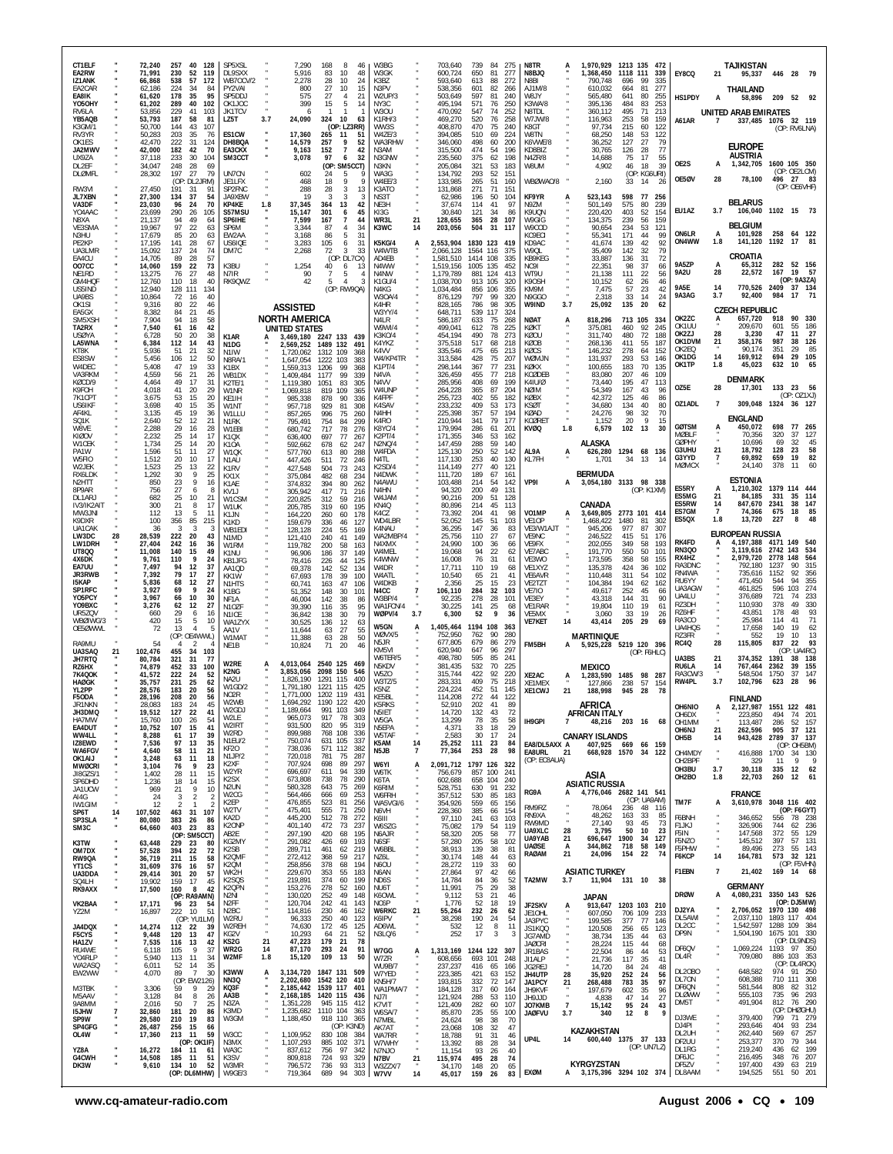| CT1ELF<br>EA2RW<br>IZ1ANK<br>EA2CAR                                  |    | 72,240<br>71,991<br>66,868<br>62,186           | 40<br>257<br>- 128<br>230<br>52<br>119<br>538<br>57<br>172<br>224<br>34<br>84                              | SP5XSI<br>DL9SXX<br><b>WB70CV/2</b><br>PY2VAI                                             |                 | 7,290<br>5,916<br>2,278<br>800                                | 168<br>-8<br>46<br>83<br>10<br>48<br>28<br>10<br>24<br>27<br>10<br>15                                     | W3BG<br>W3GK<br>K3BZ<br>N3PV                       |                     | 703,640<br>600,724<br>593,640<br>538,356                      | 739<br>650<br>613<br>601                                | -84<br>81<br>88<br>82       | 275<br>277<br>272<br>266        | N8TR<br>N8BJQ<br>N8BI<br>AJ1M/8                                                        | 1,970,929<br>1,368,450<br>790.748<br>610,032         | 1213 135<br>1118 111<br>696<br>664    | - 472<br>339<br>99<br>335<br>277<br>81                         | EY8CQ                                                 | 21                                | TAJIKISTAN<br>95,337<br>THAILAND                                         |                                  | 446 28 79                                                                   |          |
|----------------------------------------------------------------------|----|------------------------------------------------|------------------------------------------------------------------------------------------------------------|-------------------------------------------------------------------------------------------|-----------------|---------------------------------------------------------------|-----------------------------------------------------------------------------------------------------------|----------------------------------------------------|---------------------|---------------------------------------------------------------|---------------------------------------------------------|-----------------------------|---------------------------------|----------------------------------------------------------------------------------------|------------------------------------------------------|---------------------------------------|----------------------------------------------------------------|-------------------------------------------------------|-----------------------------------|--------------------------------------------------------------------------|----------------------------------|-----------------------------------------------------------------------------|----------|
| EA8IK<br>Y050HY<br>RV6LA<br>YB5AQB<br>K3GM/1                         |    | 61,620<br>61,202<br>53,856<br>53,793<br>50,700 | 178<br>35<br>95<br>289<br>40<br>102<br>229<br>41<br>103<br>187<br>58<br>81<br>43<br>144<br>107             | SP5DDJ<br>OK1JOC<br><b>JK1TCV</b><br>LZ5T                                                 | 3.7             | 575<br>399<br>6<br>24,090                                     | 27<br>$\overline{4}$<br>21<br>15<br>5<br>14<br>-1<br>324<br>10<br>63<br>(OP: L73RR)                       | W2UP/3<br>NY3C<br>W3OU<br>K1RH/3<br>WW3S           |                     | 503,649<br>495,194<br>470,092<br>469,270<br>408,870           | 597<br>571<br>547<br>520<br>470                         | 81<br>76<br>74<br>76<br>75  | 240<br>250<br>252<br>258<br>240 | W8JY<br>K3WA/8<br>N8TDL<br>W7JW/8<br>K8GT                                              | 565.480<br>395,136<br>360,112<br>116,963<br>97,734   | 641<br>484<br>495<br>253<br>215       | 80<br>255<br>83<br>253<br>213<br>-71<br>58<br>159<br>60<br>122 | HS1PDY<br>A61AR                                       | А<br>7                            | 58,896<br>UNITED ARAB EMIRATES<br>337,485                                | 209<br>1076                      | 52 92<br>32 119<br>(OP: RV6LNA)                                             |          |
| RV3YR<br>OK1ES<br>JA2MWV<br>UX9ZA<br>DL2EF                           |    | 50,283<br>42,470<br>42,000<br>37,118<br>34,047 | 203<br>35<br>76<br>222<br>31<br>124<br>182<br>42<br>70<br>233<br>30<br>104<br>248<br>28<br>69              | ES1CW<br>DH8BQA<br><b>FA3CKX</b><br>SM3CCT                                                |                 | 17,360<br>14,579<br>9,163<br>3,078                            | 265<br>11<br>51<br>9<br>257<br>52<br>152<br>$\overline{7}$<br>42<br>97<br>6<br>32<br>(OP: SM5CCT)         | W47F/3<br>WA3RHW<br>N3AM<br>N3GNW<br>N3KN          |                     | 394,085<br>346,060<br>315,500<br>235,560<br>205,084           | 510<br>498<br>474<br>375<br>321                         | 69<br>60<br>54<br>62<br>53  | 224<br>200<br>196<br>198<br>183 | <b>W8TN</b><br>K6VWE/8<br>KD8BI7<br>N4ZR/8<br>W8UM                                     | 68,250<br>36,252<br>30,765<br>14,688<br>4,902        | 148<br>127<br>126<br>75<br>46         | 122<br>53<br>27<br>79<br>28<br>77<br>17<br>55<br>18<br>39      | OE2S                                                  | A                                 | <b>EUROPE</b><br>AUSTRIA<br>1,342,705                                    |                                  | 1600 105 350                                                                |          |
| <b>DLØMFL</b><br>RW3VI<br><b>JL7XBN</b>                              |    | 28,302<br>27,450<br>27,300                     | 197<br>27<br>79<br>(OP: DL2JRM)<br>191<br>31<br>134<br>37<br>54<br>70                                      | UN7CN<br>JE1LFX<br>SP2FNC<br>JA9XBW                                                       |                 | 602<br>468<br>288<br>19                                       | 24<br>5<br>9<br>18<br>Q<br>28<br>3<br>13<br>ર<br>3<br>-3<br>42                                            | WA3G<br>W4EE/3<br>K3ATO<br>NS3T                    |                     | 134,792<br>133,985<br>131,868<br>62.986                       | 293<br>265<br>271<br>196                                | 52<br>-51<br>71<br>50<br>41 | 151<br>160<br>151<br>104<br>97  | WBØWAO/8<br>KF9YR                                                                      | 2,160<br>523,143                                     | 33<br>598                             | (OP: KG6URI)<br>14<br>26<br>77<br>-256                         | OE5ØV                                                 | 28                                | 78,100<br><b>BELARUS</b>                                                 |                                  | (OP: OE2LCM)<br>496 27 83<br>(OP: OE6VHF)                                   |          |
| VA3DF<br>YO4AAC<br>N8XA<br>VE3SMA<br>N3HU                            |    | 23,030<br>23,699<br>21,137<br>19,967<br>17,679 | 96<br>24<br>290<br>26<br>105<br>94<br>49<br>64<br>97<br>22<br>63<br>85<br>20<br>63                         | KP4KE<br>S57MSU<br>SP6IHE<br>SP6M<br>EW2AA                                                | 1.8             | 37,345<br>15,147<br>7,599<br>3,344<br>3,168                   | 364<br>13<br>301<br>6<br>45<br>167<br>$\overline{7}$<br>44<br>87<br>$\overline{4}$<br>34<br>31<br>86<br>5 | NE3H<br>KI3G<br>WR3L<br>K3WC                       | 21<br>14            | 37,674<br>30,840<br>128,655<br>203,056                        | 114<br>121<br>365<br>504                                | 34<br>28<br>-31             | 86<br>107<br>117                | N9ZM<br>K9UQN<br>W9GIG<br>W <sub>9</sub> COD<br>KC9FCI                                 | 501,149<br>220,420<br>134,375<br>90,654<br>55,341    | 575<br>403<br>239<br>234<br>171       | 80<br>239<br>52<br>154<br>56<br>159<br>53<br>121<br>99<br>44   | EU1AZ<br>ON6LR                                        | 3.7<br>A                          | 106,040<br><b>BELGIUM</b><br>101,928                                     |                                  | 1102 15 73<br>258 64 122                                                    |          |
| PE2KP<br>UA3LMR<br>EA4CU<br>007CC<br>NE1RD                           |    | 17,195<br>15,092<br>14,705<br>14,060<br>13,275 | 141<br>28<br>67<br>137<br>24<br>74<br>89<br>28<br>57<br>159<br>22<br>73<br>27<br>48<br>76                  | US6IQE<br>DM7C<br>K3BU<br>N7IR                                                            |                 | 3,283<br>2,268<br>1,254<br>90                                 | 105<br>6<br>31<br>72<br>3<br>33<br>(OP:<br>DL7CX)<br>40<br>6<br>13<br>$\overline{7}$<br>-5                | <b>K5KG/4</b><br>W4WTB<br>AD4EB<br>N4WW<br>N4NW    |                     | 2,553,904<br>2,066,128<br>1,581,510<br>1.519,156<br>1,179,789 | 1830 123 419<br>1564 116<br>1414<br>1005 135<br>881 124 | 108                         | 375<br>335<br>452<br>413        | KD9AC<br>W90I<br>KB9KEG<br>NC <sub>91</sub><br>WT9U                                    | 41,674<br>35,409<br>33,887<br>22,351<br>21,138       | 139<br>142<br>136<br>98<br>111        | 42<br>92<br>79<br>32<br>31<br>72<br>37<br>66<br>22<br>56       | ON4WW<br>9A5ZP<br><b>9A2U</b>                         | 1.8<br>A<br>28                    | 141,120<br>CROATIA<br>65,312<br>22,572                                   | 1192<br>282<br>167               | 17 81<br>52 156<br>19<br>-57                                                |          |
| GM4HQF<br>US5IND<br>UA9BS<br>OK <sub>1</sub> SI                      |    | 12,760<br>12,940<br>10,864<br>9,316            | 40<br>110<br>18<br>128 111<br>134<br>40<br>72<br>-16<br>80<br>22<br>46                                     | RK9QWZ                                                                                    |                 | 42<br><b>ASSISTED</b>                                         | 5<br>$\overline{4}$<br>3<br>(OP: RW9QA)                                                                   | K1GU/4<br>N4KG<br>W30A/4<br>K4HR                   |                     | 1,038,700<br>1,034,484<br>876,129<br>828,165                  | 913 105<br>856<br>797<br>786                            | 106<br>99<br>98             | 320<br>355<br>320<br>305        | K90SH<br>KM9M<br>N9GGO<br>W9IND<br>3.7                                                 | 10,152<br>7,475<br>2,318<br>25,092                   | 62<br>57<br>33<br>135                 | 46<br>26<br>23<br>42<br>14<br>24<br>20<br>62                   | <b>9A5E</b><br>9A3AG                                  | 14<br>3.7                         | 770,526 2409<br>92,400<br><b>CZECH REPUBLIC</b>                          | 984                              | (OP: 9A3ZA)<br>37 134<br>17<br>71                                           |          |
| EA5GX<br>SM5XSH<br>TA2RX<br><b>USØYA</b><br>LA5WNA                   |    | 8,382<br>7,904<br>7,540<br>6,728<br>6,384      | 84<br>-21<br>45<br>94<br>18<br>58<br>61<br>16<br>42<br>50<br>20<br>38<br>112<br>-14<br>43                  | K1AR<br>N <sub>1</sub> D <sub>G</sub>                                                     |                 | <b>NORTH AMERICA</b><br>UNITED STATES<br>2.569.252            | 3,469,180 2247 133 439<br>1489 132<br>491                                                                 | W3YY/4<br>N4LR<br>W9WI/4<br><b>K3KO/4</b><br>K4YKZ |                     | 648,711<br>586,187<br>499,041<br>454,194<br>375,518           | 539<br>633<br>612<br>490<br>517                         | 117<br>75<br>78<br>78<br>68 | 324<br>268<br>225<br>273<br>218 | <b>NØAT</b><br>A<br>KØKT<br>KØOU<br>KØOB                                               | 818,296<br>375,081<br>311,740<br>268,136             | 713 105<br>460<br>480<br>411          | 334<br>92<br>245<br>72<br>188<br>55<br>187                     | OK2ZC<br>OK1UU<br>OK2ZJ<br>OK1DVM                     | A<br>28<br>21                     | 657.720<br>209,670<br>3,230<br>358,176                                   | 918<br>601<br>47<br>987          | 90<br>330<br>55<br>186<br>11<br>27<br>38<br>126                             |          |
| KT8K<br>ES8SW<br>W4DEC<br>VA3RKM<br>KØCD/9                           |    | 5.936<br>5,456<br>5,408<br>4,559<br>4.464      | 51<br>21<br>32<br>106<br>12<br>50<br>19<br>47<br>33<br>56<br>21<br>26<br>49<br>17<br>31                    | N <sub>1</sub> IW<br>N8RA/1<br>K1BX<br>WB1DX<br>K2TE/1                                    |                 | 1.720.062<br>1.647.054<br>1,559,313<br>1.409.484<br>1,119,380 | 1312 109<br>368<br>1222<br>103<br>383<br>1206<br>99<br>368<br>1177<br>99<br>339<br>1051<br>83<br>305      | K4VV<br>W4/KP4TR<br>K1PT/4<br>N4VA<br>N4VV         |                     | 335,546<br>313,584<br>298,144<br>326,459<br>285,956           | 475<br>428<br>367<br>455<br>408                         | 65<br>75<br>77<br>77<br>69  | 213<br>207<br>231<br>218<br>199 | KØCS<br>WØMJN<br>KØKX<br>KCØDEB<br>K41U/0                                              | 146,232<br>131,937<br>100,655<br>83,080<br>73,440    | 278<br>293<br>183<br>207<br>195       | 64<br>152<br>53<br>146<br>70<br>135<br>46<br>109<br>47<br>113  | OK2EQ<br>OK1DG<br>OK1TP                               | 14<br>1.8                         | 90.174<br>169,912<br>45,023<br><b>DENMARK</b>                            | 351<br>694<br>632                | 85<br>29<br>105<br>29<br>65<br>10                                           |          |
| K9FOH<br>7K1CPT<br><b>US6IKF</b><br>AF4KL                            |    | 4,018<br>3.675<br>3,698<br>3,135               | 41<br>20<br>29<br>53<br>15<br>20<br>40<br>15<br>35<br>45<br>19<br>36                                       | W1NR<br>KE1IH<br>W1NT<br>W1LLU                                                            |                 | 1,069,818<br>985,338<br>957,718<br>857,265                    | 819<br>109<br>365<br>878<br>90<br>336<br>929<br>-81<br>308<br>996<br>75<br>260                            | W4UNP<br>K4FPF<br>K4SAV<br>N4HH                    |                     | 264,228<br>255,723<br>233,232<br>225,398                      | 365<br>402<br>409<br>357                                | 87<br>55<br>53<br>57        | 204<br>182<br>173<br>194        | NØIM<br>KØBX<br><b>KSØT</b><br>KØAD                                                    | 54,349<br>42,372<br>34,680<br>24,276                 | 167<br>125<br>134<br>98               | 43<br>96<br>46<br>86<br>40<br>80<br>32<br>70                   | OZ5E<br>OZ1ADL                                        | 28<br>$\overline{7}$              | 17,301<br>309,048<br><b>ENGLAND</b>                                      |                                  | 133 23 56<br>(OP: 0Z1XJ)<br>1324 36 127                                     |          |
| SQ1K<br>W8VE<br><b>KIØOV</b><br>W1CEK<br>PA1W                        |    | 2,640<br>2,288<br>2,232<br>1,734<br>1,596      | 52<br>12<br>21<br>29<br>16<br>28<br>25<br>14<br>17<br>25<br>14<br>20<br>51<br>11<br>27                     | N <sub>1</sub> RK<br>W1EBI<br>K <sub>1</sub> OX<br>K <sub>1</sub> OA<br>W10K              |                 | 795,491<br>680,742<br>636,400<br>592,662<br>577,760           | 754<br>-84<br>299<br>717<br>78<br>276<br>697<br>77<br>267<br>678<br>62<br>247<br>613<br>80<br>288         | K4RO<br>K8YC/4<br>K2PT/4<br>N2NQ/4<br>W4FDA        |                     | 210,944<br>179,994<br>171,355<br>147,459<br>125,130           | 341<br>286<br>346<br>288<br>250                         | 79<br>61<br>53<br>59<br>52  | 177<br>201<br>162<br>140<br>142 | <b>KCØRET</b><br>1.8<br>KVØQ<br>AL9A<br>A                                              | 1,152<br>6,579<br>ALASKA<br>626,280                  | 20<br>102<br>1294 68 136              | 9<br>15<br>13<br>-30                                           | <b>GØTSM</b><br><b>MØBLF</b><br><b>GØPHY</b><br>G3UHU | 21                                | 450,072<br>70.356<br>10.696<br>18.792                                    | 698<br>320<br>69<br>128          | 77 265<br>127<br>-37<br>32<br>45<br>23<br>58                                |          |
| W5FIO<br>W <sub>2</sub> JFK<br>RX6LDK<br>N <sub>2</sub> HTT<br>8P9AR |    | 1,512<br>1,523<br>1,292<br>850<br>756          | 20<br>10<br>17<br>25<br>22<br>13<br>30<br>25<br>23<br>9<br>16<br>27<br>8                                   | N <sub>1</sub> AU<br>K <sub>1</sub> RV<br>KX <sub>1</sub> X<br>K1AE<br>KVI                |                 | 447,426<br>427,548<br>375,084<br>374,832<br>305.942           | 511<br>72<br>246<br>504<br>73<br>243<br>482<br>68<br>234<br>394<br>80<br>262<br>417<br>71<br>216          | N4TL<br>K2SD/4<br>N4DWK<br>N4AWU<br>N4HN           |                     | 117,130<br>114,149<br>111,720<br>103,488<br>94,320            | 253<br>277<br>189<br>214<br>200                         | 40<br>40<br>67<br>54<br>49  | 130<br>121<br>161<br>142<br>131 | KL7FH<br>VP91<br>A                                                                     | 1.701<br><b>BERMUDA</b><br>3,054,180 3133 98 338     | 34                                    | 13<br>14<br>(OP: K1XM)                                         | G3YYD<br>MØMCX<br>ES5RY                               |                                   | 69,892<br>24,140<br><b>ESTONIA</b><br>1,210,302                          | 659<br>378                       | 19<br>82<br>60<br>11<br>1379 114 444                                        |          |
| DI 1AR.<br>IV3/IK2AIT<br>MW3JNI<br>K9DXR                             |    | 682<br>300<br>112<br>100<br>36                 | 25<br>10<br>21<br>21<br>8<br>17<br>13<br>-5<br>11<br>356<br>85<br>215<br>3<br>ె<br>3                       | W1CSM<br>W1UK<br>K1JN<br>K1KD                                                             |                 | 220,825<br>205,785<br>164,220<br>159,679                      | 312<br>59<br>216<br>319<br>60<br>195<br>260<br>60<br>178<br>336<br>46<br>127                              | W4JAM<br>KN4Q<br>K4C7<br>WD4LBR                    |                     | 90.216<br>80,896<br>73,392<br>52,052                          | 209<br>214<br>204<br>145<br>147                         | 51<br>45<br>41<br>51<br>36  | 128<br>113<br>98<br>103<br>83   | VO1MP<br>A<br>VE1OP<br>VE3/W1AJT                                                       | CANADA<br>3,649,805<br>1,468,422                     | 2773 101 414<br>1480<br>977           | 81<br>302<br>87<br>307                                         | ES5MG<br><b>ES5RW</b><br>ES7GM<br>ES5QX               | 21<br>14<br>$\overline{7}$<br>1.8 | 84,185<br>847,670<br>74,366<br>13,720                                    | 331<br>2341<br>675<br>227        | 35<br>- 114<br>38<br>147<br>85<br>18<br>8                                   |          |
| UA1CAK<br>LW3DC<br>LW1DRH<br><b>UT800</b><br>4X6DK                   | 28 | 28,539<br>27,404<br>11,008<br>9,761            | 222<br>20<br>43<br>242<br>16<br>-36<br>140<br>15<br>49<br>$\mathbf{Q}$<br>110<br>24                        | WB1EDI<br>N <sub>1</sub> M <sub>D</sub><br>W1RM<br>K1NU<br>KB1JFG                         |                 | 128,128<br>121,410<br>119,782<br>96,906<br>78,416             | 224<br>55<br>169<br>240<br>41<br>149<br>200<br>58<br>163<br>37<br>186<br>149<br>226<br>44<br>125          | K4NAU<br>WA2MBP/4<br>N4XMX<br>W4MEL<br>K4WNW       |                     | 36,295<br>25,756<br>24.990<br>19,068<br>16,008                | 110<br>100<br>94<br>76                                  | 27<br>-36<br>22<br>31       | 67<br>66<br>62<br>61            | VE9NC<br>VE9FX<br>VE7ABC<br>VE3WO                                                      | 945,206<br>246,522<br>202,055<br>191,770<br>173.595  | 415<br>349<br>550<br>358              | 51<br>176<br>58<br>193<br>50<br>101<br>58<br>155               | RK4FD<br><b>RN300</b><br>RX4HZ<br>RA3DNC              |                                   | <b>EUROPEAN RUSSIA</b><br>4,197,388<br>3,119,616<br>2,979,720<br>792.180 | 4171<br>2742<br>2778<br>1237     | 149<br>540<br>143<br>534<br>148<br>564<br>315<br>90                         |          |
| EA7UU<br><b>JR3RWB</b><br><b>I5KAP</b><br>SP1RFC<br>Y05PCY           |    | 7,497<br>7,392<br>5,836<br>3.927<br>3,967      | 94<br>12<br>37<br>79<br>-17<br>27<br>68<br>12<br>27<br>69<br>- 9<br>24<br>10<br>30<br>66                   | AA1QD<br>KK1W<br>N1HTS<br>K <sub>1</sub> B <sub>G</sub><br>NF1A                           |                 | 69,378<br>67,693<br>60,741<br>51,352<br>46,004                | 52<br>142<br>134<br>178<br>-39<br>100<br>47<br>106<br>163<br>148<br>30<br>101<br>142<br>38<br>86          | W4DR<br>W4ATL<br>W4DKB<br>N4CC<br>W3BP/4           |                     | 17,711<br>10,540<br>2,356<br>106,110<br>92.235                | 110<br>65<br>25<br>284<br>278                           | 19<br>21<br>15<br>32<br>28  | 68<br>41<br>23<br>103<br>101    | VE1XYZ<br>VE6AVR<br>VE2TZT<br><b>VE7IO</b><br>VF3FY                                    | 135,378<br>110,448<br>104,384<br>49,617<br>43.318    | 424<br>311<br>194<br>252<br>144       | 36<br>102<br>54<br>102<br>62<br>162<br>45<br>66<br>-31<br>90   | RN4WA<br>RU6YY<br>UA3AGW<br>UA4LU                     |                                   | 735,616<br>471,450<br>461,825<br>376,689                                 | 1152<br>544<br>596<br>721        | 356<br>92<br>355<br>94<br>103<br>274<br>233<br>74                           |          |
| Y09BXC<br>UR5ZQV<br>WBØIWG/3<br>OE5ØWWL                              |    | 3,276<br>660<br>420<br>72                      | 62<br>-12<br>27<br>29<br>6<br>16<br>15<br>5<br>10<br>13<br>5<br>(OP: OE4WWL)                               | <b>N107F</b><br>N <sub>1</sub> ICE<br>WA17YX<br>AA1V<br>W1MAT                             |                 | 39,390<br>36,842<br>30,525<br>11,644<br>11,388                | 35<br>116<br>95<br>138<br>30<br>79<br>136<br>12<br>63<br>27<br>63<br>55<br>28<br>50<br>63                 | WA1FCN/4<br>WØPV/4<br>W5GN<br>WØVX/5               | 3.7                 | 30,225<br>6,300<br>1,405,464<br>752,950                       | 141<br>52<br>1194 108 363<br>762                        | 25<br>9<br>90               | 68<br>36<br>280                 | VE1RAR<br>VF5MX<br><b>VE7KET</b><br>14                                                 | 19,804<br>3.060<br>43,414<br><b>MARTINIQUE</b>       | 110<br>33<br>205                      | 19<br>6<br>19<br>26<br>29<br>69                                | RZ3DH<br>RZ6HF<br>RA3CO<br>UA4HQS<br>RZ3FR            |                                   | 110,930<br>43,851<br>25,984<br>17,658<br>552                             | 378<br>178<br>114<br>140<br>19   | 49<br>330<br>93<br>48<br>41<br>19<br>62<br>10                               | 71<br>13 |
| RA9MU<br>UA3SAQ<br>JH7RTQ<br>RZ6HX<br><b>7K4QOK</b>                  | 21 | 102,476<br>80,784<br>74,879<br>41,572          | 4<br>-2<br>455<br>34<br>103<br>321<br>31<br>77<br>452<br>33<br>100<br>222<br>24<br>52                      | NE1B<br>W2RE<br>K2NG                                                                      |                 | 10,824<br>3,853,056                                           | 71<br>20<br>4,013,064 2540 125<br>-469<br>2098 150<br>546                                                 | N5JR<br>KM5VI<br>W6TER/5<br>N5KDV<br>W5ZO          |                     | 677.805<br>620,940<br>498,780<br>381,435<br>315,744           | 679<br>647<br>595<br>532<br>422                         | 86<br>96<br>85<br>70<br>92  | 279<br>297<br>241<br>225<br>220 | FM5BH<br>XE2AC                                                                         | 5,925,228 5219 120 396<br>MEXICO<br>1,283,590        | 1485 98                               | (OP: F6HLC)<br>- 287                                           | <b>RC40</b><br>UA3BS<br>RU6LA<br>RA3CW/3              | 28<br>21<br>14                    | 115,805<br>374,352<br>767,464<br>548,504                                 | 837<br>1391<br>2362<br>1750      | 22<br>93<br>$(OP - IIAARC)$<br>138<br>38<br>39<br>155<br>37<br>147          |          |
| <b>HAØGK</b><br>YL2PP<br>F5ODA<br>JR1NKN<br>JH3DMQ                   |    | 35.757<br>28,576<br>28,196<br>28,083<br>19,512 | 25<br>231<br>62<br>183<br>20<br>56<br>208<br>-20<br>56<br>183<br>24<br>127<br>22<br>41                     | NA2U<br>W1GD/2<br>NO2R<br>W2WB<br>W2GDJ                                                   |                 | 1,826,190<br>1,791,180<br>1.771.000<br>1.694.292<br>,189,664  | 1291 115<br>400<br>1221<br>115<br>425<br>1202 119<br>431<br>1190 122<br>420<br>991 103 349                | W3TZ/5<br>K5NZ<br>KF5BI<br>K5RKS<br>N5IET          |                     | 283,331<br>224,224<br>114,208<br>52,910<br>14,720             | 409<br>452<br>272<br>202<br>132                         | 75<br>51<br>44<br>41<br>43  | 218<br>145<br>122<br>89<br>72   | XE1MEX<br>21<br>XE1CWJ                                                                 | 127,866<br>188,998<br>AFRICA<br>AFRICAN ITALY        | 238<br>945                            | 57<br>154<br>-28<br>- 78                                       | RW4PL<br><b>OH6NIO</b>                                | 3.7                               | 102,796<br><b>FINLAND</b><br>127.987 1551 122 481                        | 623                              | 96<br>28                                                                    |          |
| HA7MW<br>EA4DUT<br>WW4LL<br>IZ8EWD<br>WA6FGV                         |    | 15,760<br>10,752<br>8,288<br>7,536             | 100<br>26<br>54<br>107<br>41<br>15<br>61<br>17<br>39<br>97<br>13<br>35                                     | W2LE<br>W2IRT<br>W2RD<br>N1EU/2<br>KF <sub>20</sub>                                       |                 | 965,073<br>931,500<br>899,988<br>750,074<br>738,036           | 917<br>78<br>303<br>95<br>820<br>319<br>768 108<br>336<br>631<br>105<br>337<br>571<br>112<br>382          | W5GA<br>N5EPA<br>W5TAF<br>K5AM                     | 14                  | 13,299<br>4,371<br>2,583<br>25,252                            | 78<br>33<br>30<br>111                                   | 35<br>18<br>17<br>23        | 58<br>29<br>24<br>84            | IH9GPI<br>$\overline{7}$<br>EA8/DL5AXX A                                               | <b>CANARY ISLANDS</b>                                | 48,216 203 16<br>407,925 669 66 159   | 68                                                             | OH6DX<br>OH1MM<br>OH6NJ<br>OH5B                       | 21<br>14                          | 223,850<br>113,487<br>262,596<br>943,428                                 | 494<br>286<br>905<br>2789        | 74<br>- 201<br>52<br>157<br>37 121<br>37 137<br>(OP: OH5BM)                 |          |
| OK1AIJ<br><b>MWØCRI</b><br>JI8GZS/1<br>SP6DHD                        |    | 4,640<br>3,248<br>3,104<br>1,402<br>1,236      | 58<br>11<br>21<br>63<br>11<br>18<br>9<br>76<br>23<br>28<br>11<br>15<br>18<br>14<br>15                      | N1JP/2<br>K2XF<br>W2YR<br>K <sub>2</sub> SX<br>N <sub>2</sub> UN                          |                 | 720,018<br>707,924<br>696,697<br>673,808<br>580,328           | 781<br>75<br>287<br>698<br>89<br>297<br>94<br>611<br>339<br>738<br>78<br>290<br>643<br>75<br>269          | N5JB<br>W6YI<br>W6TK<br>K6TA<br>K6RIM              | $\overline{7}$<br>А | 77,364<br>2,091,712 1797 126<br>756,679<br>602,688<br>528,751 | 253<br>857 100<br>658 104<br>630                        | 28<br>91                    | 98<br>322<br>241<br>240<br>232  | EA8URL<br>21<br>(OP: EC8AUA)                                                           | ASIA<br><b>ASIATIC RUSSIA</b>                        | 668.928 1570 34 122                   |                                                                | OH4MDY<br>OH2BPF<br>OH3BU<br>OH <sub>2</sub> BO       | 3.7<br>1.8                        | 416,888<br>329<br>30,118<br>22,703                                       | 1700<br>11<br>335<br>260         | 34 130<br>9<br>12 62<br>12<br>61                                            | - 9      |
| JA1UCW<br>AI4G<br>IW1GIM<br>SP6T<br>SP3SLA                           | 14 | 969<br>24<br>12<br>107,502<br>80,080           | 21<br>9<br>10<br>$\overline{2}$<br>3<br>2<br>$\mathfrak{p}$<br>31<br>107<br>463<br>383<br>26<br>86         | W <sub>2</sub> CG<br>K <sub>2</sub> EP<br>W2TV<br>KA2D                                    |                 | 564,466<br>476,855<br>475,401<br>445,200                      | 69<br>666<br>253<br>523<br>81<br>256<br>555<br>71<br>250<br>512<br>78<br>272                              | W6FRH<br>WA5VGI/6<br>N6VH<br>K6III                 |                     | 357,512<br>354,926<br>228,360<br>97,110                       | 530<br>559<br>385<br>241                                | 85<br>65<br>66<br>63        | 183<br>156<br>154<br>103        | RG9A<br>A<br>RM9RZ<br>RN9XA<br>RW9MD                                                   | 4,776,046 2682 141 541<br>78,064<br>48,262<br>27.140 | 236<br>163<br>93                      | (OP: UA9AM)<br>48 116<br>-33<br>85<br>45<br>73                 | TM7F<br>F6BNH<br>F1JKJ                                | А                                 | <b>FRANCE</b><br>3,610,978<br>346,652                                    | 744                              | 3048 116 402<br>(OP: F6GYT)<br>556 78 238                                   |          |
| SM3C<br>K3TW<br>OM7DX<br>RW9QA                                       |    | 64,660<br>63,448<br>57,528<br>36,719           | 403<br>- 23<br>83<br>(OP: SM50<br>CT)<br>229<br>23<br>-80<br>394<br>22<br>72<br>211<br>15<br>58            | K2ONP<br>AB2E<br>KG2MY<br>K <sub>2</sub> SB<br>K2QMF                                      |                 | 401,140<br>297,190<br>291,082<br>289,711<br>272,412           | 472<br>73<br>237<br>420<br>68<br>195<br>426<br>69<br>193<br>461<br>62<br>219<br>59<br>217<br>368          | W6SZG<br>N6AJR<br>N6SF<br>W6BBL<br>NZ6L            |                     | 75,082<br>58,320<br>57,280<br>38,913<br>30,174                | 179<br>205<br>205<br>139<br>148                         | 54<br>58<br>58<br>38<br>44  | 119<br>77<br>102<br>81<br>63    | 28<br>UA9XLC<br>UA9YAB<br>21<br><b>UAØSE</b><br>А<br>RAØAM<br>21                       | 3,795<br>696,647<br>344,862<br>24,096                | 50<br>1900<br>718<br>154              | 10<br>23<br>127<br>34<br>58<br>149<br>22<br>74                 | F5IN<br>F5NZO<br>F5PHW<br>F6KCP                       | $\cdot$<br>14                     | 326,906<br>147,568<br>145,512<br>89,496<br>164,781                       | 372<br>397<br>273                | 62 236<br>55 129<br>57 131<br>55 143<br>573 32 121                          |          |
| YT1CS<br>UA3DDA<br>SQ4LH<br>RK9AXX                                   |    | 31,609<br>29,414<br>19,902<br>17,500           | 376<br>16<br>57<br>20<br>57<br>301<br>159<br>17<br>45<br>160<br>-8<br>42<br>(OP: RA9AMN)                   | K <sub>2</sub> QM<br>WK2H<br>K <sub>2</sub> SQ <sub>S</sub><br>K <sub>2</sub> QPN<br>N2NI |                 | 258,856<br>229,670<br>219,891<br>153,276<br>130,020           | 378<br>68<br>194<br>353<br>55<br>183<br>374<br>60<br>199<br>52<br>278<br>160<br>252<br>49<br>148          | N6OU<br>N6AN<br>ND <sub>6</sub> S<br>NU6T<br>K60WL |                     | 28,272<br>27,864<br>14,784<br>11,991<br>9,112                 | 119<br>97<br>84<br>75<br>53                             | 33<br>42<br>36<br>29<br>21  | 60<br>66<br>52<br>38<br>46      | TA2MW<br>3.7                                                                           | <b>ASIATIC TURKEY</b><br>JAPAN                       | 11,904 131 10                         | 38                                                             | F1EBN<br><b>DRØW</b>                                  | 7<br>А                            | 21,402<br><b>GERMANY</b><br>4,080,231                                    |                                  | (OP: F5VHN)<br>169 14 68<br>3350 143 526                                    |          |
| VK2BAA<br>YZ2M<br>JA4DQX<br><b>F5CYS</b>                             |    | 17,171<br>16,897<br>14,274<br>9,448            | 23<br>96<br>54<br>222<br>10<br>51<br>(OP: YU1LM)<br>112<br>22<br>39<br>120<br>13<br>47                     | N <sub>2FF</sub><br>N <sub>2</sub> BC<br>W2RU<br>W2REH<br>KG2V                            |                 | 120,704<br>114,816<br>96,333<br>74,630<br>10,293              | 242<br>41<br>143<br>230<br>46<br>162<br>250<br>40<br>123<br>172<br>45<br>125<br>21<br>52<br>64            | NC6P<br><b>W6RKC</b><br>K6IPV<br>AD6WL<br>N3LQ/6   | 21                  | 1,776<br>55,264<br>38,298<br>532<br>252                       | 52<br>232<br>190<br>12<br>17                            | 18<br>26<br>24<br>8<br>3    | 19<br>62<br>54<br>11<br>3       | JF2SKV<br>A<br>JE10HL<br>JA3PYC<br>JS1KQQ                                              | 913,647<br>607.050<br>199,585<br>120,508             | 1203 103 210<br>706 109<br>377<br>256 | 233<br>77<br>146<br>65<br>123                                  | DJ2YA<br>DL5AWI<br>DL2CC<br>DP9N                      |                                   | 2,706,052<br>2,037,110<br>1,542,597<br>1,504,190                         |                                  | (OP: DJ5MW)<br>1970 130 498<br>1893 117 404<br>1288 109 384<br>1675 101 330 |          |
| HA1ZV<br>RU4WE<br>Y04RLP<br>WA2ASQ                                   |    | 7,535<br>6,118<br>5,940<br>6,011               | 13<br>42<br>116<br>9<br>37<br>105<br>113<br>11<br>34<br>14<br>35<br>52                                     | KS2G<br>WR2G<br>W2MF                                                                      | 21<br>14<br>1.8 | 47,223<br>87,170<br>15,120                                    | 179<br>78<br>- 21<br>293<br>24<br>91<br>109<br>13<br>50                                                   | W7GG<br>W7ZR<br><b>WU9B/7</b>                      |                     | 1,313,169 1244 122 307<br>608,656<br>237,237                  | 693 101<br>416                                          | 65                          | 248<br>166                      | JG7AMD<br><b>JAØCRI</b><br>JR1BAS<br>JI1ALP<br><b>JG2REJ</b>                           | 38,734<br>28,224<br>22,504<br>21,736<br>14,720       | 135<br>115<br>86<br>117<br>84         | 44<br>63<br>44<br>68<br>44<br>53<br>35<br>41<br>24<br>48       | DF6QV<br>DL4R<br>DL2OBO                               |                                   | 1,069,224<br>709,080                                                     |                                  | (OP: DL9NDS)<br>1193 97 350<br>886 103 353<br>(OP: DL4RCK)<br>974 91 250    |          |
| EW2WW<br>M3TBK<br>M5AAV<br>9A8MM                                     |    | 4,070<br>3,306<br>3,128<br>2,016               | 89<br>$\overline{7}$<br>30<br>(OP: EW2126)<br>59<br>9<br>29<br>84<br>8<br>26<br>50<br>$\overline{7}$<br>25 | K3WW<br>NN3Q<br>KQ3F<br>AA3B<br>N3ZA                                                      | Ă.              | 3, 134, 720 1847 131<br>2,202,680<br>2,185,442<br>1,351,228   | 509<br>1542 120<br>410<br>1539 117<br>401<br>2,168,185 1420 115<br>436<br>945 115<br>412                  | W7YED<br>KN5H/7<br>WA1PMA/7<br>NJ7I<br>K7VIT       |                     | 223,385<br>193,815<br>184,128<br>121,924<br>121,409           | 421<br>332<br>317<br>288<br>282                         | 63<br>72<br>60<br>53<br>60  | 152<br>147<br>164<br>110<br>107 | 28<br>JH4UTP<br>JA1PCY<br>$^{21}$<br>JH9KVF<br>×<br>JH9JJD<br>$\overline{7}$<br>J07KMB | 35,920<br>268,488<br>197,679<br>4,838<br>15,142      | 252<br>783<br>602<br>47<br>95         | 24<br>56<br>35<br>97<br>35<br>96<br>14<br>27<br>24<br>43       | DL70N<br>DF6QN<br>DLØWW<br>DM5T                       |                                   | 648,582<br>608,388<br>581,544<br>555,103<br>491,904                      | 710<br>808<br>735<br>812         | 111<br>308<br>82 312<br>96 293<br>76 290                                    |          |
| I5JHW<br>SP9W<br>SP4GFG<br>OL4W                                      | 7  | 32,860<br>29,580<br>26,487<br>17,360           | 181<br>20<br>86<br>210<br>19<br>83<br>256<br>15<br>66<br>213 11<br>59<br>(OP: OK1IF)                       | K3MD<br>W3GM<br>W3CC<br>N3MX                                                              |                 | 1,188,450<br>1,109,952<br>1,107,293                           | 1,235,682 1110 104<br>363<br>918 110<br>365<br>(OP: K3ND)<br>830 108<br>384<br>885 102<br>371             | W6SA/7<br>N7MBL<br>AK7AT<br>WA7RR<br>W7WHY         |                     | 85,870<br>24,624<br>23,068<br>18,788<br>13,392                | 235<br>98<br>108<br>91<br>88                            | 55<br>38<br>32<br>31<br>28  | 100<br>70<br>47<br>46<br>34     | <b>JAØFVU</b><br>3.7<br>UP4L<br>14                                                     | 340<br>KAZAKHSTAN<br>600,440 1375 37 133             | 12                                    | 8<br>q                                                         | DJ3WE<br>DJ4PI<br>DL2UH<br>DF2UU                      |                                   | 379,400<br>293,646<br>262,440<br>253,377                                 | (OP)<br>799<br>404<br>569<br>370 | DHØGHU)<br>71 279<br>93<br>234<br>257<br>67<br>344<br>79                    |          |
| YZ8A<br>G4CWH<br>DK3W                                                |    | 16,272<br>14,508<br>9,610                      | 184<br>11<br>61<br>185<br>11<br>51<br>134 10<br>52<br>(OP: DL6MHW)                                         | WA3C<br>K3SV<br>W3MR<br>W9GE/3                                                            |                 | 837,612<br>809,818<br>796,572<br>719,364                      | 756<br>97<br>342<br>724<br>93<br>329<br>736<br>93<br>313<br>689<br>94 303 W7W                             | N7NJO<br>N7BV<br>W3ZZX/7                           | 21<br>14            | 11,154<br>115,974<br>34,170<br>45,017                         | 93<br>495<br>148<br>159                                 | 26<br>28<br>20<br>26        | 40<br>74<br>65<br>83            | <b>EXØM</b>                                                                            | KYRGYZSTAN<br>A 3,175,396 3294 102 374 DL8AAM        |                                       | (OP: UN7LZ)                                                    | DL1RG<br>DF6JC<br>DF5ZV                               |                                   | 219,240<br>216,495<br>197,400<br>194,525                                 | 436<br>348<br>439<br>551         | 199<br>62<br>76 207<br>63 219<br>50 201                                     |          |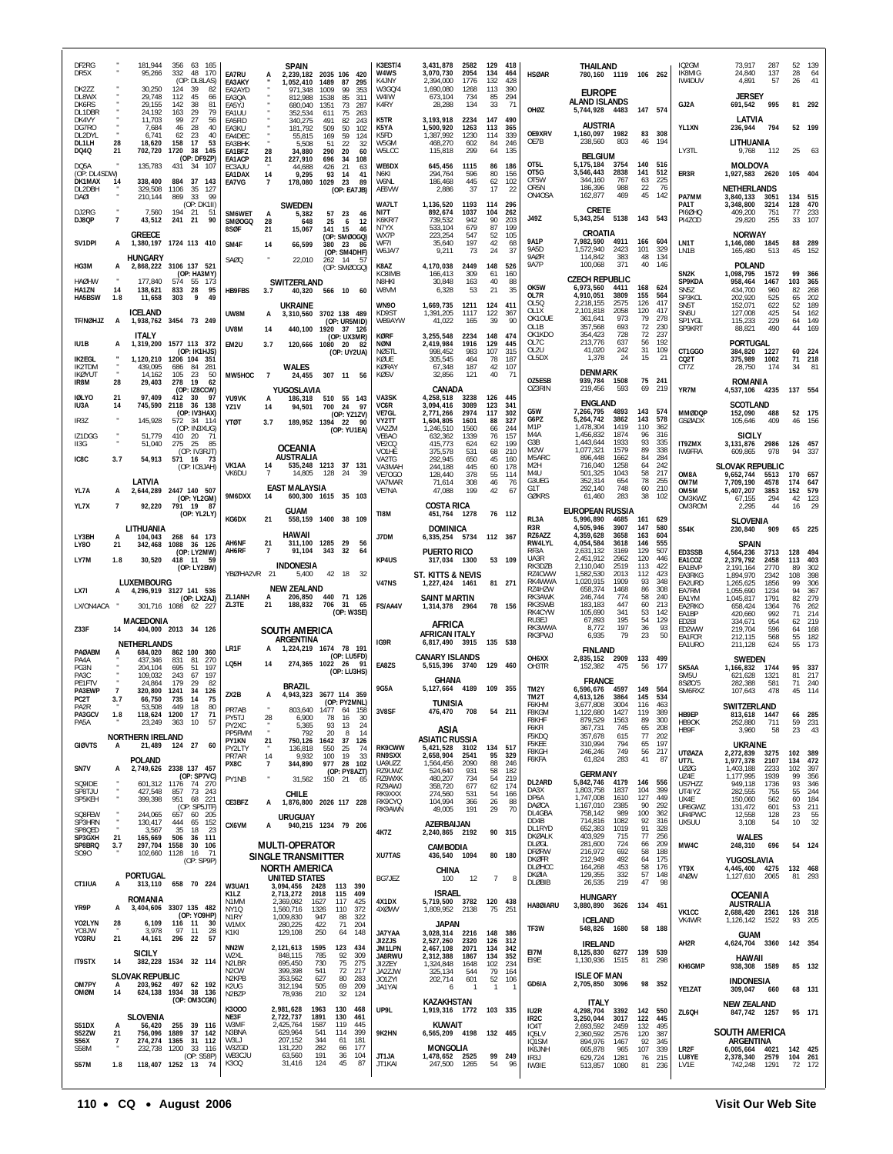| DF <sub>2RG</sub><br>DR5X<br>DK2ZZ       |                                | 181,944<br>95,266<br>30,250             | 356 63 165<br>332<br>48 170<br>(OP: DL8LAS)<br>124<br>39<br>82        | EA7RU<br>EA3AKY                                               | A                     | <b>SPAIN</b><br>1,052,410                             | 2,239,182 2035 106 420<br>1489<br>87<br>295<br>99                         | K3EST/4<br>W4WS<br>K4 JNY<br>W3GQ/4   | 3,431,878<br>3,070,730<br>2,394,000<br>1,690,080     | 2582<br>2054<br>1776<br>1268 | 134<br>132<br>113    | 129 418<br>464<br>428<br>390 | <b>HSØAR</b>                                            | THAILAND<br>780,160 1119 106 262                      |                            |                        |                          | IO <sub>2</sub> GM<br>IK8MIG<br>IW4DUV | 73.917<br>24,840<br>4,891                       | 287<br>137<br>57          | 52<br>28<br>26       | 139<br>64<br>41             |
|------------------------------------------|--------------------------------|-----------------------------------------|-----------------------------------------------------------------------|---------------------------------------------------------------|-----------------------|-------------------------------------------------------|---------------------------------------------------------------------------|---------------------------------------|------------------------------------------------------|------------------------------|----------------------|------------------------------|---------------------------------------------------------|-------------------------------------------------------|----------------------------|------------------------|--------------------------|----------------------------------------|-------------------------------------------------|---------------------------|----------------------|-----------------------------|
| DL8WX<br>DK6RS<br>DL1DBR                 |                                | 29,748<br>29,155<br>24.192              | 112<br>45<br>66<br>142<br>-38<br>81<br>163<br>79<br>- 29              | EA2AYD<br>EA3QA<br>EA5YJ<br>EA1UU                             |                       | 971,348<br>812,988<br>680,040<br>352,534              | 1009<br>353<br>1538<br>85<br>311<br>1351<br>73<br>287<br>611<br>75<br>263 | W4IW<br>K4RY                          | 673,104<br>28,288                                    | 734<br>134                   | 85<br>33             | 294<br>71                    | OHØZ                                                    | <b>EUROPE</b><br>ALAND ISLANDS<br>5,744,928 4483      |                            | 147 574                |                          | GJ2A                                   | <b>JERSEY</b><br>691,542                        | 995                       |                      | 81 292                      |
| DK4VY<br>DG7RO<br>DL2DYL                 |                                | 11,703<br>7,684<br>6,741                | 99<br>27<br>56<br>40<br>46<br>-28<br>62<br>23<br>40                   | EA5FID<br>FA3KU<br>EA4DEC                                     |                       | 340,275<br>181,792<br>55,815                          | 243<br>491<br>82<br>509<br>50<br>102<br>169<br>59<br>124                  | K5TR<br>K5YA<br>K5FD                  | 3,193,918<br>1,500,920<br>1,387,992                  | 2234<br>1263<br>1230         | 147<br>113<br>114    | 490<br>365<br>339            | OE9XRV<br>OE7B                                          | <b>AUSTRIA</b><br>1.160.097 1982<br>238,560           | 803                        | 46                     | 83 308<br>194            | YL1XN                                  | LATVIA<br>236,944                               | 794                       |                      | 52 199                      |
| DL1LH<br>DQ4Q<br>DQ5A                    | 28<br>21                       | 18,620<br>702,720<br>135,783            | 53<br>158<br>17<br>1720<br>38 145<br>(OP: DF9ZP)<br>431<br>34<br>-107 | EA3BHK<br>EA1BFZ<br>EA1ACP                                    | 28<br>21              | 5,508<br>34,880<br>227,910                            | -51<br>22<br>-32<br>290<br>20<br>60<br>34<br>108<br>696                   | W5GM<br>W5LCC<br>WE6DX                | 468,270<br>115,818<br>645,456                        | 602<br>299<br>1115           | 84<br>64<br>86       | 246<br>135<br>186            | OT <sub>5L</sub>                                        | <b>BELGIUM</b><br>5,175,184                           | 3754                       |                        | 140 516                  | LY3TL                                  | LITHUANIA<br>9,768<br><b>MOLDOVA</b>            | 112                       | 25                   | -63                         |
| (OP: DL4SDW)<br><b>DK1MAX</b><br>DL2DBH  | 14                             | 338,400<br>329,508                      | 884<br>37<br>143<br>1106<br>35<br>127                                 | EC3AJU<br>EA1DAX<br>EA7VG                                     | 14<br>$\overline{7}$  | 44,688<br>9,295<br>178,080                            | 426<br>21<br>63<br>14<br>93<br>41<br>1029<br>23<br>89<br>(OP: EA7JB)      | N6KI<br>W6NL<br>AE6VW                 | 294,764<br>186,468<br>2,886                          | 596<br>445<br>37             | 80<br>62<br>17       | 156<br>102<br>22             | OT5G<br>OT5W<br>OR5N                                    | 3,546,443<br>344,160<br>186,396                       | 2838<br>767<br>988         | 141<br>63<br>22        | 512<br>225<br>76         | ER3R                                   | 1,927,583 2620<br>NETHERLANDS                   |                           | 105 404              |                             |
| DAØI<br>DJ2RG                            |                                | 210,144<br>7,560                        | 99<br>869<br>-33<br>(OP: DK1II)<br>194<br>21<br>51                    | SM6WET                                                        | A                     | SWEDEN<br>5,382                                       | 57<br>23<br>46                                                            | WA7LT<br>NI7T                         | 1,136,520<br>892,674                                 | 1193<br>1037                 | 114<br>104           | 296<br>-262                  | ON4OSA<br>J49Z                                          | 162,877<br><b>CRETE</b><br>5,343,254                  | 469<br>5138                | 45<br>143 543          | 142                      | PA7MM<br>PA1T<br>PI6ØHQ                | 3,840,133<br>3.348.800<br>409,200               | 3051<br>3214<br>751       | 134 515<br>128<br>77 | 470<br>233                  |
| DJ8QP<br>SV1DPI                          | $\overline{\mathfrak{z}}$<br>A | 43,512<br><b>GREECE</b>                 | 241<br>21<br>90<br>1,380,197 1724 113 410                             | SMØOGQ<br>8SØF<br>SM4F                                        | 28<br>21<br>14        | 648<br>15,067<br>66,599                               | 25<br>6<br>-12<br>141<br>15<br>46<br>(OP: SMØOGQ)<br>380<br>23<br>86      | <b>K6KR/7</b><br>N7YX<br>WX7P<br>WF71 | 739,532<br>533,104<br>223,254<br>35,640              | 942<br>679<br>547<br>197     | 90<br>87<br>52<br>42 | 203<br>199<br>105<br>68      | <b>9A1P</b><br>9A5D                                     | CROATIA<br>7,982,590<br>1,572,940                     | 4911<br>2423               | 166<br>101             | 604<br>329               | PI4ZOD<br>LN1T                         | 29,820<br><b>NORWAY</b><br>1,146,080            | 255<br>1845               | 33<br>88             | 107<br>289                  |
| HG3M                                     | А                              | HUNGARY                                 | 2,868,222 3106 137 521<br>(OP: HA3MY)                                 | SAØQ                                                          |                       | 22,010                                                | (OP: SM4DHF)<br>262 14 57<br>(OP: SMØOGQ)                                 | W6JA/7<br>K8AZ<br>KC8IMB              | 9,211<br>4,170,038<br>166,413                        | 73<br>2449<br>309            | 24<br>148<br>61      | 37<br>526<br>160             | 9AØR<br><b>9A7P</b>                                     | 114,842<br>100,068                                    | 383<br>371                 | 48<br>40               | 134<br>146               | LN1B<br>SN <sub>2</sub> K              | 165,480<br><b>POLAND</b><br>1,098,795           | 513<br>1572               | 45<br>99             | 152<br>366                  |
| <b>HAØHW</b><br>HA1ZN<br>HA5BSW          | 14<br>1.8                      | 177.840<br>138,621<br>11,658            | 574<br>173<br>-55<br>833<br>28<br>95<br>303<br>9<br>49                | <b>HB9FBS</b>                                                 | 3.7                   | SWITZERLAND                                           | 40,320 566 10<br>60                                                       | N8HKI<br>W8VM                         | 30,848<br>6,328                                      | 163<br>53                    | 40<br>21             | 88<br>35                     | OK5W<br>OL7R                                            | <b>CZECH REPUBLIC</b><br>6,973,560<br>4,910,051       | 4411<br>3809               | 168<br>155             | 624<br>564               | SP9KDA<br>SN5Z<br>SP3KCL               | 958,464<br>434,700<br>202,920                   | 1467<br>960<br>525        | 103<br>82<br>65      | 365<br>268<br>202           |
| <b>TF/NØHJZ</b>                          | A                              | <b>ICELAND</b>                          | 1,938,762 3454 73 249                                                 | UW8M                                                          | А                     | <b>UKRAINE</b><br>3,310,560                           | 3702 138 489<br>(OP: UR5MID)                                              | <b>WN90</b><br>KD9ST<br>WB9AYW        | 1,669,735<br>1,391,205<br>41,022                     | 1211<br>1117<br>165          | 124<br>122<br>39     | 411<br>367<br>90             | OL5Q<br>OL <sub>1</sub> X<br>OK10UF<br>OL1B             | 2,218,155<br>2,101,818<br>361,641<br>357,568          | 2575<br>2058<br>973<br>693 | 126<br>120<br>79<br>72 | 417<br>417<br>278<br>230 | SN <sub>5</sub> T<br>SN6U<br>SP1YGL    | 152,071<br>127,008<br>115,233                   | 622<br>425<br>229         | 52<br>54<br>64       | 189<br>162<br>149           |
| IU1B                                     | А                              | ITALY                                   | 1,319,200 1577 113 372<br>(OP: IK1HJS)                                | UV8M<br>EM2U                                                  | 14<br>3.7             |                                                       | 440,100 1920 37 126<br>(OP: UX3MR)<br>120,666 1080 20<br>- 82             | <b>KØRF</b><br>NØNI<br><b>NØSTL</b>   | 3,255,548<br>2,419,984<br>998,452                    | 2234<br>1916<br>983          | 148<br>129<br>107    | 474<br>445<br>315            | OK1KDO<br>OL7C<br>012U                                  | 354,423<br>213,776<br>41,020                          | 728<br>637<br>242          | 72<br>56<br>31         | 237<br>192<br>109        | SP9KRT<br>CT1GGO                       | 88,821<br>PORTUGAL<br>384,820                   | 490<br>1227               | 44<br>60             | 169<br>224                  |
| <b>IK2EGL</b><br>IK2TDM<br><b>IKØYUT</b> | ٠                              | 1,120,210<br>439,095<br>14,162          | 1206 104 351<br>686<br>84<br>281<br>105<br>23<br>50                   | MW5HOC                                                        | $\overline{7}$        | <b>WALES</b><br>24,455                                | (OP: UY2UA)<br>307 11<br>- 56                                             | KØUE<br>KØRAY<br><b>KØSV</b>          | 305,545<br>67,348<br>32,856                          | 464<br>187<br>121            | 78<br>42<br>40       | 187<br>107<br>71             | OL5DX                                                   | 1,378<br><b>DENMARK</b>                               | 24                         | 15                     | 21                       | CQ2T<br>CT7Z                           | 375,989<br>28,750                               | 1002<br>174               | 71<br>34             | 218<br>81                   |
| IR8M<br><b>IØLYO</b>                     | 28<br>21                       | 29,403<br>97.409                        | 278<br><b>19</b><br>62<br>(OP: IZ8CCW)<br>$412 - 30$<br>- 97          | YU9VK                                                         | А                     | YUGOSLAVIA<br>186,318                                 | 510 55 143                                                                | VA3SK                                 | CANADA<br>4,258,518                                  | 3238                         | 126                  | 445                          | OZ5ESB<br>OZ3RIN                                        | 939,784<br>219,456                                    | 1508<br>593                | 75<br>69               | - 241<br>219             | YR7M                                   | <b>ROMANIA</b><br>4,537,106 4235                |                           | 137 554              |                             |
| IU3A<br>IR3Z                             | 14                             | 745,590<br>145,928                      | 2118<br>138<br>- 36<br>(OP: IV3HAX)<br>572<br>34 114                  | YZ1V<br><b>YTØT</b>                                           | 14<br>3.7             | 94,501                                                | 700<br>24<br>-97<br>(OP: YZ1ZV)<br>189.952 1394 22<br>90                  | VC6R<br>VE7GL<br>VY2TT                | 3.094.416<br>2,771,266<br>1,604,805                  | 3089<br>2974<br>1601         | 123<br>117<br>88     | 341<br>302<br>327            | G5W<br>G6PZ<br>M <sub>1</sub> P                         | <b>ENGLAND</b><br>7,266,795<br>5,264,742<br>1,478,304 | 4893<br>3862<br>1419       | 143<br>143<br>110      | 574<br>578<br>362        | <b>MMØDQP</b><br><b>GSØADX</b>         | <b>SCOTLAND</b><br>152.090<br>105,646           | 488<br>409                | 46                   | 52 175<br>156               |
| IZ1DGG<br>II3G                           | ٠                              | 51,779<br>51,040                        | (OP: IN3XUG)<br>410<br>20<br>71<br>275<br>-25<br>-85<br>(OP: IV3RJT)  |                                                               |                       | <b>OCEANIA</b>                                        | (OP: YU1EA)                                                               | VA2ZM<br>VE6AO<br>VE2CQ<br>VO1HE      | 1,246,510<br>632,362<br>415,773<br>375,578           | 1560<br>1339<br>624<br>531   | 66<br>76<br>62<br>68 | 244<br>157<br>199<br>210     | M4A<br>G3B<br>M <sub>2</sub> W                          | 1,456,832<br>1,443,644<br>1,077,321                   | 1874<br>1933<br>1579       | 96<br>93<br>89         | 316<br>335<br>338        | IT9ZMX<br><b>IW9FRA</b>                | <b>SICILY</b><br>3,131,876 2986<br>609,865      | 978                       | 126 457<br>94        | 337                         |
| IC8C                                     | 3.7                            | 54,913                                  | 571 16 73<br>(OP: IC8JAH)                                             | VK1AA<br>VK6DU                                                | -14<br>$\overline{7}$ | AUSTRALIA<br>14.805                                   | 535.248 1213 37 131<br>128<br>24<br>-39                                   | VA2TG<br>VA3MAH<br>VE7OGO             | 292.945<br>244,188<br>128,440                        | 650<br>445<br>378            | 45<br>60<br>55       | 160<br>178<br>114            | M5ARC<br>M <sub>2</sub> H<br>M4U                        | 896,448<br>716,040<br>501,325                         | 1662<br>1258<br>1043       | 84<br>64<br>58         | 284<br>242<br>217        | OM8A                                   | <b>SLOVAK REPUBLIC</b><br>9,652,744             | 5513                      | 170 657              |                             |
| YL7A                                     | А                              | LATVIA<br>2,644,289                     | 2447 140 507<br>(OP: YL2GM)                                           | 9M6DXX                                                        | 14                    | <b>EAST MALAYSIA</b>                                  | 600,300 1615 35 103                                                       | VA7MAR<br>VE7NA                       | 71,614<br>47,088                                     | 308<br>199                   | 46<br>42             | 76<br>67                     | G3UEG<br>G1T<br>GØKRS                                   | 352,314<br>292,140<br>61,460                          | 654<br>748<br>283          | 78<br>60<br>38         | 255<br>210<br>102        | OM7M<br>OM5M<br>OM3KWZ                 | 7,709,190<br>5,407,207<br>67,155                | 4578<br>3853<br>294       | 174<br>152<br>42     | 647<br>579<br>123           |
| YL7X                                     | 7                              | 92,220<br>LITHUANIA                     | 791 19 87<br>(OP: YL2LY)                                              | KG6DX                                                         | 21                    | GUAM                                                  | 558,159 1400 38 109                                                       | TI8M                                  | <b>COSTA RICA</b><br>451,764 1278<br><b>DOMINICA</b> |                              |                      | 76 112                       | RL3A<br>R3R                                             | EUROPEAN RUSSIA<br>5,996,890<br>4,505,946             | 4685<br>3907               | 161<br>147             | 629<br>580               | OM3ROM<br><b>S54K</b>                  | 2,295<br><b>SLOVENIA</b><br>230,840             | 44<br>909                 | 16                   | 29<br>65 225                |
| LY3BH<br><b>LY80</b>                     | 21                             | 104,043<br>342,468                      | 268<br>64 173<br>1088<br>36 126<br>(OP: LY2MW)                        | AH6NF<br>AH6RF                                                | 21<br>$\overline{7}$  | HAWAII<br>311,100<br>91,104                           | 1285<br>29<br>56<br>343<br>32<br>-64                                      | J7DM                                  | 6,335,254 5734<br><b>PUERTO RICO</b>                 |                              | 112 367              |                              | RZ6AZZ<br>RW4LYL<br>RF3A                                | 4,359,628<br>4,054,584<br>2,631,132                   | 3658<br>3618<br>3169       | 163<br>146<br>129      | 604<br>555<br>507        | ED3SSB                                 | <b>SPAIN</b><br>4,564,236                       | 3713                      | 128                  | 494                         |
| LY7M                                     | 1.8                            | 30,520                                  | 418 11 59<br>(OP: LY2BW)                                              | YBØ/HA2VR 21                                                  |                       | <b>INDONESIA</b><br>5,400                             | 42 18<br>32                                                               | KP4US                                 | 317,034 1300<br>ST. KITTS & NEVIS                    |                              |                      | 53 109                       | UA3R<br>RK3D7B<br>RZ4CWW                                | 2,451,912<br>2,110,040<br>1,582,530                   | 2962<br>2519<br>2013       | 120<br>113<br>112      | 446<br>422<br>423        | EA1COZ<br>EA1BVP<br>EA3RKG             | 2,379,792<br>2,191,164<br>1,894,970             | 2458<br>2770<br>2342      | 113<br>89<br>108     | 403<br>302<br>398           |
| LX7I                                     | А                              | LUXEMBOURG                              | 4,296,919 3127 141 536<br>(OP: LX2AJ)                                 | ZL1ANH<br>ZL3TE                                               | A<br>21               | <b>NEW ZEALAND</b><br>206.850<br>188,832              | 440 71 126<br>706<br>31<br>65                                             | <b>V47NS</b>                          | 1,227,424 1461<br>SAINT MARTIN                       |                              |                      | 81 271                       | RK4WWA<br>RZ4HZW<br>RK3AWK<br>RK3SWB                    | 1,020,915<br>658,374<br>246,744<br>183,183            | 1909<br>1468<br>774<br>447 | 93<br>86<br>58<br>60   | 348<br>308<br>240<br>213 | EA2URD<br>EA7RM<br>EA1YM               | 1,265,625<br>1,055,690<br>1,045,817             | 1856<br>1234<br>1791      | 99<br>94<br>82       | 306<br>367<br>279           |
| LX/ON4ACA<br>Z33F                        | 14                             | MACEDONIA                               | 301,716 1088 62 227<br>404,000 2013 34 126                            |                                                               |                       | SOUTH AMERICA                                         | (OP: W3SE)                                                                | <b>FS/AA4V</b>                        | 1,314,378 2964<br>AFRICA                             |                              |                      | 78 156                       | RK4CYW<br>RU3EJ<br>RK3WWA                               | 105,690<br>67,893<br>8,772                            | 341<br>195<br>197          | 53<br>54<br>36         | 142<br>129<br>93         | EA2RKO<br>EA1BP<br>ED2BI<br>ED2WW      | 658,424<br>420,660<br>334,671<br>219,704        | 1364<br>992<br>954<br>596 | 76<br>71<br>62<br>64 | 262<br>214<br>219<br>168    |
| PAØABM                                   | А                              | <b>NETHERLANDS</b><br>684,020           | 862 100<br>- 360                                                      | LR1F                                                          |                       | ARGENTINA<br>1,224,219                                | 78 191<br>1674<br>(OP: LU5FD)                                             | IG9R                                  | <b>AFRICAN ITALY</b><br>6,817,490 3915               |                              | 135 538              |                              | RK3PWJ                                                  | 6,935<br><b>FINLAND</b>                               | 79                         | 23                     | 50                       | EA1FCR<br>EA1URO                       | 212,115<br>211,128                              | 568<br>624                | 55<br>55             | 182<br>173                  |
| PA4A<br>PG3N<br>PA3C                     |                                | 437.346<br>204,104<br>109.032           | 831<br>81<br>270<br>197<br>695<br>51<br>67<br>197<br>243              | LQ5H                                                          | 14                    |                                                       | 274,365 1022 26<br>- 91<br>(OP: LU3HS)                                    | EA8ZS                                 | <b>CANARY ISLANDS</b><br>5,515,396 3740<br>GHANA     |                              | 129                  | 460                          | OH6XX<br>OH3TR                                          | 2.835.152<br>152,382<br><b>FRANCE</b>                 | 2909<br>475                | 133 499<br>56          | 177                      | SK5AA<br>SM5U                          | <b>SWEDEN</b><br>1,166,832<br>621,628           | 1744<br>1321              | 95<br>81             | 337<br>217                  |
| PE1FTV<br>PA3EWP<br>PC2T                 | $\overline{7}$<br>3.7          | 24,864<br>320.800<br>66,750             | 82<br>179<br>29<br>34<br>126<br>1241<br>735<br>14<br>75               | ZX2B                                                          | А                     | <b>BRAZIL</b>                                         | 4,943,323 3677 114 359<br>(OP: PY2MNL)                                    | 9G5A                                  | 5,127,664 4189 109 355<br><b>TUNISIA</b>             |                              |                      |                              | TM2Y<br>TM <sub>2</sub> T<br>F6KHM                      | 6,596,676<br>4,613,126<br>3,677,808                   | 4597<br>3864<br>3004       | 149<br>145<br>116      | - 564<br>534<br>463      | 8SØC/5<br>SM6RX <sub>2</sub>           | 282,388<br>107,643<br>SWITZERLAND               | 581<br>478                | 71<br>45 114         | 240                         |
| PA2R<br>PA3GCV<br>PA5A                   | 1.8                            | 53,508<br>23,249                        | 80<br>449<br>18<br>118,624 1200 17<br>-71<br>363 10<br>57             | PR7AB<br>PY5TJ<br>PY2XC                                       | 28<br>٠               | 803.640<br>6,900<br>5,365                             | 158<br>1411<br>64<br>78<br>16<br>30<br>93<br>13<br>-24                    | 3V8SF                                 | 476,470<br>ASIA                                      | 708                          | 54                   | 211                          | F8KGM<br>F8KHF<br>F6KFI                                 | 1,122,680<br>879,529<br>367,731                       | 1427<br>1563<br>745        | 119<br>89<br>65        | 389<br>300<br>208        | HB9EP<br>HB9OK<br>HB9F                 | 813,618<br>252,880<br>3,960                     | 1447<br>711<br>58         | 66<br>59<br>23       | 285<br>231<br>43            |
| <b>GIØVTS</b>                            | A                              | <b>NORTHERN IRELAND</b>                 | 21,489 124 27<br>60                                                   | PP5FMM<br>PY1KN<br>PY2LTY<br>PR7AR                            | 21<br>14              | 792<br>750,126 1642<br>136,818<br>9.932               | 20<br>8<br>14<br>37<br>126<br>550<br>25<br>74<br>100<br>19<br>33          | <b>RK9CWW</b><br><b>RN9SXX</b>        | <b>ASIATIC RUSSIA</b><br>5,421,528<br>2,658,904      | 3102<br>2541                 | 134 517<br>95        | 329                          | F5KDQ<br>F5KEE<br>F8KGH                                 | 357,678<br>310,994<br>246,246                         | 615<br>794<br>749          | 77<br>65<br>56         | 202<br>197<br>217        | <b>UTØAZA</b>                          | <b>UKRAINE</b><br>2,272,839                     | 3275                      | 102                  | 389                         |
| SN7V                                     | А                              | <b>POLAND</b>                           | 2,749,626 2338 137 457<br>(OP: SP7VC)                                 | PX8C<br>PY1NB                                                 | $\overline{7}$        | 344,890<br>31,562                                     | 977 28 102<br>(OP: PY8AZT)<br>150 21 65                                   | UA9UZZ<br>RZ9UWZ<br>RZ9WXK            | 1,564,456<br>524,640<br>480,207                      | 2090<br>931<br>734           | 88<br>58<br>54       | 246<br>182<br>219            | F6KFA<br>DL2ARD                                         | 61,824<br><b>GERMANY</b><br>5,842,746                 | 283<br>4179                | 41<br>146              | 87<br>556                | UT7L<br><b>UZØG</b><br>UZ4E            | 1,977,378<br>1,403,188<br>1,177,995             | 2107<br>2233<br>1939      | 134<br>102<br>99     | 472<br>397<br>356           |
| SQ9IDE<br>SP8TJU<br>SP5KEH               |                                | 427,548<br>399,398                      | 601.312 1176 74 270<br>857<br>73 243<br>951 68 221<br>(OP: SP5JTF)    | CE3BFZ                                                        | А                     | CHILE                                                 | 1,876,800 2026 117 228                                                    | RZ9AWJ<br>RK9XXX<br>RK9CYQ            | 358,720<br>274,560<br>104,994                        | 677<br>531<br>366            | 62<br>54<br>26       | 174<br>166<br>88             | DA3X<br>DP6A<br>DAØCA                                   | 1,803,758<br>1,747,008<br>1,167,010                   | 1837<br>1610<br>2385       | 104<br>127<br>90       | 399<br>449<br>292        | US7HZZ<br>UT4IYZ<br>UX4E<br>UR6GWZ     | 949,118<br>282,555<br>150,060<br>131,472        | 1736<br>755<br>562<br>601 | 93<br>55<br>60       | 346<br>244<br>184<br>53 211 |
| SQ8FEW<br>SP3HRN<br>SP8QED               | $\epsilon$                     | 244,065<br>130,417<br>3,567             | 60 205<br>657<br>444<br>65 152<br>35<br>23<br>18                      | CX6VM                                                         | А                     | <b>URUGUAY</b>                                        | 940,215 1234 79 206                                                       | RK9AWN<br>4K7Z                        | 49,005<br>AZERBAIJAN<br>2,240,865 2192               | 191                          | 29                   | 70<br>90 315                 | DL4GBA<br>DD4B<br>DL1RYD                                | 758,142<br>714,816<br>652,383                         | 989<br>1082<br>1019        | 100<br>92<br>91        | 362<br>316<br>328        | UR4PWC<br>UX5UU                        | 12,558<br>3,108                                 | 128<br>54                 | 23<br>10             | 55<br>32                    |
| SP3GXH<br>SP8BRQ<br>S090                 | 21<br>3.7                      | 165,669<br>297,704 1558<br>102,660 1128 | 506<br>36 111<br>30 106<br>16<br>71                                   |                                                               |                       | <b>MULTI-OPERATOR</b><br>SINGLE TRANSMITTER           |                                                                           | XU7TAS                                | CAMBODIA<br>436,540 1094                             |                              |                      | 80 180                       | <b>DKØALK</b><br>DLØGL<br><b>DFØRW</b>                  | 403,929<br>281,600<br>216,972                         | 715<br>724<br>692          | 77<br>66<br>58         | 256<br>209<br>188        | MW4C                                   | <b>WALES</b><br>248,310                         | 696                       |                      | 54 124                      |
| CT1IUA                                   |                                | <b>PORTUGAL</b>                         | (OP: SP9P)<br>313,110 658 70 224                                      |                                                               |                       | NORTH AMERICA<br><b>UNITED STATES</b>                 |                                                                           | BG7JEZ                                | CHINA<br>100                                         | 12                           | $\overline{7}$       | 8                            | <b>DKØFR</b><br><b>DLØHCC</b><br>DKØIA<br><b>DLØBIB</b> | 212,949<br>164,268<br>129,355<br>26,535               | 492<br>453<br>332<br>219   | 64<br>58<br>57<br>47   | 175<br>176<br>148<br>98  | YT9X<br>4NØW                           | YUGOSLAVIA<br>4,445,400 4275<br>1,127,610 2065  |                           | 132 468<br>81 293    |                             |
| YR9P                                     | А<br>А                         | ROMANIA                                 | 3,404,606 3307 135 482                                                | <b>W3UA/1</b><br>K1LZ<br>N1MM<br><b>NY10</b>                  |                       | 3,094,456 2428<br>2,713,272<br>2,369,082<br>1,560,716 | 113 390<br>2018<br>115<br>409<br>1627<br>117<br>425<br>1326<br>110<br>372 | 4X1DX<br>4XØWV                        | <b>ISRAEL</b><br>5,719,500 3782<br>1,809,952         | 2138                         | 120                  | 438<br>-251                  | HA8ØIARU                                                | <b>HUNGARY</b><br>3,880,890 3626                      |                            | 134 451                |                          |                                        | <b>OCEANIA</b><br><b>AUSTRALIA</b>              |                           |                      |                             |
| YO2LYN<br>Y03JW                          | 28                             | 6,109<br>3,978                          | (OP: YO9HP)<br>116 11<br>- 30<br>97<br>- 11<br>28                     | N <sub>1</sub> RY<br>W1MX<br>K1KI                             |                       | 1,009,830<br>280,225<br>129,108                       | 947<br>88<br>322<br>422<br>71<br>204<br>250<br>64<br>148                  | JA7YAA                                | <b>JAPAN</b><br>3,028,314                            | 2216                         | 75<br>148            | 386                          | TF3W                                                    | <b>ICELAND</b><br>548,826 1680                        |                            |                        | 58 188                   | VK <sub>1</sub> CC<br>VK4WR            | 2,688,420 2361<br>1,126,142 1522<br><b>GUAM</b> |                           | 126 318<br>93        | 205                         |
| Y03RU                                    | 21                             | 44,161<br><b>SICILY</b>                 | 296<br>22<br>57                                                       | NN <sub>2</sub> W<br>W2XL                                     |                       | 2,121,613<br>848,115                                  | 1595<br>123<br>434<br>92<br>785<br>309                                    | JI2ZJS<br>JM1LPN<br>JA8RWU            | 2,527,260<br>2,467,108<br>2,312,388                  | 2320<br>2071<br>1867         | 126<br>134<br>134    | 312<br>342<br>352            | EI7M<br>E19E                                            | <b>IRELAND</b><br>8,125,830<br>1,130,936 1515         | 6277                       | 139 539<br>81          | 298                      | AH2R                                   | 4,624,704 3360<br>HAWAII                        |                           | 142 354              |                             |
| <b>IT9STX</b><br>OM7PY                   | 14<br>А                        | <b>SLOVAK REPUBLIC</b><br>203,962 497   | 382,228 1534 32 114<br>62 192                                         | N <sub>2</sub> LBR<br>N <sub>2</sub> CW<br>N <sub>2</sub> KPB |                       | 695,450<br>399,398<br>353,562                         | 75<br>275<br>730<br>72<br>541<br>217<br>627<br>80<br>283                  | JI2ZEY<br>JA2ZJW<br>JO1ZYI            | 1,324,848<br>325,134<br>202,714                      | 1648<br>544<br>601           | 102<br>79<br>52      | 234<br>164<br>106            | GD6IA                                                   | <b>ISLE OF MAN</b><br>2,705,850 3096                  |                            |                        | 98 352                   | KH6GMP                                 | 938,308 1589<br><b>INDONESIA</b>                |                           |                      | 85 132                      |
| OMØM                                     | 14                             |                                         | 624,138 1934 38 136<br>(OP: OM3CGN)                                   | K2UG<br>N <sub>2</sub> B <sub>ZP</sub><br>K3000               |                       | 312,194<br>78,936<br>2,981,628                        | 505<br>69<br>209<br>210<br>32<br>124<br>1963<br>130<br>468                | JA1YAI<br>UP9L                        | 6<br>KAZAKHSTAN<br>1,919,316 1772 103 335            |                              | $\overline{1}$       |                              | IU2R                                                    | <b>ITALY</b><br>4,298,704                             | 3392                       |                        | 142 550                  | YE1ZAT                                 | 309,047<br><b>NEW ZEALAND</b>                   | 660                       |                      | 68 131                      |
| <b>S51DX</b><br>S52ZW                    | А<br>21                        | SLOVENIA<br>56,420<br>756,096 1889      | 255 39 116<br>37<br>142                                               | NE3F<br>W3MF<br>N3BNA                                         |                       | 2,722,737<br>2,425,764<br>629,964                     | 1891<br>130<br>461<br>119<br>445<br>1587<br>541<br>114<br>399             | 9K2HN                                 | KUWAIT<br>6,565,209 4198 132 465                     |                              |                      |                              | IR <sub>2</sub> C<br>IO4T<br>IQ <sub>5</sub> LV         | 3,250,044<br>2,693,592<br>2,360,592                   | 3017<br>2459<br>2576       | 122<br>132<br>120      | 445<br>495<br>387        | ZL6QH                                  | 847,742 1257<br><b>SOUTH AMERICA</b>            |                           |                      | 95 171                      |
| <b>S56X</b><br>S58M                      | 7                              | 232,738                                 | 274,274 1365 31<br>112<br>33 116<br>1200<br>(OP: S58P)                | W3L<br>W3ZGD<br>WB3CJU                                        |                       | 207,152<br>131,220<br>63,560                          | 344<br>61<br>181<br>282<br>177<br>66<br>191<br>104<br>36                  | JT1JA                                 | <b>MONGOLIA</b><br>1,478,652 2525                    |                              |                      | 99 249                       | IQ1SM<br><b>IK6JNH</b><br>IR3J                          | 894,976<br>665,878<br>629,724                         | 1467<br>965<br>1281        | 92<br>107<br>76        | 345<br>339<br>215        | LR <sub>2</sub> F<br>LU8YE             | ARGENTINA<br>6,005,664 4021<br>2,378,340        | 2579                      | 142 425<br>104 261   |                             |
| <b>S57M</b>                              | 1.8                            |                                         | 118,407 1252 13 74                                                    | K300                                                          |                       | 31,416                                                | 124<br>45<br>87                                                           | JT1KAI                                | 247,500                                              | 1265                         | 54                   | 96                           | IW3IE                                                   | 513,857                                               | 1080                       | 81                     | 236                      | LV1E                                   | 742,248                                         | 1291                      |                      | 72 172                      |